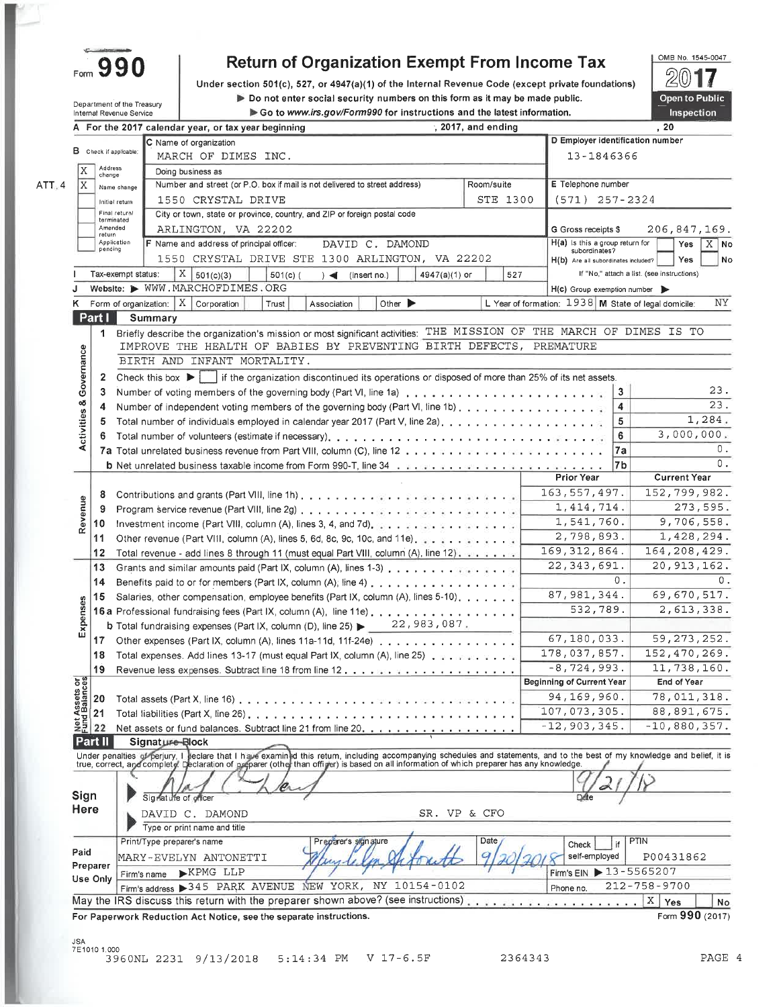| Form |  |  |
|------|--|--|

Department of the Treasury

### **Return of Organization Exempt From Income Tax**

Under section 501(c), 527, or 4947(a)(1) of the Internal Revenue Code (except private foundations) Do not enter social security numbers on this form as it may be made public. Go to www.irs.gov/Form990 for instructions and the latest information.



|                                                         | Internal Revenue Service |                                                                    | Go to www.irs.gov/Form990 for instructions and the latest information.                                                                                                                                                                |                             |                      |                                                        |                                            | Inspection          |
|---------------------------------------------------------|--------------------------|--------------------------------------------------------------------|---------------------------------------------------------------------------------------------------------------------------------------------------------------------------------------------------------------------------------------|-----------------------------|----------------------|--------------------------------------------------------|--------------------------------------------|---------------------|
|                                                         |                          | A For the 2017 calendar year, or tax year beginning                |                                                                                                                                                                                                                                       |                             | $, 2017,$ and ending |                                                        |                                            | , 20                |
|                                                         |                          | C Name of organization                                             |                                                                                                                                                                                                                                       |                             |                      | D Employer identification number                       |                                            |                     |
|                                                         | B Check if applicable:   | MARCH OF DIMES INC.                                                |                                                                                                                                                                                                                                       |                             |                      | 13-1846366                                             |                                            |                     |
| X                                                       | Address<br>change        | Doing business as                                                  |                                                                                                                                                                                                                                       |                             |                      |                                                        |                                            |                     |
| X                                                       | Name change              |                                                                    | Number and street (or P.O. box if mail is not delivered to street address)                                                                                                                                                            |                             | Room/suite           | E Telephone number                                     |                                            |                     |
|                                                         | Initial return           | 1550 CRYSTAL DRIVE                                                 |                                                                                                                                                                                                                                       |                             | STE 1300             | $(571)$ 257-2324                                       |                                            |                     |
|                                                         | Final return/            |                                                                    | City or town, state or province, country, and ZIP or foreign postal code                                                                                                                                                              |                             |                      |                                                        |                                            |                     |
|                                                         | terminated<br>Amended    | ARLINGTON, VA 22202                                                |                                                                                                                                                                                                                                       |                             |                      | G Gross receipts \$                                    |                                            | 206,847,169.        |
|                                                         | return<br>Application    | F Name and address of principal officer:                           | DAVID C. DAMOND                                                                                                                                                                                                                       |                             |                      | H(a) is this a group return for                        |                                            | $X$ No<br>Yes       |
|                                                         | pending                  |                                                                    | 1550 CRYSTAL DRIVE STE 1300 ARLINGTON, VA 22202                                                                                                                                                                                       |                             |                      | subordinates?                                          |                                            | Yes                 |
|                                                         |                          |                                                                    |                                                                                                                                                                                                                                       |                             |                      | H(b) Are all subordinates included?                    | If "No," attach a list. (see instructions) |                     |
|                                                         | Tax-exempt status:       | $X \mid 501(c)(3)$<br>Website: WWW.MARCHOFDIMES.ORG                | $501(c)$ (<br>$) \triangleleft$ (insert no.)                                                                                                                                                                                          | $4947(a)(1)$ or             | 527                  |                                                        |                                            |                     |
|                                                         |                          |                                                                    |                                                                                                                                                                                                                                       |                             |                      | $H(c)$ Group exemption number                          |                                            |                     |
| ĸ                                                       |                          | Form of organization: $X$ Corporation                              | Trust<br>Association                                                                                                                                                                                                                  | Other $\blacktriangleright$ |                      | L Year of formation: $1938$ M State of legal domicile: |                                            | ΝY                  |
|                                                         | Part I                   | Summary                                                            |                                                                                                                                                                                                                                       |                             |                      |                                                        |                                            |                     |
|                                                         | 1                        |                                                                    | Briefly describe the organization's mission or most significant activities:                                                                                                                                                           |                             |                      | THE MISSION OF THE MARCH OF DIMES IS TO                |                                            |                     |
|                                                         |                          |                                                                    | IMPROVE THE HEALTH OF BABIES BY PREVENTING BIRTH DEFECTS, PREMATURE                                                                                                                                                                   |                             |                      |                                                        |                                            |                     |
| Activities & Governance                                 |                          | BIRTH AND INFANT MORTALITY.                                        |                                                                                                                                                                                                                                       |                             |                      |                                                        |                                            |                     |
|                                                         | $\mathbf{2}$             |                                                                    | Check this box $\blacktriangleright$ if the organization discontinued its operations or disposed of more than 25% of its net assets.                                                                                                  |                             |                      |                                                        |                                            |                     |
|                                                         | 3                        |                                                                    |                                                                                                                                                                                                                                       |                             |                      |                                                        | 3                                          | 23.                 |
|                                                         | 4                        |                                                                    | Number of independent voting members of the governing body (Part VI, line 1b)                                                                                                                                                         |                             |                      |                                                        | 4                                          | 23.                 |
|                                                         | 5                        |                                                                    |                                                                                                                                                                                                                                       |                             |                      |                                                        | 5                                          | 1,284.              |
|                                                         |                          |                                                                    |                                                                                                                                                                                                                                       |                             |                      |                                                        | 6                                          | 3,000,000.          |
|                                                         |                          |                                                                    |                                                                                                                                                                                                                                       |                             |                      |                                                        | 7a                                         | 0.                  |
|                                                         |                          |                                                                    | <b>b</b> Net unrelated business taxable income from Form 990-T, line 34 and a substance of a state of a state of a state of a state of a state of a state of a state of a state of a state of a state of a state of a state of $\sim$ |                             |                      |                                                        | 7b                                         | 0.                  |
|                                                         |                          |                                                                    |                                                                                                                                                                                                                                       |                             |                      | <b>Prior Year</b>                                      |                                            | <b>Current Year</b> |
|                                                         | 8                        |                                                                    |                                                                                                                                                                                                                                       |                             |                      | 163, 557, 497.                                         |                                            | 152,799,982.        |
|                                                         | 9                        |                                                                    |                                                                                                                                                                                                                                       |                             |                      | 1, 414, 714.                                           |                                            | 273,595.            |
| Revenue                                                 | 10                       |                                                                    | Investment income (Part VIII, column (A), lines 3, 4, and 7d), part of a series of a series of a series of a                                                                                                                          |                             |                      | 1,541,760.                                             |                                            | 9,706,558.          |
|                                                         | 11                       |                                                                    |                                                                                                                                                                                                                                       |                             |                      | 2,798,893.                                             |                                            | 1,428,294.          |
|                                                         | 12                       |                                                                    |                                                                                                                                                                                                                                       |                             |                      | 169, 312, 864.                                         |                                            | 164, 208, 429.      |
|                                                         | 13                       |                                                                    | Total revenue - add lines 8 through 11 (must equal Part VIII, column (A), line 12), $\ldots$ , $\ldots$                                                                                                                               |                             |                      | 22, 343, 691.                                          |                                            | 20, 913, 162.       |
|                                                         |                          |                                                                    | Grants and similar amounts paid (Part IX, column (A), lines 1-3)                                                                                                                                                                      |                             |                      |                                                        | $0$ .                                      |                     |
|                                                         | 14                       |                                                                    | Benefits paid to or for members (Part IX, column (A), line 4) $\dots$ ,                                                                                                                                                               |                             |                      | 87, 981, 344.                                          |                                            | 69,670,517.         |
|                                                         | 15                       |                                                                    | Salaries, other compensation, employee benefits (Part IX, column (A), lines 5-10), $\ldots$ ,                                                                                                                                         |                             |                      |                                                        |                                            |                     |
|                                                         |                          |                                                                    | 16 a Professional fundraising fees (Part IX, column (A), line 11e)                                                                                                                                                                    |                             |                      | 532,789.                                               |                                            | 2,613,338.          |
| Expenses                                                |                          |                                                                    | <b>b</b> Total fundraising expenses (Part IX, column (D), line 25) $\triangleright$ 22, 983, 087,                                                                                                                                     |                             |                      |                                                        |                                            |                     |
|                                                         |                          |                                                                    | 17 Other expenses (Part IX, column (A), lines 11a-11d, 11f-24e)                                                                                                                                                                       |                             |                      | 67,180,033.                                            |                                            | 59, 273, 252.       |
|                                                         | 18                       |                                                                    | Total expenses. Add lines 13-17 (must equal Part IX, column (A), line 25)                                                                                                                                                             |                             |                      | 178,037,857.                                           |                                            | 152, 470, 269.      |
|                                                         | 19.                      |                                                                    |                                                                                                                                                                                                                                       |                             |                      | $-8,724,993.$                                          |                                            | 11,738,160.         |
| Net Assets or<br>Eural Balances<br>22<br>22<br>22<br>22 |                          |                                                                    |                                                                                                                                                                                                                                       |                             |                      | <b>Beginning of Current Year</b>                       |                                            | End of Year         |
|                                                         |                          |                                                                    | Total assets (Part X, line 16) $\ldots$ , $\ldots$ , $\ldots$ , $\ldots$ , $\ldots$ , $\ldots$                                                                                                                                        |                             |                      | 94,169,960.                                            |                                            | 78,011,318.         |
|                                                         |                          |                                                                    | Total liabilities (Part X, line 26) $\ldots$ , $\ldots$ , $\ldots$ , $\ldots$ , $\ldots$ , $\ldots$ , $\ldots$ , $\ldots$ , $\ldots$                                                                                                  |                             |                      | 107,073,305.                                           |                                            | 88,891,675.         |
|                                                         |                          |                                                                    | Net assets or fund balances. Subtract line 21 from line 20.                                                                                                                                                                           |                             |                      | $-12,903,345.$                                         |                                            | $-10,880,357.$      |
|                                                         | Part II                  | Signature-Block                                                    |                                                                                                                                                                                                                                       |                             |                      |                                                        |                                            |                     |
|                                                         |                          |                                                                    | Under penalties of perjury, I lieclare that I have examined this retum, including accompanying schedules and statements, and to the best of my knowledge and belief, it is<br>true, correct, and complety. Declaration of prepare     |                             |                      |                                                        |                                            |                     |
|                                                         |                          |                                                                    |                                                                                                                                                                                                                                       |                             |                      |                                                        |                                            |                     |
|                                                         |                          |                                                                    |                                                                                                                                                                                                                                       |                             |                      |                                                        |                                            |                     |
| Sign                                                    |                          | Signature of officer                                               |                                                                                                                                                                                                                                       |                             |                      |                                                        |                                            |                     |
| Here                                                    |                          | DAVID C. DAMOND                                                    |                                                                                                                                                                                                                                       | SR. VP & CFO                |                      |                                                        |                                            |                     |
|                                                         |                          | Type or print name and title                                       |                                                                                                                                                                                                                                       |                             |                      |                                                        |                                            |                     |
|                                                         |                          | Print/Type preparer's name                                         | Preparer's signature                                                                                                                                                                                                                  |                             | Date                 | Check                                                  | PTIN                                       |                     |
|                                                         |                          |                                                                    |                                                                                                                                                                                                                                       |                             | c                    | self-employed                                          |                                            | P00431862           |
|                                                         |                          | MARY-EVELYN ANTONETTI                                              |                                                                                                                                                                                                                                       |                             |                      | Firm's EIN 13-5565207                                  |                                            |                     |
|                                                         |                          | EXPMG LLP                                                          |                                                                                                                                                                                                                                       |                             |                      |                                                        |                                            |                     |
|                                                         | Use Only                 | Firm's name                                                        |                                                                                                                                                                                                                                       |                             |                      |                                                        | $212 - 758 - 9700$                         |                     |
|                                                         |                          |                                                                    | Firm's address > 345 PARK AVENUE NEW YORK, NY 10154-0102                                                                                                                                                                              |                             |                      | Phone no.                                              |                                            |                     |
|                                                         |                          |                                                                    | May the IRS discuss this return with the preparer shown above? (see instructions).                                                                                                                                                    |                             |                      |                                                        | X<br>$\sim$ $\sim$ $\sim$ $\sim$ $\sim$    | Yes                 |
|                                                         |                          | For Paperwork Reduction Act Notice, see the separate instructions. |                                                                                                                                                                                                                                       |                             |                      |                                                        |                                            | Form 990 (2017)     |
| Paid<br>Preparer<br>JSA                                 |                          |                                                                    |                                                                                                                                                                                                                                       |                             |                      |                                                        |                                            |                     |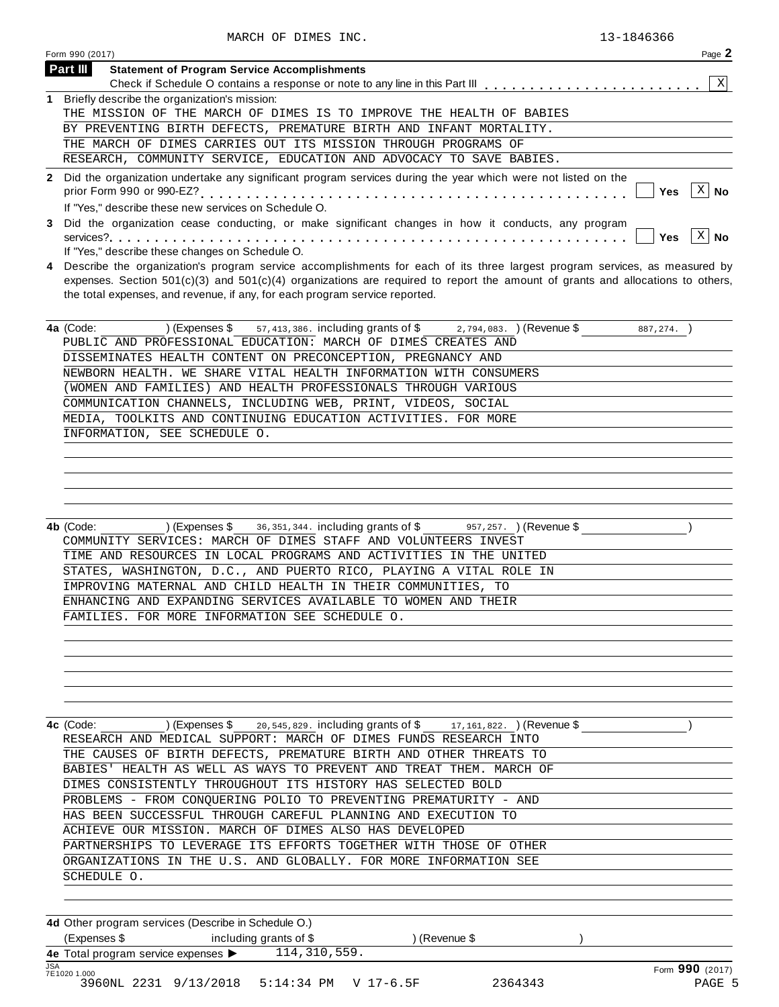| Page 2<br>Form 990 (2017)                                                                                                                                                          |
|------------------------------------------------------------------------------------------------------------------------------------------------------------------------------------|
| Part III<br><b>Statement of Program Service Accomplishments</b>                                                                                                                    |
| X                                                                                                                                                                                  |
| 1 Briefly describe the organization's mission:                                                                                                                                     |
| THE MISSION OF THE MARCH OF DIMES IS TO IMPROVE THE HEALTH OF BABIES                                                                                                               |
| BY PREVENTING BIRTH DEFECTS, PREMATURE BIRTH AND INFANT MORTALITY.                                                                                                                 |
| THE MARCH OF DIMES CARRIES OUT ITS MISSION THROUGH PROGRAMS OF                                                                                                                     |
| RESEARCH, COMMUNITY SERVICE, EDUCATION AND ADVOCACY TO SAVE BABIES.                                                                                                                |
| 2 Did the organization undertake any significant program services during the year which were not listed on the<br>$\mathbf{X}$<br>∣ No<br>Yes                                      |
| If "Yes," describe these new services on Schedule O.                                                                                                                               |
| 3 Did the organization cease conducting, or make significant changes in how it conducts, any program<br>$\mathbf{X}$<br>$ $ Yes<br>If "Yes," describe these changes on Schedule O. |
| A. December the concriccion program consider accomplishments for soch of its three located program consider on moogunal bu                                                         |

**4** Describe the organization's program service accomplishments for each of its three largest program services, as measured by expenses. Section 501(c)(3) and 501(c)(4) organizations are required to report the amount of grants and allocations to others, the total expenses, and revenue, if any, for each program service reported.

| <b>4a</b> (Code: ) (Expenses \$57,413,386. including grants of \$2,794,083.) (Revenue \$<br>887,274. |
|------------------------------------------------------------------------------------------------------|
| PUBLIC AND PROFESSIONAL EDUCATION: MARCH OF DIMES CREATES AND                                        |
| DISSEMINATES HEALTH CONTENT ON PRECONCEPTION, PREGNANCY AND                                          |
| NEWBORN HEALTH. WE SHARE VITAL HEALTH INFORMATION WITH CONSUMERS                                     |
| (WOMEN AND FAMILIES) AND HEALTH PROFESSIONALS THROUGH VARIOUS                                        |
| COMMUNICATION CHANNELS, INCLUDING WEB, PRINT, VIDEOS, SOCIAL                                         |
| MEDIA, TOOLKITS AND CONTINUING EDUCATION ACTIVITIES. FOR MORE                                        |
| INFORMATION, SEE SCHEDULE O.                                                                         |
|                                                                                                      |

**4b** (Code: ) (Expenses \$ 36,351,344. including grants of \$ 957,257. ) (Revenue \$ ) ) COMMUNITY SERVICES: MARCH OF DIMES STAFF AND VOLUNTEERS INVEST TIME AND RESOURCES IN LOCAL PROGRAMS AND ACTIVITIES IN THE UNITED STATES, WASHINGTON, D.C., AND PUERTO RICO, PLAYING A VITAL ROLE IN IMPROVING MATERNAL AND CHILD HEALTH IN THEIR COMMUNITIES, TO ENHANCING AND EXPANDING SERVICES AVAILABLE TO WOMEN AND THEIR FAMILIES. FOR MORE INFORMATION SEE SCHEDULE O.

**4c** (Code: ) (Expenses \$ 20,545,829. including grants of \$ 17,161,822. )(Revenue \$ ) ) RESEARCH AND MEDICAL SUPPORT: MARCH OF DIMES FUNDS RESEARCH INTO THE CAUSES OF BIRTH DEFECTS, PREMATURE BIRTH AND OTHER THREATS TO BABIES' HEALTH AS WELL AS WAYS TO PREVENT AND TREAT THEM. MARCH OF DIMES CONSISTENTLY THROUGHOUT ITS HISTORY HAS SELECTED BOLD PROBLEMS - FROM CONQUERING POLIO TO PREVENTING PREMATURITY - AND HAS BEEN SUCCESSFUL THROUGH CAREFUL PLANNING AND EXECUTION TO ACHIEVE OUR MISSION. MARCH OF DIMES ALSO HAS DEVELOPED PARTNERSHIPS TO LEVERAGE ITS EFFORTS TOGETHER WITH THOSE OF OTHER ORGANIZATIONS IN THE U.S. AND GLOBALLY. FOR MORE INFORMATION SEE SCHEDULE O.

**4d** Other program services (Describe in Schedule O.) (Expenses \$ including grants of \$ ) (Revenue \$ ) **4e** Total program service expenses  $\blacktriangleright$ <br> **7E1020 1.000** JSA Form **990** (2017) 7E1020 1.000 114,310,559. 3960NL 2231 9/13/2018 5:14:34 PM V 17-6.5F 2364343 PAGE 5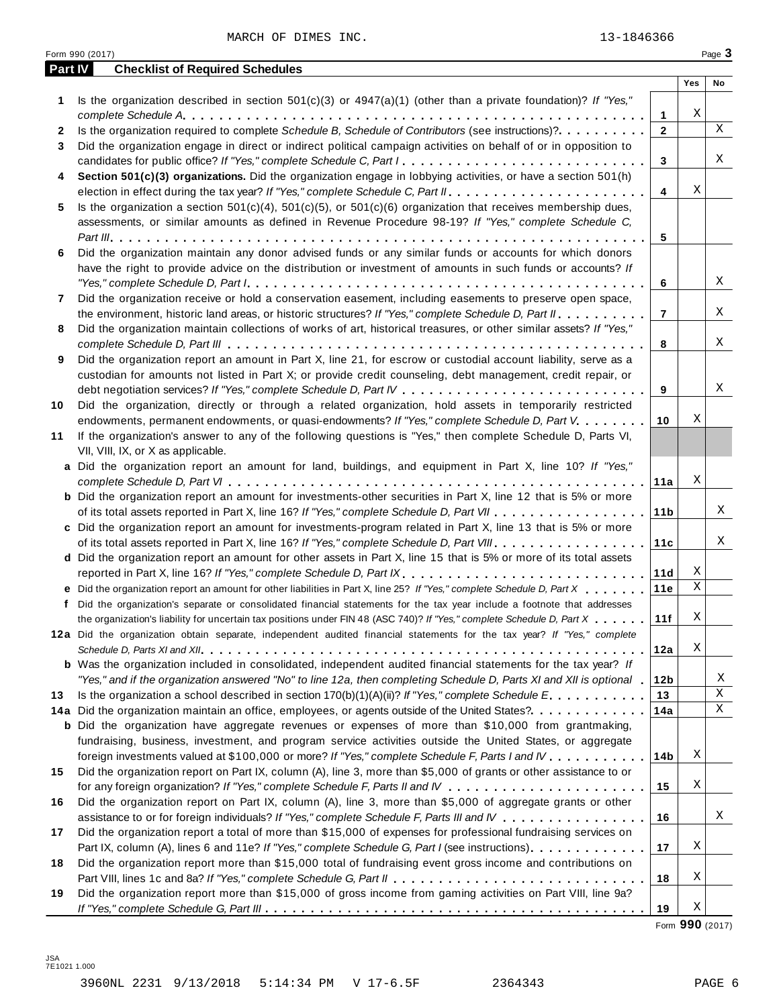MARCH OF DIMES INC. 23-1846366

|         | Form 990 (2017)                                                                                                                                                                                                                                                                                                                                                                               |                 |     | Page 3      |
|---------|-----------------------------------------------------------------------------------------------------------------------------------------------------------------------------------------------------------------------------------------------------------------------------------------------------------------------------------------------------------------------------------------------|-----------------|-----|-------------|
| Part IV | <b>Checklist of Required Schedules</b>                                                                                                                                                                                                                                                                                                                                                        |                 |     |             |
|         |                                                                                                                                                                                                                                                                                                                                                                                               |                 | Yes | No          |
| 1       | Is the organization described in section $501(c)(3)$ or $4947(a)(1)$ (other than a private foundation)? If "Yes,"                                                                                                                                                                                                                                                                             |                 |     |             |
|         |                                                                                                                                                                                                                                                                                                                                                                                               | 1               | Χ   | $\mathbf X$ |
| 2       | Is the organization required to complete Schedule B, Schedule of Contributors (see instructions)?.                                                                                                                                                                                                                                                                                            | $\mathbf{2}$    |     |             |
| 3       | Did the organization engage in direct or indirect political campaign activities on behalf of or in opposition to                                                                                                                                                                                                                                                                              |                 |     | Χ           |
|         | candidates for public office? If "Yes," complete Schedule C, Part I.                                                                                                                                                                                                                                                                                                                          | 3               |     |             |
| 4       | Section 501(c)(3) organizations. Did the organization engage in lobbying activities, or have a section 501(h)                                                                                                                                                                                                                                                                                 |                 | Χ   |             |
|         |                                                                                                                                                                                                                                                                                                                                                                                               | 4               |     |             |
| 5       | Is the organization a section $501(c)(4)$ , $501(c)(5)$ , or $501(c)(6)$ organization that receives membership dues,                                                                                                                                                                                                                                                                          |                 |     |             |
|         | assessments, or similar amounts as defined in Revenue Procedure 98-19? If "Yes," complete Schedule C,                                                                                                                                                                                                                                                                                         | 5               |     |             |
| 6       | Did the organization maintain any donor advised funds or any similar funds or accounts for which donors                                                                                                                                                                                                                                                                                       |                 |     |             |
|         | have the right to provide advice on the distribution or investment of amounts in such funds or accounts? If                                                                                                                                                                                                                                                                                   |                 |     |             |
|         | "Yes," complete Schedule D, Part $l_1, \ldots, l_k, \ldots, l_k, \ldots, l_k, \ldots, l_k, \ldots, l_k, \ldots, l_k, \ldots, l_k, \ldots, l_k, \ldots, l_k, \ldots, l_k, \ldots, l_k, \ldots, l_k, \ldots, l_k, \ldots, l_k, \ldots, l_k, \ldots, l_k, \ldots, l_k, \ldots, l_k, \ldots, l_k, \ldots, l_k, \ldots, l_k, \ldots, l_k, \ldots, l_k, \ldots, l_k, \ldots, l_k, \ldots, l_k, \ld$ | 6               |     | Χ           |
| 7       | Did the organization receive or hold a conservation easement, including easements to preserve open space,                                                                                                                                                                                                                                                                                     |                 |     |             |
|         | the environment, historic land areas, or historic structures? If "Yes," complete Schedule D, Part II.                                                                                                                                                                                                                                                                                         | $\overline{7}$  |     | Χ           |
| 8       | Did the organization maintain collections of works of art, historical treasures, or other similar assets? If "Yes,"                                                                                                                                                                                                                                                                           |                 |     |             |
|         |                                                                                                                                                                                                                                                                                                                                                                                               | 8               |     | Χ           |
| 9       | Did the organization report an amount in Part X, line 21, for escrow or custodial account liability, serve as a                                                                                                                                                                                                                                                                               |                 |     |             |
|         | custodian for amounts not listed in Part X; or provide credit counseling, debt management, credit repair, or                                                                                                                                                                                                                                                                                  |                 |     |             |
|         |                                                                                                                                                                                                                                                                                                                                                                                               | 9               |     | Χ           |
| 10      | Did the organization, directly or through a related organization, hold assets in temporarily restricted                                                                                                                                                                                                                                                                                       |                 |     |             |
|         | endowments, permanent endowments, or quasi-endowments? If "Yes," complete Schedule D, Part V.                                                                                                                                                                                                                                                                                                 | 10              | Χ   |             |
| 11      | If the organization's answer to any of the following questions is "Yes," then complete Schedule D, Parts VI,                                                                                                                                                                                                                                                                                  |                 |     |             |
|         | VII, VIII, IX, or X as applicable.                                                                                                                                                                                                                                                                                                                                                            |                 |     |             |
|         | a Did the organization report an amount for land, buildings, and equipment in Part X, line 10? If "Yes,"                                                                                                                                                                                                                                                                                      |                 |     |             |
|         |                                                                                                                                                                                                                                                                                                                                                                                               | 11a             | Χ   |             |
|         | <b>b</b> Did the organization report an amount for investments-other securities in Part X, line 12 that is 5% or more                                                                                                                                                                                                                                                                         |                 |     |             |
|         |                                                                                                                                                                                                                                                                                                                                                                                               | 11 <sub>b</sub> |     | Χ           |
|         | c Did the organization report an amount for investments-program related in Part X, line 13 that is 5% or more                                                                                                                                                                                                                                                                                 |                 |     |             |
|         |                                                                                                                                                                                                                                                                                                                                                                                               | 11c             |     | Χ           |
|         | d Did the organization report an amount for other assets in Part X, line 15 that is 5% or more of its total assets                                                                                                                                                                                                                                                                            |                 |     |             |
|         | reported in Part X, line 16? If "Yes," complete Schedule D, Part IX.                                                                                                                                                                                                                                                                                                                          | 11d             | Χ   |             |
|         | e Did the organization report an amount for other liabilities in Part X, line 25? If "Yes," complete Schedule D, Part X                                                                                                                                                                                                                                                                       | 11e             | Χ   |             |
|         | f Did the organization's separate or consolidated financial statements for the tax year include a footnote that addresses                                                                                                                                                                                                                                                                     |                 |     |             |
|         | the organization's liability for uncertain tax positions under FIN 48 (ASC 740)? If "Yes," complete Schedule D, Part X                                                                                                                                                                                                                                                                        | 11f             | Χ   |             |
|         | 12a Did the organization obtain separate, independent audited financial statements for the tax year? If "Yes," complete                                                                                                                                                                                                                                                                       |                 |     |             |
|         |                                                                                                                                                                                                                                                                                                                                                                                               | 12a             | Χ   |             |
|         | <b>b</b> Was the organization included in consolidated, independent audited financial statements for the tax year? If                                                                                                                                                                                                                                                                         |                 |     |             |
|         | "Yes," and if the organization answered "No" to line 12a, then completing Schedule D, Parts XI and XII is optional 1                                                                                                                                                                                                                                                                          | 12b             |     | X           |
| 13      | Is the organization a school described in section $170(b)(1)(A)(ii)?$ If "Yes," complete Schedule E.                                                                                                                                                                                                                                                                                          | 13              |     | $\mathbf X$ |
|         | 14a Did the organization maintain an office, employees, or agents outside of the United States?.                                                                                                                                                                                                                                                                                              | 14a             |     | Χ           |
|         | <b>b</b> Did the organization have aggregate revenues or expenses of more than \$10,000 from grantmaking,                                                                                                                                                                                                                                                                                     |                 |     |             |
|         | fundraising, business, investment, and program service activities outside the United States, or aggregate                                                                                                                                                                                                                                                                                     |                 |     |             |
|         | foreign investments valued at \$100,000 or more? If "Yes," complete Schedule F, Parts I and IV                                                                                                                                                                                                                                                                                                | 14b             | Χ   |             |
| 15      | Did the organization report on Part IX, column (A), line 3, more than \$5,000 of grants or other assistance to or                                                                                                                                                                                                                                                                             |                 |     |             |
|         |                                                                                                                                                                                                                                                                                                                                                                                               | 15              | Χ   |             |
| 16      | Did the organization report on Part IX, column (A), line 3, more than \$5,000 of aggregate grants or other                                                                                                                                                                                                                                                                                    |                 |     |             |
|         | assistance to or for foreign individuals? If "Yes," complete Schedule F, Parts III and IV                                                                                                                                                                                                                                                                                                     | 16              |     | Χ           |
| 17      | Did the organization report a total of more than \$15,000 of expenses for professional fundraising services on                                                                                                                                                                                                                                                                                |                 |     |             |
|         | Part IX, column (A), lines 6 and 11e? If "Yes," complete Schedule G, Part I (see instructions)                                                                                                                                                                                                                                                                                                | 17              | Χ   |             |
| 18      | Did the organization report more than \$15,000 total of fundraising event gross income and contributions on                                                                                                                                                                                                                                                                                   |                 |     |             |
|         |                                                                                                                                                                                                                                                                                                                                                                                               | 18              | Χ   |             |
| 19      | Did the organization report more than \$15,000 of gross income from gaming activities on Part VIII, line 9a?                                                                                                                                                                                                                                                                                  |                 |     |             |
|         |                                                                                                                                                                                                                                                                                                                                                                                               | 19              | Χ   |             |

Form **990** (2017)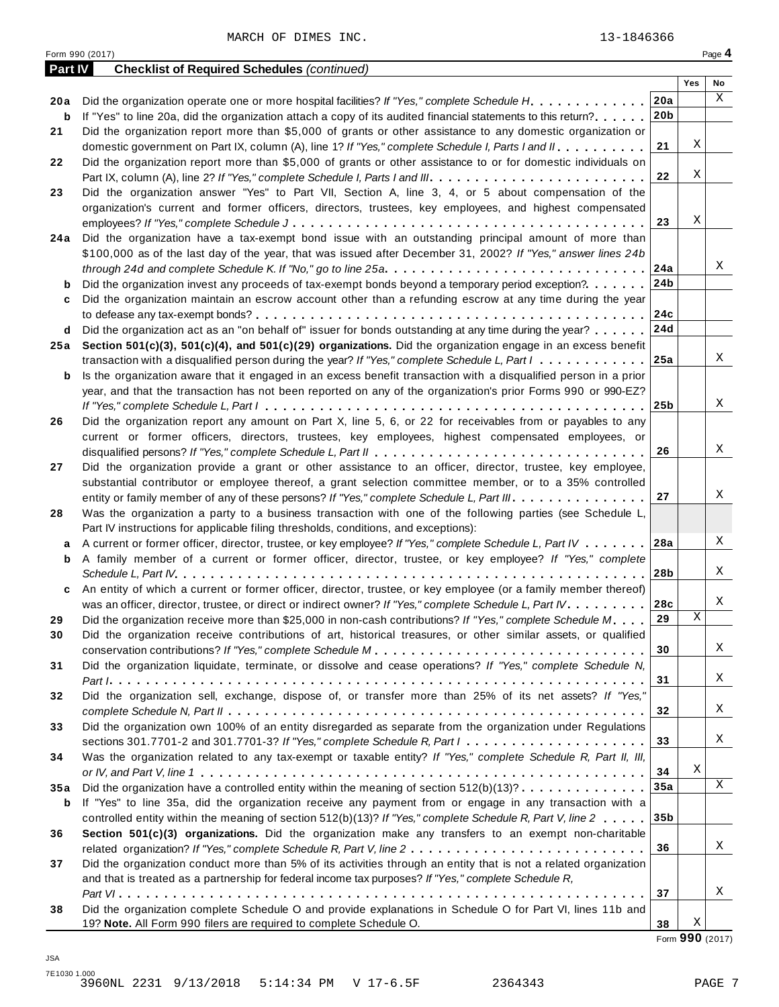MARCH OF DIMES INC. 13-1846366

| <b>Part IV</b> | <b>Checklist of Required Schedules (continued)</b>                                                                                                                                                   |                 |     |             |
|----------------|------------------------------------------------------------------------------------------------------------------------------------------------------------------------------------------------------|-----------------|-----|-------------|
|                |                                                                                                                                                                                                      |                 | Yes | No          |
| 20a            | Did the organization operate one or more hospital facilities? If "Yes," complete Schedule H.                                                                                                         | 20a             |     | $\mathbf X$ |
| b              | If "Yes" to line 20a, did the organization attach a copy of its audited financial statements to this return?                                                                                         | 20 <sub>b</sub> |     |             |
| 21             | Did the organization report more than \$5,000 of grants or other assistance to any domestic organization or                                                                                          |                 |     |             |
|                | domestic government on Part IX, column (A), line 1? If "Yes," complete Schedule I, Parts I and II.                                                                                                   | 21              | Χ   |             |
| 22             | Did the organization report more than \$5,000 of grants or other assistance to or for domestic individuals on                                                                                        |                 |     |             |
|                |                                                                                                                                                                                                      | 22              | Χ   |             |
| 23             | Did the organization answer "Yes" to Part VII, Section A, line 3, 4, or 5 about compensation of the                                                                                                  |                 |     |             |
|                | organization's current and former officers, directors, trustees, key employees, and highest compensated                                                                                              |                 |     |             |
|                |                                                                                                                                                                                                      | 23              | Χ   |             |
| 24 a           | Did the organization have a tax-exempt bond issue with an outstanding principal amount of more than                                                                                                  |                 |     |             |
|                | \$100,000 as of the last day of the year, that was issued after December 31, 2002? If "Yes," answer lines 24b                                                                                        |                 |     |             |
|                |                                                                                                                                                                                                      | 24a             |     | Χ           |
| b              | Did the organization invest any proceeds of tax-exempt bonds beyond a temporary period exception?                                                                                                    | 24b             |     |             |
| c              | Did the organization maintain an escrow account other than a refunding escrow at any time during the year                                                                                            |                 |     |             |
|                |                                                                                                                                                                                                      | 24c             |     |             |
| d              | Did the organization act as an "on behalf of" issuer for bonds outstanding at any time during the year?                                                                                              | 24d             |     |             |
| 25 a           | Section 501(c)(3), 501(c)(4), and 501(c)(29) organizations. Did the organization engage in an excess benefit                                                                                         |                 |     | X           |
|                | transaction with a disqualified person during the year? If "Yes," complete Schedule L, Part I                                                                                                        | 25a             |     |             |
| b              | Is the organization aware that it engaged in an excess benefit transaction with a disqualified person in a prior                                                                                     |                 |     |             |
|                | year, and that the transaction has not been reported on any of the organization's prior Forms 990 or 990-EZ?                                                                                         |                 |     | X           |
|                |                                                                                                                                                                                                      | 25 <sub>b</sub> |     |             |
| 26             | Did the organization report any amount on Part X, line 5, 6, or 22 for receivables from or payables to any                                                                                           |                 |     |             |
|                | current or former officers, directors, trustees, key employees, highest compensated employees, or                                                                                                    | 26              |     | Χ           |
|                |                                                                                                                                                                                                      |                 |     |             |
| 27             | Did the organization provide a grant or other assistance to an officer, director, trustee, key employee,                                                                                             |                 |     |             |
|                | substantial contributor or employee thereof, a grant selection committee member, or to a 35% controlled<br>entity or family member of any of these persons? If "Yes," complete Schedule L, Part III. | 27              |     | Χ           |
| 28             | Was the organization a party to a business transaction with one of the following parties (see Schedule L,                                                                                            |                 |     |             |
|                | Part IV instructions for applicable filing thresholds, conditions, and exceptions):                                                                                                                  |                 |     |             |
| a              | A current or former officer, director, trustee, or key employee? If "Yes," complete Schedule L, Part IV                                                                                              | 28a             |     | Χ           |
| b              | A family member of a current or former officer, director, trustee, or key employee? If "Yes," complete                                                                                               |                 |     |             |
|                |                                                                                                                                                                                                      | 28b             |     | Χ           |
| c              | An entity of which a current or former officer, director, trustee, or key employee (or a family member thereof)                                                                                      |                 |     |             |
|                | was an officer, director, trustee, or direct or indirect owner? If "Yes," complete Schedule L, Part IV.                                                                                              | 28c             |     | Χ           |
| 29             | Did the organization receive more than \$25,000 in non-cash contributions? If "Yes," complete Schedule M.                                                                                            | 29              | Χ   |             |
| 30             | Did the organization receive contributions of art, historical treasures, or other similar assets, or qualified                                                                                       |                 |     |             |
|                |                                                                                                                                                                                                      | 30              |     | Χ           |
| 31             | Did the organization liquidate, terminate, or dissolve and cease operations? If "Yes," complete Schedule N,                                                                                          |                 |     |             |
|                |                                                                                                                                                                                                      | 31              |     | X           |
| 32             | Did the organization sell, exchange, dispose of, or transfer more than 25% of its net assets? If "Yes,"                                                                                              |                 |     |             |
|                |                                                                                                                                                                                                      | 32              |     | Χ           |
| 33             | Did the organization own 100% of an entity disregarded as separate from the organization under Regulations                                                                                           |                 |     |             |
|                | sections 301.7701-2 and 301.7701-3? If "Yes," complete Schedule R, Part $l_1, \ldots, l_l, \ldots, l_l, \ldots, l_l, \ldots, l_l$                                                                    | 33              |     | Χ           |
| 34             | Was the organization related to any tax-exempt or taxable entity? If "Yes," complete Schedule R, Part II, III,                                                                                       |                 |     |             |
|                |                                                                                                                                                                                                      | 34              | Χ   |             |
| 35a            | Did the organization have a controlled entity within the meaning of section $512(b)(13)? \ldots \ldots \ldots \ldots$                                                                                | 35a             |     | $\mathbf X$ |
| b              | If "Yes" to line 35a, did the organization receive any payment from or engage in any transaction with a                                                                                              |                 |     |             |
|                | controlled entity within the meaning of section 512(b)(13)? If "Yes," complete Schedule R, Part V, line 2                                                                                            | 35 <sub>b</sub> |     |             |
| 36             | Section 501(c)(3) organizations. Did the organization make any transfers to an exempt non-charitable                                                                                                 |                 |     |             |
|                |                                                                                                                                                                                                      | 36              |     | X           |
| 37             | Did the organization conduct more than 5% of its activities through an entity that is not a related organization                                                                                     |                 |     |             |
|                | and that is treated as a partnership for federal income tax purposes? If "Yes," complete Schedule R,                                                                                                 |                 |     |             |
|                |                                                                                                                                                                                                      | 37              |     | Χ           |
| 38             | Did the organization complete Schedule O and provide explanations in Schedule O for Part VI, lines 11b and                                                                                           |                 |     |             |
|                | 19? Note. All Form 990 filers are required to complete Schedule O.                                                                                                                                   | 38              | X   |             |

Form <sup>990</sup> (2017) Page **4**

Form **990** (2017)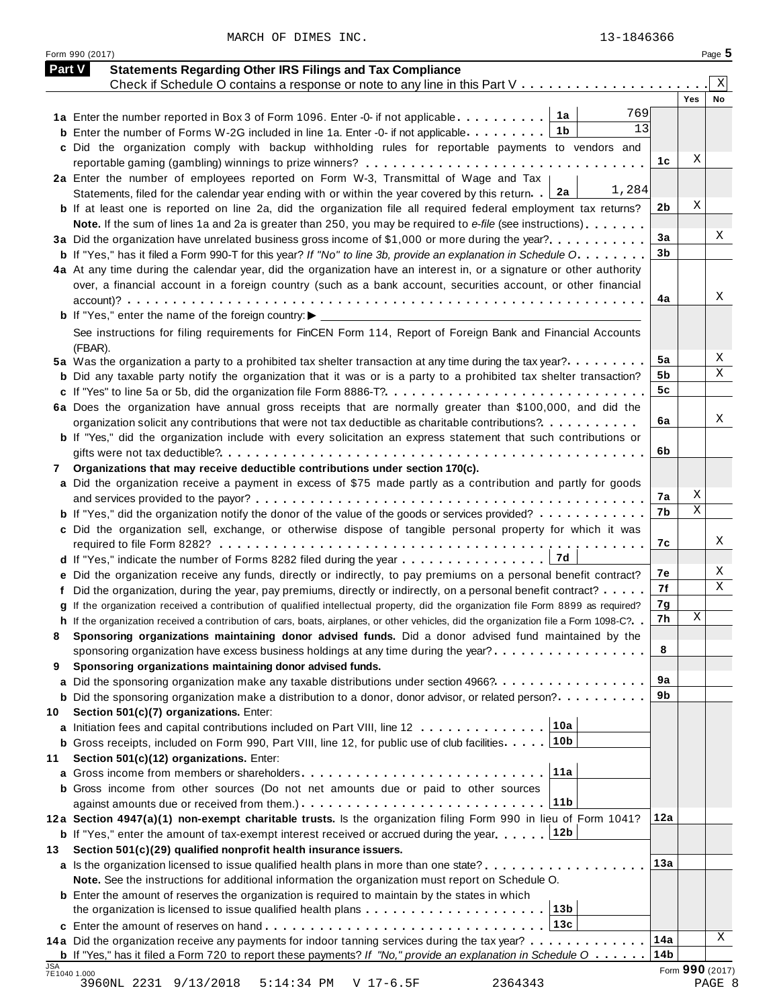MARCH OF DIMES INC. 23-1846366

| <b>Part V</b> | <b>Statements Regarding Other IRS Filings and Tax Compliance</b>                                                                        |                 |     |                 |
|---------------|-----------------------------------------------------------------------------------------------------------------------------------------|-----------------|-----|-----------------|
|               | Check if Schedule O contains a response or note to any line in this Part V                                                              |                 |     | Χ               |
|               | 769                                                                                                                                     |                 | Yes | No              |
|               | 13<br>1b<br><b>b</b> Enter the number of Forms W-2G included in line 1a. Enter -0- if not applicable                                    |                 |     |                 |
|               | c Did the organization comply with backup withholding rules for reportable payments to vendors and                                      |                 |     |                 |
|               |                                                                                                                                         | 1c              | Χ   |                 |
|               | 2a Enter the number of employees reported on Form W-3, Transmittal of Wage and Tax                                                      |                 |     |                 |
|               | 1,284<br>2a<br>Statements, filed for the calendar year ending with or within the year covered by this return.                           |                 |     |                 |
|               | <b>b</b> If at least one is reported on line 2a, did the organization file all required federal employment tax returns?                 | 2b              | Χ   |                 |
|               | Note. If the sum of lines 1a and 2a is greater than 250, you may be required to e-file (see instructions)                               |                 |     |                 |
|               | 3a Did the organization have unrelated business gross income of \$1,000 or more during the year?                                        | 3a              |     | X               |
|               | <b>b</b> If "Yes," has it filed a Form 990-T for this year? If "No" to line 3b, provide an explanation in Schedule O.                   | 3 <sub>b</sub>  |     |                 |
|               | 4a At any time during the calendar year, did the organization have an interest in, or a signature or other authority                    |                 |     |                 |
|               | over, a financial account in a foreign country (such as a bank account, securities account, or other financial                          |                 |     |                 |
|               |                                                                                                                                         | 4a              |     | Х               |
|               |                                                                                                                                         |                 |     |                 |
|               |                                                                                                                                         |                 |     |                 |
|               | See instructions for filing requirements for FinCEN Form 114, Report of Foreign Bank and Financial Accounts                             |                 |     |                 |
|               | (FBAR).                                                                                                                                 | 5a              |     | Χ               |
|               | 5a Was the organization a party to a prohibited tax shelter transaction at any time during the tax year?                                | 5b              |     | Χ               |
|               | <b>b</b> Did any taxable party notify the organization that it was or is a party to a prohibited tax shelter transaction?               | 5c              |     |                 |
|               |                                                                                                                                         |                 |     |                 |
|               | 6a Does the organization have annual gross receipts that are normally greater than \$100,000, and did the                               | 6a              |     | X               |
|               | organization solicit any contributions that were not tax deductible as charitable contributions?                                        |                 |     |                 |
|               | <b>b</b> If "Yes," did the organization include with every solicitation an express statement that such contributions or                 | 6b              |     |                 |
|               |                                                                                                                                         |                 |     |                 |
| 7             | Organizations that may receive deductible contributions under section 170(c).                                                           |                 |     |                 |
|               | a Did the organization receive a payment in excess of \$75 made partly as a contribution and partly for goods                           | 7а              | Χ   |                 |
|               |                                                                                                                                         | 7b              | Χ   |                 |
|               | <b>b</b> If "Yes," did the organization notify the donor of the value of the goods or services provided?                                |                 |     |                 |
|               | c Did the organization sell, exchange, or otherwise dispose of tangible personal property for which it was                              | 7c              |     | X               |
|               | 7d                                                                                                                                      |                 |     |                 |
|               | d If "Yes," indicate the number of Forms 8282 filed during the year                                                                     | 7е              |     | X               |
|               | e Did the organization receive any funds, directly or indirectly, to pay premiums on a personal benefit contract?                       | 7f              |     | Χ               |
|               | f Did the organization, during the year, pay premiums, directly or indirectly, on a personal benefit contract?                          | 7g              |     |                 |
|               | g If the organization received a contribution of qualified intellectual property, did the organization file Form 8899 as required?      | 7h              | Χ   |                 |
|               | h If the organization received a contribution of cars, boats, airplanes, or other vehicles, did the organization file a Form 1098-C?. . |                 |     |                 |
|               | Sponsoring organizations maintaining donor advised funds. Did a donor advised fund maintained by the                                    | 8               |     |                 |
|               | sponsoring organization have excess business holdings at any time during the year? $\ldots$ , $\ldots$ , $\ldots$ , $\ldots$            |                 |     |                 |
| 9             | Sponsoring organizations maintaining donor advised funds.                                                                               | 9a              |     |                 |
|               | a Did the sponsoring organization make any taxable distributions under section 4966?                                                    | 9b              |     |                 |
|               | <b>b</b> Did the sponsoring organization make a distribution to a donor, donor advisor, or related person?                              |                 |     |                 |
| 10            | Section 501(c)(7) organizations. Enter:<br>10a                                                                                          |                 |     |                 |
|               | a Initiation fees and capital contributions included on Part VIII, line 12<br>10b                                                       |                 |     |                 |
|               | <b>b</b> Gross receipts, included on Form 990, Part VIII, line 12, for public use of club facilities                                    |                 |     |                 |
| 11            | Section 501(c)(12) organizations. Enter:<br>11a                                                                                         |                 |     |                 |
|               |                                                                                                                                         |                 |     |                 |
|               | <b>b</b> Gross income from other sources (Do not net amounts due or paid to other sources<br>11 <sub>b</sub>                            |                 |     |                 |
|               | against amounts due or received from them.) $\ldots \ldots \ldots \ldots \ldots \ldots \ldots \ldots \ldots \ldots$                     | 12a             |     |                 |
|               | 12a Section 4947(a)(1) non-exempt charitable trusts. Is the organization filing Form 990 in lieu of Form 1041?                          |                 |     |                 |
|               | 12b<br><b>b</b> If "Yes," enter the amount of tax-exempt interest received or accrued during the year                                   |                 |     |                 |
| 13            | Section 501(c)(29) qualified nonprofit health insurance issuers.                                                                        | 13a             |     |                 |
|               | <b>a</b> Is the organization licensed to issue qualified health plans in more than one state?                                           |                 |     |                 |
|               | Note. See the instructions for additional information the organization must report on Schedule O.                                       |                 |     |                 |
|               | <b>b</b> Enter the amount of reserves the organization is required to maintain by the states in which                                   |                 |     |                 |
|               | 13 <sub>b</sub><br>the organization is licensed to issue qualified health plans                                                         |                 |     |                 |
|               | 13c                                                                                                                                     |                 |     | Χ               |
|               | 14a Did the organization receive any payments for indoor tanning services during the tax year?                                          | 14a             |     |                 |
|               | <b>b</b> If "Yes," has it filed a Form 720 to report these payments? If "No," provide an explanation in Schedule $0 \ldots \ldots$      | 14 <sub>b</sub> |     | Form 990 (2017) |

Form <sup>990</sup> (2017) Page **5**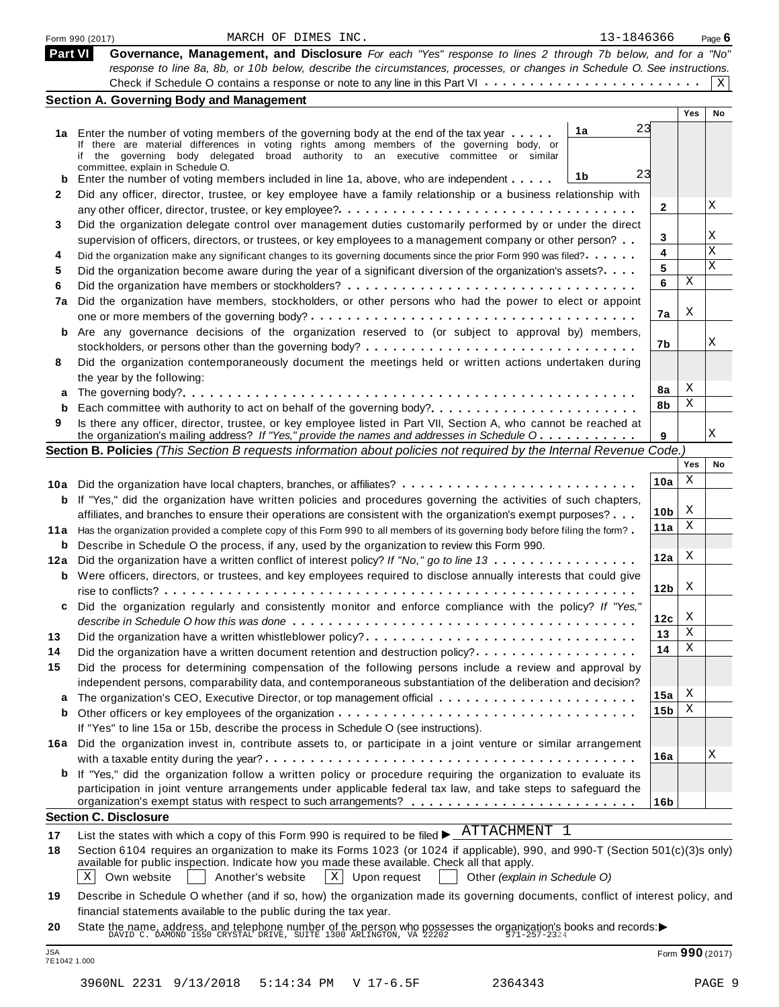| Part VI | Governance, Management, and Disclosure For each "Yes" response to lines 2 through 7b below, and for a "No"<br>response to line 8a, 8b, or 10b below, describe the circumstances, processes, or changes in Schedule O. See instructions. |                 |            |              |
|---------|-----------------------------------------------------------------------------------------------------------------------------------------------------------------------------------------------------------------------------------------|-----------------|------------|--------------|
|         |                                                                                                                                                                                                                                         |                 |            |              |
|         |                                                                                                                                                                                                                                         |                 |            |              |
|         |                                                                                                                                                                                                                                         |                 |            | $\mathbf{X}$ |
|         | <b>Section A. Governing Body and Management</b>                                                                                                                                                                                         |                 | <b>Yes</b> | No           |
|         | 23<br>1a                                                                                                                                                                                                                                |                 |            |              |
|         | 1a Enter the number of voting members of the governing body at the end of the tax year<br>If there are material differences in voting rights among members of the governing body, or                                                    |                 |            |              |
|         | if the governing body delegated broad authority to an executive committee or similar                                                                                                                                                    |                 |            |              |
|         | committee, explain in Schedule O.<br>23<br>1b                                                                                                                                                                                           |                 |            |              |
|         | <b>b</b> Enter the number of voting members included in line 1a, above, who are independent<br>Did any officer, director, trustee, or key employee have a family relationship or a business relationship with                           |                 |            |              |
| 2       |                                                                                                                                                                                                                                         | 2               |            | Χ            |
| 3       | Did the organization delegate control over management duties customarily performed by or under the direct                                                                                                                               |                 |            |              |
|         | supervision of officers, directors, or trustees, or key employees to a management company or other person?                                                                                                                              | 3               |            | Χ            |
| 4       | Did the organization make any significant changes to its governing documents since the prior Form 990 was filed?                                                                                                                        | 4               |            | X            |
| 5       | Did the organization become aware during the year of a significant diversion of the organization's assets?                                                                                                                              | 5               |            | X            |
| 6       |                                                                                                                                                                                                                                         | 6               | Χ          |              |
| 7a      | Did the organization have members, stockholders, or other persons who had the power to elect or appoint                                                                                                                                 |                 |            |              |
|         |                                                                                                                                                                                                                                         | 7a              | Χ          |              |
| b       | Are any governance decisions of the organization reserved to (or subject to approval by) members,                                                                                                                                       |                 |            |              |
|         |                                                                                                                                                                                                                                         | 7b              |            | Χ            |
| 8       | Did the organization contemporaneously document the meetings held or written actions undertaken during                                                                                                                                  |                 |            |              |
|         | the year by the following:                                                                                                                                                                                                              |                 |            |              |
| a       |                                                                                                                                                                                                                                         | 8a              | Χ          |              |
| b       | Each committee with authority to act on behalf of the governing body?                                                                                                                                                                   | 8b              | Χ          |              |
| 9       | Is there any officer, director, trustee, or key employee listed in Part VII, Section A, who cannot be reached at                                                                                                                        |                 |            |              |
|         | the organization's mailing address? If "Yes," provide the names and addresses in Schedule O                                                                                                                                             | 9               |            | Χ            |
|         | Section B. Policies (This Section B requests information about policies not required by the Internal Revenue Code.)                                                                                                                     |                 | Yes        | No           |
|         |                                                                                                                                                                                                                                         |                 | Χ          |              |
|         |                                                                                                                                                                                                                                         | 10a             |            |              |
|         | <b>b</b> If "Yes," did the organization have written policies and procedures governing the activities of such chapters,                                                                                                                 |                 | X          |              |
|         | affiliates, and branches to ensure their operations are consistent with the organization's exempt purposes?                                                                                                                             | 10 <sub>b</sub> | Χ          |              |
|         | 11a Has the organization provided a complete copy of this Form 990 to all members of its governing body before filing the form?                                                                                                         | 11a             |            |              |
|         | <b>b</b> Describe in Schedule O the process, if any, used by the organization to review this Form 990.                                                                                                                                  | 12a             | Χ          |              |
|         | 12a Did the organization have a written conflict of interest policy? If "No," go to line 13                                                                                                                                             |                 |            |              |
|         | <b>b</b> Were officers, directors, or trustees, and key employees required to disclose annually interests that could give                                                                                                               | 12 <sub>b</sub> | X          |              |
| c       | Did the organization regularly and consistently monitor and enforce compliance with the policy? If "Yes,"                                                                                                                               |                 |            |              |
|         |                                                                                                                                                                                                                                         | 12c             | Х          |              |
| 13      | Did the organization have a written whistleblower policy?                                                                                                                                                                               | 13              | Χ          |              |
| 14      | Did the organization have a written document retention and destruction policy?                                                                                                                                                          | 14              | Χ          |              |
| 15      | Did the process for determining compensation of the following persons include a review and approval by                                                                                                                                  |                 |            |              |
|         | independent persons, comparability data, and contemporaneous substantiation of the deliberation and decision?                                                                                                                           |                 |            |              |
| a       | The organization's CEO, Executive Director, or top management official                                                                                                                                                                  | 15a             | Χ          |              |
| b       |                                                                                                                                                                                                                                         | 15 <sub>b</sub> | Χ          |              |
|         | If "Yes" to line 15a or 15b, describe the process in Schedule O (see instructions).                                                                                                                                                     |                 |            |              |
|         | 16a Did the organization invest in, contribute assets to, or participate in a joint venture or similar arrangement                                                                                                                      |                 |            |              |
|         |                                                                                                                                                                                                                                         | 16a             |            | Χ            |
| b       | If "Yes," did the organization follow a written policy or procedure requiring the organization to evaluate its                                                                                                                          |                 |            |              |
|         | participation in joint venture arrangements under applicable federal tax law, and take steps to safeguard the                                                                                                                           |                 |            |              |
|         |                                                                                                                                                                                                                                         | 16b             |            |              |
|         | <b>Section C. Disclosure</b>                                                                                                                                                                                                            |                 |            |              |
| 17      | List the states with which a copy of this Form 990 is required to be filed $\blacktriangleright$ $\frac{\text{ATTACHMENT}}{\text{ATTACHMENT}}$ 1                                                                                        |                 |            |              |
| 18      | Section 6104 requires an organization to make its Forms 1023 (or 1024 if applicable), 990, and 990-T (Section 501(c)(3)s only)                                                                                                          |                 |            |              |
|         | available for public inspection. Indicate how you made these available. Check all that apply.                                                                                                                                           |                 |            |              |
|         | Own website<br>$X$ Upon request<br>X<br>Another's website<br>Other (explain in Schedule O)                                                                                                                                              |                 |            |              |
| 19      | Describe in Schedule O whether (and if so, how) the organization made its governing documents, conflict of interest policy, and                                                                                                         |                 |            |              |
|         | financial statements available to the public during the tax year.                                                                                                                                                                       |                 |            |              |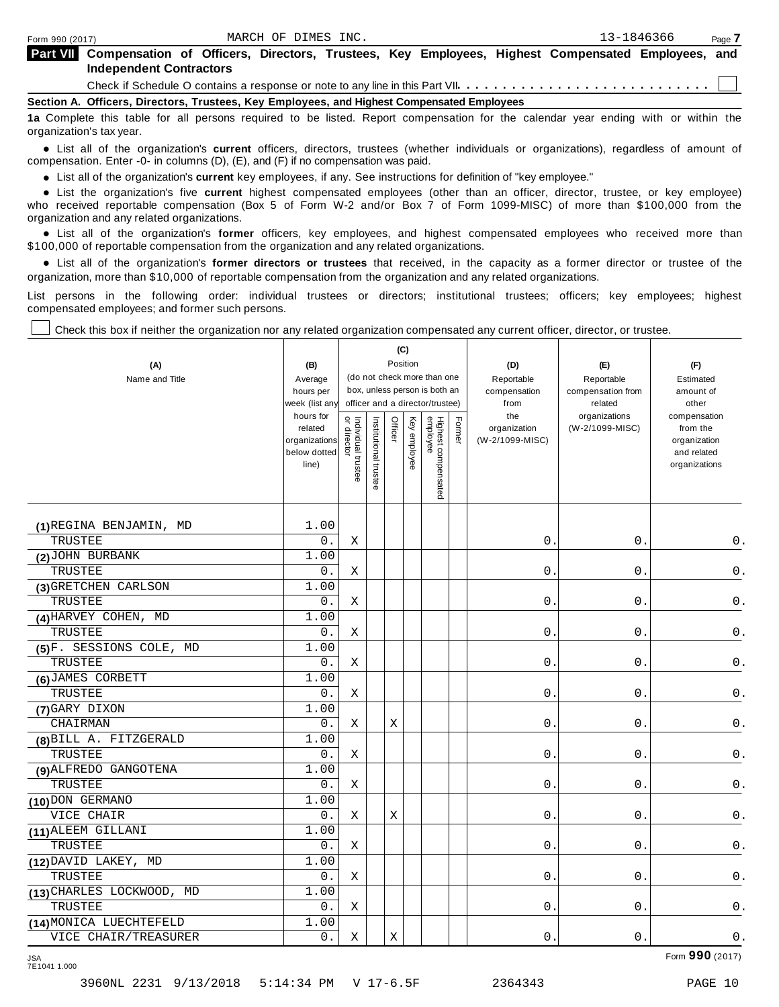| <b>Part VII</b> Compensation of Officers, Directors, Trustees, Key Employees, Highest Compensated Employees, and |  |  |  |  |  |
|------------------------------------------------------------------------------------------------------------------|--|--|--|--|--|
| <b>Independent Contractors</b>                                                                                   |  |  |  |  |  |
|                                                                                                                  |  |  |  |  |  |

**Section A. Officers, Directors, Trustees, Key Employees, and Highest Compensated Employees**

**1a** Complete this table for all persons required to be listed. Report compensation for the calendar year ending with or within the organization's tax year.

anization's lax year.<br>● List all of the organization's **current** officers, directors, trustees (whether individuals or organizations), regardless of amount of<br>nnensation Enter -0- in columns (D) (E) and (E) if no compensa compensation. Enter -0- in columns (D), (E), and (F) if no compensation was paid.

• List all of the organization's **current** key employees, if any. See instructions for definition of "key employee."<br>● List the experientials five expect highest expressed explores (other than an efficer director of

**Example in the organization's current** key employees, if any. See instructions for definition of key employee.<br>• List the organization's five **current** highest compensated employees (other than an officer, director, trust who received reportable compensation (Box 5 of Form W-2 and/or Box 7 of Form 1099-MISC) of more than \$100,000 from the

organization and any related organizations.<br>• List all of the organization's **former** officers, key employees, and highest compensated employees who received more than<br>\$1.00.000 of reportable componention from the erganiza \$100,000 of reportable compensation from the organization and any related organizations.

% List all of the organization's **former directors or trustees** that received, in the capacity as a former director or trustee of the organization, more than \$10,000 of reportable compensation from the organization and any related organizations.

List persons in the following order: individual trustees or directors; institutional trustees; officers; key employees; highest compensated employees; and former such persons.

Check this box if neither the organization nor any related organization compensated any current officer, director, or trustee.

| (A)<br>Name and Title              | (B)<br>Average<br>hours per<br>week (list any<br>hours for<br>related<br>organizations<br>below dotted<br>line) | or directo<br>Individual trustee | Institutional trustee | Officer | (C)<br>Position<br>Key employee | (do not check more than one<br>box, unless person is both an<br>officer and a director/trustee)<br>Highest compensated<br>employee | Former | (D)<br>Reportable<br>compensation<br>from<br>the<br>organization<br>(W-2/1099-MISC) | (E)<br>Reportable<br>compensation from<br>related<br>organizations<br>(W-2/1099-MISC) | (F)<br>Estimated<br>amount of<br>other<br>compensation<br>from the<br>organization<br>and related<br>organizations |
|------------------------------------|-----------------------------------------------------------------------------------------------------------------|----------------------------------|-----------------------|---------|---------------------------------|------------------------------------------------------------------------------------------------------------------------------------|--------|-------------------------------------------------------------------------------------|---------------------------------------------------------------------------------------|--------------------------------------------------------------------------------------------------------------------|
|                                    |                                                                                                                 |                                  |                       |         |                                 |                                                                                                                                    |        |                                                                                     |                                                                                       |                                                                                                                    |
|                                    | 1.00                                                                                                            |                                  |                       |         |                                 |                                                                                                                                    |        |                                                                                     |                                                                                       |                                                                                                                    |
| (1) REGINA BENJAMIN, MD<br>TRUSTEE | $0$ .                                                                                                           | Χ                                |                       |         |                                 |                                                                                                                                    |        | 0.                                                                                  | 0.                                                                                    | 0.                                                                                                                 |
| (2) JOHN BURBANK                   | 1.00                                                                                                            |                                  |                       |         |                                 |                                                                                                                                    |        |                                                                                     |                                                                                       |                                                                                                                    |
| TRUSTEE                            | $0$ .                                                                                                           | Χ                                |                       |         |                                 |                                                                                                                                    |        | $\mathsf{0}$ .                                                                      | $\boldsymbol{0}$ .                                                                    | $\mathsf 0$ .                                                                                                      |
| (3) GRETCHEN CARLSON               | 1.00                                                                                                            |                                  |                       |         |                                 |                                                                                                                                    |        |                                                                                     |                                                                                       |                                                                                                                    |
| TRUSTEE                            | 0.                                                                                                              | Χ                                |                       |         |                                 |                                                                                                                                    |        | $\overline{0}$ .                                                                    | $0$ .                                                                                 | $\mathsf 0$ .                                                                                                      |
| (4) HARVEY COHEN, MD               | 1.00                                                                                                            |                                  |                       |         |                                 |                                                                                                                                    |        |                                                                                     |                                                                                       |                                                                                                                    |
| TRUSTEE                            | 0.                                                                                                              | Χ                                |                       |         |                                 |                                                                                                                                    |        | 0.                                                                                  | $0$ .                                                                                 | $\mathsf 0$ .                                                                                                      |
| (5)F. SESSIONS COLE, MD            | 1.00                                                                                                            |                                  |                       |         |                                 |                                                                                                                                    |        |                                                                                     |                                                                                       |                                                                                                                    |
| TRUSTEE                            | $0$ .                                                                                                           | Χ                                |                       |         |                                 |                                                                                                                                    |        | $0$ .                                                                               | 0.                                                                                    | $\mathsf 0$ .                                                                                                      |
| (6) JAMES CORBETT                  | 1.00                                                                                                            |                                  |                       |         |                                 |                                                                                                                                    |        |                                                                                     |                                                                                       |                                                                                                                    |
| TRUSTEE                            | 0.                                                                                                              | Χ                                |                       |         |                                 |                                                                                                                                    |        | $0$ .                                                                               | 0.                                                                                    | 0.                                                                                                                 |
| (7) GARY DIXON                     | 1.00                                                                                                            |                                  |                       |         |                                 |                                                                                                                                    |        |                                                                                     |                                                                                       |                                                                                                                    |
| CHAIRMAN                           | 0.                                                                                                              | Χ                                |                       | Χ       |                                 |                                                                                                                                    |        | 0.                                                                                  | 0.                                                                                    | 0.                                                                                                                 |
| (8) BILL A. FITZGERALD             | 1.00                                                                                                            |                                  |                       |         |                                 |                                                                                                                                    |        |                                                                                     |                                                                                       |                                                                                                                    |
| TRUSTEE                            | 0.                                                                                                              | X                                |                       |         |                                 |                                                                                                                                    |        | 0.                                                                                  | 0.                                                                                    | 0.                                                                                                                 |
| (9) ALFREDO GANGOTENA              | 1.00                                                                                                            |                                  |                       |         |                                 |                                                                                                                                    |        |                                                                                     |                                                                                       |                                                                                                                    |
| TRUSTEE                            | 0.                                                                                                              | Χ                                |                       |         |                                 |                                                                                                                                    |        | $\mathbf{0}$ .                                                                      | $\mathbf 0$ .                                                                         | $0$ .                                                                                                              |
| (10) DON GERMANO                   | 1.00                                                                                                            |                                  |                       |         |                                 |                                                                                                                                    |        |                                                                                     |                                                                                       |                                                                                                                    |
| VICE CHAIR                         | $0$ .                                                                                                           | Χ                                |                       | Χ       |                                 |                                                                                                                                    |        | 0.                                                                                  | 0.                                                                                    | $0$ .                                                                                                              |
| (11) ALEEM GILLANI                 | 1.00                                                                                                            |                                  |                       |         |                                 |                                                                                                                                    |        |                                                                                     |                                                                                       |                                                                                                                    |
| TRUSTEE                            | $0$ .                                                                                                           | Χ                                |                       |         |                                 |                                                                                                                                    |        | $0$ .                                                                               | 0.                                                                                    | 0.                                                                                                                 |
| (12) DAVID LAKEY, MD               | 1.00                                                                                                            |                                  |                       |         |                                 |                                                                                                                                    |        |                                                                                     |                                                                                       |                                                                                                                    |
| TRUSTEE                            | 0.                                                                                                              | Χ                                |                       |         |                                 |                                                                                                                                    |        | 0.                                                                                  | 0.                                                                                    | 0.                                                                                                                 |
| (13) CHARLES LOCKWOOD, MD          | 1.00                                                                                                            |                                  |                       |         |                                 |                                                                                                                                    |        |                                                                                     |                                                                                       |                                                                                                                    |
| TRUSTEE                            | 0.                                                                                                              | Χ                                |                       |         |                                 |                                                                                                                                    |        | 0.                                                                                  | $0$ .                                                                                 | 0.                                                                                                                 |
| (14) MONICA LUECHTEFELD            | 1.00                                                                                                            |                                  |                       |         |                                 |                                                                                                                                    |        |                                                                                     |                                                                                       |                                                                                                                    |
| VICE CHAIR/TREASURER               | 0.                                                                                                              | Χ                                |                       | X       |                                 |                                                                                                                                    |        | 0.                                                                                  | 0.                                                                                    | $0$ .                                                                                                              |

Form **990** (2017) JSA 7E1041 1.000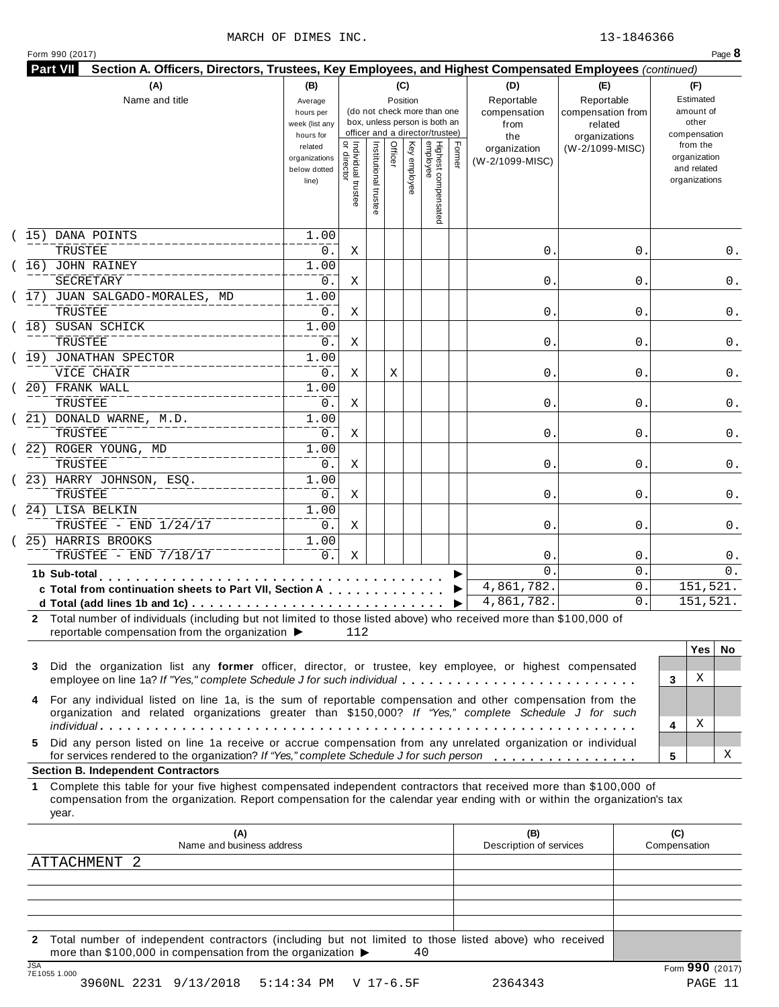### MARCH OF DIMES INC. 23-1846366

|  | Form 990 (2017) |
|--|-----------------|
|  |                 |

| (A)<br>Name and title                                                                                                                                                                                                                                                                                        | (B)<br>Average<br>hours per<br>week (list any<br>hours for |                                           |                       | (C)<br>Position |              | (do not check more than one<br>box, unless person is both an<br>officer and a director/trustee) |        | (D)<br>Reportable<br>compensation<br>from<br>the | (E)<br>Reportable<br>compensation from<br>related<br>organizations | (F)<br>Estimated<br>amount of<br>other<br>compensation   |
|--------------------------------------------------------------------------------------------------------------------------------------------------------------------------------------------------------------------------------------------------------------------------------------------------------------|------------------------------------------------------------|-------------------------------------------|-----------------------|-----------------|--------------|-------------------------------------------------------------------------------------------------|--------|--------------------------------------------------|--------------------------------------------------------------------|----------------------------------------------------------|
|                                                                                                                                                                                                                                                                                                              | related<br>organizations<br>below dotted<br>line)          | <br>  Individual trustee<br>  or director | Institutional trustee | Officer         | Key employee | Highest compensated<br>employee                                                                 | Former | organization<br>(W-2/1099-MISC)                  | (W-2/1099-MISC)                                                    | from the<br>organization<br>and related<br>organizations |
| 15) DANA POINTS<br>TRUSTEE                                                                                                                                                                                                                                                                                   | 1.00<br>0.                                                 | Χ                                         |                       |                 |              |                                                                                                 |        | 0.                                               | 0                                                                  | 0.                                                       |
| (16) JOHN RAINEY                                                                                                                                                                                                                                                                                             | 1.00                                                       |                                           |                       |                 |              |                                                                                                 |        |                                                  |                                                                    |                                                          |
| SECRETARY<br>(17) JUAN SALGADO-MORALES, MD                                                                                                                                                                                                                                                                   | 0.<br>1.00                                                 | Χ                                         |                       |                 |              |                                                                                                 |        | 0.                                               | 0                                                                  | 0.                                                       |
| TRUSTEE<br>(18) SUSAN SCHICK                                                                                                                                                                                                                                                                                 | 0.<br>1.00                                                 | Χ                                         |                       |                 |              |                                                                                                 |        | 0.                                               | 0                                                                  | 0.                                                       |
| TRUSTEE<br>(19) JONATHAN SPECTOR                                                                                                                                                                                                                                                                             | 0.<br>1.00                                                 | Χ                                         |                       |                 |              |                                                                                                 |        | 0.                                               | 0                                                                  | 0.                                                       |
| VICE CHAIR<br>20) FRANK WALL                                                                                                                                                                                                                                                                                 | 0.<br>1.00                                                 | Χ                                         |                       | Χ               |              |                                                                                                 |        | 0.                                               | 0                                                                  | 0.                                                       |
| TRUSTEE<br>21) DONALD WARNE, M.D.                                                                                                                                                                                                                                                                            | 0.<br>1.00                                                 | Χ                                         |                       |                 |              |                                                                                                 |        | 0.                                               | 0                                                                  | 0.                                                       |
| TRUSTEE<br>22) ROGER YOUNG, MD                                                                                                                                                                                                                                                                               | 0.<br>1.00                                                 | Χ                                         |                       |                 |              |                                                                                                 |        | 0.                                               | 0                                                                  | 0.                                                       |
| TRUSTEE<br>(23) HARRY JOHNSON, ESQ.                                                                                                                                                                                                                                                                          | 0.<br>1.00                                                 | Χ                                         |                       |                 |              |                                                                                                 |        | 0.                                               | 0                                                                  | 0.                                                       |
| <b>TRUSTEE</b><br>24) LISA BELKIN                                                                                                                                                                                                                                                                            | 0.<br>1.00                                                 | Χ                                         |                       |                 |              |                                                                                                 |        | 0.                                               | 0                                                                  | 0.                                                       |
| TRUSTEE - END 1/24/17<br>25) HARRIS BROOKS                                                                                                                                                                                                                                                                   | $0$ .<br>1.00                                              | Χ                                         |                       |                 |              |                                                                                                 |        | 0.                                               | 0                                                                  | 0.                                                       |
| TRUSTEE - END 7/18/17                                                                                                                                                                                                                                                                                        | 0.                                                         | Χ                                         |                       |                 |              |                                                                                                 |        | 0                                                | 0                                                                  | $0$ .                                                    |
| 1b Sub-total<br>c Total from continuation sheets to Part VII, Section A                                                                                                                                                                                                                                      |                                                            |                                           |                       |                 |              |                                                                                                 |        | $\Omega$<br>4,861,782.                           | $\mathbf 0$ .<br>0.                                                | 0.<br>151,521.                                           |
| 2 Total number of individuals (including but not limited to those listed above) who received more than \$100,000 of<br>reportable compensation from the organization ▶<br>Did the organization list any former officer, director, or trustee, key employee, or highest compensated<br>3                      |                                                            | 112                                       |                       |                 |              |                                                                                                 | ▶      | 4,861,782.                                       | 0                                                                  | 151,521.<br>Yes<br>No.                                   |
| employee on line 1a? If "Yes," complete Schedule J for such individual<br>For any individual listed on line 1a, is the sum of reportable compensation and other compensation from the<br>4<br>organization and related organizations greater than \$150,000? If "Yes," complete Schedule J for such          |                                                            |                                           |                       |                 |              |                                                                                                 |        |                                                  |                                                                    | Χ<br>3<br>Χ<br>4                                         |
| Did any person listed on line 1a receive or accrue compensation from any unrelated organization or individual<br>5.<br>for services rendered to the organization? If "Yes," complete Schedule J for such person                                                                                              |                                                            |                                           |                       |                 |              |                                                                                                 |        |                                                  |                                                                    | х<br>5                                                   |
| <b>Section B. Independent Contractors</b><br>Complete this table for your five highest compensated independent contractors that received more than \$100,000 of<br>1.<br>compensation from the organization. Report compensation for the calendar year ending with or within the organization's tax<br>year. |                                                            |                                           |                       |                 |              |                                                                                                 |        |                                                  |                                                                    |                                                          |
| (A)<br>Name and business address<br><b>ATTACHMENT</b><br>- 2                                                                                                                                                                                                                                                 |                                                            |                                           |                       |                 |              |                                                                                                 |        | (B)<br>Description of services                   |                                                                    | (C)<br>Compensation                                      |
|                                                                                                                                                                                                                                                                                                              |                                                            |                                           |                       |                 |              |                                                                                                 |        |                                                  |                                                                    |                                                          |
| 2 Total number of independent contractors (including but not limited to those listed above) who received                                                                                                                                                                                                     |                                                            |                                           |                       |                 |              |                                                                                                 |        |                                                  |                                                                    |                                                          |

3960NL 2231 9/13/2018 5:14:34 PM V 17-6.5F 2364343 PAGE 11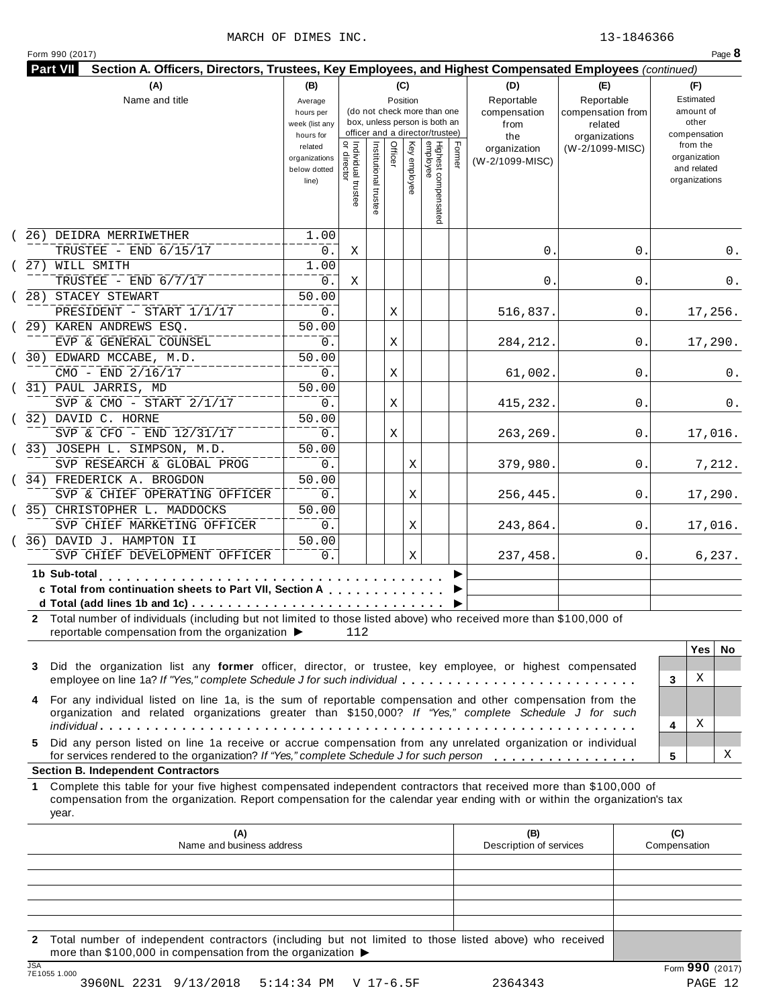| (A)                                                                                                                                                                                                                                                             | (B)                                                 |                                      |                       | (C)                     |                                                                                                 |        | (D)                                    | (E)                                        | (F)                                                      |
|-----------------------------------------------------------------------------------------------------------------------------------------------------------------------------------------------------------------------------------------------------------------|-----------------------------------------------------|--------------------------------------|-----------------------|-------------------------|-------------------------------------------------------------------------------------------------|--------|----------------------------------------|--------------------------------------------|----------------------------------------------------------|
| Name and title                                                                                                                                                                                                                                                  | Average<br>hours per<br>week (list any<br>hours for |                                      |                       | Position                | (do not check more than one<br>box, unless person is both an<br>officer and a director/trustee) |        | Reportable<br>compensation<br>from     | Reportable<br>compensation from<br>related | Estimated<br>amount of<br>other<br>compensation          |
|                                                                                                                                                                                                                                                                 | related<br>organizations<br>below dotted<br>line)   | Individual trustee<br>   or director | Institutional trustee | Officer<br>Key employee | Highest compensated<br>employee                                                                 | Former | the<br>organization<br>(W-2/1099-MISC) | organizations<br>(W-2/1099-MISC)           | from the<br>organization<br>and related<br>organizations |
| (26) DEIDRA MERRIWETHER                                                                                                                                                                                                                                         | 1.00                                                |                                      |                       |                         |                                                                                                 |        |                                        |                                            |                                                          |
| TRUSTEE - END 6/15/17<br>(27) WILL SMITH                                                                                                                                                                                                                        | $0$ .<br>1.00                                       | Χ                                    |                       |                         |                                                                                                 |        | 0.                                     | 0.                                         | 0.                                                       |
| TRUSTEE - END 6/7/17                                                                                                                                                                                                                                            | $0$ .                                               | Χ                                    |                       |                         |                                                                                                 |        | 0.                                     | 0.                                         | 0.                                                       |
| 28) STACEY STEWART                                                                                                                                                                                                                                              | 50.00                                               |                                      |                       |                         |                                                                                                 |        |                                        |                                            |                                                          |
| PRESIDENT - START 1/1/17                                                                                                                                                                                                                                        | 0.                                                  |                                      |                       | Χ                       |                                                                                                 |        | 516,837.                               | 0.                                         | 17,256.                                                  |
| (29) KAREN ANDREWS ESQ.                                                                                                                                                                                                                                         | 50.00                                               |                                      |                       |                         |                                                                                                 |        |                                        |                                            |                                                          |
| EVP & GENERAL COUNSEL                                                                                                                                                                                                                                           | 0.                                                  |                                      |                       | Χ                       |                                                                                                 |        | 284, 212.                              | 0.                                         | 17,290.                                                  |
| (30) EDWARD MCCABE, M.D.                                                                                                                                                                                                                                        | 50.00                                               |                                      |                       |                         |                                                                                                 |        |                                        |                                            |                                                          |
| CMO - END 2/16/17<br>(31) PAUL JARRIS, MD                                                                                                                                                                                                                       | 0.<br>50.00                                         |                                      |                       | Χ                       |                                                                                                 |        | 61,002.                                | 0.                                         | 0.                                                       |
| SVP & CMO - START 2/1/17                                                                                                                                                                                                                                        | 0.                                                  |                                      |                       | Χ                       |                                                                                                 |        | 415,232.                               | 0                                          | 0.                                                       |
| (32) DAVID C. HORNE                                                                                                                                                                                                                                             | 50.00                                               |                                      |                       |                         |                                                                                                 |        |                                        |                                            |                                                          |
| SVP & CFO - END 12/31/17                                                                                                                                                                                                                                        | 0.                                                  |                                      |                       | Χ                       |                                                                                                 |        | 263,269.                               | 0.                                         | 17,016.                                                  |
| (33) JOSEPH L. SIMPSON, M.D.                                                                                                                                                                                                                                    | 50.00                                               |                                      |                       |                         |                                                                                                 |        |                                        |                                            |                                                          |
| SVP RESEARCH & GLOBAL PROG                                                                                                                                                                                                                                      | 0.                                                  |                                      |                       | Χ                       |                                                                                                 |        | 379,980.                               | 0.                                         | 7,212.                                                   |
| (34) FREDERICK A. BROGDON<br>SVP & CHIEF OPERATING OFFICER                                                                                                                                                                                                      | 50.00<br>0.                                         |                                      |                       | Χ                       |                                                                                                 |        | 256,445.                               | 0.                                         | 17,290.                                                  |
| (35) CHRISTOPHER L. MADDOCKS                                                                                                                                                                                                                                    | 50.00                                               |                                      |                       |                         |                                                                                                 |        |                                        |                                            |                                                          |
| SVP CHIEF MARKETING OFFICER                                                                                                                                                                                                                                     | 0.                                                  |                                      |                       | Χ                       |                                                                                                 |        | 243,864.                               | 0.                                         | 17,016.                                                  |
| 36) DAVID J. HAMPTON II<br>SVP CHIEF DEVELOPMENT OFFICER                                                                                                                                                                                                        | 50.00<br>0.                                         |                                      |                       | Χ                       |                                                                                                 |        | 237,458.                               | 0.                                         | 6, 237.                                                  |
| 1b Sub-total                                                                                                                                                                                                                                                    |                                                     |                                      |                       |                         |                                                                                                 |        |                                        |                                            |                                                          |
| c Total from continuation sheets to Part VII, Section A                                                                                                                                                                                                         |                                                     |                                      |                       |                         |                                                                                                 |        |                                        |                                            |                                                          |
| 2 Total number of individuals (including but not limited to those listed above) who received more than \$100,000 of                                                                                                                                             |                                                     |                                      |                       |                         |                                                                                                 |        |                                        |                                            |                                                          |
| reportable compensation from the organization ▶                                                                                                                                                                                                                 |                                                     | 112                                  |                       |                         |                                                                                                 |        |                                        |                                            |                                                          |
| Did the organization list any former officer, director, or trustee, key employee, or highest compensated<br>3<br>employee on line 1a? If "Yes," complete Schedule J for such individual                                                                         |                                                     |                                      |                       |                         |                                                                                                 |        |                                        |                                            | Yes<br><b>No</b><br>Χ<br>3                               |
| For any individual listed on line 1a, is the sum of reportable compensation and other compensation from the<br>4<br>organization and related organizations greater than \$150,000? If "Yes," complete Schedule J for such                                       |                                                     |                                      |                       |                         |                                                                                                 |        |                                        |                                            |                                                          |
|                                                                                                                                                                                                                                                                 |                                                     |                                      |                       |                         |                                                                                                 |        |                                        |                                            | Χ<br>4                                                   |
| Did any person listed on line 1a receive or accrue compensation from any unrelated organization or individual<br>5.<br>for services rendered to the organization? If "Yes," complete Schedule J for such person                                                 |                                                     |                                      |                       |                         |                                                                                                 |        |                                        |                                            | х<br>5                                                   |
| <b>Section B. Independent Contractors</b>                                                                                                                                                                                                                       |                                                     |                                      |                       |                         |                                                                                                 |        |                                        |                                            |                                                          |
| Complete this table for your five highest compensated independent contractors that received more than \$100,000 of<br>1.<br>compensation from the organization. Report compensation for the calendar year ending with or within the organization's tax<br>year. |                                                     |                                      |                       |                         |                                                                                                 |        |                                        |                                            |                                                          |
| (A)<br>Name and business address                                                                                                                                                                                                                                |                                                     |                                      |                       |                         |                                                                                                 |        | (B)<br>Description of services         |                                            | (C)<br>Compensation                                      |
|                                                                                                                                                                                                                                                                 |                                                     |                                      |                       |                         |                                                                                                 |        |                                        |                                            |                                                          |
|                                                                                                                                                                                                                                                                 |                                                     |                                      |                       |                         |                                                                                                 |        |                                        |                                            |                                                          |
|                                                                                                                                                                                                                                                                 |                                                     |                                      |                       |                         |                                                                                                 |        |                                        |                                            |                                                          |

**2** Total number of independent contractors (including but not limited to those listed above) who received more than \$100,000 in compensation from the organization  $\blacktriangleright$ 

3960NL 2231 9/13/2018 5:14:34 PM V 17-6.5F 2364343 PAGE 12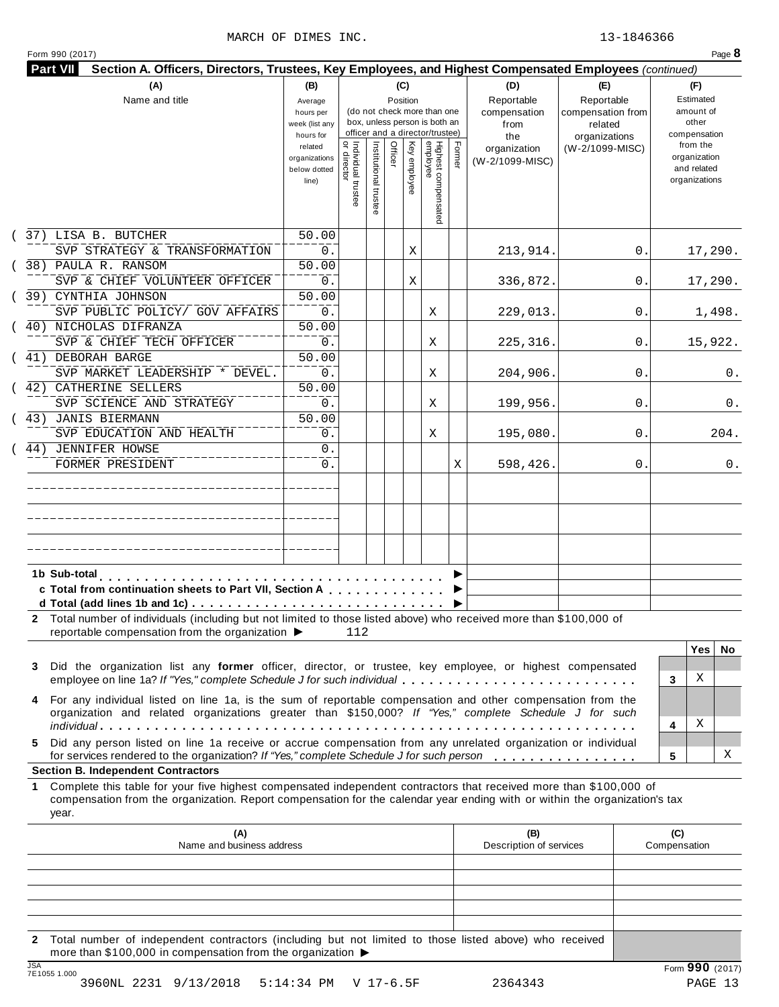| (A)<br>Name and title                                                                                                                                                                                                                                     | (B)<br>Average<br>hours per<br>week (list any<br>hours for |                                          |                       | (C)<br>Position |              | (do not check more than one<br>box, unless person is both an<br>officer and a director/trustee) |        | (D)<br>Reportable<br>compensation<br>from<br>the | (E)<br>Reportable<br>compensation from<br>related<br>organizations | (F)<br>Estimated<br>amount of<br>other<br>compensation   |
|-----------------------------------------------------------------------------------------------------------------------------------------------------------------------------------------------------------------------------------------------------------|------------------------------------------------------------|------------------------------------------|-----------------------|-----------------|--------------|-------------------------------------------------------------------------------------------------|--------|--------------------------------------------------|--------------------------------------------------------------------|----------------------------------------------------------|
|                                                                                                                                                                                                                                                           | related<br>organizations<br>below dotted<br>line)          | Individual trustee<br> <br>  or director | Institutional trustee | Officer         | Key employee | Highest compensated<br>employee                                                                 | Former | organization<br>(W-2/1099-MISC)                  | (W-2/1099-MISC)                                                    | from the<br>organization<br>and related<br>organizations |
| (37) LISA B. BUTCHER                                                                                                                                                                                                                                      | 50.00                                                      |                                          |                       |                 |              |                                                                                                 |        |                                                  |                                                                    |                                                          |
| SVP STRATEGY & TRANSFORMATION<br>(38) PAULA R. RANSOM                                                                                                                                                                                                     | 0.<br>50.00                                                |                                          |                       |                 | Χ            |                                                                                                 |        | 213,914.                                         | 0.                                                                 | 17,290.                                                  |
| SVP & CHIEF VOLUNTEER OFFICER                                                                                                                                                                                                                             | 0.                                                         |                                          |                       |                 | Χ            |                                                                                                 |        | 336,872.                                         | 0.                                                                 | 17,290.                                                  |
| (39) CYNTHIA JOHNSON                                                                                                                                                                                                                                      | 50.00                                                      |                                          |                       |                 |              |                                                                                                 |        |                                                  |                                                                    |                                                          |
| SVP PUBLIC POLICY/ GOV AFFAIRS                                                                                                                                                                                                                            | 0.                                                         |                                          |                       |                 |              | X                                                                                               |        | 229,013.                                         | 0.                                                                 | 1,498.                                                   |
| (40) NICHOLAS DIFRANZA                                                                                                                                                                                                                                    | 50.00                                                      |                                          |                       |                 |              |                                                                                                 |        |                                                  |                                                                    |                                                          |
| SVP & CHIEF TECH OFFICER                                                                                                                                                                                                                                  | 0.                                                         |                                          |                       |                 |              | X                                                                                               |        | 225,316.                                         | 0.                                                                 | 15,922.                                                  |
| (41) DEBORAH BARGE                                                                                                                                                                                                                                        | 50.00                                                      |                                          |                       |                 |              |                                                                                                 |        |                                                  |                                                                    |                                                          |
| SVP MARKET LEADERSHIP * DEVEL.                                                                                                                                                                                                                            | 0.                                                         |                                          |                       |                 |              | Χ                                                                                               |        | 204,906.                                         | 0.                                                                 | 0.                                                       |
| (42) CATHERINE SELLERS                                                                                                                                                                                                                                    | 50.00                                                      |                                          |                       |                 |              |                                                                                                 |        |                                                  |                                                                    |                                                          |
| SVP SCIENCE AND STRATEGY<br>(43) JANIS BIERMANN                                                                                                                                                                                                           | 0.<br>50.00                                                |                                          |                       |                 |              | X                                                                                               |        | 199,956.                                         | 0.                                                                 | 0.                                                       |
| SVP EDUCATION AND HEALTH                                                                                                                                                                                                                                  | 0.                                                         |                                          |                       |                 |              | X                                                                                               |        | 195,080.                                         | 0.                                                                 | 204.                                                     |
| 44) JENNIFER HOWSE                                                                                                                                                                                                                                        | 0.                                                         |                                          |                       |                 |              |                                                                                                 |        |                                                  |                                                                    |                                                          |
| FORMER PRESIDENT                                                                                                                                                                                                                                          | 0.                                                         |                                          |                       |                 |              |                                                                                                 | Χ      | 598,426.                                         | 0.                                                                 | 0.                                                       |
|                                                                                                                                                                                                                                                           |                                                            |                                          |                       |                 |              |                                                                                                 |        |                                                  |                                                                    |                                                          |
| 1b Sub-total<br>c Total from continuation sheets to Part VII, Section A                                                                                                                                                                                   | .                                                          |                                          |                       |                 |              |                                                                                                 |        |                                                  |                                                                    |                                                          |
| 2 Total number of individuals (including but not limited to those listed above) who received more than \$100,000 of<br>reportable compensation from the organization ▶                                                                                    |                                                            | 112                                      |                       |                 |              |                                                                                                 |        |                                                  |                                                                    |                                                          |
| Did the organization list any former officer, director, or trustee, key employee, or highest compensated<br>3<br>employee on line 1a? If "Yes," complete Schedule J for such individual                                                                   |                                                            |                                          |                       |                 |              |                                                                                                 |        |                                                  |                                                                    | <b>Yes</b><br>No<br>Χ<br>3                               |
| For any individual listed on line 1a, is the sum of reportable compensation and other compensation from the<br>4<br>organization and related organizations greater than \$150,000? If "Yes," complete Schedule J for such                                 |                                                            |                                          |                       |                 |              |                                                                                                 |        |                                                  |                                                                    | Χ<br>4                                                   |
| Did any person listed on line 1a receive or accrue compensation from any unrelated organization or individual<br>5.<br>for services rendered to the organization? If "Yes," complete Schedule J for such person                                           |                                                            |                                          |                       |                 |              |                                                                                                 |        |                                                  |                                                                    | х<br>5                                                   |
|                                                                                                                                                                                                                                                           |                                                            |                                          |                       |                 |              |                                                                                                 |        |                                                  |                                                                    |                                                          |
| Complete this table for your five highest compensated independent contractors that received more than \$100,000 of<br>compensation from the organization. Report compensation for the calendar year ending with or within the organization's tax<br>year. |                                                            |                                          |                       |                 |              |                                                                                                 |        |                                                  |                                                                    |                                                          |
| (A)<br>Name and business address                                                                                                                                                                                                                          |                                                            |                                          |                       |                 |              |                                                                                                 |        | (B)<br>Description of services                   |                                                                    | (C)<br>Compensation                                      |
| <b>Section B. Independent Contractors</b><br>1.                                                                                                                                                                                                           |                                                            |                                          |                       |                 |              |                                                                                                 |        |                                                  |                                                                    |                                                          |

**2** Total number of independent contractors (including but not limited to those listed above) who received more than \$100,000 in compensation from the organization  $\blacktriangleright$ 

3960NL 2231 9/13/2018 5:14:34 PM V 17-6.5F 2364343 PAGE 13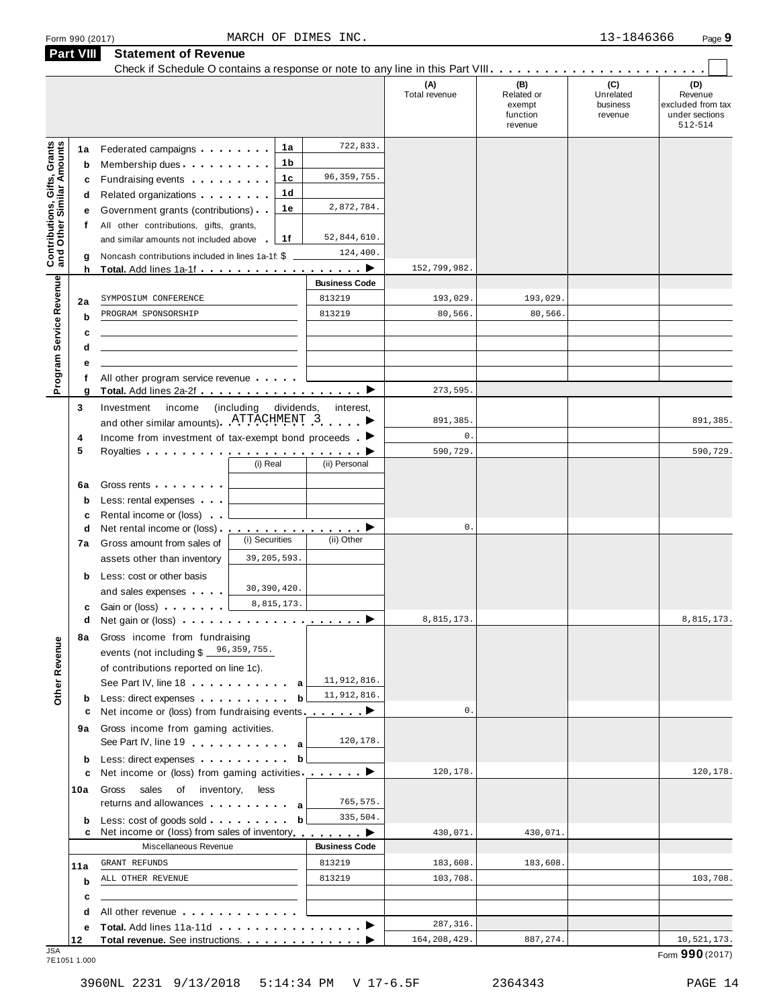| <b>Part VIII</b>                                                 |             | <b>Statement of Revenue</b>                                                                                                                                                                                                                   |                          |                          |                      |                                                    |                                         |                                                                  |
|------------------------------------------------------------------|-------------|-----------------------------------------------------------------------------------------------------------------------------------------------------------------------------------------------------------------------------------------------|--------------------------|--------------------------|----------------------|----------------------------------------------------|-----------------------------------------|------------------------------------------------------------------|
|                                                                  |             |                                                                                                                                                                                                                                               |                          |                          | (A)<br>Total revenue | (B)<br>Related or<br>exempt<br>function<br>revenue | (C)<br>Unrelated<br>business<br>revenue | (D)<br>Revenue<br>excluded from tax<br>under sections<br>512-514 |
|                                                                  | 1a          | Federated campaigns <b>Federated</b>                                                                                                                                                                                                          | 1a                       | 722,833.                 |                      |                                                    |                                         |                                                                  |
| <b>Contributions, Gifts, Grants</b><br>and Other Similar Amounts | b           | Membership dues                                                                                                                                                                                                                               | 1b                       |                          |                      |                                                    |                                         |                                                                  |
|                                                                  | c           | Fundraising events <b>Fundraising</b>                                                                                                                                                                                                         | 1c                       | 96, 359, 755.            |                      |                                                    |                                         |                                                                  |
|                                                                  | d           | Related organizations <b>contains</b> and <b>Related</b> organizations <b>and</b> a set of the set of the set of the set of the set of the set of the set of the set of the set of the set of the set of the set of the set of the set of the | 1d                       |                          |                      |                                                    |                                         |                                                                  |
|                                                                  | е           | Government grants (contributions)                                                                                                                                                                                                             | 1е                       | 2,872,784.               |                      |                                                    |                                         |                                                                  |
|                                                                  | f           | All other contributions, gifts, grants,                                                                                                                                                                                                       |                          |                          |                      |                                                    |                                         |                                                                  |
|                                                                  |             | and similar amounts not included above                                                                                                                                                                                                        | 1f                       | 52,844,610.              |                      |                                                    |                                         |                                                                  |
|                                                                  |             | Noncash contributions included in lines 1a-1f: \$                                                                                                                                                                                             |                          | 124,400.                 |                      |                                                    |                                         |                                                                  |
|                                                                  | g<br>h      | Total. Add lines 1a-1f                                                                                                                                                                                                                        |                          | <u>.</u> . ▶             | 152,799,982.         |                                                    |                                         |                                                                  |
|                                                                  |             |                                                                                                                                                                                                                                               |                          | <b>Business Code</b>     |                      |                                                    |                                         |                                                                  |
|                                                                  | 2a          | SYMPOSIUM CONFERENCE                                                                                                                                                                                                                          |                          | 813219                   | 193,029.             | 193,029.                                           |                                         |                                                                  |
|                                                                  | b           | PROGRAM SPONSORSHIP                                                                                                                                                                                                                           |                          | 813219                   | 80,566.              | 80,566.                                            |                                         |                                                                  |
|                                                                  | c           |                                                                                                                                                                                                                                               |                          |                          |                      |                                                    |                                         |                                                                  |
|                                                                  | d           |                                                                                                                                                                                                                                               |                          |                          |                      |                                                    |                                         |                                                                  |
|                                                                  |             |                                                                                                                                                                                                                                               |                          |                          |                      |                                                    |                                         |                                                                  |
|                                                                  | е<br>f      |                                                                                                                                                                                                                                               |                          |                          |                      |                                                    |                                         |                                                                  |
| Program Service Revenue                                          | g           | All other program service revenue                                                                                                                                                                                                             |                          |                          | 273,595.             |                                                    |                                         |                                                                  |
|                                                                  | 3           | Investment<br>income                                                                                                                                                                                                                          | (including<br>dividends, | interest,                |                      |                                                    |                                         |                                                                  |
|                                                                  |             | and other similar amounts). ATTACHMENT 3                                                                                                                                                                                                      |                          |                          | 891,385.             |                                                    |                                         | 891,385.                                                         |
|                                                                  | 4           | Income from investment of tax-exempt bond proceeds $\blacksquare$                                                                                                                                                                             |                          |                          | $0$ .                |                                                    |                                         |                                                                  |
|                                                                  | 5           |                                                                                                                                                                                                                                               |                          |                          | 590,729.             |                                                    |                                         | 590,729.                                                         |
|                                                                  |             |                                                                                                                                                                                                                                               | (i) Real                 | (ii) Personal            |                      |                                                    |                                         |                                                                  |
|                                                                  |             |                                                                                                                                                                                                                                               |                          |                          |                      |                                                    |                                         |                                                                  |
|                                                                  | 6a          | Gross rents                                                                                                                                                                                                                                   |                          |                          |                      |                                                    |                                         |                                                                  |
|                                                                  | $\mathbf b$ | Less: rental expenses                                                                                                                                                                                                                         |                          |                          |                      |                                                    |                                         |                                                                  |
|                                                                  | c           | Rental income or (loss)                                                                                                                                                                                                                       |                          |                          |                      |                                                    |                                         |                                                                  |
|                                                                  | d           | Net rental income or (loss).                                                                                                                                                                                                                  | (i) Securities           | <u>.</u> ><br>(ii) Other | 0.                   |                                                    |                                         |                                                                  |
|                                                                  | 7a          | Gross amount from sales of                                                                                                                                                                                                                    |                          |                          |                      |                                                    |                                         |                                                                  |
|                                                                  |             | assets other than inventory                                                                                                                                                                                                                   | 39, 205, 593.            |                          |                      |                                                    |                                         |                                                                  |
|                                                                  | b           | Less: cost or other basis                                                                                                                                                                                                                     |                          |                          |                      |                                                    |                                         |                                                                  |
|                                                                  |             | and sales expenses                                                                                                                                                                                                                            | 30, 390, 420.            |                          |                      |                                                    |                                         |                                                                  |
|                                                                  | с           | Gain or (loss)                                                                                                                                                                                                                                | 8,815,173.               |                          |                      |                                                    |                                         |                                                                  |
|                                                                  | d           | Net gain or (loss) $\cdots$ $\cdots$ $\cdots$ $\cdots$ $\cdots$ $\cdots$                                                                                                                                                                      |                          |                          | 8,815,173.           |                                                    |                                         | 8,815,173.                                                       |
|                                                                  | 8a          | Gross income from fundraising                                                                                                                                                                                                                 |                          |                          |                      |                                                    |                                         |                                                                  |
|                                                                  |             | events (not including $$359,755.$                                                                                                                                                                                                             |                          |                          |                      |                                                    |                                         |                                                                  |
| Other Revenue                                                    |             | of contributions reported on line 1c).                                                                                                                                                                                                        |                          |                          |                      |                                                    |                                         |                                                                  |
|                                                                  |             | See Part IV, line 18 a                                                                                                                                                                                                                        |                          | 11,912,816.              |                      |                                                    |                                         |                                                                  |
|                                                                  | b           | Less: direct expenses                                                                                                                                                                                                                         | b                        | 11,912,816.              |                      |                                                    |                                         |                                                                  |
|                                                                  | с           | Net income or (loss) from fundraising events. $\blacksquare$                                                                                                                                                                                  |                          |                          | 0.                   |                                                    |                                         |                                                                  |
|                                                                  | 9а          | Gross income from gaming activities.                                                                                                                                                                                                          |                          |                          |                      |                                                    |                                         |                                                                  |
|                                                                  |             | See Part IV, line 19 a                                                                                                                                                                                                                        |                          | 120,178.                 |                      |                                                    |                                         |                                                                  |
|                                                                  | b           | Less: direct expenses                                                                                                                                                                                                                         | b                        |                          |                      |                                                    |                                         |                                                                  |
|                                                                  | c           | Net income or (loss) from gaming activities                                                                                                                                                                                                   |                          |                          | 120,178.             |                                                    |                                         | 120,178.                                                         |
|                                                                  | 10a         | Gross sales of inventory, less                                                                                                                                                                                                                |                          |                          |                      |                                                    |                                         |                                                                  |
|                                                                  |             | returns and allowances and allowances                                                                                                                                                                                                         |                          | 765,575.                 |                      |                                                    |                                         |                                                                  |
|                                                                  | b           | Less: cost of goods sold                                                                                                                                                                                                                      | b                        | 335,504.                 |                      |                                                    |                                         |                                                                  |
|                                                                  |             | Net income or (loss) from sales of inventory                                                                                                                                                                                                  |                          | . <b>.</b> >             | 430,071.             | 430,071.                                           |                                         |                                                                  |
|                                                                  |             | Miscellaneous Revenue                                                                                                                                                                                                                         |                          | <b>Business Code</b>     |                      |                                                    |                                         |                                                                  |
|                                                                  | 11a         | GRANT REFUNDS                                                                                                                                                                                                                                 |                          | 813219                   | 183,608.             | 183,608.                                           |                                         |                                                                  |
|                                                                  | b           | ALL OTHER REVENUE                                                                                                                                                                                                                             |                          | 813219                   | 103,708.             |                                                    |                                         | 103,708.                                                         |
|                                                                  | c           |                                                                                                                                                                                                                                               |                          |                          |                      |                                                    |                                         |                                                                  |
|                                                                  | d           | All other revenue experience and the set of the set of the set of the set of the set of the set of the set of the set of the set of the set of the set of the set of the set of the set of the set of the set of the set of th                |                          |                          |                      |                                                    |                                         |                                                                  |
|                                                                  | е           |                                                                                                                                                                                                                                               |                          |                          | 287, 316.            |                                                    |                                         |                                                                  |
| .ISA                                                             | 12          |                                                                                                                                                                                                                                               |                          |                          | 164, 208, 429.       | 887, 274.                                          |                                         | 10,521,173.                                                      |

Form <sup>990</sup> (2017) Page **9** MARCH OF DIMES INC. 13-1846366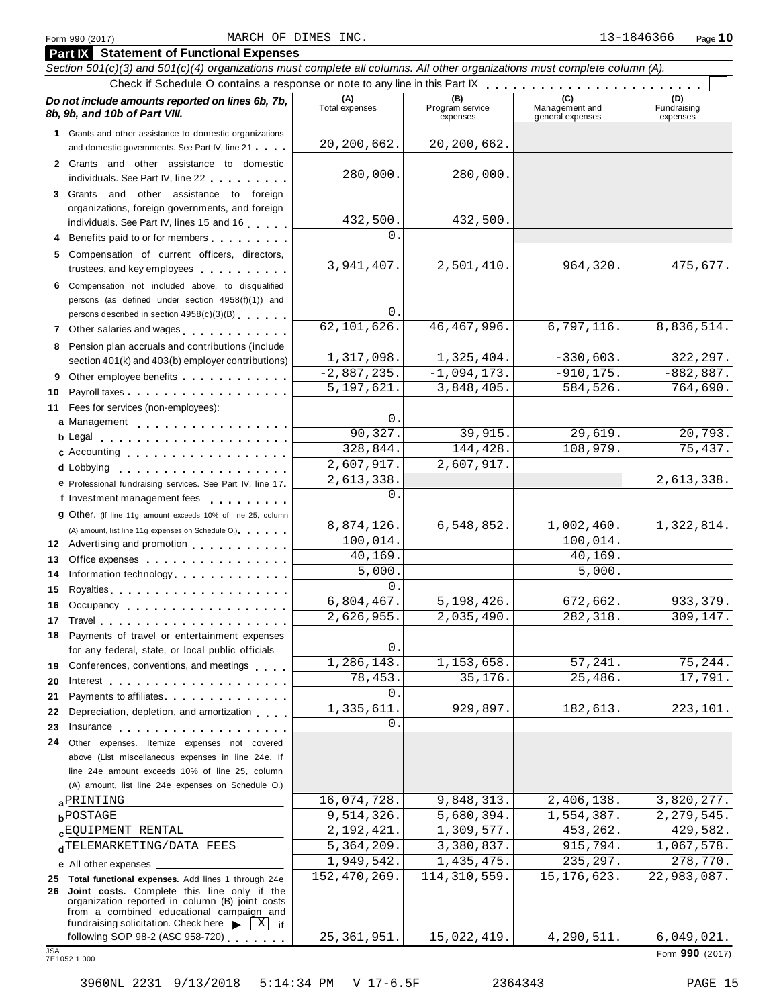| Section 501(c)(3) and 501(c)(4) organizations must complete all columns. All other organizations must complete column (A).                                                                          |                            |                                    |                                           |                                |
|-----------------------------------------------------------------------------------------------------------------------------------------------------------------------------------------------------|----------------------------|------------------------------------|-------------------------------------------|--------------------------------|
|                                                                                                                                                                                                     |                            |                                    |                                           |                                |
| Do not include amounts reported on lines 6b, 7b,<br>8b, 9b, and 10b of Part VIII.                                                                                                                   | (A)<br>Total expenses      | (B)<br>Program service<br>expenses | (C)<br>Management and<br>general expenses | (D)<br>Fundraising<br>expenses |
| 1 Grants and other assistance to domestic organizations                                                                                                                                             |                            |                                    |                                           |                                |
| and domestic governments. See Part IV, line 21                                                                                                                                                      | 20,200,662.                | 20,200,662.                        |                                           |                                |
| 2 Grants and other assistance to domestic<br>individuals. See Part IV, line 22                                                                                                                      | 280,000.                   | 280,000.                           |                                           |                                |
| 3 Grants and other assistance to foreign                                                                                                                                                            |                            |                                    |                                           |                                |
| organizations, foreign governments, and foreign                                                                                                                                                     |                            |                                    |                                           |                                |
| individuals. See Part IV, lines 15 and 16                                                                                                                                                           | 432,500.                   | 432,500.                           |                                           |                                |
| 4 Benefits paid to or for members                                                                                                                                                                   | $\Omega$ .                 |                                    |                                           |                                |
| 5 Compensation of current officers, directors,<br>trustees, and key employees expressed as a state of                                                                                               | 3,941,407.                 | 2,501,410.                         | 964,320.                                  | 475,677.                       |
| 6 Compensation not included above, to disqualified                                                                                                                                                  |                            |                                    |                                           |                                |
| persons (as defined under section 4958(f)(1)) and                                                                                                                                                   |                            |                                    |                                           |                                |
| persons described in section 4958(c)(3)(B)                                                                                                                                                          | 0.                         |                                    |                                           |                                |
| 7 Other salaries and wages <b>container and all the salaries</b>                                                                                                                                    | 62,101,626.                | 46, 467, 996.                      | 6,797,116.                                | 8,836,514.                     |
| 8 Pension plan accruals and contributions (include                                                                                                                                                  |                            |                                    |                                           |                                |
| section 401(k) and 403(b) employer contributions)                                                                                                                                                   | 1,317,098.                 | 1,325,404.                         | $-330,603.$                               | 322,297.                       |
| 9 Other employee benefits                                                                                                                                                                           | $-2,887,235.$              | $-1,094,173.$                      | $-910, 175.$                              | $-882,887.$                    |
| 10                                                                                                                                                                                                  | 5,197,621.                 | 3,848,405.                         | 584,526.                                  | 764,690.                       |
| 11 Fees for services (non-employees):                                                                                                                                                               |                            |                                    |                                           |                                |
| a Management                                                                                                                                                                                        | $\mathbf 0$ .              |                                    |                                           |                                |
| b Legal entering the service of the service of the service of the service of the service of the service of the                                                                                      | 90,327.                    | 39,915.                            | $\overline{29,619}$ .                     | 20,793.                        |
| c Accounting                                                                                                                                                                                        | 328,844.                   | 144,428.                           | 108,979.                                  | 75,437.                        |
| d Lobbying                                                                                                                                                                                          | 2,607,917.                 | 2,607,917.                         |                                           |                                |
| e Professional fundraising services. See Part IV, line 17                                                                                                                                           | 2,613,338.                 |                                    |                                           | 2,613,338.                     |
| f Investment management fees                                                                                                                                                                        | 0.                         |                                    |                                           |                                |
| <b>g</b> Other. (If line 11g amount exceeds 10% of line 25, column                                                                                                                                  |                            |                                    |                                           |                                |
| (A) amount, list line 11g expenses on Schedule O.)                                                                                                                                                  | 8,874,126.                 | 6,548,852.                         | 1,002,460.                                | 1,322,814.                     |
| 12 Advertising and promotion                                                                                                                                                                        | 100,014.                   |                                    | 100,014.                                  |                                |
| 13<br>Office expenses example.                                                                                                                                                                      | $\overline{40}$ , 169.     |                                    | 40,169.                                   |                                |
| Information technology<br>14                                                                                                                                                                        | 5,000.                     |                                    | 5,000.                                    |                                |
| 15                                                                                                                                                                                                  | $0$ .                      |                                    |                                           |                                |
| Occupancy<br>16                                                                                                                                                                                     | 6,804,467.                 | 5,198,426.                         | 672,662.                                  | 933,379.                       |
| 17 Travel                                                                                                                                                                                           | 2,626,955.                 | 2,035,490.                         | 282,318.                                  | 309, 147.                      |
| 18 Payments of travel or entertainment expenses<br>for any federal, state, or local public officials                                                                                                | $\mathsf{O}$               |                                    |                                           |                                |
| 19 Conferences, conventions, and meetings                                                                                                                                                           | 1,286,143.                 | 1,153,658.                         | 57,241.                                   | 75,244.                        |
| 20                                                                                                                                                                                                  | 78,453.                    | 35,176.                            | 25,486.                                   | 17,791.                        |
| Payments to affiliates<br>21                                                                                                                                                                        | 0.                         |                                    |                                           |                                |
| Depreciation, depletion, and amortization<br>22                                                                                                                                                     | 1,335,611.                 | 929,897.                           | 182,613.                                  | 223,101.                       |
| 23 Insurance                                                                                                                                                                                        | 0.                         |                                    |                                           |                                |
| 24 Other expenses. Itemize expenses not covered                                                                                                                                                     |                            |                                    |                                           |                                |
| above (List miscellaneous expenses in line 24e. If                                                                                                                                                  |                            |                                    |                                           |                                |
| line 24e amount exceeds 10% of line 25, column                                                                                                                                                      |                            |                                    |                                           |                                |
| (A) amount, list line 24e expenses on Schedule O.)                                                                                                                                                  |                            |                                    |                                           |                                |
| aPRINTING                                                                                                                                                                                           | 16,074,728.                | 9,848,313.                         | 2,406,138.                                | 3,820,277.                     |
| <b>b</b> POSTAGE                                                                                                                                                                                    | 9,514,326.                 | 5,680,394.                         | 1,554,387.                                | 2, 279, 545.                   |
| <b>CEQUIPMENT RENTAL</b>                                                                                                                                                                            | $\overline{2}$ , 192, 421. | 1,309,577.                         | 453,262.                                  | 429,582.                       |
| dTELEMARKETING/DATA FEES                                                                                                                                                                            | 5,364,209.                 | 3,380,837.                         | 915,794.                                  | 1,067,578.                     |
| e All other expenses _                                                                                                                                                                              | 1,949,542.                 | 1,435,475.                         | 235,297.                                  | 278,770.                       |
| 25 Total functional expenses. Add lines 1 through 24e                                                                                                                                               | 152,470,269.               | 114, 310, 559.                     | 15, 176, 623.                             | 22,983,087.                    |
| Joint costs. Complete this line only if the<br>26<br>organization reported in column (B) joint costs<br>from a combined educational campaign and<br>fundraising solicitation. Check here<br>X<br>if |                            |                                    |                                           |                                |
| following SOP 98-2 (ASC 958-720)<br><b>JSA</b><br>7E1052 1.000                                                                                                                                      | 25, 361, 951.              | 15,022,419.                        | 4,290,511.                                | 6,049,021.<br>Form 990 (2017)  |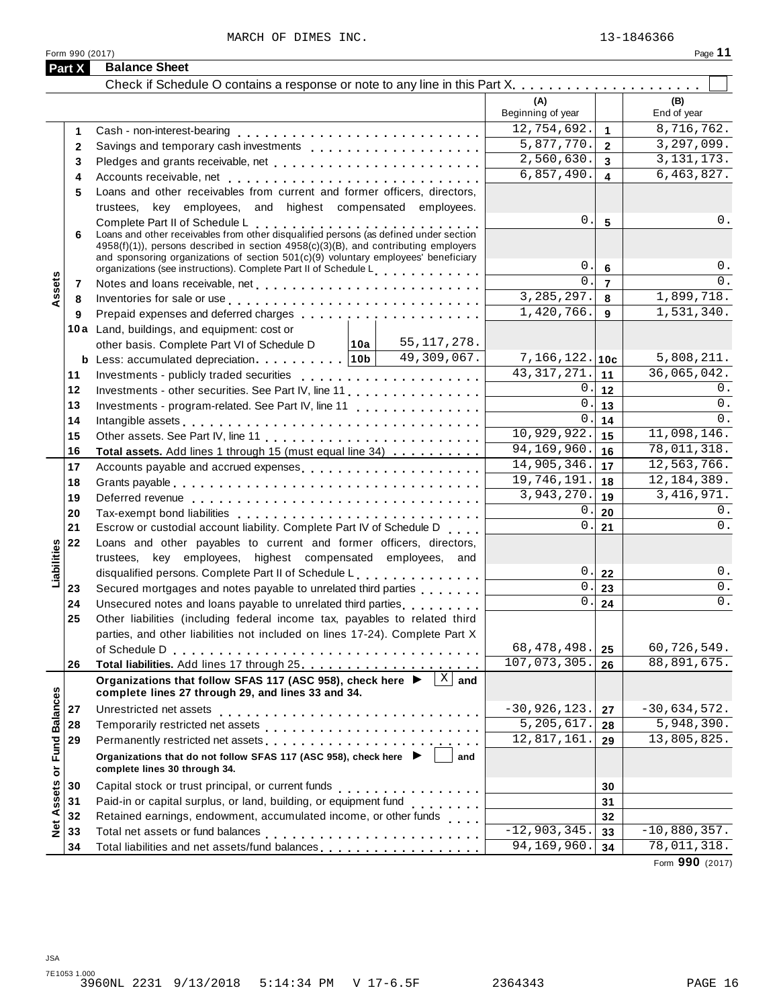MARCH OF DIMES INC. 23-1846366

|  | Form 990 (2017) |  |
|--|-----------------|--|
|  |                 |  |

|                   | Form 990 (2017) |                                                                                                                                                                                                                                                                                                        |                                                                                                                                                                                                                                                                                                                                                                                                                                                                                       |                          |                         | Page 11            |
|-------------------|-----------------|--------------------------------------------------------------------------------------------------------------------------------------------------------------------------------------------------------------------------------------------------------------------------------------------------------|---------------------------------------------------------------------------------------------------------------------------------------------------------------------------------------------------------------------------------------------------------------------------------------------------------------------------------------------------------------------------------------------------------------------------------------------------------------------------------------|--------------------------|-------------------------|--------------------|
|                   | Part X          | <b>Balance Sheet</b>                                                                                                                                                                                                                                                                                   |                                                                                                                                                                                                                                                                                                                                                                                                                                                                                       |                          |                         |                    |
|                   |                 |                                                                                                                                                                                                                                                                                                        |                                                                                                                                                                                                                                                                                                                                                                                                                                                                                       |                          |                         |                    |
|                   |                 |                                                                                                                                                                                                                                                                                                        |                                                                                                                                                                                                                                                                                                                                                                                                                                                                                       | (A)<br>Beginning of year |                         | (B)<br>End of year |
|                   | 1               |                                                                                                                                                                                                                                                                                                        |                                                                                                                                                                                                                                                                                                                                                                                                                                                                                       | 12,754,692.              | $\mathbf{1}$            | 8,716,762.         |
|                   | $\mathbf{2}$    |                                                                                                                                                                                                                                                                                                        |                                                                                                                                                                                                                                                                                                                                                                                                                                                                                       | 5,877,770.               | $\mathbf{2}$            | 3, 297, 099.       |
|                   | 3               |                                                                                                                                                                                                                                                                                                        |                                                                                                                                                                                                                                                                                                                                                                                                                                                                                       | 2,560,630.               | $\mathbf{3}$            | 3, 131, 173.       |
|                   | 4               |                                                                                                                                                                                                                                                                                                        |                                                                                                                                                                                                                                                                                                                                                                                                                                                                                       | 6,857,490.               | $\overline{\mathbf{4}}$ | 6,463,827.         |
|                   | 5               | Loans and other receivables from current and former officers, directors,                                                                                                                                                                                                                               |                                                                                                                                                                                                                                                                                                                                                                                                                                                                                       |                          |                         |                    |
|                   |                 | trustees, key employees, and highest compensated employees.                                                                                                                                                                                                                                            |                                                                                                                                                                                                                                                                                                                                                                                                                                                                                       |                          |                         |                    |
|                   |                 |                                                                                                                                                                                                                                                                                                        |                                                                                                                                                                                                                                                                                                                                                                                                                                                                                       | 0.                       | $5\phantom{a}$          | 0.                 |
|                   | 6               | Complete Part II of Schedule L<br>Loans and other receivables from other disqualified persons (as defined under section<br>4958(f)(1)), persons described in section 4958(c)(3)(B), and contributing employers<br>and sponsoring organizations of section $501(c)(9)$ voluntary employees' beneficiary |                                                                                                                                                                                                                                                                                                                                                                                                                                                                                       |                          |                         |                    |
|                   |                 | organizations (see instructions). Complete Part II of Schedule Letter and Letter Letter Letter                                                                                                                                                                                                         |                                                                                                                                                                                                                                                                                                                                                                                                                                                                                       | 0.                       | $6\phantom{1}6$         | 0.                 |
| Assets            | 7               |                                                                                                                                                                                                                                                                                                        |                                                                                                                                                                                                                                                                                                                                                                                                                                                                                       | $\Omega$ .               | $\overline{7}$          | 0.                 |
|                   | 8               | Inventories for sale or use enterpreteral enterpreteration of the set of the set of the set of the set of the                                                                                                                                                                                          |                                                                                                                                                                                                                                                                                                                                                                                                                                                                                       | 3,285,297.               | 8                       | 1,899,718.         |
|                   | 9               |                                                                                                                                                                                                                                                                                                        |                                                                                                                                                                                                                                                                                                                                                                                                                                                                                       | 1,420,766.               | 9                       | 1,531,340.         |
|                   |                 | 10a Land, buildings, and equipment: cost or                                                                                                                                                                                                                                                            |                                                                                                                                                                                                                                                                                                                                                                                                                                                                                       |                          |                         |                    |
|                   |                 | 10a <br>other basis. Complete Part VI of Schedule D                                                                                                                                                                                                                                                    | 55, 117, 278.                                                                                                                                                                                                                                                                                                                                                                                                                                                                         |                          |                         |                    |
|                   |                 |                                                                                                                                                                                                                                                                                                        | 49,309,067.                                                                                                                                                                                                                                                                                                                                                                                                                                                                           | $7,166,122.$ 10c         |                         | 5,808,211.         |
|                   | 11              |                                                                                                                                                                                                                                                                                                        |                                                                                                                                                                                                                                                                                                                                                                                                                                                                                       | 43, 317, 271.            | 11                      | 36,065,042.        |
|                   | 12              | Investments - other securities. See Part IV, line 11                                                                                                                                                                                                                                                   |                                                                                                                                                                                                                                                                                                                                                                                                                                                                                       | 0.                       | 12                      | 0.                 |
|                   | 13              | Investments - program-related. See Part IV, line 11                                                                                                                                                                                                                                                    |                                                                                                                                                                                                                                                                                                                                                                                                                                                                                       | 0.                       | 13                      | 0.                 |
|                   | 14              |                                                                                                                                                                                                                                                                                                        |                                                                                                                                                                                                                                                                                                                                                                                                                                                                                       | 0.                       | 14                      | 0.                 |
|                   | 15              |                                                                                                                                                                                                                                                                                                        |                                                                                                                                                                                                                                                                                                                                                                                                                                                                                       | 10,929,922.              | 15                      | 11,098,146.        |
|                   | 16              | Total assets. Add lines 1 through 15 (must equal line 34)                                                                                                                                                                                                                                              |                                                                                                                                                                                                                                                                                                                                                                                                                                                                                       | 94, 169, 960.            | 16                      | 78,011,318.        |
|                   | 17              | Accounts payable and accrued expenses                                                                                                                                                                                                                                                                  |                                                                                                                                                                                                                                                                                                                                                                                                                                                                                       | 14,905,346.              | 17                      | 12,563,766.        |
|                   | 18              |                                                                                                                                                                                                                                                                                                        |                                                                                                                                                                                                                                                                                                                                                                                                                                                                                       | 19,746,191.              | 18                      | 12, 184, 389.      |
|                   | 19              |                                                                                                                                                                                                                                                                                                        |                                                                                                                                                                                                                                                                                                                                                                                                                                                                                       | 3,943,270.               | 19                      | 3, 416, 971.       |
|                   | 20              |                                                                                                                                                                                                                                                                                                        |                                                                                                                                                                                                                                                                                                                                                                                                                                                                                       | 0.                       | 20                      | 0.                 |
|                   | 21              | Escrow or custodial account liability. Complete Part IV of Schedule D                                                                                                                                                                                                                                  |                                                                                                                                                                                                                                                                                                                                                                                                                                                                                       | $\mathbf{0}$ .           | 21                      | 0.                 |
|                   | 22              | Loans and other payables to current and former officers, directors,                                                                                                                                                                                                                                    |                                                                                                                                                                                                                                                                                                                                                                                                                                                                                       |                          |                         |                    |
|                   |                 | trustees, key employees, highest compensated employees, and                                                                                                                                                                                                                                            |                                                                                                                                                                                                                                                                                                                                                                                                                                                                                       |                          |                         |                    |
| Liabilities       |                 | disqualified persons. Complete Part II of Schedule L.                                                                                                                                                                                                                                                  |                                                                                                                                                                                                                                                                                                                                                                                                                                                                                       | 0.                       | 22                      | 0.                 |
|                   | 23              | Secured mortgages and notes payable to unrelated third parties                                                                                                                                                                                                                                         |                                                                                                                                                                                                                                                                                                                                                                                                                                                                                       | 0.<br>0.                 | 23                      | 0.                 |
|                   | 24              |                                                                                                                                                                                                                                                                                                        |                                                                                                                                                                                                                                                                                                                                                                                                                                                                                       |                          | 24                      | 0.                 |
|                   | 25              | Other liabilities (including federal income tax, payables to related third                                                                                                                                                                                                                             |                                                                                                                                                                                                                                                                                                                                                                                                                                                                                       |                          |                         |                    |
|                   |                 | parties, and other liabilities not included on lines 17-24). Complete Part X                                                                                                                                                                                                                           |                                                                                                                                                                                                                                                                                                                                                                                                                                                                                       | 68, 478, 498.            |                         | 60,726,549.        |
|                   |                 |                                                                                                                                                                                                                                                                                                        |                                                                                                                                                                                                                                                                                                                                                                                                                                                                                       | 107,073,305.             | 25                      | 88,891,675.        |
|                   | 26              |                                                                                                                                                                                                                                                                                                        |                                                                                                                                                                                                                                                                                                                                                                                                                                                                                       |                          | 26                      |                    |
|                   |                 | Organizations that follow SFAS 117 (ASC 958), check here $\blacktriangleright$<br>complete lines 27 through 29, and lines 33 and 34.                                                                                                                                                                   | $X \mid$ and                                                                                                                                                                                                                                                                                                                                                                                                                                                                          |                          |                         |                    |
|                   | 27              |                                                                                                                                                                                                                                                                                                        |                                                                                                                                                                                                                                                                                                                                                                                                                                                                                       | $-30,926,123.$           | 27                      | $-30,634,572.$     |
|                   | 28              |                                                                                                                                                                                                                                                                                                        |                                                                                                                                                                                                                                                                                                                                                                                                                                                                                       | 5,205,617.               | 28                      | 5,948,390.         |
|                   | 29              | Permanently restricted net assets<br>intervals and intervals are not restricted to the set of assets are not restricted to the set of the set of the set of the set of the set of the set of the set of the set of the set of th                                                                       |                                                                                                                                                                                                                                                                                                                                                                                                                                                                                       | 12,817,161.              | 29                      | 13,805,825.        |
| or Fund Balances  |                 | Organizations that do not follow SFAS 117 (ASC 958), check here ▶<br>complete lines 30 through 34.                                                                                                                                                                                                     | and                                                                                                                                                                                                                                                                                                                                                                                                                                                                                   |                          |                         |                    |
|                   | 30              |                                                                                                                                                                                                                                                                                                        |                                                                                                                                                                                                                                                                                                                                                                                                                                                                                       |                          | 30                      |                    |
| <b>Net Assets</b> | 31              | Paid-in or capital surplus, or land, building, or equipment fund                                                                                                                                                                                                                                       | $\mathbf{1} \cdot \mathbf{1} \cdot \mathbf{1} \cdot \mathbf{1} \cdot \mathbf{1} \cdot \mathbf{1} \cdot \mathbf{1} \cdot \mathbf{1} \cdot \mathbf{1} \cdot \mathbf{1} \cdot \mathbf{1} \cdot \mathbf{1} \cdot \mathbf{1} \cdot \mathbf{1} \cdot \mathbf{1} \cdot \mathbf{1} \cdot \mathbf{1} \cdot \mathbf{1} \cdot \mathbf{1} \cdot \mathbf{1} \cdot \mathbf{1} \cdot \mathbf{1} \cdot \mathbf{1} \cdot \mathbf{1} \cdot \mathbf{1} \cdot \mathbf{1} \cdot \mathbf{1} \cdot \mathbf{$ |                          | 31                      |                    |
|                   | 32              | Retained earnings, endowment, accumulated income, or other funds                                                                                                                                                                                                                                       |                                                                                                                                                                                                                                                                                                                                                                                                                                                                                       |                          | 32                      |                    |
|                   | 33              |                                                                                                                                                                                                                                                                                                        |                                                                                                                                                                                                                                                                                                                                                                                                                                                                                       | $-12,903,345.$           | 33                      | $-10,880,357.$     |
|                   | 34              |                                                                                                                                                                                                                                                                                                        |                                                                                                                                                                                                                                                                                                                                                                                                                                                                                       | 94,169,960.              | 34                      | 78,011,318.        |

Form **990** (2017)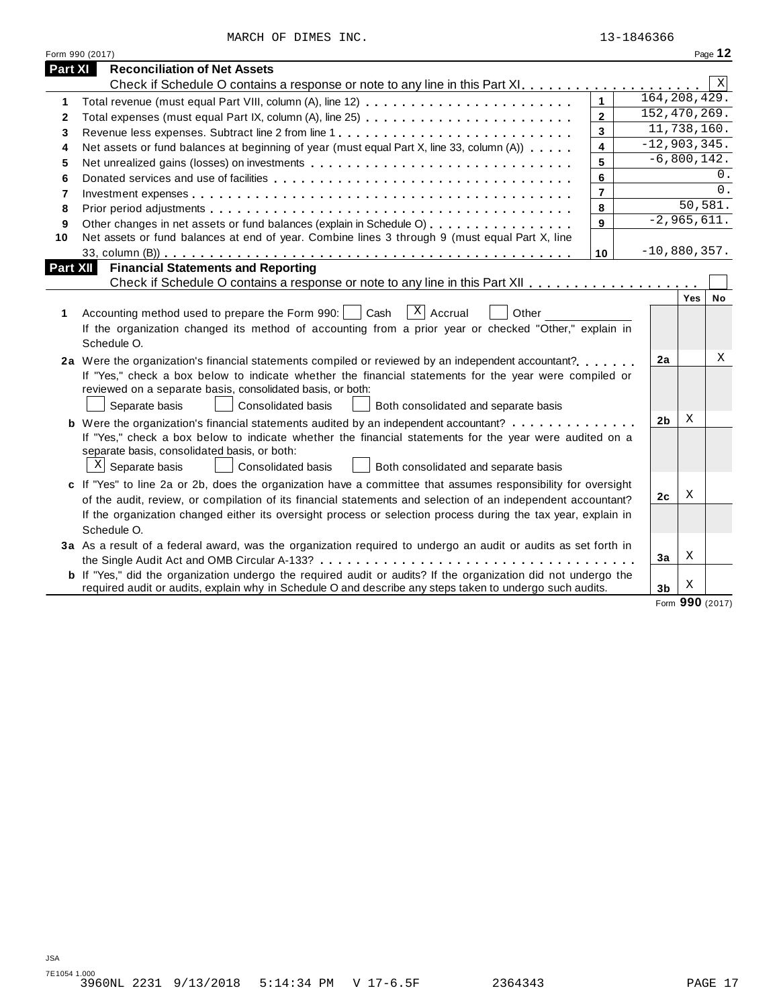MARCH OF DIMES INC. 13-1846366

|          | Form 990 (2017)                                                                                                                                                                                                               |                |                |                              | Page 12    |
|----------|-------------------------------------------------------------------------------------------------------------------------------------------------------------------------------------------------------------------------------|----------------|----------------|------------------------------|------------|
| Part XI  | <b>Reconciliation of Net Assets</b>                                                                                                                                                                                           |                |                |                              |            |
|          |                                                                                                                                                                                                                               |                |                |                              | X          |
| 1        |                                                                                                                                                                                                                               | $\mathbf{1}$   |                | 164, 208, 429.               |            |
| 2        |                                                                                                                                                                                                                               | $\mathbf{2}$   |                | 152,470,269.                 |            |
| 3        | Revenue less expenses. Subtract line 2 from line 1                                                                                                                                                                            | $\mathbf{3}$   |                | 11,738,160.                  |            |
| 4        | Net assets or fund balances at beginning of year (must equal Part X, line 33, column (A))                                                                                                                                     | 4              |                | $\overline{-12}$ , 903, 345. |            |
| 5        | Net unrealized gains (losses) on investments                                                                                                                                                                                  | 5              |                | $\overline{-6}$ , 800, 142.  |            |
| 6        |                                                                                                                                                                                                                               | 6              |                |                              | $\Omega$ . |
| 7        |                                                                                                                                                                                                                               | $\overline{7}$ |                |                              | 0.         |
| 8        |                                                                                                                                                                                                                               | 8              |                | 50, 581.                     |            |
| 9        | Other changes in net assets or fund balances (explain in Schedule O)                                                                                                                                                          | 9              |                | $-2,965,611.$                |            |
| 10       | Net assets or fund balances at end of year. Combine lines 3 through 9 (must equal Part X, line                                                                                                                                |                |                |                              |            |
|          |                                                                                                                                                                                                                               | 10             |                | $-10,880,357.$               |            |
| Part XII | <b>Financial Statements and Reporting</b>                                                                                                                                                                                     |                |                |                              |            |
|          |                                                                                                                                                                                                                               |                |                |                              |            |
|          |                                                                                                                                                                                                                               |                |                | Yes                          | <b>No</b>  |
| 1        | $\vert x \vert$ Accrual<br>Accounting method used to prepare the Form 990:     Cash<br>Other                                                                                                                                  |                |                |                              |            |
|          | If the organization changed its method of accounting from a prior year or checked "Other," explain in                                                                                                                         |                |                |                              |            |
|          | Schedule O.                                                                                                                                                                                                                   |                |                |                              | Χ          |
|          | 2a Were the organization's financial statements compiled or reviewed by an independent accountant?                                                                                                                            |                | 2a             |                              |            |
|          | If "Yes," check a box below to indicate whether the financial statements for the year were compiled or                                                                                                                        |                |                |                              |            |
|          | reviewed on a separate basis, consolidated basis, or both:                                                                                                                                                                    |                |                |                              |            |
|          | Separate basis<br><b>Consolidated basis</b><br>Both consolidated and separate basis                                                                                                                                           |                | 2 <sub>b</sub> | X                            |            |
|          | <b>b</b> Were the organization's financial statements audited by an independent accountant?                                                                                                                                   |                |                |                              |            |
|          | If "Yes," check a box below to indicate whether the financial statements for the year were audited on a<br>separate basis, consolidated basis, or both:                                                                       |                |                |                              |            |
|          | $X$ Separate basis<br><b>Consolidated basis</b><br>Both consolidated and separate basis                                                                                                                                       |                |                |                              |            |
|          |                                                                                                                                                                                                                               |                |                |                              |            |
|          | c If "Yes" to line 2a or 2b, does the organization have a committee that assumes responsibility for oversight<br>of the audit, review, or compilation of its financial statements and selection of an independent accountant? |                | 2c             | Χ                            |            |
|          | If the organization changed either its oversight process or selection process during the tax year, explain in                                                                                                                 |                |                |                              |            |
|          | Schedule O.                                                                                                                                                                                                                   |                |                |                              |            |
|          | 3a As a result of a federal award, was the organization required to undergo an audit or audits as set forth in                                                                                                                |                |                |                              |            |
|          |                                                                                                                                                                                                                               |                | 3a             | Χ                            |            |
|          | <b>b</b> If "Yes," did the organization undergo the required audit or audits? If the organization did not undergo the                                                                                                         |                |                |                              |            |
|          | required audit or audits, explain why in Schedule O and describe any steps taken to undergo such audits.                                                                                                                      |                | 3 <sub>b</sub> | Χ                            |            |
|          |                                                                                                                                                                                                                               |                |                |                              |            |

Form **990** (2017)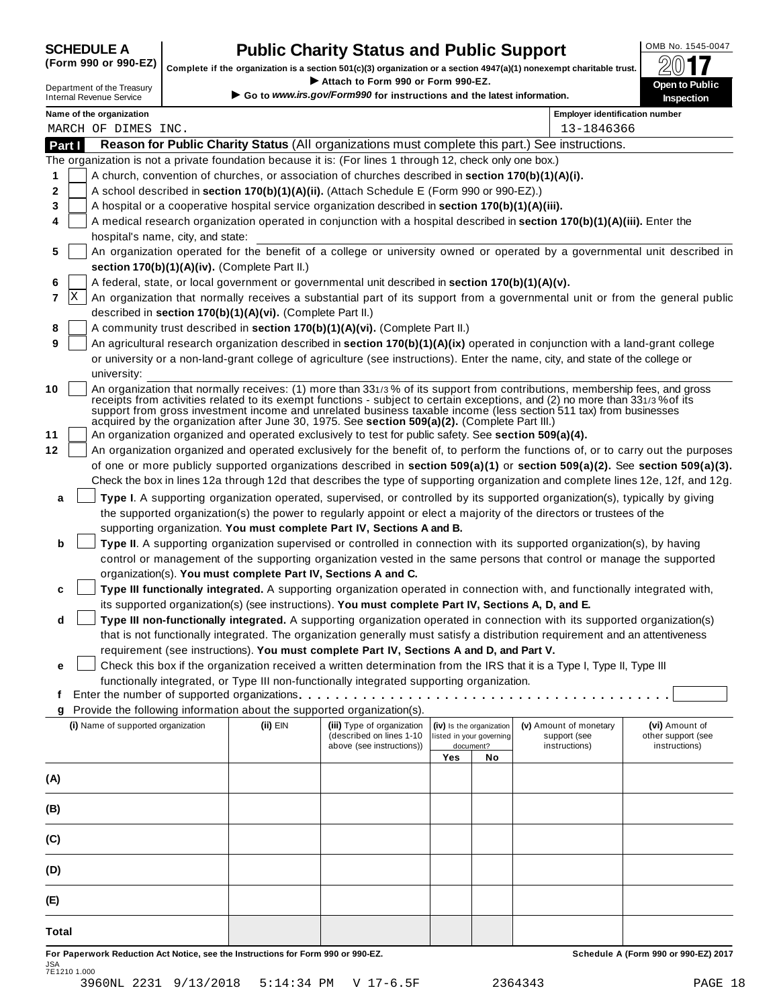## **SCHEDULE A Public Charity Status and Public Support**<br>(Form 990 or 990-EZ) complete if the organization is a section 501(c)(3) organization or a section 4947(a)(1) popeyemet charitable trust  $\bigotimes_{n=1}^{\infty}$

(Form 990 or 990-EZ) complete if the organization is a section 501(c)(3) organization or a section 4947(a)(1) nonexempt charitable trust.  $2017$ If your section section to the Treasury<br>
Department of the Treasury **Department of the Treasury Department of the Treasury <b>Department** of the Treasury **Department of the Treasury <b>Department** Complete if the organizati

| Department of the Treasury |  |
|----------------------------|--|
| nternal Revenue Service    |  |

*.irs.gov/Form990* **for instructions and the latest information.** Internal Revenue Service

|          |   | n                                               |                                                            |                                                                                                                                                                                                       |     |                                       |                                                                                                                                                                                                                                                                                                                                                                                 | <b>IIISpection</b>                                                                                                               |
|----------|---|-------------------------------------------------|------------------------------------------------------------|-------------------------------------------------------------------------------------------------------------------------------------------------------------------------------------------------------|-----|---------------------------------------|---------------------------------------------------------------------------------------------------------------------------------------------------------------------------------------------------------------------------------------------------------------------------------------------------------------------------------------------------------------------------------|----------------------------------------------------------------------------------------------------------------------------------|
|          |   | Name of the organization<br>MARCH OF DIMES INC. |                                                            |                                                                                                                                                                                                       |     |                                       | <b>Employer identification number</b><br>13-1846366                                                                                                                                                                                                                                                                                                                             |                                                                                                                                  |
| Part I   |   |                                                 |                                                            |                                                                                                                                                                                                       |     |                                       | Reason for Public Charity Status (All organizations must complete this part.) See instructions.                                                                                                                                                                                                                                                                                 |                                                                                                                                  |
|          |   |                                                 |                                                            | The organization is not a private foundation because it is: (For lines 1 through 12, check only one box.)                                                                                             |     |                                       |                                                                                                                                                                                                                                                                                                                                                                                 |                                                                                                                                  |
| 1        |   |                                                 |                                                            | A church, convention of churches, or association of churches described in section 170(b)(1)(A)(i).                                                                                                    |     |                                       |                                                                                                                                                                                                                                                                                                                                                                                 |                                                                                                                                  |
| 2        |   |                                                 |                                                            | A school described in section 170(b)(1)(A)(ii). (Attach Schedule E (Form 990 or 990-EZ).)                                                                                                             |     |                                       |                                                                                                                                                                                                                                                                                                                                                                                 |                                                                                                                                  |
| 3        |   |                                                 |                                                            | A hospital or a cooperative hospital service organization described in section 170(b)(1)(A)(iii).                                                                                                     |     |                                       |                                                                                                                                                                                                                                                                                                                                                                                 |                                                                                                                                  |
| 4        |   |                                                 |                                                            |                                                                                                                                                                                                       |     |                                       | A medical research organization operated in conjunction with a hospital described in section 170(b)(1)(A)(iii). Enter the                                                                                                                                                                                                                                                       |                                                                                                                                  |
|          |   | hospital's name, city, and state:               |                                                            |                                                                                                                                                                                                       |     |                                       |                                                                                                                                                                                                                                                                                                                                                                                 |                                                                                                                                  |
| 5        |   |                                                 | section 170(b)(1)(A)(iv). (Complete Part II.)              |                                                                                                                                                                                                       |     |                                       |                                                                                                                                                                                                                                                                                                                                                                                 | An organization operated for the benefit of a college or university owned or operated by a governmental unit described in        |
| 6        |   |                                                 |                                                            | A federal, state, or local government or governmental unit described in section 170(b)(1)(A)(v).                                                                                                      |     |                                       |                                                                                                                                                                                                                                                                                                                                                                                 |                                                                                                                                  |
| 7        | X |                                                 |                                                            |                                                                                                                                                                                                       |     |                                       |                                                                                                                                                                                                                                                                                                                                                                                 | An organization that normally receives a substantial part of its support from a governmental unit or from the general public     |
|          |   |                                                 | described in section 170(b)(1)(A)(vi). (Complete Part II.) |                                                                                                                                                                                                       |     |                                       |                                                                                                                                                                                                                                                                                                                                                                                 |                                                                                                                                  |
| 8        |   |                                                 |                                                            | A community trust described in section 170(b)(1)(A)(vi). (Complete Part II.)                                                                                                                          |     |                                       |                                                                                                                                                                                                                                                                                                                                                                                 |                                                                                                                                  |
| 9        |   |                                                 |                                                            |                                                                                                                                                                                                       |     |                                       | An agricultural research organization described in section 170(b)(1)(A)(ix) operated in conjunction with a land-grant college                                                                                                                                                                                                                                                   |                                                                                                                                  |
|          |   |                                                 |                                                            |                                                                                                                                                                                                       |     |                                       | or university or a non-land-grant college of agriculture (see instructions). Enter the name, city, and state of the college or                                                                                                                                                                                                                                                  |                                                                                                                                  |
|          |   | university:                                     |                                                            |                                                                                                                                                                                                       |     |                                       |                                                                                                                                                                                                                                                                                                                                                                                 |                                                                                                                                  |
| 10<br>11 |   |                                                 |                                                            | acquired by the organization after June 30, 1975. See section 509(a)(2). (Complete Part III.)<br>An organization organized and operated exclusively to test for public safety. See section 509(a)(4). |     |                                       | An organization that normally receives: (1) more than 331/3% of its support from contributions, membership fees, and gross<br>receipts from activities related to its exempt functions - subject to certain exceptions, and (2) no more than 331/3% of its<br>support from gross investment income and unrelated business taxable income (less section 511 tax) from businesses |                                                                                                                                  |
| 12       |   |                                                 |                                                            |                                                                                                                                                                                                       |     |                                       |                                                                                                                                                                                                                                                                                                                                                                                 | An organization organized and operated exclusively for the benefit of, to perform the functions of, or to carry out the purposes |
|          |   |                                                 |                                                            |                                                                                                                                                                                                       |     |                                       |                                                                                                                                                                                                                                                                                                                                                                                 | of one or more publicly supported organizations described in section 509(a)(1) or section 509(a)(2). See section 509(a)(3).      |
|          |   |                                                 |                                                            |                                                                                                                                                                                                       |     |                                       |                                                                                                                                                                                                                                                                                                                                                                                 | Check the box in lines 12a through 12d that describes the type of supporting organization and complete lines 12e, 12f, and 12g.  |
| a        |   |                                                 |                                                            |                                                                                                                                                                                                       |     |                                       | Type I. A supporting organization operated, supervised, or controlled by its supported organization(s), typically by giving                                                                                                                                                                                                                                                     |                                                                                                                                  |
|          |   |                                                 |                                                            |                                                                                                                                                                                                       |     |                                       | the supported organization(s) the power to regularly appoint or elect a majority of the directors or trustees of the                                                                                                                                                                                                                                                            |                                                                                                                                  |
|          |   |                                                 |                                                            | supporting organization. You must complete Part IV, Sections A and B.                                                                                                                                 |     |                                       |                                                                                                                                                                                                                                                                                                                                                                                 |                                                                                                                                  |
| b        |   |                                                 |                                                            |                                                                                                                                                                                                       |     |                                       | Type II. A supporting organization supervised or controlled in connection with its supported organization(s), by having                                                                                                                                                                                                                                                         |                                                                                                                                  |
|          |   |                                                 |                                                            |                                                                                                                                                                                                       |     |                                       | control or management of the supporting organization vested in the same persons that control or manage the supported                                                                                                                                                                                                                                                            |                                                                                                                                  |
|          |   |                                                 |                                                            | organization(s). You must complete Part IV, Sections A and C.                                                                                                                                         |     |                                       |                                                                                                                                                                                                                                                                                                                                                                                 |                                                                                                                                  |
| c        |   |                                                 |                                                            |                                                                                                                                                                                                       |     |                                       | Type III functionally integrated. A supporting organization operated in connection with, and functionally integrated with,                                                                                                                                                                                                                                                      |                                                                                                                                  |
|          |   |                                                 |                                                            | its supported organization(s) (see instructions). You must complete Part IV, Sections A, D, and E.                                                                                                    |     |                                       |                                                                                                                                                                                                                                                                                                                                                                                 |                                                                                                                                  |
| d        |   |                                                 |                                                            |                                                                                                                                                                                                       |     |                                       | Type III non-functionally integrated. A supporting organization operated in connection with its supported organization(s)                                                                                                                                                                                                                                                       |                                                                                                                                  |
|          |   |                                                 |                                                            | requirement (see instructions). You must complete Part IV, Sections A and D, and Part V.                                                                                                              |     |                                       | that is not functionally integrated. The organization generally must satisfy a distribution requirement and an attentiveness                                                                                                                                                                                                                                                    |                                                                                                                                  |
|          |   |                                                 |                                                            |                                                                                                                                                                                                       |     |                                       | Check this box if the organization received a written determination from the IRS that it is a Type I, Type II, Type III                                                                                                                                                                                                                                                         |                                                                                                                                  |
| е        |   |                                                 |                                                            | functionally integrated, or Type III non-functionally integrated supporting organization.                                                                                                             |     |                                       |                                                                                                                                                                                                                                                                                                                                                                                 |                                                                                                                                  |
| Ť.       |   |                                                 |                                                            |                                                                                                                                                                                                       |     |                                       |                                                                                                                                                                                                                                                                                                                                                                                 |                                                                                                                                  |
| g        |   |                                                 |                                                            | Provide the following information about the supported organization(s).                                                                                                                                |     |                                       |                                                                                                                                                                                                                                                                                                                                                                                 |                                                                                                                                  |
|          |   | (i) Name of supported organization              | (ii) EIN                                                   | (iii) Type of organization                                                                                                                                                                            |     | (iv) Is the organization              | (v) Amount of monetary                                                                                                                                                                                                                                                                                                                                                          | (vi) Amount of                                                                                                                   |
|          |   |                                                 |                                                            | (described on lines 1-10<br>above (see instructions))                                                                                                                                                 |     | listed in your governing<br>document? | support (see<br>instructions)                                                                                                                                                                                                                                                                                                                                                   | other support (see<br>instructions)                                                                                              |
|          |   |                                                 |                                                            |                                                                                                                                                                                                       | Yes | No                                    |                                                                                                                                                                                                                                                                                                                                                                                 |                                                                                                                                  |
| (A)      |   |                                                 |                                                            |                                                                                                                                                                                                       |     |                                       |                                                                                                                                                                                                                                                                                                                                                                                 |                                                                                                                                  |
|          |   |                                                 |                                                            |                                                                                                                                                                                                       |     |                                       |                                                                                                                                                                                                                                                                                                                                                                                 |                                                                                                                                  |
| (B)      |   |                                                 |                                                            |                                                                                                                                                                                                       |     |                                       |                                                                                                                                                                                                                                                                                                                                                                                 |                                                                                                                                  |
| (C)      |   |                                                 |                                                            |                                                                                                                                                                                                       |     |                                       |                                                                                                                                                                                                                                                                                                                                                                                 |                                                                                                                                  |
| (D)      |   |                                                 |                                                            |                                                                                                                                                                                                       |     |                                       |                                                                                                                                                                                                                                                                                                                                                                                 |                                                                                                                                  |
| (E)      |   |                                                 |                                                            |                                                                                                                                                                                                       |     |                                       |                                                                                                                                                                                                                                                                                                                                                                                 |                                                                                                                                  |
| Total    |   |                                                 |                                                            |                                                                                                                                                                                                       |     |                                       |                                                                                                                                                                                                                                                                                                                                                                                 |                                                                                                                                  |
|          |   |                                                 |                                                            |                                                                                                                                                                                                       |     |                                       |                                                                                                                                                                                                                                                                                                                                                                                 |                                                                                                                                  |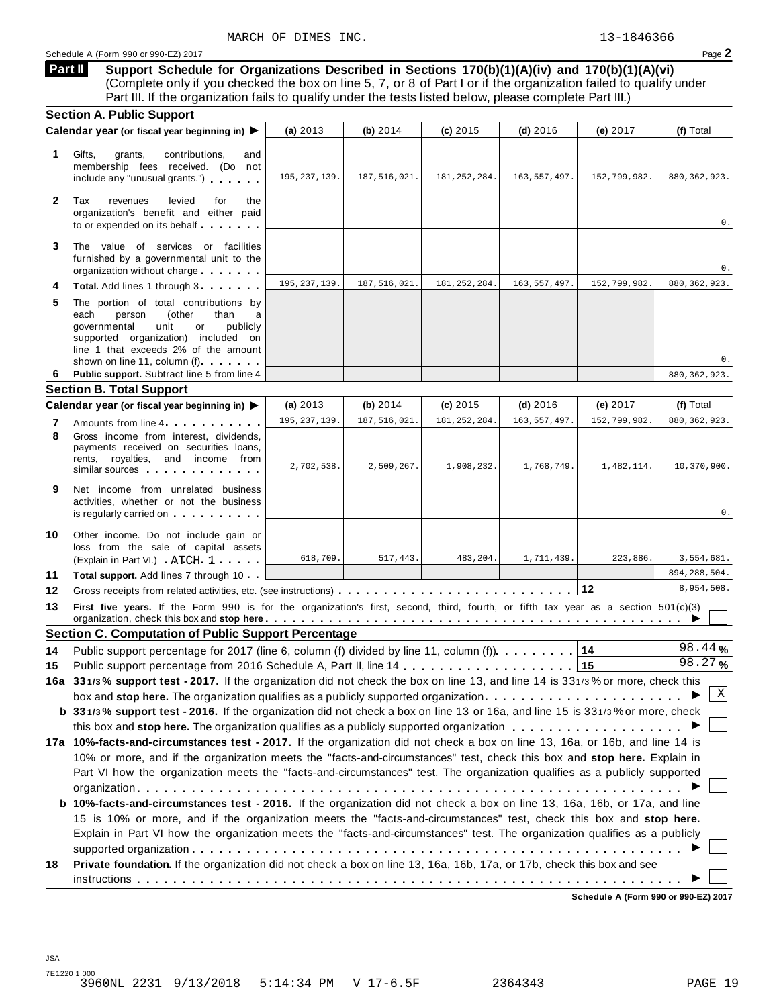**Support Schedule for Organizations Described in Sections 170(b)(1)(A)(iv) and 170(b)(1)(A)(vi)** (Complete only if you checked the box on line 5, 7, or 8 of Part I or if the organization failed to qualify under Part III. If the organization fails to qualify under the tests listed below, please complete Part III.) **Part II**

|              | <b>Section A. Public Support</b>                                                                                                                                                                                                                                                                                                                                                                                                                                                                           |                |                |                |                |              |                |
|--------------|------------------------------------------------------------------------------------------------------------------------------------------------------------------------------------------------------------------------------------------------------------------------------------------------------------------------------------------------------------------------------------------------------------------------------------------------------------------------------------------------------------|----------------|----------------|----------------|----------------|--------------|----------------|
|              | Calendar year (or fiscal year beginning in) ▶                                                                                                                                                                                                                                                                                                                                                                                                                                                              | (a) 2013       | (b) 2014       | $(c)$ 2015     | $(d)$ 2016     | (e) 2017     | (f) Total      |
| 1.           | Gifts,<br>grants,<br>contributions,<br>and<br>membership fees received. (Do not<br>include any "unusual grants.")                                                                                                                                                                                                                                                                                                                                                                                          | 195, 237, 139. | 187,516,021.   | 181, 252, 284. | 163, 557, 497. | 152,799,982. | 880, 362, 923. |
| $\mathbf{2}$ | Tax<br>revenues<br>levied<br>for<br>the<br>organization's benefit and either paid<br>to or expended on its behalf                                                                                                                                                                                                                                                                                                                                                                                          |                |                |                |                |              | 0.             |
| 3            | The value of services or facilities<br>furnished by a governmental unit to the<br>organization without charge                                                                                                                                                                                                                                                                                                                                                                                              |                |                |                |                |              | 0.             |
| 4            | Total. Add lines 1 through 3                                                                                                                                                                                                                                                                                                                                                                                                                                                                               | 195, 237, 139  | 187, 516, 021. | 181, 252, 284. | 163, 557, 497. | 152,799,982. | 880, 362, 923. |
| 5            | The portion of total contributions by<br>each<br>person<br>(other<br>than<br>a<br>governmental<br>unit<br>or<br>publicly<br>supported organization) included on<br>line 1 that exceeds 2% of the amount<br>shown on line 11, column (f)                                                                                                                                                                                                                                                                    |                |                |                |                |              | 0.             |
| 6            | Public support. Subtract line 5 from line 4                                                                                                                                                                                                                                                                                                                                                                                                                                                                |                |                |                |                |              | 880, 362, 923. |
|              | <b>Section B. Total Support</b>                                                                                                                                                                                                                                                                                                                                                                                                                                                                            |                |                |                |                |              |                |
|              | Calendar year (or fiscal year beginning in) ▶                                                                                                                                                                                                                                                                                                                                                                                                                                                              | (a) $2013$     | (b) 2014       | $(c)$ 2015     | $(d)$ 2016     | (e) 2017     | (f) Total      |
| 7            | Amounts from line 4.                                                                                                                                                                                                                                                                                                                                                                                                                                                                                       | 195, 237, 139  | 187, 516, 021. | 181, 252, 284  | 163, 557, 497. | 152,799,982. | 880, 362, 923. |
| 8            | Gross income from interest, dividends,<br>payments received on securities loans,<br>rents, royalties, and income from<br>similar sources                                                                                                                                                                                                                                                                                                                                                                   | 2,702,538.     | 2,509,267.     | 1,908,232.     | 1,768,749.     | 1,482,114.   | 10,370,900.    |
| 9            | Net income from unrelated business<br>activities, whether or not the business<br>is regularly carried on the control of the set of the set of the set of the set of the set of the set of the s                                                                                                                                                                                                                                                                                                            |                |                |                |                |              | 0.             |
| 10           | Other income. Do not include gain or<br>loss from the sale of capital assets<br>(Explain in Part VI.) ATCH 1                                                                                                                                                                                                                                                                                                                                                                                               | 618,709.       | 517,443.       | 483,204.       | 1,711,439      | 223,886.     | 3,554,681.     |
| 11           | <b>Total support.</b> Add lines 7 through 10                                                                                                                                                                                                                                                                                                                                                                                                                                                               |                |                |                |                |              | 894, 288, 504. |
| 12           |                                                                                                                                                                                                                                                                                                                                                                                                                                                                                                            |                |                |                |                | 12           | 8,954,508.     |
| 13           | First five years. If the Form 990 is for the organization's first, second, third, fourth, or fifth tax year as a section 501(c)(3)<br>organization, check this box and stop here entitled and contain the state of the contact the state of the state of the state of the state of the state of the state of the state of the state of the state of the state of the                                                                                                                                       |                |                |                |                |              |                |
|              | <b>Section C. Computation of Public Support Percentage</b>                                                                                                                                                                                                                                                                                                                                                                                                                                                 |                |                |                |                |              |                |
| 14           | Public support percentage for 2017 (line 6, column (f) divided by line 11, column (f)).                                                                                                                                                                                                                                                                                                                                                                                                                    |                |                |                |                | 14           | 98.44%         |
| 15           |                                                                                                                                                                                                                                                                                                                                                                                                                                                                                                            |                |                |                |                | 15           | 98.27%         |
|              | 16a 331/3% support test - 2017. If the organization did not check the box on line 13, and line 14 is 331/3% or more, check this                                                                                                                                                                                                                                                                                                                                                                            |                |                |                |                |              |                |
|              | box and stop here. The organization qualifies as a publicly supported organization $\ldots$ , , , , ,                                                                                                                                                                                                                                                                                                                                                                                                      |                |                |                |                |              | Χ              |
|              | b 331/3% support test - 2016. If the organization did not check a box on line 13 or 16a, and line 15 is 331/3% or more, check                                                                                                                                                                                                                                                                                                                                                                              |                |                |                |                |              |                |
|              |                                                                                                                                                                                                                                                                                                                                                                                                                                                                                                            |                |                |                |                |              |                |
|              | 17a 10%-facts-and-circumstances test - 2017. If the organization did not check a box on line 13, 16a, or 16b, and line 14 is<br>10% or more, and if the organization meets the "facts-and-circumstances" test, check this box and stop here. Explain in                                                                                                                                                                                                                                                    |                |                |                |                |              |                |
|              | Part VI how the organization meets the "facts-and-circumstances" test. The organization qualifies as a publicly supported<br>b 10%-facts-and-circumstances test - 2016. If the organization did not check a box on line 13, 16a, 16b, or 17a, and line<br>15 is 10% or more, and if the organization meets the "facts-and-circumstances" test, check this box and stop here.<br>Explain in Part VI how the organization meets the "facts-and-circumstances" test. The organization qualifies as a publicly |                |                |                |                |              |                |
| 18           | Private foundation. If the organization did not check a box on line 13, 16a, 16b, 17a, or 17b, check this box and see                                                                                                                                                                                                                                                                                                                                                                                      |                |                |                |                |              |                |
|              |                                                                                                                                                                                                                                                                                                                                                                                                                                                                                                            |                |                |                |                |              |                |

**Schedule A (Form 990 or 990-EZ) 2017**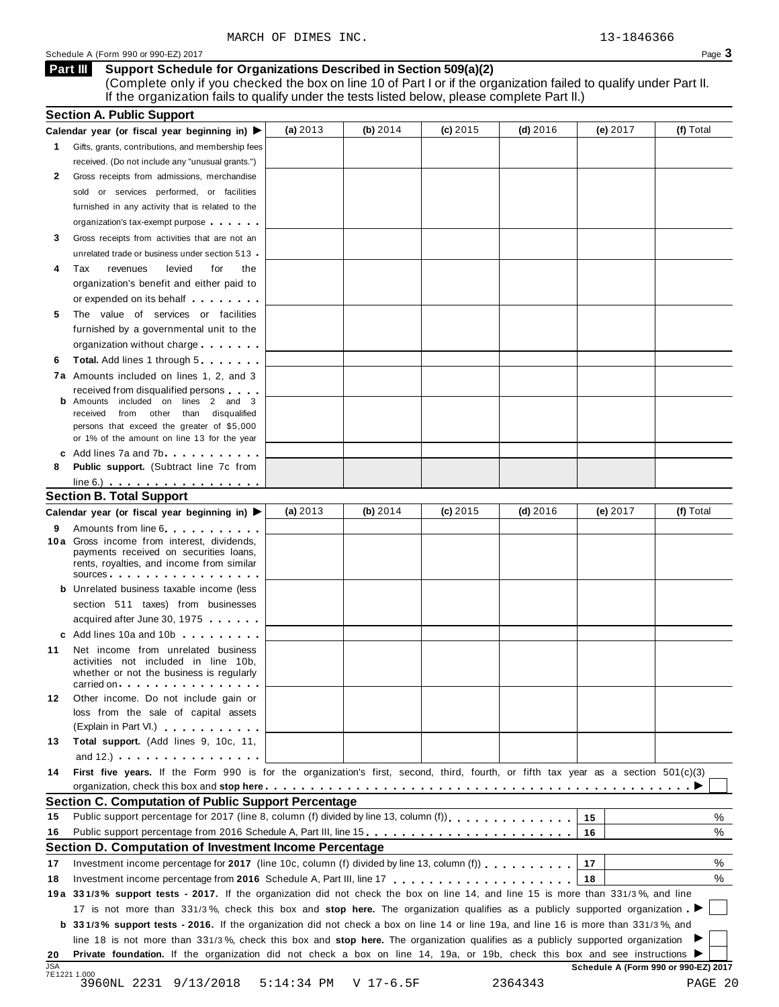Schedule <sup>A</sup> (Form <sup>990</sup> or 990-EZ) <sup>2017</sup> Page **3**

#### **Support Schedule for Organizations Described in Section 509(a)(2) Part III**

(Complete only if you checked the box on line 10 of Part I or if the organization failed to qualify under Part II. If the organization fails to qualify under the tests listed below, please complete Part II.)

| (f) Total<br>(a) $2013$<br>(b) $2014$<br>$(c)$ 2015<br>(d) $2016$<br>(e) 2017<br>Calendar year (or fiscal year beginning in) ▶<br>Gifts, grants, contributions, and membership fees<br>1.<br>received. (Do not include any "unusual grants.")<br>Gross receipts from admissions, merchandise<br>2<br>sold or services performed, or facilities<br>furnished in any activity that is related to the<br>organization's tax-exempt purpose<br>Gross receipts from activities that are not an<br>3<br>unrelated trade or business under section 513<br>Tax<br>revenues<br>levied<br>for<br>the<br>4<br>organization's benefit and either paid to<br>or expended on its behalf<br>The value of services or facilities<br>5<br>furnished by a governmental unit to the<br>organization without charge<br><b>Total.</b> Add lines 1 through 5<br>6<br>7a Amounts included on lines 1, 2, and 3<br>received from disqualified persons<br>Amounts included on lines 2 and 3<br>from other than disqualified<br>received<br>persons that exceed the greater of \$5,000<br>or 1% of the amount on line 13 for the year<br>c Add lines 7a and 7b<br>Public support. (Subtract line 7c from<br>8<br>$line 6.)$<br><b>Section B. Total Support</b><br>(f) Total<br>(a) $2013$<br>(b) $2014$<br>$(c)$ 2015<br>(d) $2016$<br>(e) 2017<br>Calendar year (or fiscal year beginning in) ▶<br>Amounts from line 6<br>9<br>10 a Gross income from interest, dividends,<br>payments received on securities loans,<br>rents, royalties, and income from similar<br>sources <b>contracts</b><br><b>b</b> Unrelated business taxable income (less<br>section 511 taxes) from businesses<br>acquired after June 30, 1975<br>c Add lines 10a and 10b and the control of the control of the control of the control of the control of the control of the control of the control of the control of the control of the control of the control of the control of<br>Net income from unrelated business<br>activities not included in line 10b,<br>whether or not the business is regularly<br>carried on entering the entering term in the care in the case of the case of the case of the case of the case of<br>Other income. Do not include gain or<br>loss from the sale of capital assets<br>(Explain in Part VI.) <b>Container and Containers</b><br>Total support. (Add lines 9, 10c, 11,<br>13<br>and 12.) $\cdots$ $\cdots$ $\cdots$ $\cdots$ $\cdots$<br>First five years. If the Form 990 is for the organization's first, second, third, fourth, or fifth tax year as a section 501(c)(3)<br>14<br>Section C. Computation of Public Support Percentage<br>Public support percentage for 2017 (line 8, column (f) divided by line 13, column (f)<br>℅<br>15<br>15<br>Public support percentage from 2016 Schedule A, Part III, line 15.<br>%<br>16<br>16<br>Section D. Computation of Investment Income Percentage<br>%<br>Investment income percentage for 2017 (line 10c, column (f) divided by line 13, column (f) $\ldots$ ,,,,,,,<br>17<br>17<br>%<br>18<br>19a 331/3% support tests - 2017. If the organization did not check the box on line 14, and line 15 is more than 331/3%, and line<br>17 is not more than 331/3%, check this box and stop here. The organization qualifies as a publicly supported organization<br><b>b</b> 331/3% support tests - 2016. If the organization did not check a box on line 14 or line 19a, and line 16 is more than 331/3%, and<br>line 18 is not more than 331/3%, check this box and stop here. The organization qualifies as a publicly supported organization<br>Private foundation. If the organization did not check a box on line 14, 19a, or 19b, check this box and see instructions ▶<br><b>JSA</b><br>Schedule A (Form 990 or 990-EZ) 2017<br>7E1221 1.000<br>9/13/2018<br>$5:14:34$ PM<br>$V$ 17-6.5F<br>2364343<br>PAGE 20<br>3960NL 2231 |    | <b>Section A. Public Support</b> |  |  |  |
|--------------------------------------------------------------------------------------------------------------------------------------------------------------------------------------------------------------------------------------------------------------------------------------------------------------------------------------------------------------------------------------------------------------------------------------------------------------------------------------------------------------------------------------------------------------------------------------------------------------------------------------------------------------------------------------------------------------------------------------------------------------------------------------------------------------------------------------------------------------------------------------------------------------------------------------------------------------------------------------------------------------------------------------------------------------------------------------------------------------------------------------------------------------------------------------------------------------------------------------------------------------------------------------------------------------------------------------------------------------------------------------------------------------------------------------------------------------------------------------------------------------------------------------------------------------------------------------------------------------------------------------------------------------------------------------------------------------------------------------------------------------------------------------------------------------------------------------------------------------------------------------------------------------------------------------------------------------------------------------------------------------------------------------------------------------------------------------------------------------------------------------------------------------------------------------------------------------------------------------------------------------------------------------------------------------------------------------------------------------------------------------------------------------------------------------------------------------------------------------------------------------------------------------------------------------------------------------------------------------------------------------------------------------------------------------------------------------------------------------------------------------------------------------------------------------------------------------------------------------------------------------------------------------------------------------------------------------------------------------------------------------------------------------------------------------------------------------------------------------------------------------------------------------------------------------------------------------------------------------------------------------------------------------------------------------------------------------------------------------------------------------------------------------------------------------------------------------------------------------------------------------------------------------------------------------------------------------------------------------------------------------------------------------------------------------------------------------------------------------------------------------------------------------------------------------------------------------------------------------------------------|----|----------------------------------|--|--|--|
|                                                                                                                                                                                                                                                                                                                                                                                                                                                                                                                                                                                                                                                                                                                                                                                                                                                                                                                                                                                                                                                                                                                                                                                                                                                                                                                                                                                                                                                                                                                                                                                                                                                                                                                                                                                                                                                                                                                                                                                                                                                                                                                                                                                                                                                                                                                                                                                                                                                                                                                                                                                                                                                                                                                                                                                                                                                                                                                                                                                                                                                                                                                                                                                                                                                                                                                                                                                                                                                                                                                                                                                                                                                                                                                                                                                                                                                                                |    |                                  |  |  |  |
|                                                                                                                                                                                                                                                                                                                                                                                                                                                                                                                                                                                                                                                                                                                                                                                                                                                                                                                                                                                                                                                                                                                                                                                                                                                                                                                                                                                                                                                                                                                                                                                                                                                                                                                                                                                                                                                                                                                                                                                                                                                                                                                                                                                                                                                                                                                                                                                                                                                                                                                                                                                                                                                                                                                                                                                                                                                                                                                                                                                                                                                                                                                                                                                                                                                                                                                                                                                                                                                                                                                                                                                                                                                                                                                                                                                                                                                                                |    |                                  |  |  |  |
|                                                                                                                                                                                                                                                                                                                                                                                                                                                                                                                                                                                                                                                                                                                                                                                                                                                                                                                                                                                                                                                                                                                                                                                                                                                                                                                                                                                                                                                                                                                                                                                                                                                                                                                                                                                                                                                                                                                                                                                                                                                                                                                                                                                                                                                                                                                                                                                                                                                                                                                                                                                                                                                                                                                                                                                                                                                                                                                                                                                                                                                                                                                                                                                                                                                                                                                                                                                                                                                                                                                                                                                                                                                                                                                                                                                                                                                                                |    |                                  |  |  |  |
|                                                                                                                                                                                                                                                                                                                                                                                                                                                                                                                                                                                                                                                                                                                                                                                                                                                                                                                                                                                                                                                                                                                                                                                                                                                                                                                                                                                                                                                                                                                                                                                                                                                                                                                                                                                                                                                                                                                                                                                                                                                                                                                                                                                                                                                                                                                                                                                                                                                                                                                                                                                                                                                                                                                                                                                                                                                                                                                                                                                                                                                                                                                                                                                                                                                                                                                                                                                                                                                                                                                                                                                                                                                                                                                                                                                                                                                                                |    |                                  |  |  |  |
|                                                                                                                                                                                                                                                                                                                                                                                                                                                                                                                                                                                                                                                                                                                                                                                                                                                                                                                                                                                                                                                                                                                                                                                                                                                                                                                                                                                                                                                                                                                                                                                                                                                                                                                                                                                                                                                                                                                                                                                                                                                                                                                                                                                                                                                                                                                                                                                                                                                                                                                                                                                                                                                                                                                                                                                                                                                                                                                                                                                                                                                                                                                                                                                                                                                                                                                                                                                                                                                                                                                                                                                                                                                                                                                                                                                                                                                                                |    |                                  |  |  |  |
|                                                                                                                                                                                                                                                                                                                                                                                                                                                                                                                                                                                                                                                                                                                                                                                                                                                                                                                                                                                                                                                                                                                                                                                                                                                                                                                                                                                                                                                                                                                                                                                                                                                                                                                                                                                                                                                                                                                                                                                                                                                                                                                                                                                                                                                                                                                                                                                                                                                                                                                                                                                                                                                                                                                                                                                                                                                                                                                                                                                                                                                                                                                                                                                                                                                                                                                                                                                                                                                                                                                                                                                                                                                                                                                                                                                                                                                                                |    |                                  |  |  |  |
|                                                                                                                                                                                                                                                                                                                                                                                                                                                                                                                                                                                                                                                                                                                                                                                                                                                                                                                                                                                                                                                                                                                                                                                                                                                                                                                                                                                                                                                                                                                                                                                                                                                                                                                                                                                                                                                                                                                                                                                                                                                                                                                                                                                                                                                                                                                                                                                                                                                                                                                                                                                                                                                                                                                                                                                                                                                                                                                                                                                                                                                                                                                                                                                                                                                                                                                                                                                                                                                                                                                                                                                                                                                                                                                                                                                                                                                                                |    |                                  |  |  |  |
|                                                                                                                                                                                                                                                                                                                                                                                                                                                                                                                                                                                                                                                                                                                                                                                                                                                                                                                                                                                                                                                                                                                                                                                                                                                                                                                                                                                                                                                                                                                                                                                                                                                                                                                                                                                                                                                                                                                                                                                                                                                                                                                                                                                                                                                                                                                                                                                                                                                                                                                                                                                                                                                                                                                                                                                                                                                                                                                                                                                                                                                                                                                                                                                                                                                                                                                                                                                                                                                                                                                                                                                                                                                                                                                                                                                                                                                                                |    |                                  |  |  |  |
|                                                                                                                                                                                                                                                                                                                                                                                                                                                                                                                                                                                                                                                                                                                                                                                                                                                                                                                                                                                                                                                                                                                                                                                                                                                                                                                                                                                                                                                                                                                                                                                                                                                                                                                                                                                                                                                                                                                                                                                                                                                                                                                                                                                                                                                                                                                                                                                                                                                                                                                                                                                                                                                                                                                                                                                                                                                                                                                                                                                                                                                                                                                                                                                                                                                                                                                                                                                                                                                                                                                                                                                                                                                                                                                                                                                                                                                                                |    |                                  |  |  |  |
|                                                                                                                                                                                                                                                                                                                                                                                                                                                                                                                                                                                                                                                                                                                                                                                                                                                                                                                                                                                                                                                                                                                                                                                                                                                                                                                                                                                                                                                                                                                                                                                                                                                                                                                                                                                                                                                                                                                                                                                                                                                                                                                                                                                                                                                                                                                                                                                                                                                                                                                                                                                                                                                                                                                                                                                                                                                                                                                                                                                                                                                                                                                                                                                                                                                                                                                                                                                                                                                                                                                                                                                                                                                                                                                                                                                                                                                                                |    |                                  |  |  |  |
|                                                                                                                                                                                                                                                                                                                                                                                                                                                                                                                                                                                                                                                                                                                                                                                                                                                                                                                                                                                                                                                                                                                                                                                                                                                                                                                                                                                                                                                                                                                                                                                                                                                                                                                                                                                                                                                                                                                                                                                                                                                                                                                                                                                                                                                                                                                                                                                                                                                                                                                                                                                                                                                                                                                                                                                                                                                                                                                                                                                                                                                                                                                                                                                                                                                                                                                                                                                                                                                                                                                                                                                                                                                                                                                                                                                                                                                                                |    |                                  |  |  |  |
|                                                                                                                                                                                                                                                                                                                                                                                                                                                                                                                                                                                                                                                                                                                                                                                                                                                                                                                                                                                                                                                                                                                                                                                                                                                                                                                                                                                                                                                                                                                                                                                                                                                                                                                                                                                                                                                                                                                                                                                                                                                                                                                                                                                                                                                                                                                                                                                                                                                                                                                                                                                                                                                                                                                                                                                                                                                                                                                                                                                                                                                                                                                                                                                                                                                                                                                                                                                                                                                                                                                                                                                                                                                                                                                                                                                                                                                                                |    |                                  |  |  |  |
|                                                                                                                                                                                                                                                                                                                                                                                                                                                                                                                                                                                                                                                                                                                                                                                                                                                                                                                                                                                                                                                                                                                                                                                                                                                                                                                                                                                                                                                                                                                                                                                                                                                                                                                                                                                                                                                                                                                                                                                                                                                                                                                                                                                                                                                                                                                                                                                                                                                                                                                                                                                                                                                                                                                                                                                                                                                                                                                                                                                                                                                                                                                                                                                                                                                                                                                                                                                                                                                                                                                                                                                                                                                                                                                                                                                                                                                                                |    |                                  |  |  |  |
|                                                                                                                                                                                                                                                                                                                                                                                                                                                                                                                                                                                                                                                                                                                                                                                                                                                                                                                                                                                                                                                                                                                                                                                                                                                                                                                                                                                                                                                                                                                                                                                                                                                                                                                                                                                                                                                                                                                                                                                                                                                                                                                                                                                                                                                                                                                                                                                                                                                                                                                                                                                                                                                                                                                                                                                                                                                                                                                                                                                                                                                                                                                                                                                                                                                                                                                                                                                                                                                                                                                                                                                                                                                                                                                                                                                                                                                                                |    |                                  |  |  |  |
|                                                                                                                                                                                                                                                                                                                                                                                                                                                                                                                                                                                                                                                                                                                                                                                                                                                                                                                                                                                                                                                                                                                                                                                                                                                                                                                                                                                                                                                                                                                                                                                                                                                                                                                                                                                                                                                                                                                                                                                                                                                                                                                                                                                                                                                                                                                                                                                                                                                                                                                                                                                                                                                                                                                                                                                                                                                                                                                                                                                                                                                                                                                                                                                                                                                                                                                                                                                                                                                                                                                                                                                                                                                                                                                                                                                                                                                                                |    |                                  |  |  |  |
|                                                                                                                                                                                                                                                                                                                                                                                                                                                                                                                                                                                                                                                                                                                                                                                                                                                                                                                                                                                                                                                                                                                                                                                                                                                                                                                                                                                                                                                                                                                                                                                                                                                                                                                                                                                                                                                                                                                                                                                                                                                                                                                                                                                                                                                                                                                                                                                                                                                                                                                                                                                                                                                                                                                                                                                                                                                                                                                                                                                                                                                                                                                                                                                                                                                                                                                                                                                                                                                                                                                                                                                                                                                                                                                                                                                                                                                                                |    |                                  |  |  |  |
|                                                                                                                                                                                                                                                                                                                                                                                                                                                                                                                                                                                                                                                                                                                                                                                                                                                                                                                                                                                                                                                                                                                                                                                                                                                                                                                                                                                                                                                                                                                                                                                                                                                                                                                                                                                                                                                                                                                                                                                                                                                                                                                                                                                                                                                                                                                                                                                                                                                                                                                                                                                                                                                                                                                                                                                                                                                                                                                                                                                                                                                                                                                                                                                                                                                                                                                                                                                                                                                                                                                                                                                                                                                                                                                                                                                                                                                                                |    |                                  |  |  |  |
|                                                                                                                                                                                                                                                                                                                                                                                                                                                                                                                                                                                                                                                                                                                                                                                                                                                                                                                                                                                                                                                                                                                                                                                                                                                                                                                                                                                                                                                                                                                                                                                                                                                                                                                                                                                                                                                                                                                                                                                                                                                                                                                                                                                                                                                                                                                                                                                                                                                                                                                                                                                                                                                                                                                                                                                                                                                                                                                                                                                                                                                                                                                                                                                                                                                                                                                                                                                                                                                                                                                                                                                                                                                                                                                                                                                                                                                                                |    |                                  |  |  |  |
|                                                                                                                                                                                                                                                                                                                                                                                                                                                                                                                                                                                                                                                                                                                                                                                                                                                                                                                                                                                                                                                                                                                                                                                                                                                                                                                                                                                                                                                                                                                                                                                                                                                                                                                                                                                                                                                                                                                                                                                                                                                                                                                                                                                                                                                                                                                                                                                                                                                                                                                                                                                                                                                                                                                                                                                                                                                                                                                                                                                                                                                                                                                                                                                                                                                                                                                                                                                                                                                                                                                                                                                                                                                                                                                                                                                                                                                                                |    |                                  |  |  |  |
|                                                                                                                                                                                                                                                                                                                                                                                                                                                                                                                                                                                                                                                                                                                                                                                                                                                                                                                                                                                                                                                                                                                                                                                                                                                                                                                                                                                                                                                                                                                                                                                                                                                                                                                                                                                                                                                                                                                                                                                                                                                                                                                                                                                                                                                                                                                                                                                                                                                                                                                                                                                                                                                                                                                                                                                                                                                                                                                                                                                                                                                                                                                                                                                                                                                                                                                                                                                                                                                                                                                                                                                                                                                                                                                                                                                                                                                                                |    |                                  |  |  |  |
|                                                                                                                                                                                                                                                                                                                                                                                                                                                                                                                                                                                                                                                                                                                                                                                                                                                                                                                                                                                                                                                                                                                                                                                                                                                                                                                                                                                                                                                                                                                                                                                                                                                                                                                                                                                                                                                                                                                                                                                                                                                                                                                                                                                                                                                                                                                                                                                                                                                                                                                                                                                                                                                                                                                                                                                                                                                                                                                                                                                                                                                                                                                                                                                                                                                                                                                                                                                                                                                                                                                                                                                                                                                                                                                                                                                                                                                                                |    |                                  |  |  |  |
|                                                                                                                                                                                                                                                                                                                                                                                                                                                                                                                                                                                                                                                                                                                                                                                                                                                                                                                                                                                                                                                                                                                                                                                                                                                                                                                                                                                                                                                                                                                                                                                                                                                                                                                                                                                                                                                                                                                                                                                                                                                                                                                                                                                                                                                                                                                                                                                                                                                                                                                                                                                                                                                                                                                                                                                                                                                                                                                                                                                                                                                                                                                                                                                                                                                                                                                                                                                                                                                                                                                                                                                                                                                                                                                                                                                                                                                                                |    |                                  |  |  |  |
|                                                                                                                                                                                                                                                                                                                                                                                                                                                                                                                                                                                                                                                                                                                                                                                                                                                                                                                                                                                                                                                                                                                                                                                                                                                                                                                                                                                                                                                                                                                                                                                                                                                                                                                                                                                                                                                                                                                                                                                                                                                                                                                                                                                                                                                                                                                                                                                                                                                                                                                                                                                                                                                                                                                                                                                                                                                                                                                                                                                                                                                                                                                                                                                                                                                                                                                                                                                                                                                                                                                                                                                                                                                                                                                                                                                                                                                                                |    |                                  |  |  |  |
|                                                                                                                                                                                                                                                                                                                                                                                                                                                                                                                                                                                                                                                                                                                                                                                                                                                                                                                                                                                                                                                                                                                                                                                                                                                                                                                                                                                                                                                                                                                                                                                                                                                                                                                                                                                                                                                                                                                                                                                                                                                                                                                                                                                                                                                                                                                                                                                                                                                                                                                                                                                                                                                                                                                                                                                                                                                                                                                                                                                                                                                                                                                                                                                                                                                                                                                                                                                                                                                                                                                                                                                                                                                                                                                                                                                                                                                                                |    |                                  |  |  |  |
|                                                                                                                                                                                                                                                                                                                                                                                                                                                                                                                                                                                                                                                                                                                                                                                                                                                                                                                                                                                                                                                                                                                                                                                                                                                                                                                                                                                                                                                                                                                                                                                                                                                                                                                                                                                                                                                                                                                                                                                                                                                                                                                                                                                                                                                                                                                                                                                                                                                                                                                                                                                                                                                                                                                                                                                                                                                                                                                                                                                                                                                                                                                                                                                                                                                                                                                                                                                                                                                                                                                                                                                                                                                                                                                                                                                                                                                                                |    |                                  |  |  |  |
|                                                                                                                                                                                                                                                                                                                                                                                                                                                                                                                                                                                                                                                                                                                                                                                                                                                                                                                                                                                                                                                                                                                                                                                                                                                                                                                                                                                                                                                                                                                                                                                                                                                                                                                                                                                                                                                                                                                                                                                                                                                                                                                                                                                                                                                                                                                                                                                                                                                                                                                                                                                                                                                                                                                                                                                                                                                                                                                                                                                                                                                                                                                                                                                                                                                                                                                                                                                                                                                                                                                                                                                                                                                                                                                                                                                                                                                                                |    |                                  |  |  |  |
|                                                                                                                                                                                                                                                                                                                                                                                                                                                                                                                                                                                                                                                                                                                                                                                                                                                                                                                                                                                                                                                                                                                                                                                                                                                                                                                                                                                                                                                                                                                                                                                                                                                                                                                                                                                                                                                                                                                                                                                                                                                                                                                                                                                                                                                                                                                                                                                                                                                                                                                                                                                                                                                                                                                                                                                                                                                                                                                                                                                                                                                                                                                                                                                                                                                                                                                                                                                                                                                                                                                                                                                                                                                                                                                                                                                                                                                                                |    |                                  |  |  |  |
|                                                                                                                                                                                                                                                                                                                                                                                                                                                                                                                                                                                                                                                                                                                                                                                                                                                                                                                                                                                                                                                                                                                                                                                                                                                                                                                                                                                                                                                                                                                                                                                                                                                                                                                                                                                                                                                                                                                                                                                                                                                                                                                                                                                                                                                                                                                                                                                                                                                                                                                                                                                                                                                                                                                                                                                                                                                                                                                                                                                                                                                                                                                                                                                                                                                                                                                                                                                                                                                                                                                                                                                                                                                                                                                                                                                                                                                                                |    |                                  |  |  |  |
|                                                                                                                                                                                                                                                                                                                                                                                                                                                                                                                                                                                                                                                                                                                                                                                                                                                                                                                                                                                                                                                                                                                                                                                                                                                                                                                                                                                                                                                                                                                                                                                                                                                                                                                                                                                                                                                                                                                                                                                                                                                                                                                                                                                                                                                                                                                                                                                                                                                                                                                                                                                                                                                                                                                                                                                                                                                                                                                                                                                                                                                                                                                                                                                                                                                                                                                                                                                                                                                                                                                                                                                                                                                                                                                                                                                                                                                                                |    |                                  |  |  |  |
|                                                                                                                                                                                                                                                                                                                                                                                                                                                                                                                                                                                                                                                                                                                                                                                                                                                                                                                                                                                                                                                                                                                                                                                                                                                                                                                                                                                                                                                                                                                                                                                                                                                                                                                                                                                                                                                                                                                                                                                                                                                                                                                                                                                                                                                                                                                                                                                                                                                                                                                                                                                                                                                                                                                                                                                                                                                                                                                                                                                                                                                                                                                                                                                                                                                                                                                                                                                                                                                                                                                                                                                                                                                                                                                                                                                                                                                                                |    |                                  |  |  |  |
|                                                                                                                                                                                                                                                                                                                                                                                                                                                                                                                                                                                                                                                                                                                                                                                                                                                                                                                                                                                                                                                                                                                                                                                                                                                                                                                                                                                                                                                                                                                                                                                                                                                                                                                                                                                                                                                                                                                                                                                                                                                                                                                                                                                                                                                                                                                                                                                                                                                                                                                                                                                                                                                                                                                                                                                                                                                                                                                                                                                                                                                                                                                                                                                                                                                                                                                                                                                                                                                                                                                                                                                                                                                                                                                                                                                                                                                                                |    |                                  |  |  |  |
|                                                                                                                                                                                                                                                                                                                                                                                                                                                                                                                                                                                                                                                                                                                                                                                                                                                                                                                                                                                                                                                                                                                                                                                                                                                                                                                                                                                                                                                                                                                                                                                                                                                                                                                                                                                                                                                                                                                                                                                                                                                                                                                                                                                                                                                                                                                                                                                                                                                                                                                                                                                                                                                                                                                                                                                                                                                                                                                                                                                                                                                                                                                                                                                                                                                                                                                                                                                                                                                                                                                                                                                                                                                                                                                                                                                                                                                                                |    |                                  |  |  |  |
|                                                                                                                                                                                                                                                                                                                                                                                                                                                                                                                                                                                                                                                                                                                                                                                                                                                                                                                                                                                                                                                                                                                                                                                                                                                                                                                                                                                                                                                                                                                                                                                                                                                                                                                                                                                                                                                                                                                                                                                                                                                                                                                                                                                                                                                                                                                                                                                                                                                                                                                                                                                                                                                                                                                                                                                                                                                                                                                                                                                                                                                                                                                                                                                                                                                                                                                                                                                                                                                                                                                                                                                                                                                                                                                                                                                                                                                                                |    |                                  |  |  |  |
|                                                                                                                                                                                                                                                                                                                                                                                                                                                                                                                                                                                                                                                                                                                                                                                                                                                                                                                                                                                                                                                                                                                                                                                                                                                                                                                                                                                                                                                                                                                                                                                                                                                                                                                                                                                                                                                                                                                                                                                                                                                                                                                                                                                                                                                                                                                                                                                                                                                                                                                                                                                                                                                                                                                                                                                                                                                                                                                                                                                                                                                                                                                                                                                                                                                                                                                                                                                                                                                                                                                                                                                                                                                                                                                                                                                                                                                                                | 11 |                                  |  |  |  |
|                                                                                                                                                                                                                                                                                                                                                                                                                                                                                                                                                                                                                                                                                                                                                                                                                                                                                                                                                                                                                                                                                                                                                                                                                                                                                                                                                                                                                                                                                                                                                                                                                                                                                                                                                                                                                                                                                                                                                                                                                                                                                                                                                                                                                                                                                                                                                                                                                                                                                                                                                                                                                                                                                                                                                                                                                                                                                                                                                                                                                                                                                                                                                                                                                                                                                                                                                                                                                                                                                                                                                                                                                                                                                                                                                                                                                                                                                |    |                                  |  |  |  |
|                                                                                                                                                                                                                                                                                                                                                                                                                                                                                                                                                                                                                                                                                                                                                                                                                                                                                                                                                                                                                                                                                                                                                                                                                                                                                                                                                                                                                                                                                                                                                                                                                                                                                                                                                                                                                                                                                                                                                                                                                                                                                                                                                                                                                                                                                                                                                                                                                                                                                                                                                                                                                                                                                                                                                                                                                                                                                                                                                                                                                                                                                                                                                                                                                                                                                                                                                                                                                                                                                                                                                                                                                                                                                                                                                                                                                                                                                | 12 |                                  |  |  |  |
|                                                                                                                                                                                                                                                                                                                                                                                                                                                                                                                                                                                                                                                                                                                                                                                                                                                                                                                                                                                                                                                                                                                                                                                                                                                                                                                                                                                                                                                                                                                                                                                                                                                                                                                                                                                                                                                                                                                                                                                                                                                                                                                                                                                                                                                                                                                                                                                                                                                                                                                                                                                                                                                                                                                                                                                                                                                                                                                                                                                                                                                                                                                                                                                                                                                                                                                                                                                                                                                                                                                                                                                                                                                                                                                                                                                                                                                                                |    |                                  |  |  |  |
|                                                                                                                                                                                                                                                                                                                                                                                                                                                                                                                                                                                                                                                                                                                                                                                                                                                                                                                                                                                                                                                                                                                                                                                                                                                                                                                                                                                                                                                                                                                                                                                                                                                                                                                                                                                                                                                                                                                                                                                                                                                                                                                                                                                                                                                                                                                                                                                                                                                                                                                                                                                                                                                                                                                                                                                                                                                                                                                                                                                                                                                                                                                                                                                                                                                                                                                                                                                                                                                                                                                                                                                                                                                                                                                                                                                                                                                                                |    |                                  |  |  |  |
|                                                                                                                                                                                                                                                                                                                                                                                                                                                                                                                                                                                                                                                                                                                                                                                                                                                                                                                                                                                                                                                                                                                                                                                                                                                                                                                                                                                                                                                                                                                                                                                                                                                                                                                                                                                                                                                                                                                                                                                                                                                                                                                                                                                                                                                                                                                                                                                                                                                                                                                                                                                                                                                                                                                                                                                                                                                                                                                                                                                                                                                                                                                                                                                                                                                                                                                                                                                                                                                                                                                                                                                                                                                                                                                                                                                                                                                                                |    |                                  |  |  |  |
|                                                                                                                                                                                                                                                                                                                                                                                                                                                                                                                                                                                                                                                                                                                                                                                                                                                                                                                                                                                                                                                                                                                                                                                                                                                                                                                                                                                                                                                                                                                                                                                                                                                                                                                                                                                                                                                                                                                                                                                                                                                                                                                                                                                                                                                                                                                                                                                                                                                                                                                                                                                                                                                                                                                                                                                                                                                                                                                                                                                                                                                                                                                                                                                                                                                                                                                                                                                                                                                                                                                                                                                                                                                                                                                                                                                                                                                                                |    |                                  |  |  |  |
|                                                                                                                                                                                                                                                                                                                                                                                                                                                                                                                                                                                                                                                                                                                                                                                                                                                                                                                                                                                                                                                                                                                                                                                                                                                                                                                                                                                                                                                                                                                                                                                                                                                                                                                                                                                                                                                                                                                                                                                                                                                                                                                                                                                                                                                                                                                                                                                                                                                                                                                                                                                                                                                                                                                                                                                                                                                                                                                                                                                                                                                                                                                                                                                                                                                                                                                                                                                                                                                                                                                                                                                                                                                                                                                                                                                                                                                                                |    |                                  |  |  |  |
|                                                                                                                                                                                                                                                                                                                                                                                                                                                                                                                                                                                                                                                                                                                                                                                                                                                                                                                                                                                                                                                                                                                                                                                                                                                                                                                                                                                                                                                                                                                                                                                                                                                                                                                                                                                                                                                                                                                                                                                                                                                                                                                                                                                                                                                                                                                                                                                                                                                                                                                                                                                                                                                                                                                                                                                                                                                                                                                                                                                                                                                                                                                                                                                                                                                                                                                                                                                                                                                                                                                                                                                                                                                                                                                                                                                                                                                                                |    |                                  |  |  |  |
|                                                                                                                                                                                                                                                                                                                                                                                                                                                                                                                                                                                                                                                                                                                                                                                                                                                                                                                                                                                                                                                                                                                                                                                                                                                                                                                                                                                                                                                                                                                                                                                                                                                                                                                                                                                                                                                                                                                                                                                                                                                                                                                                                                                                                                                                                                                                                                                                                                                                                                                                                                                                                                                                                                                                                                                                                                                                                                                                                                                                                                                                                                                                                                                                                                                                                                                                                                                                                                                                                                                                                                                                                                                                                                                                                                                                                                                                                |    |                                  |  |  |  |
|                                                                                                                                                                                                                                                                                                                                                                                                                                                                                                                                                                                                                                                                                                                                                                                                                                                                                                                                                                                                                                                                                                                                                                                                                                                                                                                                                                                                                                                                                                                                                                                                                                                                                                                                                                                                                                                                                                                                                                                                                                                                                                                                                                                                                                                                                                                                                                                                                                                                                                                                                                                                                                                                                                                                                                                                                                                                                                                                                                                                                                                                                                                                                                                                                                                                                                                                                                                                                                                                                                                                                                                                                                                                                                                                                                                                                                                                                |    |                                  |  |  |  |
|                                                                                                                                                                                                                                                                                                                                                                                                                                                                                                                                                                                                                                                                                                                                                                                                                                                                                                                                                                                                                                                                                                                                                                                                                                                                                                                                                                                                                                                                                                                                                                                                                                                                                                                                                                                                                                                                                                                                                                                                                                                                                                                                                                                                                                                                                                                                                                                                                                                                                                                                                                                                                                                                                                                                                                                                                                                                                                                                                                                                                                                                                                                                                                                                                                                                                                                                                                                                                                                                                                                                                                                                                                                                                                                                                                                                                                                                                |    |                                  |  |  |  |
|                                                                                                                                                                                                                                                                                                                                                                                                                                                                                                                                                                                                                                                                                                                                                                                                                                                                                                                                                                                                                                                                                                                                                                                                                                                                                                                                                                                                                                                                                                                                                                                                                                                                                                                                                                                                                                                                                                                                                                                                                                                                                                                                                                                                                                                                                                                                                                                                                                                                                                                                                                                                                                                                                                                                                                                                                                                                                                                                                                                                                                                                                                                                                                                                                                                                                                                                                                                                                                                                                                                                                                                                                                                                                                                                                                                                                                                                                |    |                                  |  |  |  |
|                                                                                                                                                                                                                                                                                                                                                                                                                                                                                                                                                                                                                                                                                                                                                                                                                                                                                                                                                                                                                                                                                                                                                                                                                                                                                                                                                                                                                                                                                                                                                                                                                                                                                                                                                                                                                                                                                                                                                                                                                                                                                                                                                                                                                                                                                                                                                                                                                                                                                                                                                                                                                                                                                                                                                                                                                                                                                                                                                                                                                                                                                                                                                                                                                                                                                                                                                                                                                                                                                                                                                                                                                                                                                                                                                                                                                                                                                |    |                                  |  |  |  |
|                                                                                                                                                                                                                                                                                                                                                                                                                                                                                                                                                                                                                                                                                                                                                                                                                                                                                                                                                                                                                                                                                                                                                                                                                                                                                                                                                                                                                                                                                                                                                                                                                                                                                                                                                                                                                                                                                                                                                                                                                                                                                                                                                                                                                                                                                                                                                                                                                                                                                                                                                                                                                                                                                                                                                                                                                                                                                                                                                                                                                                                                                                                                                                                                                                                                                                                                                                                                                                                                                                                                                                                                                                                                                                                                                                                                                                                                                | 18 |                                  |  |  |  |
|                                                                                                                                                                                                                                                                                                                                                                                                                                                                                                                                                                                                                                                                                                                                                                                                                                                                                                                                                                                                                                                                                                                                                                                                                                                                                                                                                                                                                                                                                                                                                                                                                                                                                                                                                                                                                                                                                                                                                                                                                                                                                                                                                                                                                                                                                                                                                                                                                                                                                                                                                                                                                                                                                                                                                                                                                                                                                                                                                                                                                                                                                                                                                                                                                                                                                                                                                                                                                                                                                                                                                                                                                                                                                                                                                                                                                                                                                |    |                                  |  |  |  |
|                                                                                                                                                                                                                                                                                                                                                                                                                                                                                                                                                                                                                                                                                                                                                                                                                                                                                                                                                                                                                                                                                                                                                                                                                                                                                                                                                                                                                                                                                                                                                                                                                                                                                                                                                                                                                                                                                                                                                                                                                                                                                                                                                                                                                                                                                                                                                                                                                                                                                                                                                                                                                                                                                                                                                                                                                                                                                                                                                                                                                                                                                                                                                                                                                                                                                                                                                                                                                                                                                                                                                                                                                                                                                                                                                                                                                                                                                |    |                                  |  |  |  |
|                                                                                                                                                                                                                                                                                                                                                                                                                                                                                                                                                                                                                                                                                                                                                                                                                                                                                                                                                                                                                                                                                                                                                                                                                                                                                                                                                                                                                                                                                                                                                                                                                                                                                                                                                                                                                                                                                                                                                                                                                                                                                                                                                                                                                                                                                                                                                                                                                                                                                                                                                                                                                                                                                                                                                                                                                                                                                                                                                                                                                                                                                                                                                                                                                                                                                                                                                                                                                                                                                                                                                                                                                                                                                                                                                                                                                                                                                |    |                                  |  |  |  |
|                                                                                                                                                                                                                                                                                                                                                                                                                                                                                                                                                                                                                                                                                                                                                                                                                                                                                                                                                                                                                                                                                                                                                                                                                                                                                                                                                                                                                                                                                                                                                                                                                                                                                                                                                                                                                                                                                                                                                                                                                                                                                                                                                                                                                                                                                                                                                                                                                                                                                                                                                                                                                                                                                                                                                                                                                                                                                                                                                                                                                                                                                                                                                                                                                                                                                                                                                                                                                                                                                                                                                                                                                                                                                                                                                                                                                                                                                |    |                                  |  |  |  |
|                                                                                                                                                                                                                                                                                                                                                                                                                                                                                                                                                                                                                                                                                                                                                                                                                                                                                                                                                                                                                                                                                                                                                                                                                                                                                                                                                                                                                                                                                                                                                                                                                                                                                                                                                                                                                                                                                                                                                                                                                                                                                                                                                                                                                                                                                                                                                                                                                                                                                                                                                                                                                                                                                                                                                                                                                                                                                                                                                                                                                                                                                                                                                                                                                                                                                                                                                                                                                                                                                                                                                                                                                                                                                                                                                                                                                                                                                | 20 |                                  |  |  |  |
|                                                                                                                                                                                                                                                                                                                                                                                                                                                                                                                                                                                                                                                                                                                                                                                                                                                                                                                                                                                                                                                                                                                                                                                                                                                                                                                                                                                                                                                                                                                                                                                                                                                                                                                                                                                                                                                                                                                                                                                                                                                                                                                                                                                                                                                                                                                                                                                                                                                                                                                                                                                                                                                                                                                                                                                                                                                                                                                                                                                                                                                                                                                                                                                                                                                                                                                                                                                                                                                                                                                                                                                                                                                                                                                                                                                                                                                                                |    |                                  |  |  |  |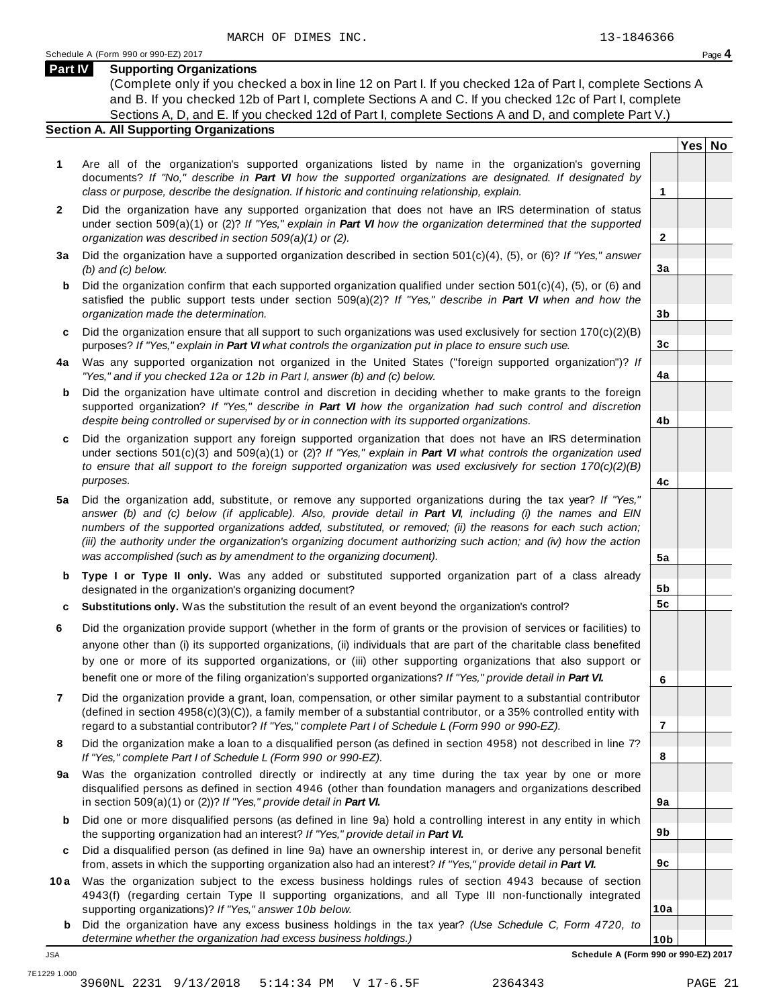#### **Part IV Supporting Organizations**

(Complete only if you checked a box in line 12 on Part I. If you checked 12a of Part I, complete Sections A and B. If you checked 12b of Part I, complete Sections A and C. If you checked 12c of Part I, complete Sections A, D, and E. If you checked 12d of Part I, complete Sections A and D, and complete Part V.)

#### **Section A. All Supporting Organizations**

- **1** Are all of the organization's supported organizations listed by name in the organization's governing documents? *If "No," describe in Part VI how the supported organizations are designated. If designated by class or purpose, describe the designation. If historic and continuing relationship, explain.* **1**
- **2** Did the organization have any supported organization that does not have an IRS determination of status under section 509(a)(1) or (2)? *If"Yes," explain in Part VI how the organization determined that the supported organization was described in section 509(a)(1) or (2).*
- **3 a** Did the organization have a supported organization described in section 501(c)(4), (5), or (6)? *If "Yes," answer (b) and (c) below.*
- **b** Did the organization confirm that each supported organization qualified under section 501(c)(4), (5), or (6) and | satisfied the public support tests under section 509(a)(2)? *If "Yes," describe in Part VI when and how the organization made the determination.*
- **c** Did the organization ensure that all support to such organizations was used exclusively for section 170(c)(2)(B) purposes? *If"Yes," explain in Part VI what controls the organization put in place to ensure such use.*
- **4 a** Was any supported organization not organized in the United States ("foreign supported organization")? *If "Yes," and if you checked 12a or 12b in Part I, answer (b) and (c) below.*
- **b** Did the organization have ultimate control and discretion in deciding whether to make grants to the foreign | supported organization? *If "Yes," describe in Part VI how the organization had such control and discretion despite being controlled or supervised by or in connection with its supported organizations.*
- **c** Did the organization support any foreign supported organization that does not have an IRS determination | under sections 501(c)(3) and 509(a)(1) or (2)? *If "Yes," explain in Part VI what controls the organization used to ensure that all support to the foreign supported organization was used exclusively for section 170(c)(2)(B) purposes.*
- **5 a** Did the organization add, substitute, or remove any supported organizations during the tax year? *If "Yes,"* answer (b) and (c) below (if applicable). Also, provide detail in Part VI, including (i) the names and EIN *numbers of the supported organizations added, substituted, or removed; (ii) the reasons for each such action;* (iii) the authority under the organization's organizing document authorizing such action; and (iv) how the action *was accomplished (such as by amendment to the organizing document).*
- **b** Type I or Type II only. Was any added or substituted supported organization part of a class already | designated in the organization's organizing document?
- **c Substitutions only.** Was the substitution the result of an event beyond the organization's control?
- **6** Did the organization provide support (whether in the form of grants or the provision of services or facilities) to anyone other than (i) its supported organizations, (ii) individuals that are part of the charitable class benefited by one or more of its supported organizations, or (iii) other supporting organizations that also support or benefit one or more of the filing organization's supported organizations? *If"Yes," provide detail in Part VI.*
- **7** Did the organization provide a grant, loan, compensation, or other similar payment to a substantial contributor (defined in section 4958(c)(3)(C)), a family member of a substantial contributor, or a 35% controlled entity with regard to a substantial contributor? *If"Yes," complete Part I of Schedule L (Form 990 or 990-EZ).*
- **8** Did the organization make a loan to a disqualified person (as defined in section 4958) not described in line 7? *If "Yes," complete Part I of Schedule L (Form 990 or 990-EZ).*
- **a** Was the organization controlled directly or indirectly at any time during the tax year by one or more | **9** disqualified persons as defined in section 4946 (other than foundation managers and organizations described in section 509(a)(1) or (2))? *If"Yes," provide detail in Part VI.*
- **b** Did one or more disqualified persons (as defined in line 9a) hold a controlling interest in any entity in which | the supporting organization had an interest? *If"Yes," provide detail in Part VI.*
- **c** Did a disqualified person (as defined in line 9a) have an ownership interest in, or derive any personal benefit from, assets in which the supporting organization also had an interest? *If"Yes," provide detail in Part VI.*
- **10a** Was the organization subject to the excess business holdings rules of section 4943 because of section | 4943(f) (regarding certain Type II supporting organizations, and all Type III non-functionally integrated supporting organizations)? *If"Yes," answer 10b below.*
	- **b** Did the organization have any excess business holdings in the tax year? *(Use Schedule C, Form 4720, to determine whether the organization had excess business holdings.)*

**Yes No**

**2**

**3a**

**3b**

**3c**

**4a**

**4b**

**4c**

**5a**

**5b 5c**

**6**

**7**

**8**

**9a**

**9b**

**9c**

**10a**

**10b** JSA **Schedule A (Form 990 or 990-EZ) 2017**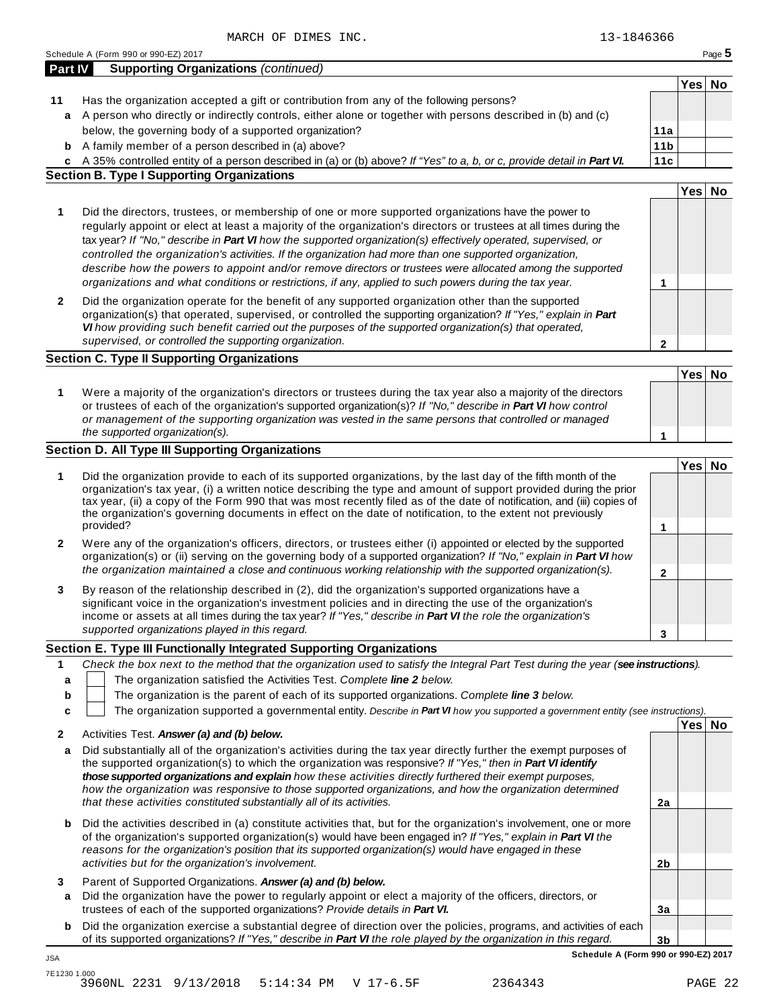| <b>Part IV</b>   | <b>Supporting Organizations (continued)</b>                                                                                                                                                                                                                                                                                                                                                                                                                                                                                                                                                                                                                                  |                 |        |  |
|------------------|------------------------------------------------------------------------------------------------------------------------------------------------------------------------------------------------------------------------------------------------------------------------------------------------------------------------------------------------------------------------------------------------------------------------------------------------------------------------------------------------------------------------------------------------------------------------------------------------------------------------------------------------------------------------------|-----------------|--------|--|
|                  |                                                                                                                                                                                                                                                                                                                                                                                                                                                                                                                                                                                                                                                                              |                 | Yes No |  |
| 11               | Has the organization accepted a gift or contribution from any of the following persons?                                                                                                                                                                                                                                                                                                                                                                                                                                                                                                                                                                                      |                 |        |  |
| a                | A person who directly or indirectly controls, either alone or together with persons described in (b) and (c)                                                                                                                                                                                                                                                                                                                                                                                                                                                                                                                                                                 |                 |        |  |
|                  | below, the governing body of a supported organization?                                                                                                                                                                                                                                                                                                                                                                                                                                                                                                                                                                                                                       | 11a             |        |  |
|                  | <b>b</b> A family member of a person described in (a) above?                                                                                                                                                                                                                                                                                                                                                                                                                                                                                                                                                                                                                 | 11 <sub>b</sub> |        |  |
|                  | c A 35% controlled entity of a person described in (a) or (b) above? If "Yes" to a, b, or c, provide detail in Part VI.                                                                                                                                                                                                                                                                                                                                                                                                                                                                                                                                                      | 11c             |        |  |
|                  | <b>Section B. Type I Supporting Organizations</b>                                                                                                                                                                                                                                                                                                                                                                                                                                                                                                                                                                                                                            |                 |        |  |
|                  |                                                                                                                                                                                                                                                                                                                                                                                                                                                                                                                                                                                                                                                                              |                 | Yes No |  |
| 1                | Did the directors, trustees, or membership of one or more supported organizations have the power to<br>regularly appoint or elect at least a majority of the organization's directors or trustees at all times during the<br>tax year? If "No," describe in Part VI how the supported organization(s) effectively operated, supervised, or<br>controlled the organization's activities. If the organization had more than one supported organization,<br>describe how the powers to appoint and/or remove directors or trustees were allocated among the supported<br>organizations and what conditions or restrictions, if any, applied to such powers during the tax year. | 1               |        |  |
| $\mathbf{2}$     | Did the organization operate for the benefit of any supported organization other than the supported<br>organization(s) that operated, supervised, or controlled the supporting organization? If "Yes," explain in Part<br>VI how providing such benefit carried out the purposes of the supported organization(s) that operated,<br>supervised, or controlled the supporting organization.                                                                                                                                                                                                                                                                                   | $\mathbf{2}$    |        |  |
|                  | <b>Section C. Type II Supporting Organizations</b>                                                                                                                                                                                                                                                                                                                                                                                                                                                                                                                                                                                                                           |                 |        |  |
|                  |                                                                                                                                                                                                                                                                                                                                                                                                                                                                                                                                                                                                                                                                              |                 | Yes No |  |
| 1                | Were a majority of the organization's directors or trustees during the tax year also a majority of the directors<br>or trustees of each of the organization's supported organization(s)? If "No," describe in Part VI how control<br>or management of the supporting organization was vested in the same persons that controlled or managed<br>the supported organization(s).                                                                                                                                                                                                                                                                                                | $\mathbf{1}$    |        |  |
|                  | <b>Section D. All Type III Supporting Organizations</b>                                                                                                                                                                                                                                                                                                                                                                                                                                                                                                                                                                                                                      |                 |        |  |
| 1                | Did the organization provide to each of its supported organizations, by the last day of the fifth month of the<br>organization's tax year, (i) a written notice describing the type and amount of support provided during the prior<br>tax year, (ii) a copy of the Form 990 that was most recently filed as of the date of notification, and (iii) copies of<br>the organization's governing documents in effect on the date of notification, to the extent not previously<br>provided?                                                                                                                                                                                     | $\mathbf{1}$    | Yes No |  |
|                  | Were any of the organization's officers, directors, or trustees either (i) appointed or elected by the supported                                                                                                                                                                                                                                                                                                                                                                                                                                                                                                                                                             |                 |        |  |
| 2                | organization(s) or (ii) serving on the governing body of a supported organization? If "No," explain in Part VI how<br>the organization maintained a close and continuous working relationship with the supported organization(s).                                                                                                                                                                                                                                                                                                                                                                                                                                            | $\mathbf{2}$    |        |  |
| 3                | By reason of the relationship described in (2), did the organization's supported organizations have a<br>significant voice in the organization's investment policies and in directing the use of the organization's<br>income or assets at all times during the tax year? If "Yes," describe in Part VI the role the organization's<br>supported organizations played in this regard.                                                                                                                                                                                                                                                                                        | 3               |        |  |
|                  | Section E. Type III Functionally Integrated Supporting Organizations                                                                                                                                                                                                                                                                                                                                                                                                                                                                                                                                                                                                         |                 |        |  |
| 1<br>а<br>b<br>c | Check the box next to the method that the organization used to satisfy the Integral Part Test during the year (see instructions).<br>The organization satisfied the Activities Test. Complete line 2 below.<br>The organization is the parent of each of its supported organizations. Complete line 3 below.<br>The organization supported a governmental entity. Describe in Part VI how you supported a government entity (see instructions).                                                                                                                                                                                                                              |                 | Yes No |  |
| 2                | Activities Test. Answer (a) and (b) below.                                                                                                                                                                                                                                                                                                                                                                                                                                                                                                                                                                                                                                   |                 |        |  |
| a                | Did substantially all of the organization's activities during the tax year directly further the exempt purposes of<br>the supported organization(s) to which the organization was responsive? If "Yes," then in Part VI identify<br>those supported organizations and explain how these activities directly furthered their exempt purposes,<br>how the organization was responsive to those supported organizations, and how the organization determined<br>that these activities constituted substantially all of its activities.                                                                                                                                          | 2a              |        |  |
| b                | Did the activities described in (a) constitute activities that, but for the organization's involvement, one or more<br>of the organization's supported organization(s) would have been engaged in? If "Yes," explain in Part VI the<br>reasons for the organization's position that its supported organization(s) would have engaged in these<br>activities but for the organization's involvement.                                                                                                                                                                                                                                                                          | 2 <sub>b</sub>  |        |  |
| 3                | Parent of Supported Organizations. Answer (a) and (b) below.                                                                                                                                                                                                                                                                                                                                                                                                                                                                                                                                                                                                                 |                 |        |  |
|                  | Did the organization have the power to regularly appoint or elect a majority of the officers, directors, or                                                                                                                                                                                                                                                                                                                                                                                                                                                                                                                                                                  |                 |        |  |
|                  | trustees of each of the supported organizations? Provide details in Part VI.                                                                                                                                                                                                                                                                                                                                                                                                                                                                                                                                                                                                 | 3a              |        |  |
| a                |                                                                                                                                                                                                                                                                                                                                                                                                                                                                                                                                                                                                                                                                              |                 |        |  |
| b                | Did the organization exercise a substantial degree of direction over the policies, programs, and activities of each<br>of its supported organizations? If "Yes," describe in Part VI the role played by the organization in this regard.                                                                                                                                                                                                                                                                                                                                                                                                                                     | 3 <sub>b</sub>  |        |  |

7E1230 1.000 3960NL 2231 9/13/2018 5:14:34 PM V 17-6.5F 2364343 PAGE 22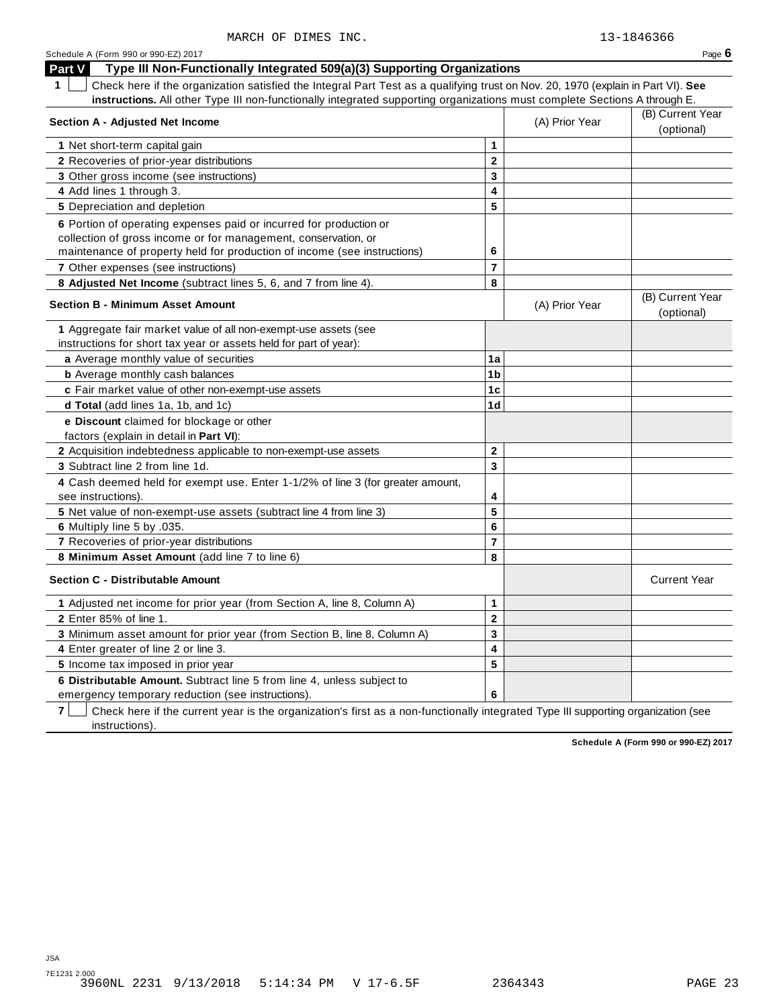| <b>Part V</b><br>Type III Non-Functionally Integrated 509(a)(3) Supporting Organizations                                               |                         |                |                                |
|----------------------------------------------------------------------------------------------------------------------------------------|-------------------------|----------------|--------------------------------|
| Check here if the organization satisfied the Integral Part Test as a qualifying trust on Nov. 20, 1970 (explain in Part VI). See<br>1. |                         |                |                                |
| instructions. All other Type III non-functionally integrated supporting organizations must complete Sections A through E.              |                         |                |                                |
| <b>Section A - Adjusted Net Income</b>                                                                                                 |                         | (A) Prior Year | (B) Current Year<br>(optional) |
| 1 Net short-term capital gain                                                                                                          | 1                       |                |                                |
| 2 Recoveries of prior-year distributions                                                                                               | $\mathbf 2$             |                |                                |
| 3 Other gross income (see instructions)                                                                                                | 3                       |                |                                |
| 4 Add lines 1 through 3.                                                                                                               | 4                       |                |                                |
| 5 Depreciation and depletion                                                                                                           | 5                       |                |                                |
| 6 Portion of operating expenses paid or incurred for production or                                                                     |                         |                |                                |
| collection of gross income or for management, conservation, or                                                                         |                         |                |                                |
| maintenance of property held for production of income (see instructions)                                                               | 6                       |                |                                |
| 7 Other expenses (see instructions)                                                                                                    | $\overline{7}$          |                |                                |
| 8 Adjusted Net Income (subtract lines 5, 6, and 7 from line 4).                                                                        | 8                       |                |                                |
| <b>Section B - Minimum Asset Amount</b>                                                                                                |                         | (A) Prior Year | (B) Current Year<br>(optional) |
| 1 Aggregate fair market value of all non-exempt-use assets (see                                                                        |                         |                |                                |
| instructions for short tax year or assets held for part of year):                                                                      | 1a                      |                |                                |
| a Average monthly value of securities                                                                                                  | 1 <sub>b</sub>          |                |                                |
| <b>b</b> Average monthly cash balances<br>c Fair market value of other non-exempt-use assets                                           | 1c                      |                |                                |
| d Total (add lines 1a, 1b, and 1c)                                                                                                     | 1 <sub>d</sub>          |                |                                |
|                                                                                                                                        |                         |                |                                |
| e Discount claimed for blockage or other                                                                                               |                         |                |                                |
| factors (explain in detail in <b>Part VI)</b> :                                                                                        | $\mathbf{2}$            |                |                                |
| 2 Acquisition indebtedness applicable to non-exempt-use assets<br>3 Subtract line 2 from line 1d.                                      | 3                       |                |                                |
|                                                                                                                                        |                         |                |                                |
| 4 Cash deemed held for exempt use. Enter 1-1/2% of line 3 (for greater amount,<br>see instructions).                                   | 4                       |                |                                |
| 5 Net value of non-exempt-use assets (subtract line 4 from line 3)                                                                     | 5                       |                |                                |
| 6 Multiply line 5 by .035.                                                                                                             | 6                       |                |                                |
| 7 Recoveries of prior-year distributions                                                                                               | $\overline{\mathbf{r}}$ |                |                                |
| 8 Minimum Asset Amount (add line 7 to line 6)                                                                                          | 8                       |                |                                |
| <b>Section C - Distributable Amount</b>                                                                                                |                         |                | <b>Current Year</b>            |
| 1 Adjusted net income for prior year (from Section A, line 8, Column A)                                                                | 1                       |                |                                |
| 2 Enter 85% of line 1.                                                                                                                 | $\mathbf 2$             |                |                                |
| 3 Minimum asset amount for prior year (from Section B, line 8, Column A)                                                               | $\overline{\mathbf{3}}$ |                |                                |
| 4 Enter greater of line 2 or line 3.                                                                                                   | 4                       |                |                                |
| 5 Income tax imposed in prior year                                                                                                     | 5                       |                |                                |
| 6 Distributable Amount. Subtract line 5 from line 4, unless subject to                                                                 |                         |                |                                |
| emergency temporary reduction (see instructions).                                                                                      | 6                       |                |                                |

**7**  $\Box$  Check here if the current year is the organization's first as a non-functionally integrated Type III supporting organization (see instructions).

**Schedule A (Form 990 or 990-EZ) 2017**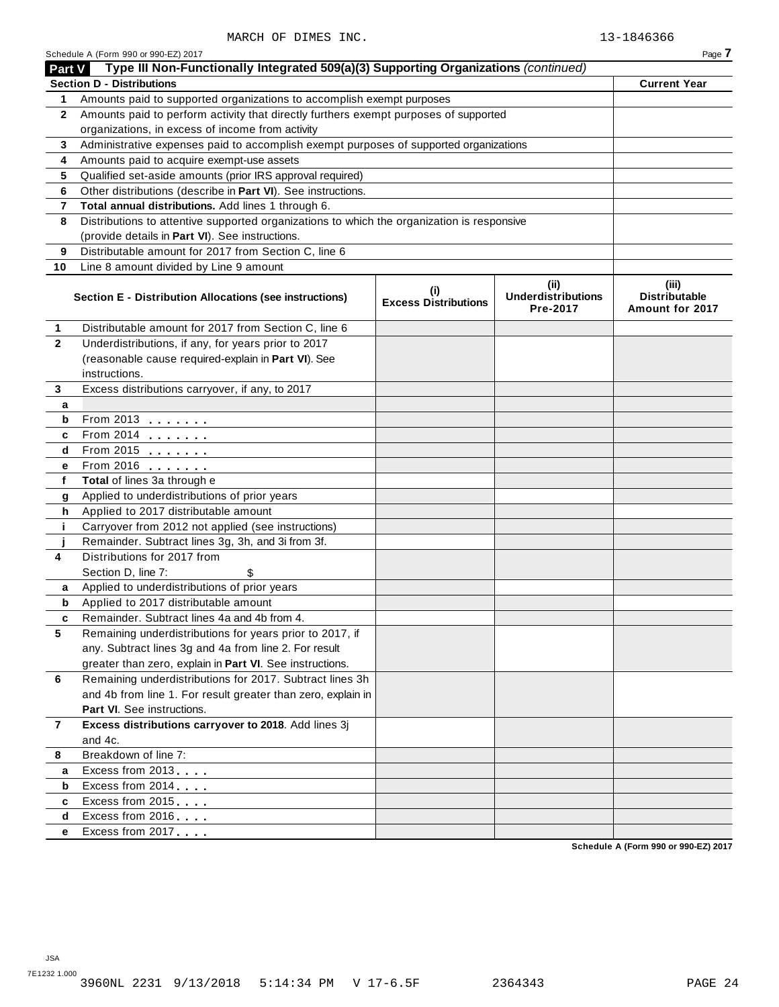|  | Schedule A (Form 990 or 990-EZ) 2017 |  |
|--|--------------------------------------|--|
|  |                                      |  |

|                | Schedule A (Form 990 or 990-EZ) 2017                                                                                     |                                    |                                               | Page 7                                           |
|----------------|--------------------------------------------------------------------------------------------------------------------------|------------------------------------|-----------------------------------------------|--------------------------------------------------|
| Part V         | Type III Non-Functionally Integrated 509(a)(3) Supporting Organizations (continued)                                      |                                    |                                               |                                                  |
|                | <b>Section D - Distributions</b>                                                                                         |                                    |                                               | <b>Current Year</b>                              |
| 1              | Amounts paid to supported organizations to accomplish exempt purposes                                                    |                                    |                                               |                                                  |
| $\mathbf{2}$   | Amounts paid to perform activity that directly furthers exempt purposes of supported                                     |                                    |                                               |                                                  |
|                | organizations, in excess of income from activity                                                                         |                                    |                                               |                                                  |
| 3              | Administrative expenses paid to accomplish exempt purposes of supported organizations                                    |                                    |                                               |                                                  |
| 4              | Amounts paid to acquire exempt-use assets                                                                                |                                    |                                               |                                                  |
| 5              | Qualified set-aside amounts (prior IRS approval required)                                                                |                                    |                                               |                                                  |
| 6              | Other distributions (describe in Part VI). See instructions.                                                             |                                    |                                               |                                                  |
| 7              | Total annual distributions. Add lines 1 through 6.                                                                       |                                    |                                               |                                                  |
| 8              | Distributions to attentive supported organizations to which the organization is responsive                               |                                    |                                               |                                                  |
|                | (provide details in Part VI). See instructions.                                                                          |                                    |                                               |                                                  |
| 9              | Distributable amount for 2017 from Section C, line 6                                                                     |                                    |                                               |                                                  |
| 10             | Line 8 amount divided by Line 9 amount                                                                                   |                                    |                                               |                                                  |
|                | Section E - Distribution Allocations (see instructions)                                                                  | (i)<br><b>Excess Distributions</b> | (ii)<br><b>Underdistributions</b><br>Pre-2017 | (iii)<br><b>Distributable</b><br>Amount for 2017 |
| 1              | Distributable amount for 2017 from Section C, line 6                                                                     |                                    |                                               |                                                  |
| $\mathbf{2}$   | Underdistributions, if any, for years prior to 2017                                                                      |                                    |                                               |                                                  |
|                | (reasonable cause required-explain in Part VI). See                                                                      |                                    |                                               |                                                  |
|                | instructions.                                                                                                            |                                    |                                               |                                                  |
| 3              | Excess distributions carryover, if any, to 2017                                                                          |                                    |                                               |                                                  |
| a              |                                                                                                                          |                                    |                                               |                                                  |
| b              | From 2013                                                                                                                |                                    |                                               |                                                  |
| c              | From 2014 <b></b>                                                                                                        |                                    |                                               |                                                  |
| d              | From 2015                                                                                                                |                                    |                                               |                                                  |
| е              | From 2016                                                                                                                |                                    |                                               |                                                  |
| $\mathbf f$    | Total of lines 3a through e                                                                                              |                                    |                                               |                                                  |
| g              | Applied to underdistributions of prior years                                                                             |                                    |                                               |                                                  |
| h              | Applied to 2017 distributable amount                                                                                     |                                    |                                               |                                                  |
| j.             | Carryover from 2012 not applied (see instructions)                                                                       |                                    |                                               |                                                  |
|                | Remainder. Subtract lines 3g, 3h, and 3i from 3f.                                                                        |                                    |                                               |                                                  |
| 4              | Distributions for 2017 from                                                                                              |                                    |                                               |                                                  |
|                | Section D, line 7:<br>\$                                                                                                 |                                    |                                               |                                                  |
| a              | Applied to underdistributions of prior years                                                                             |                                    |                                               |                                                  |
| b              | Applied to 2017 distributable amount                                                                                     |                                    |                                               |                                                  |
| c              | Remainder. Subtract lines 4a and 4b from 4.                                                                              |                                    |                                               |                                                  |
| 5              | Remaining underdistributions for years prior to 2017, if                                                                 |                                    |                                               |                                                  |
|                | any. Subtract lines 3g and 4a from line 2. For result                                                                    |                                    |                                               |                                                  |
|                | greater than zero, explain in Part VI. See instructions.                                                                 |                                    |                                               |                                                  |
| 6              | Remaining underdistributions for 2017. Subtract lines 3h<br>and 4b from line 1. For result greater than zero, explain in |                                    |                                               |                                                  |
|                | Part VI. See instructions.                                                                                               |                                    |                                               |                                                  |
| $\overline{7}$ | Excess distributions carryover to 2018. Add lines 3j                                                                     |                                    |                                               |                                                  |
|                | and 4c.                                                                                                                  |                                    |                                               |                                                  |
| 8              | Breakdown of line 7:                                                                                                     |                                    |                                               |                                                  |
| a              | Excess from 2013                                                                                                         |                                    |                                               |                                                  |
| b              | Excess from 2014                                                                                                         |                                    |                                               |                                                  |
| c              | Excess from 2015                                                                                                         |                                    |                                               |                                                  |
| d              | Excess from 2016                                                                                                         |                                    |                                               |                                                  |
| е              | Excess from 2017                                                                                                         |                                    |                                               |                                                  |
|                |                                                                                                                          |                                    |                                               |                                                  |

**Schedule A (Form 990 or 990-EZ) 2017**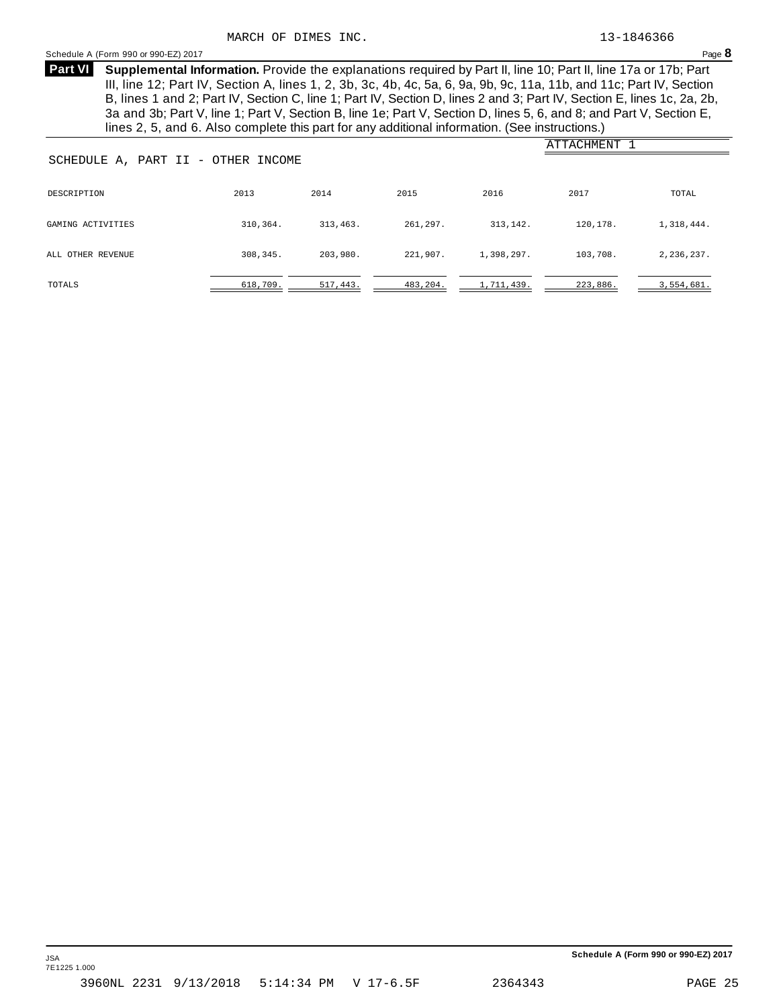#### <span id="page-21-0"></span>Schedule <sup>A</sup> (Form <sup>990</sup> or 990-EZ) <sup>2017</sup> Page **8**

**Supplemental Information.** Provide the explanations required by Part II, line 10; Part II, line 17a or 17b; Part **Part VI** III, line 12; Part IV, Section A, lines 1, 2, 3b, 3c, 4b, 4c, 5a, 6, 9a, 9b, 9c, 11a, 11b, and 11c; Part IV, Section B, lines 1 and 2; Part IV, Section C, line 1; Part IV, Section D, lines 2 and 3; Part IV, Section E, lines 1c, 2a, 2b, 3a and 3b; Part V, line 1; Part V, Section B, line 1e; Part V, Section D, lines 5, 6, and 8; and Part V, Section E, lines 2, 5, and 6. Also complete this part for any additional information. (See instructions.)

| ATTACHMENT<br>SCHEDULE A, PART II - OTHER INCOME |          |          |          |            |           |            |
|--------------------------------------------------|----------|----------|----------|------------|-----------|------------|
| DESCRIPTION                                      | 2013     | 2014     | 2015     | 2016       | 2017      | TOTAL      |
| GAMING ACTIVITIES                                | 310,364. | 313.463. | 261,297. | 313, 142.  | 120, 178. | 1,318,444. |
| ALL OTHER REVENUE                                | 308,345. | 203,980. | 221,907. | 1,398,297. | 103,708.  | 2,236,237. |
| TOTALS                                           | 618,709. | 517,443. | 483,204. | 1,711,439. | 223,886.  | 3,554,681. |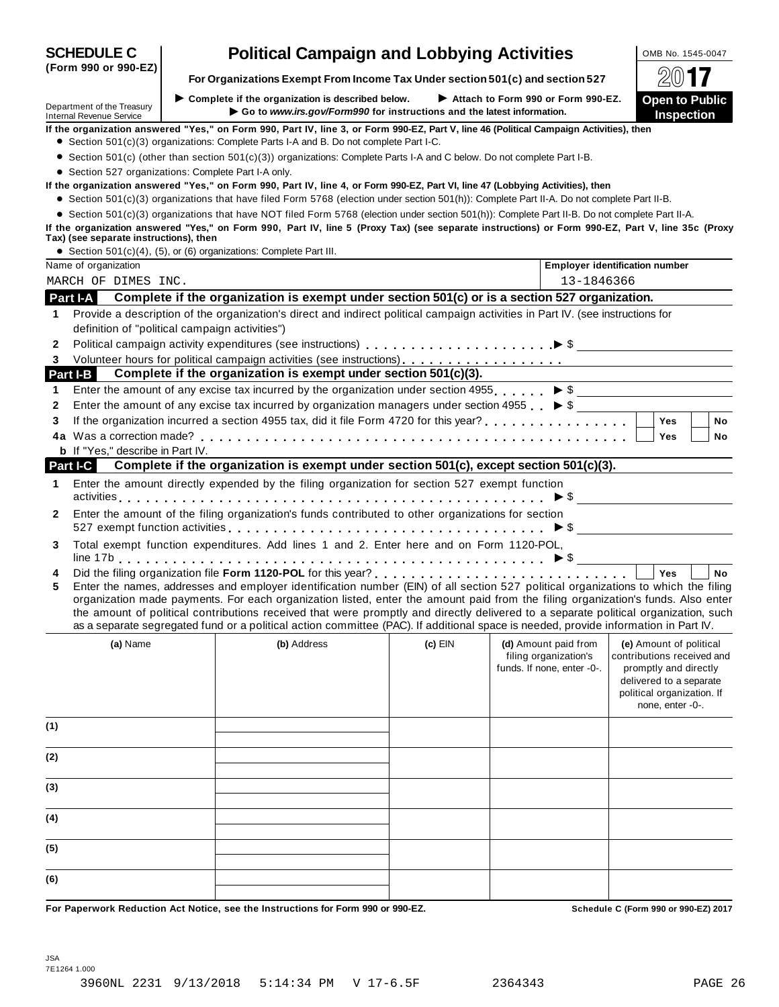|            | Department of the Treasury<br><b>Internal Revenue Service</b> | $\blacktriangleright$ Complete if the organization is described below.<br>Go to www.irs.gov/Form990 for instructions and the latest information.                                                                                                                           |           | Attach to Form 990 or Form 990-EZ.            | <b>Open to Public</b><br><b>Inspection</b>          |
|------------|---------------------------------------------------------------|----------------------------------------------------------------------------------------------------------------------------------------------------------------------------------------------------------------------------------------------------------------------------|-----------|-----------------------------------------------|-----------------------------------------------------|
|            |                                                               | If the organization answered "Yes," on Form 990, Part IV, line 3, or Form 990-EZ, Part V, line 46 (Political Campaign Activities), then                                                                                                                                    |           |                                               |                                                     |
|            |                                                               | • Section 501(c)(3) organizations: Complete Parts I-A and B. Do not complete Part I-C.                                                                                                                                                                                     |           |                                               |                                                     |
|            |                                                               | • Section 501(c) (other than section 501(c)(3)) organizations: Complete Parts I-A and C below. Do not complete Part I-B.                                                                                                                                                   |           |                                               |                                                     |
|            |                                                               | • Section 527 organizations: Complete Part I-A only.                                                                                                                                                                                                                       |           |                                               |                                                     |
|            |                                                               | If the organization answered "Yes," on Form 990, Part IV, line 4, or Form 990-EZ, Part VI, line 47 (Lobbying Activities), then                                                                                                                                             |           |                                               |                                                     |
|            |                                                               | • Section 501(c)(3) organizations that have filed Form 5768 (election under section 501(h)): Complete Part II-A. Do not complete Part II-B.                                                                                                                                |           |                                               |                                                     |
|            |                                                               | • Section 501(c)(3) organizations that have NOT filed Form 5768 (election under section 501(h)): Complete Part II-B. Do not complete Part II-A.                                                                                                                            |           |                                               |                                                     |
|            | Tax) (see separate instructions), then                        | If the organization answered "Yes," on Form 990, Part IV, line 5 (Proxy Tax) (see separate instructions) or Form 990-EZ, Part V, line 35c (Proxy                                                                                                                           |           |                                               |                                                     |
|            |                                                               | • Section 501(c)(4), (5), or (6) organizations: Complete Part III.                                                                                                                                                                                                         |           |                                               |                                                     |
|            | Name of organization                                          |                                                                                                                                                                                                                                                                            |           |                                               | <b>Employer identification number</b>               |
|            | MARCH OF DIMES INC.                                           |                                                                                                                                                                                                                                                                            |           | 13-1846366                                    |                                                     |
| Part I-A   |                                                               | Complete if the organization is exempt under section 501(c) or is a section 527 organization.                                                                                                                                                                              |           |                                               |                                                     |
|            |                                                               | Provide a description of the organization's direct and indirect political campaign activities in Part IV. (see instructions for                                                                                                                                            |           |                                               |                                                     |
| 1          |                                                               |                                                                                                                                                                                                                                                                            |           |                                               |                                                     |
|            |                                                               | definition of "political campaign activities")                                                                                                                                                                                                                             |           |                                               |                                                     |
| 2          |                                                               |                                                                                                                                                                                                                                                                            |           |                                               |                                                     |
| 3          |                                                               |                                                                                                                                                                                                                                                                            |           |                                               |                                                     |
| Part I-B   |                                                               | Complete if the organization is exempt under section 501(c)(3).                                                                                                                                                                                                            |           |                                               |                                                     |
| 1          |                                                               | Enter the amount of any excise tax incurred by the organization under section 4955. $\triangleright$ \$                                                                                                                                                                    |           |                                               |                                                     |
| 2          |                                                               | Enter the amount of any excise tax incurred by organization managers under section 4955 $\triangleright$ \$                                                                                                                                                                |           |                                               |                                                     |
| 3          |                                                               |                                                                                                                                                                                                                                                                            |           |                                               | <b>Yes</b><br>No                                    |
|            |                                                               |                                                                                                                                                                                                                                                                            |           |                                               | Yes<br>No                                           |
|            | <b>b</b> If "Yes," describe in Part IV.                       |                                                                                                                                                                                                                                                                            |           |                                               |                                                     |
| Part I-C I |                                                               | Complete if the organization is exempt under section 501(c), except section 501(c)(3).                                                                                                                                                                                     |           |                                               |                                                     |
| 1          |                                                               | Enter the amount directly expended by the filing organization for section 527 exempt function                                                                                                                                                                              |           |                                               | $\triangleright$ \$                                 |
| 2          |                                                               | Enter the amount of the filing organization's funds contributed to other organizations for section                                                                                                                                                                         |           |                                               |                                                     |
|            |                                                               |                                                                                                                                                                                                                                                                            |           |                                               |                                                     |
| 3          |                                                               | Total exempt function expenditures. Add lines 1 and 2. Enter here and on Form 1120-POL,                                                                                                                                                                                    |           |                                               |                                                     |
|            |                                                               |                                                                                                                                                                                                                                                                            |           |                                               |                                                     |
| 4          |                                                               |                                                                                                                                                                                                                                                                            |           |                                               | <b>No</b><br><b>Yes</b>                             |
| 5          |                                                               | Enter the names, addresses and employer identification number (EIN) of all section 527 political organizations to which the filing                                                                                                                                         |           |                                               |                                                     |
|            |                                                               | organization made payments. For each organization listed, enter the amount paid from the filing organization's funds. Also enter                                                                                                                                           |           |                                               |                                                     |
|            |                                                               | the amount of political contributions received that were promptly and directly delivered to a separate political organization, such<br>as a separate segregated fund or a political action committee (PAC). If additional space is needed, provide information in Part IV. |           |                                               |                                                     |
|            |                                                               |                                                                                                                                                                                                                                                                            |           |                                               |                                                     |
|            | (a) Name                                                      | (b) Address                                                                                                                                                                                                                                                                | $(c)$ EIN | (d) Amount paid from<br>filing organization's | (e) Amount of political                             |
|            |                                                               |                                                                                                                                                                                                                                                                            |           | funds. If none, enter -0-.                    | contributions received and<br>promptly and directly |
|            |                                                               |                                                                                                                                                                                                                                                                            |           |                                               | delivered to a separate                             |
|            |                                                               |                                                                                                                                                                                                                                                                            |           |                                               | political organization. If                          |
|            |                                                               |                                                                                                                                                                                                                                                                            |           |                                               | none, enter -0-.                                    |
| (1)        |                                                               |                                                                                                                                                                                                                                                                            |           |                                               |                                                     |
|            |                                                               |                                                                                                                                                                                                                                                                            |           |                                               |                                                     |
| (2)        |                                                               |                                                                                                                                                                                                                                                                            |           |                                               |                                                     |
| (3)        |                                                               |                                                                                                                                                                                                                                                                            |           |                                               |                                                     |
|            |                                                               |                                                                                                                                                                                                                                                                            |           |                                               |                                                     |
| (4)        |                                                               |                                                                                                                                                                                                                                                                            |           |                                               |                                                     |
| (5)        |                                                               |                                                                                                                                                                                                                                                                            |           |                                               |                                                     |
|            |                                                               |                                                                                                                                                                                                                                                                            |           |                                               |                                                     |
|            |                                                               |                                                                                                                                                                                                                                                                            |           |                                               |                                                     |
| (6)        |                                                               |                                                                                                                                                                                                                                                                            |           |                                               |                                                     |

## **SCHEDULE C Political Campaign and Lobbying Activities LOMB No. 1545-0047**

7E1264 1.000

JSA



**(Form 990 or 990-EZ)**

 $\blacktriangleright$  **Complete** if the organization is described below.

**For Organizations Exempt From Income Tax Under section 501(c) and section <sup>527</sup>** À¾µ»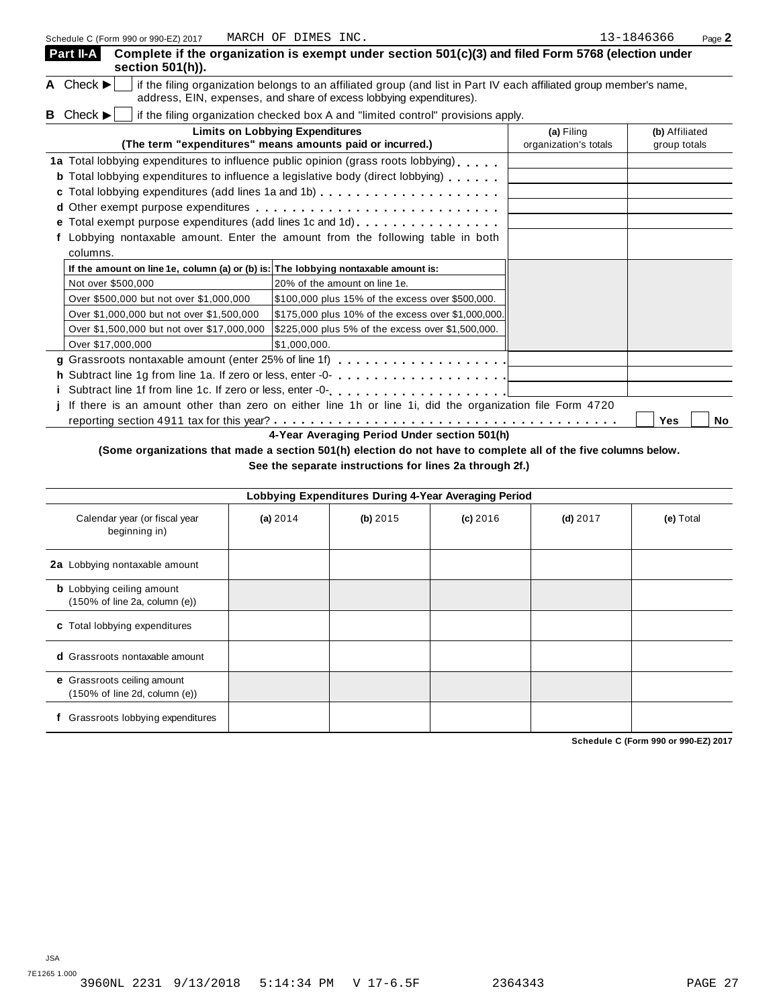| Schedule C (Form 990 or 990-EZ) 2017                                               | MARCH OF DIMES INC.                                                                                                                                                                                                                      |                                     | 13-1846366<br>Page 2           |
|------------------------------------------------------------------------------------|------------------------------------------------------------------------------------------------------------------------------------------------------------------------------------------------------------------------------------------|-------------------------------------|--------------------------------|
| Part II-A<br>section 501(h)).                                                      | Complete if the organization is exempt under section 501(c)(3) and filed Form 5768 (election under                                                                                                                                       |                                     |                                |
| A Check $\blacktriangleright$                                                      | if the filing organization belongs to an affiliated group (and list in Part IV each affiliated group member's name,<br>address, EIN, expenses, and share of excess lobbying expenditures).                                               |                                     |                                |
| <b>B</b> Check $\blacktriangleright$                                               | if the filing organization checked box A and "limited control" provisions apply.                                                                                                                                                         |                                     |                                |
|                                                                                    | <b>Limits on Lobbying Expenditures</b><br>(The term "expenditures" means amounts paid or incurred.)                                                                                                                                      | (a) Filing<br>organization's totals | (b) Affiliated<br>group totals |
|                                                                                    | 1a Total lobbying expenditures to influence public opinion (grass roots lobbying)<br><b>b</b> Total lobbying expenditures to influence a legislative body (direct lobbying)<br>e Total exempt purpose expenditures (add lines 1c and 1d) |                                     |                                |
| columns.                                                                           | Lobbying nontaxable amount. Enter the amount from the following table in both                                                                                                                                                            |                                     |                                |
| If the amount on line 1e, column (a) or (b) is: The lobbying nontaxable amount is: |                                                                                                                                                                                                                                          |                                     |                                |
| Not over \$500,000                                                                 | 20% of the amount on line 1e.                                                                                                                                                                                                            |                                     |                                |
| Over \$500,000 but not over \$1,000,000                                            | \$100,000 plus 15% of the excess over \$500,000.                                                                                                                                                                                         |                                     |                                |
| Over \$1,000,000 but not over \$1,500,000                                          | \$175,000 plus 10% of the excess over \$1,000,000.                                                                                                                                                                                       |                                     |                                |
| Over \$1,500,000 but not over \$17,000,000                                         | \$225,000 plus 5% of the excess over \$1,500,000.                                                                                                                                                                                        |                                     |                                |
| Over \$17,000,000                                                                  | \$1,000,000.                                                                                                                                                                                                                             |                                     |                                |
|                                                                                    |                                                                                                                                                                                                                                          |                                     |                                |
|                                                                                    | h Subtract line 1g from line 1a. If zero or less, enter -0-                                                                                                                                                                              |                                     |                                |
|                                                                                    |                                                                                                                                                                                                                                          |                                     |                                |
|                                                                                    | j If there is an amount other than zero on either line 1h or line 1i, did the organization file Form 4720                                                                                                                                |                                     |                                |
|                                                                                    |                                                                                                                                                                                                                                          |                                     | Yes<br>No                      |
|                                                                                    | 4-Year Averaging Period Under section 501(h)                                                                                                                                                                                             |                                     |                                |

(Some organizations that made a section 501(h) election do not have to complete all of the five columns below.

**See the separate instructions for lines 2a through 2f.)**

| Lobbying Expenditures During 4-Year Averaging Period              |            |            |            |            |           |  |  |
|-------------------------------------------------------------------|------------|------------|------------|------------|-----------|--|--|
| Calendar year (or fiscal year<br>beginning in)                    | (a) $2014$ | $(b)$ 2015 | $(c)$ 2016 | $(d)$ 2017 | (e) Total |  |  |
| 2a Lobbying nontaxable amount                                     |            |            |            |            |           |  |  |
| <b>b</b> Lobbying ceiling amount<br>(150% of line 2a, column (e)) |            |            |            |            |           |  |  |
| c Total lobbying expenditures                                     |            |            |            |            |           |  |  |
| <b>d</b> Grassroots nontaxable amount                             |            |            |            |            |           |  |  |
| e Grassroots ceiling amount<br>(150% of line 2d, column (e))      |            |            |            |            |           |  |  |
| Grassroots lobbying expenditures                                  |            |            |            |            |           |  |  |

**Schedule C (Form 990 or 990-EZ) 2017**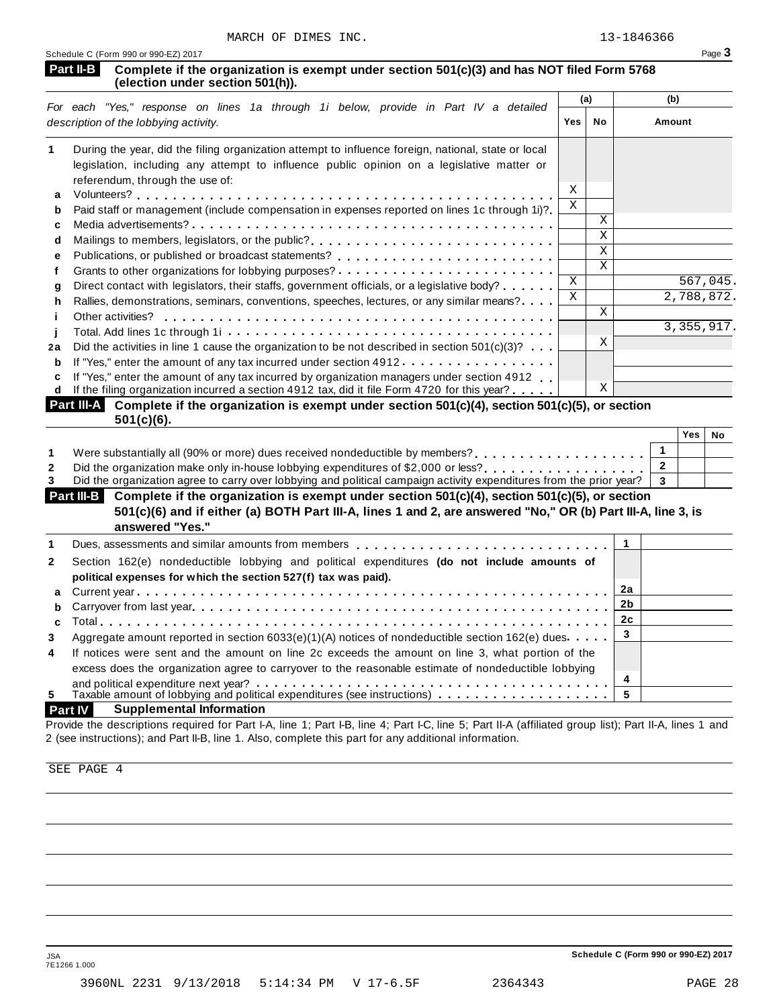**Yes No**

| <b>Part II-B</b> Complete if the organization is exempt under section 501(c)(3) and has NOT filed Form 5768 |  |
|-------------------------------------------------------------------------------------------------------------|--|
| (election under section 501(h)).                                                                            |  |

| For each "Yes," response on lines 1a through 1i below, provide in Part IV a detailed |                                                                                                                                                                                                                                     | (a) |              | (b)        |  |
|--------------------------------------------------------------------------------------|-------------------------------------------------------------------------------------------------------------------------------------------------------------------------------------------------------------------------------------|-----|--------------|------------|--|
|                                                                                      | description of the lobbying activity.                                                                                                                                                                                               | Yes | No           | Amount     |  |
|                                                                                      | During the year, did the filing organization attempt to influence foreign, national, state or local<br>legislation, including any attempt to influence public opinion on a legislative matter or<br>referendum, through the use of: |     |              |            |  |
| a                                                                                    |                                                                                                                                                                                                                                     | X   |              |            |  |
| b                                                                                    | Paid staff or management (include compensation in expenses reported on lines 1c through 1i)?                                                                                                                                        | X   |              |            |  |
| c                                                                                    |                                                                                                                                                                                                                                     |     | X            |            |  |
| d                                                                                    |                                                                                                                                                                                                                                     |     | X            |            |  |
| е                                                                                    | Publications, or published or broadcast statements?                                                                                                                                                                                 |     | X            |            |  |
|                                                                                      | Grants to other organizations for lobbying purposes?                                                                                                                                                                                |     | $\mathbf{X}$ |            |  |
| q                                                                                    | Direct contact with legislators, their staffs, government officials, or a legislative body?                                                                                                                                         | X   |              | 567,045.   |  |
| h                                                                                    | Rallies, demonstrations, seminars, conventions, speeches, lectures, or any similar means?                                                                                                                                           | X   |              | 2,788,872. |  |
|                                                                                      | Other activities?                                                                                                                                                                                                                   |     | X            |            |  |
|                                                                                      |                                                                                                                                                                                                                                     |     |              | 3,355,917. |  |
| 2a                                                                                   | Did the activities in line 1 cause the organization to be not described in section $501(c)(3)$ ?                                                                                                                                    |     | Χ            |            |  |
| b                                                                                    | If "Yes," enter the amount of any tax incurred under section 4912                                                                                                                                                                   |     |              |            |  |
| c<br>d                                                                               | If "Yes," enter the amount of any tax incurred by organization managers under section 4912<br>If the filing organization incurred a section 4912 tax, did it file Form 4720 for this year?                                          |     | X            |            |  |
|                                                                                      | <b>Part III-A</b> Complete if the organization is exempt under section $501(c)(4)$ , section $501(c)(5)$ , or section                                                                                                               |     |              |            |  |

| $501(c)(6)$ . | <b>Part III-A</b> Complete if the organization is exempt under section $501(c)(4)$ , section $501(c)(5)$ , or section |                                                                                                                                                                                                                                                                                                             |  |            |  |
|---------------|-----------------------------------------------------------------------------------------------------------------------|-------------------------------------------------------------------------------------------------------------------------------------------------------------------------------------------------------------------------------------------------------------------------------------------------------------|--|------------|--|
|               |                                                                                                                       |                                                                                                                                                                                                                                                                                                             |  | <b>Yes</b> |  |
|               |                                                                                                                       |                                                                                                                                                                                                                                                                                                             |  |            |  |
|               |                                                                                                                       | $\mathbf{r}$ , $\mathbf{r}$ , $\mathbf{r}$ , $\mathbf{r}$ , $\mathbf{r}$ , $\mathbf{r}$ , $\mathbf{r}$ , $\mathbf{r}$ , $\mathbf{r}$ , $\mathbf{r}$ , $\mathbf{r}$ , $\mathbf{r}$ , $\mathbf{r}$ , $\mathbf{r}$ , $\mathbf{r}$ , $\mathbf{r}$ , $\mathbf{r}$ , $\mathbf{r}$ , $\mathbf{r}$ , $\mathbf{r}$ , |  |            |  |

|--|--|--|--|

3 Did the organization agree to carry over lobbying and political campaign activity expenditures from the prior year? **3** 

**Complete if the organization is exempt under section 501(c)(4), section 501(c)(5), or section Part III-B** 501(c)(6) and if either (a) BOTH Part III-A, lines 1 and 2, are answered "No," OR (b) Part III-A, line 3, is **answered "Yes."**

|                | answered res.                                                                                                                                                                                                                  |     |  |
|----------------|--------------------------------------------------------------------------------------------------------------------------------------------------------------------------------------------------------------------------------|-----|--|
|                | Dues, assessments and similar amounts from members entitled values of the set of the system of the system of the system of the system of the system of the system of the system of the system of the system of the system of t |     |  |
| $\overline{2}$ | Section 162(e) nondeductible lobbying and political expenditures (do not include amounts of<br>political expenses for which the section 527(f) tax was paid).                                                                  |     |  |
|                |                                                                                                                                                                                                                                | 2a  |  |
|                |                                                                                                                                                                                                                                |     |  |
|                |                                                                                                                                                                                                                                | 2c  |  |
| 3              | Aggregate amount reported in section 6033(e)(1)(A) notices of nondeductible section 162(e) dues.                                                                                                                               | - 3 |  |
| 4              | If notices were sent and the amount on line 2c exceeds the amount on line 3, what portion of the<br>excess does the organization agree to carryover to the reasonable estimate of nondeductible lobbying                       |     |  |
|                |                                                                                                                                                                                                                                | 4   |  |
| 5.             | Taxable amount of lobbying and political expenditures (see instructions) $\ldots \ldots \ldots \ldots$                                                                                                                         | 5   |  |

#### **Part IV Supplemental Information**

Provide the descriptions required for Part I-A, line 1; Part I-B, line 4; Part I-C, line 5; Part II-A (affiliated group list); Part II-A, lines 1 and 2 (see instructions); and Part II-B, line 1. Also, complete this part for any additional information.

SEE PAGE 4

JSA **Schedule C (Form 990 or 990-EZ) 2017**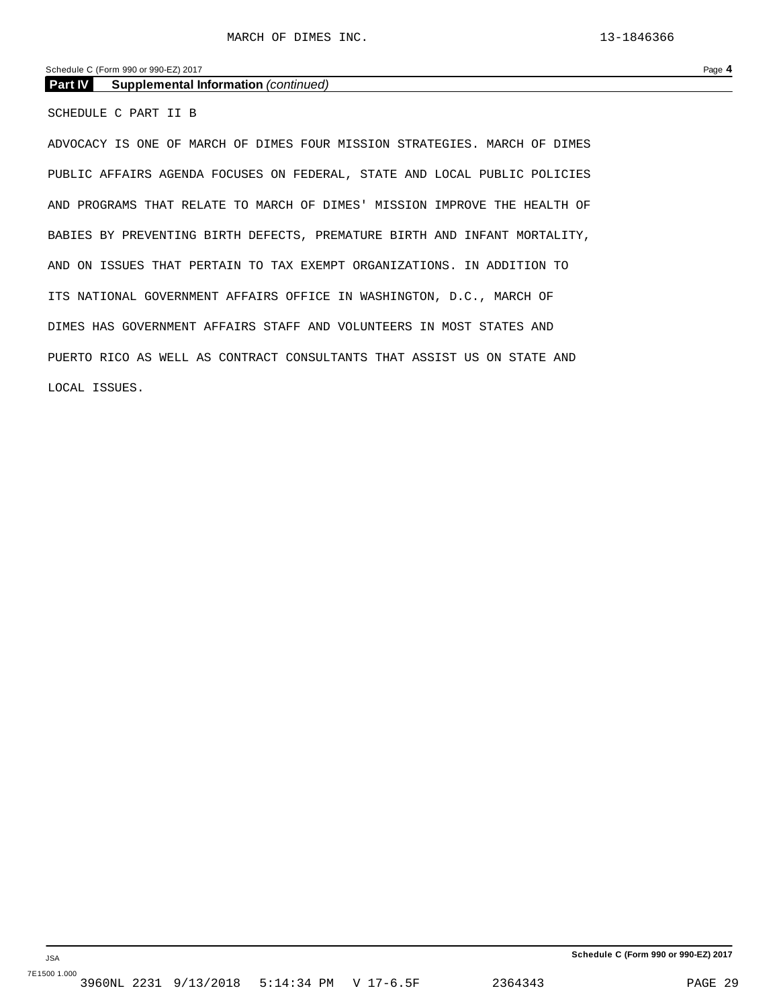Schedule C (Form 990 or 990-EZ) 2017 Page **4**

**Part IV Supplemental Information** *(continued)*

SCHEDULE C PART II B

ADVOCACY IS ONE OF MARCH OF DIMES FOUR MISSION STRATEGIES. MARCH OF DIMES PUBLIC AFFAIRS AGENDA FOCUSES ON FEDERAL, STATE AND LOCAL PUBLIC POLICIES AND PROGRAMS THAT RELATE TO MARCH OF DIMES' MISSION IMPROVE THE HEALTH OF BABIES BY PREVENTING BIRTH DEFECTS, PREMATURE BIRTH AND INFANT MORTALITY, AND ON ISSUES THAT PERTAIN TO TAX EXEMPT ORGANIZATIONS. IN ADDITION TO ITS NATIONAL GOVERNMENT AFFAIRS OFFICE IN WASHINGTON, D.C., MARCH OF DIMES HAS GOVERNMENT AFFAIRS STAFF AND VOLUNTEERS IN MOST STATES AND PUERTO RICO AS WELL AS CONTRACT CONSULTANTS THAT ASSIST US ON STATE AND LOCAL ISSUES.

**Schedule C (Form 990 or 990-EZ) 2017**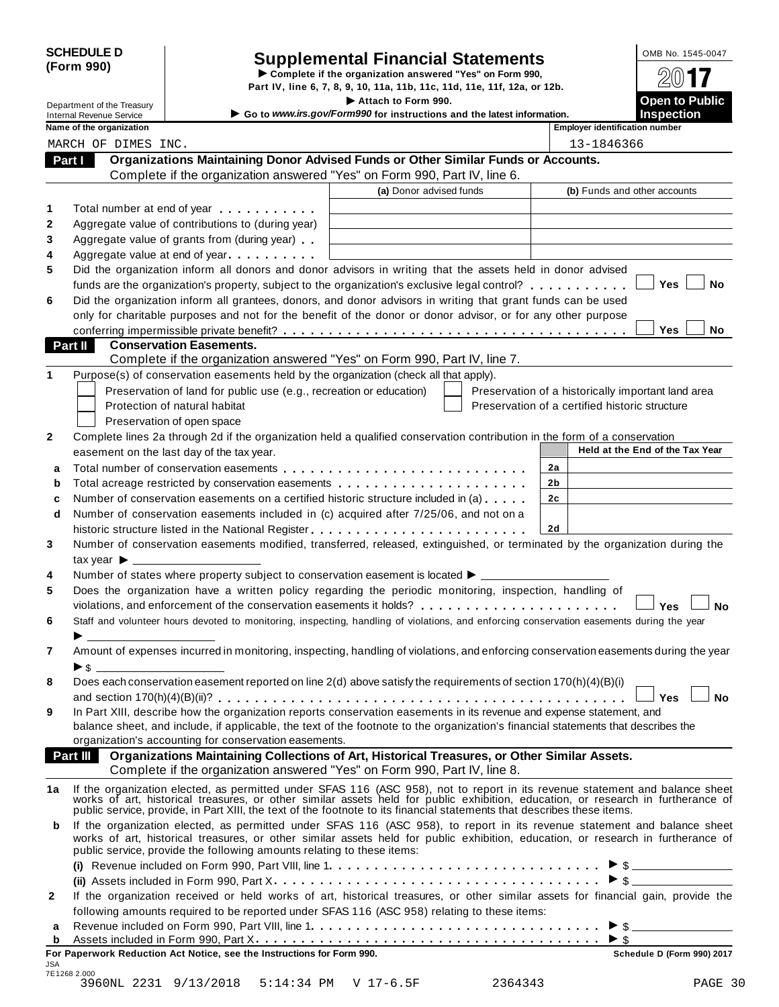# SCHEDULE D<br>
Supplemental Financial Statements<br>
Form 990) Part IV, line 6, 7, 8, 9, 10, 11a, 11b, 11c, 11d, 11e, 11f, 12a, or 12b.

|                                                               |                                                                                                                                                                                                                                                                                                                                                           | Part IV, line 6, 7, 8, 9, 10, 11a, 11b, 11c, 11d, 11e, 11f, 12a, or 12b.                      |                                                |    |                                       |                                                    |
|---------------------------------------------------------------|-----------------------------------------------------------------------------------------------------------------------------------------------------------------------------------------------------------------------------------------------------------------------------------------------------------------------------------------------------------|-----------------------------------------------------------------------------------------------|------------------------------------------------|----|---------------------------------------|----------------------------------------------------|
| Department of the Treasury<br><b>Internal Revenue Service</b> |                                                                                                                                                                                                                                                                                                                                                           | Attach to Form 990.<br>Go to www.irs.gov/Form990 for instructions and the latest information. |                                                |    |                                       | <b>Open to Public</b><br><b>Inspection</b>         |
| Name of the organization                                      |                                                                                                                                                                                                                                                                                                                                                           |                                                                                               |                                                |    | <b>Employer identification number</b> |                                                    |
| MARCH OF DIMES INC.                                           |                                                                                                                                                                                                                                                                                                                                                           |                                                                                               |                                                |    | 13-1846366                            |                                                    |
| Part I                                                        | Organizations Maintaining Donor Advised Funds or Other Similar Funds or Accounts.                                                                                                                                                                                                                                                                         |                                                                                               |                                                |    |                                       |                                                    |
|                                                               | Complete if the organization answered "Yes" on Form 990, Part IV, line 6.                                                                                                                                                                                                                                                                                 |                                                                                               |                                                |    |                                       |                                                    |
| 1                                                             |                                                                                                                                                                                                                                                                                                                                                           | (a) Donor advised funds                                                                       |                                                |    |                                       | (b) Funds and other accounts                       |
|                                                               | Total number at end of year example and the set of the set of the set of the set of the set of the set of the set of the set of the set of the set of the set of the set of the set of the set of the set of the set of the se                                                                                                                            |                                                                                               |                                                |    |                                       |                                                    |
|                                                               | Aggregate value of contributions to (during year)                                                                                                                                                                                                                                                                                                         |                                                                                               |                                                |    |                                       |                                                    |
|                                                               | Aggregate value of grants from (during year)                                                                                                                                                                                                                                                                                                              |                                                                                               |                                                |    |                                       |                                                    |
|                                                               | Aggregate value at end of year                                                                                                                                                                                                                                                                                                                            |                                                                                               |                                                |    |                                       |                                                    |
|                                                               | Did the organization inform all donors and donor advisors in writing that the assets held in donor advised                                                                                                                                                                                                                                                |                                                                                               |                                                |    |                                       | Yes<br><b>No</b>                                   |
|                                                               | funds are the organization's property, subject to the organization's exclusive legal control?                                                                                                                                                                                                                                                             |                                                                                               |                                                |    |                                       |                                                    |
|                                                               | Did the organization inform all grantees, donors, and donor advisors in writing that grant funds can be used                                                                                                                                                                                                                                              |                                                                                               |                                                |    |                                       |                                                    |
|                                                               | only for charitable purposes and not for the benefit of the donor or donor advisor, or for any other purpose                                                                                                                                                                                                                                              |                                                                                               |                                                |    |                                       | Yes<br>No                                          |
| Part II                                                       | <b>Conservation Easements.</b>                                                                                                                                                                                                                                                                                                                            |                                                                                               |                                                |    |                                       |                                                    |
|                                                               | Complete if the organization answered "Yes" on Form 990, Part IV, line 7.                                                                                                                                                                                                                                                                                 |                                                                                               |                                                |    |                                       |                                                    |
|                                                               | Purpose(s) of conservation easements held by the organization (check all that apply).                                                                                                                                                                                                                                                                     |                                                                                               |                                                |    |                                       |                                                    |
|                                                               | Preservation of land for public use (e.g., recreation or education)                                                                                                                                                                                                                                                                                       |                                                                                               |                                                |    |                                       | Preservation of a historically important land area |
|                                                               | Protection of natural habitat                                                                                                                                                                                                                                                                                                                             |                                                                                               | Preservation of a certified historic structure |    |                                       |                                                    |
|                                                               | Preservation of open space                                                                                                                                                                                                                                                                                                                                |                                                                                               |                                                |    |                                       |                                                    |
|                                                               | Complete lines 2a through 2d if the organization held a qualified conservation contribution in the form of a conservation                                                                                                                                                                                                                                 |                                                                                               |                                                |    |                                       |                                                    |
|                                                               | easement on the last day of the tax year.                                                                                                                                                                                                                                                                                                                 |                                                                                               |                                                |    |                                       | Held at the End of the Tax Year                    |
| a                                                             |                                                                                                                                                                                                                                                                                                                                                           |                                                                                               |                                                | 2a |                                       |                                                    |
| b                                                             | Total acreage restricted by conservation easements                                                                                                                                                                                                                                                                                                        |                                                                                               |                                                | 2b |                                       |                                                    |
| C                                                             | Number of conservation easements on a certified historic structure included in (a)                                                                                                                                                                                                                                                                        |                                                                                               |                                                | 2c |                                       |                                                    |
| d                                                             | Number of conservation easements included in (c) acquired after 7/25/06, and not on a                                                                                                                                                                                                                                                                     |                                                                                               |                                                |    |                                       |                                                    |
|                                                               |                                                                                                                                                                                                                                                                                                                                                           |                                                                                               |                                                | 2d |                                       |                                                    |
|                                                               | Number of conservation easements modified, transferred, released, extinguished, or terminated by the organization during the                                                                                                                                                                                                                              |                                                                                               |                                                |    |                                       |                                                    |
| tax year $\blacktriangleright$ $\_\$                          |                                                                                                                                                                                                                                                                                                                                                           |                                                                                               |                                                |    |                                       |                                                    |
|                                                               | Number of states where property subject to conservation easement is located > __________                                                                                                                                                                                                                                                                  |                                                                                               |                                                |    |                                       |                                                    |
|                                                               | Does the organization have a written policy regarding the periodic monitoring, inspection, handling of                                                                                                                                                                                                                                                    |                                                                                               |                                                |    |                                       |                                                    |
|                                                               | violations, and enforcement of the conservation easements it holds?                                                                                                                                                                                                                                                                                       |                                                                                               |                                                |    |                                       | Yes<br><b>No</b>                                   |
|                                                               | Staff and volunteer hours devoted to monitoring, inspecting, handling of violations, and enforcing conservation easements during the year                                                                                                                                                                                                                 |                                                                                               |                                                |    |                                       |                                                    |
|                                                               |                                                                                                                                                                                                                                                                                                                                                           |                                                                                               |                                                |    |                                       |                                                    |
|                                                               | Amount of expenses incurred in monitoring, inspecting, handling of violations, and enforcing conservation easements during the year                                                                                                                                                                                                                       |                                                                                               |                                                |    |                                       |                                                    |
|                                                               |                                                                                                                                                                                                                                                                                                                                                           |                                                                                               |                                                |    |                                       |                                                    |
|                                                               | Does each conservation easement reported on line 2(d) above satisfy the requirements of section 170(h)(4)(B)(i)                                                                                                                                                                                                                                           |                                                                                               |                                                |    |                                       |                                                    |
|                                                               |                                                                                                                                                                                                                                                                                                                                                           |                                                                                               |                                                |    |                                       | <b>No</b><br>Yes                                   |
|                                                               | In Part XIII, describe how the organization reports conservation easements in its revenue and expense statement, and                                                                                                                                                                                                                                      |                                                                                               |                                                |    |                                       |                                                    |
|                                                               | balance sheet, and include, if applicable, the text of the footnote to the organization's financial statements that describes the                                                                                                                                                                                                                         |                                                                                               |                                                |    |                                       |                                                    |
|                                                               | organization's accounting for conservation easements.                                                                                                                                                                                                                                                                                                     |                                                                                               |                                                |    |                                       |                                                    |
|                                                               | Part III  Organizations Maintaining Collections of Art, Historical Treasures, or Other Similar Assets.<br>Complete if the organization answered "Yes" on Form 990, Part IV, line 8.                                                                                                                                                                       |                                                                                               |                                                |    |                                       |                                                    |
|                                                               |                                                                                                                                                                                                                                                                                                                                                           |                                                                                               |                                                |    |                                       |                                                    |
| 1a                                                            | If the organization elected, as permitted under SFAS 116 (ASC 958), not to report in its revenue statement and balance sheet works of art, historical treasures, or other similar assets held for public exhibition, education<br>public service, provide, in Part XIII, the text of the footnote to its financial statements that describes these items. |                                                                                               |                                                |    |                                       |                                                    |
| b                                                             | If the organization elected, as permitted under SFAS 116 (ASC 958), to report in its revenue statement and balance sheet<br>works of art, historical treasures, or other similar assets held for public exhibition, education, or research in furtherance of<br>public service, provide the following amounts relating to these items:                    |                                                                                               |                                                |    |                                       |                                                    |
|                                                               |                                                                                                                                                                                                                                                                                                                                                           |                                                                                               |                                                |    |                                       |                                                    |
|                                                               |                                                                                                                                                                                                                                                                                                                                                           |                                                                                               |                                                |    |                                       |                                                    |
| 2                                                             | If the organization received or held works of art, historical treasures, or other similar assets for financial gain, provide the                                                                                                                                                                                                                          |                                                                                               |                                                |    |                                       |                                                    |
|                                                               | following amounts required to be reported under SFAS 116 (ASC 958) relating to these items:                                                                                                                                                                                                                                                               |                                                                                               |                                                |    |                                       |                                                    |
| а                                                             |                                                                                                                                                                                                                                                                                                                                                           |                                                                                               |                                                |    |                                       |                                                    |
| b                                                             |                                                                                                                                                                                                                                                                                                                                                           |                                                                                               |                                                |    |                                       |                                                    |

|              |  | For Paperwork Reduction Act Notice, see the Instructions for Form 990. |         | Schedule D (Form 990) 2017 |
|--------------|--|------------------------------------------------------------------------|---------|----------------------------|
| JSA          |  |                                                                        |         |                            |
| 7E1268 2.000 |  | 3960NL 2231 9/13/2018 5:14:34 PM V 17-6.5F                             | 2364343 | PAGE 30                    |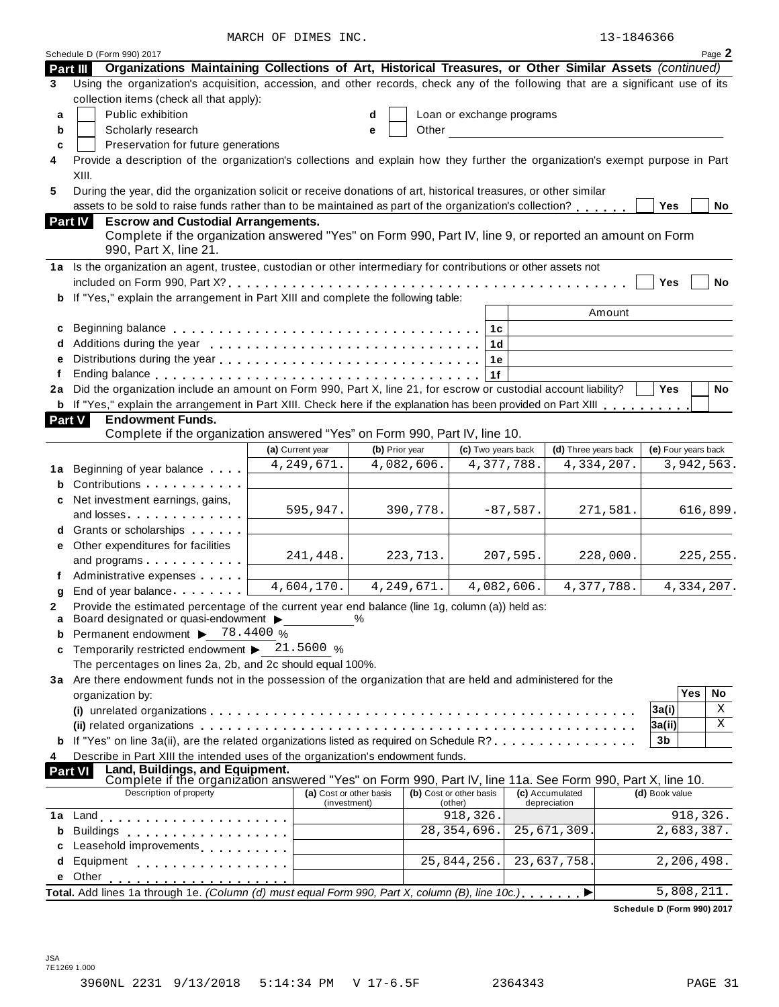MARCH OF DIMES INC.

|  | 13-1846366 |  |
|--|------------|--|
|  |            |  |

|                | Schedule D (Form 990) 2017                                                                                                                                                                                                     |                  |                         |   |                |                           |                    |                      |                            |                     |          | Page 2     |
|----------------|--------------------------------------------------------------------------------------------------------------------------------------------------------------------------------------------------------------------------------|------------------|-------------------------|---|----------------|---------------------------|--------------------|----------------------|----------------------------|---------------------|----------|------------|
|                | Organizations Maintaining Collections of Art, Historical Treasures, or Other Similar Assets (continued)<br>Part III                                                                                                            |                  |                         |   |                |                           |                    |                      |                            |                     |          |            |
| 3              | Using the organization's acquisition, accession, and other records, check any of the following that are a significant use of its                                                                                               |                  |                         |   |                |                           |                    |                      |                            |                     |          |            |
|                | collection items (check all that apply):                                                                                                                                                                                       |                  |                         |   |                |                           |                    |                      |                            |                     |          |            |
| a              | Public exhibition                                                                                                                                                                                                              |                  |                         | d |                | Loan or exchange programs |                    |                      |                            |                     |          |            |
| b              | Scholarly research                                                                                                                                                                                                             |                  |                         | е | Other          |                           |                    |                      |                            |                     |          |            |
| c              | Preservation for future generations                                                                                                                                                                                            |                  |                         |   |                |                           |                    |                      |                            |                     |          |            |
| 4              | Provide a description of the organization's collections and explain how they further the organization's exempt purpose in Part                                                                                                 |                  |                         |   |                |                           |                    |                      |                            |                     |          |            |
|                | XIII.                                                                                                                                                                                                                          |                  |                         |   |                |                           |                    |                      |                            |                     |          |            |
| 5              | During the year, did the organization solicit or receive donations of art, historical treasures, or other similar                                                                                                              |                  |                         |   |                |                           |                    |                      |                            |                     |          |            |
|                | assets to be sold to raise funds rather than to be maintained as part of the organization's collection?                                                                                                                        |                  |                         |   |                |                           |                    |                      |                            | Yes                 |          | No         |
|                | <b>Part IV</b><br><b>Escrow and Custodial Arrangements.</b>                                                                                                                                                                    |                  |                         |   |                |                           |                    |                      |                            |                     |          |            |
|                | Complete if the organization answered "Yes" on Form 990, Part IV, line 9, or reported an amount on Form<br>990, Part X, line 21.                                                                                               |                  |                         |   |                |                           |                    |                      |                            |                     |          |            |
|                | 1a Is the organization an agent, trustee, custodian or other intermediary for contributions or other assets not                                                                                                                |                  |                         |   |                |                           |                    |                      |                            |                     |          |            |
|                |                                                                                                                                                                                                                                |                  |                         |   |                |                           |                    |                      |                            | Yes                 |          | <b>No</b>  |
|                | b If "Yes," explain the arrangement in Part XIII and complete the following table:                                                                                                                                             |                  |                         |   |                |                           |                    |                      |                            |                     |          |            |
|                |                                                                                                                                                                                                                                |                  |                         |   |                |                           |                    |                      | Amount                     |                     |          |            |
|                |                                                                                                                                                                                                                                |                  |                         |   |                |                           | 1 <sub>c</sub>     |                      |                            |                     |          |            |
|                |                                                                                                                                                                                                                                |                  |                         |   |                |                           | 1 <sub>d</sub>     |                      |                            |                     |          |            |
| е              |                                                                                                                                                                                                                                |                  |                         |   |                |                           | 1e                 |                      |                            |                     |          |            |
| f              |                                                                                                                                                                                                                                |                  |                         |   |                |                           | 1f                 |                      |                            |                     |          |            |
|                | 2a Did the organization include an amount on Form 990, Part X, line 21, for escrow or custodial account liability?                                                                                                             |                  |                         |   |                |                           |                    |                      |                            | Yes                 |          | <b>No</b>  |
|                | <b>b</b> If "Yes," explain the arrangement in Part XIII. Check here if the explanation has been provided on Part XIII                                                                                                          |                  |                         |   |                |                           |                    |                      |                            |                     |          |            |
| <b>Part V</b>  | <b>Endowment Funds.</b><br>Complete if the organization answered "Yes" on Form 990, Part IV, line 10.                                                                                                                          |                  |                         |   |                |                           |                    |                      |                            |                     |          |            |
|                |                                                                                                                                                                                                                                | (a) Current year |                         |   | (b) Prior year |                           | (c) Two years back | (d) Three years back |                            | (e) Four years back |          |            |
|                |                                                                                                                                                                                                                                |                  | 4, 249, 671.            |   | 4,082,606.     |                           | 4,377,788.         | 4,334,207.           |                            |                     |          | 3,942,563. |
|                | 1a Beginning of year balance                                                                                                                                                                                                   |                  |                         |   |                |                           |                    |                      |                            |                     |          |            |
| b              | Contributions                                                                                                                                                                                                                  |                  |                         |   |                |                           |                    |                      |                            |                     |          |            |
| c              | Net investment earnings, gains,                                                                                                                                                                                                |                  | 595,947.                |   | 390,778.       |                           | $-87,587.$         |                      | 271,581.                   |                     |          | 616,899.   |
|                | and losses                                                                                                                                                                                                                     |                  |                         |   |                |                           |                    |                      |                            |                     |          |            |
|                | Grants or scholarships <b>Contains</b>                                                                                                                                                                                         |                  |                         |   |                |                           |                    |                      |                            |                     |          |            |
| е              | Other expenditures for facilities                                                                                                                                                                                              |                  | 241,448.                |   | 223,713.       |                           | 207,595.           |                      | 228,000.                   |                     |          | 225, 255.  |
|                | and programs                                                                                                                                                                                                                   |                  |                         |   |                |                           |                    |                      |                            |                     |          |            |
|                | Administrative expenses                                                                                                                                                                                                        |                  | 4,604,170.              |   | 4, 249, 671.   |                           | 4,082,606.         | 4,377,788.           |                            |                     |          | 4,334,207. |
| g              | End of year balance                                                                                                                                                                                                            |                  |                         |   |                |                           |                    |                      |                            |                     |          |            |
| 2<br>a         | Provide the estimated percentage of the current year end balance (line 1g, column (a)) held as:<br>Board designated or quasi-endowment >                                                                                       |                  |                         | % |                |                           |                    |                      |                            |                     |          |            |
| b              | Permanent endowment > 78.4400 %                                                                                                                                                                                                |                  |                         |   |                |                           |                    |                      |                            |                     |          |            |
| c              | Temporarily restricted endowment $\blacktriangleright$ 21.5600 %                                                                                                                                                               |                  |                         |   |                |                           |                    |                      |                            |                     |          |            |
|                | The percentages on lines 2a, 2b, and 2c should equal 100%.                                                                                                                                                                     |                  |                         |   |                |                           |                    |                      |                            |                     |          |            |
|                | 3a Are there endowment funds not in the possession of the organization that are held and administered for the                                                                                                                  |                  |                         |   |                |                           |                    |                      |                            |                     |          |            |
|                | organization by:                                                                                                                                                                                                               |                  |                         |   |                |                           |                    |                      |                            |                     | Yes      | No         |
|                |                                                                                                                                                                                                                                |                  |                         |   |                |                           |                    |                      |                            | 3a(i)               |          | Χ          |
|                |                                                                                                                                                                                                                                |                  |                         |   |                |                           |                    |                      |                            | 3a(ii)              |          | X          |
|                | If "Yes" on line 3a(ii), are the related organizations listed as required on Schedule R?                                                                                                                                       |                  |                         |   |                |                           |                    |                      |                            | 3b                  |          |            |
| 4              | Describe in Part XIII the intended uses of the organization's endowment funds.                                                                                                                                                 |                  |                         |   |                |                           |                    |                      |                            |                     |          |            |
| <b>Part VI</b> | Land, Buildings, and Equipment.<br>Complete if the organization answered "Yes" on Form 990, Part IV, line 11a. See Form 990, Part X, line 10.                                                                                  |                  |                         |   |                |                           |                    |                      |                            |                     |          |            |
|                | Description of property                                                                                                                                                                                                        |                  | (a) Cost or other basis |   |                | (b) Cost or other basis   |                    | (c) Accumulated      |                            | (d) Book value      |          |            |
|                |                                                                                                                                                                                                                                |                  | (investment)            |   |                | (other)                   |                    | depreciation         |                            |                     |          |            |
| 1a             |                                                                                                                                                                                                                                |                  |                         |   |                | 918,326.                  |                    |                      |                            |                     | 918,326. |            |
| b              | <b>Buildings</b><br>.                                                                                                                                                                                                          |                  |                         |   |                | 28, 354, 696.             |                    | 25,671,309.          |                            | 2,683,387.          |          |            |
| c              | Leasehold improvements                                                                                                                                                                                                         |                  |                         |   |                |                           |                    |                      |                            |                     |          |            |
| d              | Equipment experience and the set of the set of the set of the set of the set of the set of the set of the set of the set of the set of the set of the set of the set of the set of the set of the set of the set of the set of |                  |                         |   |                | 25,844,256.               |                    | 23,637,758.          |                            | 2,206,498.          |          |            |
| е              |                                                                                                                                                                                                                                |                  |                         |   |                |                           |                    |                      |                            |                     |          |            |
|                | Total. Add lines 1a through 1e. (Column (d) must equal Form 990, Part X, column (B), line 10c.)                                                                                                                                |                  |                         |   |                |                           |                    |                      |                            | 5,808,211.          |          |            |
|                |                                                                                                                                                                                                                                |                  |                         |   |                |                           |                    |                      | Schedule D (Form 990) 2017 |                     |          |            |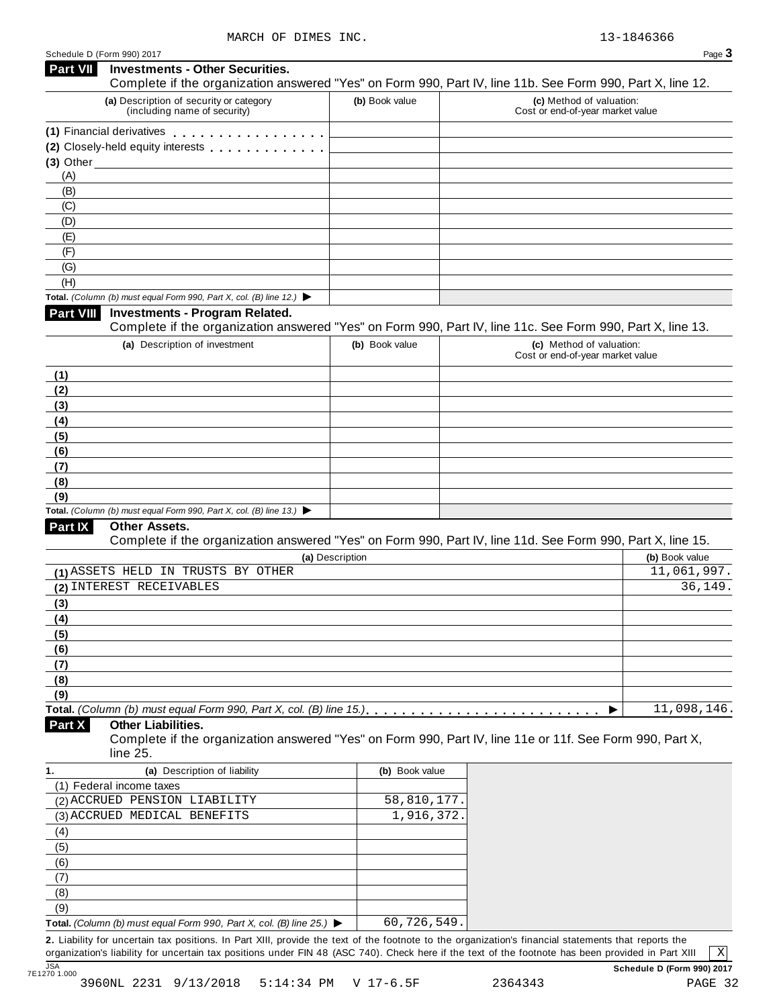| Schedule D (Form 990) 2017                                                                                 |                 |                                                              | Page $3$                    |
|------------------------------------------------------------------------------------------------------------|-----------------|--------------------------------------------------------------|-----------------------------|
| Part VII<br><b>Investments - Other Securities.</b>                                                         |                 |                                                              |                             |
| Complete if the organization answered "Yes" on Form 990, Part IV, line 11b. See Form 990, Part X, line 12. |                 |                                                              |                             |
| (a) Description of security or category<br>(including name of security)                                    | (b) Book value  | (c) Method of valuation:<br>Cost or end-of-year market value |                             |
| (1) Financial derivatives                                                                                  |                 |                                                              |                             |
| (2) Closely-held equity interests                                                                          |                 |                                                              |                             |
|                                                                                                            |                 |                                                              |                             |
| (A)                                                                                                        |                 |                                                              |                             |
| (B)                                                                                                        |                 |                                                              |                             |
| (C)                                                                                                        |                 |                                                              |                             |
| (D)                                                                                                        |                 |                                                              |                             |
| (E)                                                                                                        |                 |                                                              |                             |
| (F)                                                                                                        |                 |                                                              |                             |
| (G)                                                                                                        |                 |                                                              |                             |
| (H)                                                                                                        |                 |                                                              |                             |
| Total. (Column (b) must equal Form 990, Part X, col. (B) line 12.) $\blacktriangleright$                   |                 |                                                              |                             |
| Part VIII<br><b>Investments - Program Related.</b>                                                         |                 |                                                              |                             |
| Complete if the organization answered "Yes" on Form 990, Part IV, line 11c. See Form 990, Part X, line 13. |                 |                                                              |                             |
| (a) Description of investment                                                                              | (b) Book value  | (c) Method of valuation:<br>Cost or end-of-year market value |                             |
|                                                                                                            |                 |                                                              |                             |
| (1)                                                                                                        |                 |                                                              |                             |
| (2)                                                                                                        |                 |                                                              |                             |
| (3)                                                                                                        |                 |                                                              |                             |
| (4)                                                                                                        |                 |                                                              |                             |
| (5)                                                                                                        |                 |                                                              |                             |
| (6)                                                                                                        |                 |                                                              |                             |
| (7)                                                                                                        |                 |                                                              |                             |
| (8)                                                                                                        |                 |                                                              |                             |
| (9)<br>Total. (Column (b) must equal Form 990, Part X, col. (B) line 13.) $\blacktriangleright$            |                 |                                                              |                             |
| Part IX<br>Other Assets.                                                                                   |                 |                                                              |                             |
| Complete if the organization answered "Yes" on Form 990, Part IV, line 11d. See Form 990, Part X, line 15. |                 |                                                              |                             |
|                                                                                                            | (a) Description |                                                              | (b) Book value              |
| (1) ASSETS HELD IN TRUSTS BY OTHER                                                                         |                 |                                                              | $\overline{11}$ , 061, 997. |
| (2) INTEREST RECEIVABLES                                                                                   |                 |                                                              | 36,149.                     |
| (3)                                                                                                        |                 |                                                              |                             |
| (4)                                                                                                        |                 |                                                              |                             |
| (5)                                                                                                        |                 |                                                              |                             |
| (6)                                                                                                        |                 |                                                              |                             |
| (7)                                                                                                        |                 |                                                              |                             |
| (8)                                                                                                        |                 |                                                              |                             |
| (9)                                                                                                        |                 |                                                              |                             |
|                                                                                                            |                 | ▶                                                            | 11,098,146.                 |
| Part X<br><b>Other Liabilities.</b>                                                                        |                 |                                                              |                             |
| Complete if the organization answered "Yes" on Form 990, Part IV, line 11e or 11f. See Form 990, Part X,   |                 |                                                              |                             |
| line 25.                                                                                                   |                 |                                                              |                             |
| (a) Description of liability<br>1.                                                                         | (b) Book value  |                                                              |                             |
| (1) Federal income taxes                                                                                   |                 |                                                              |                             |
| (2) ACCRUED PENSION LIABILITY                                                                              | 58,810,177.     |                                                              |                             |
| (3) ACCRUED MEDICAL BENEFITS                                                                               | 1,916,372.      |                                                              |                             |
| (4)                                                                                                        |                 |                                                              |                             |
| (5)                                                                                                        |                 |                                                              |                             |
| (6)                                                                                                        |                 |                                                              |                             |
| (7)                                                                                                        |                 |                                                              |                             |
| (8)                                                                                                        |                 |                                                              |                             |
| (9)                                                                                                        |                 |                                                              |                             |

**Total.** *(Column (b) must equal Form 990, Part X, col. (B) line 25.)* I 60,726,549.

**2.** Liability for uncertain tax positions. In Part XIII, provide the text of the footnote to the organization's financial statements that reports the organization's liability for uncertain tax positions under FIN 48 (ASC 740). Check here ifthe text of the footnote has been provided in Part XIII JSA **Schedule D (Form 990) 2017** 7E1270 1.000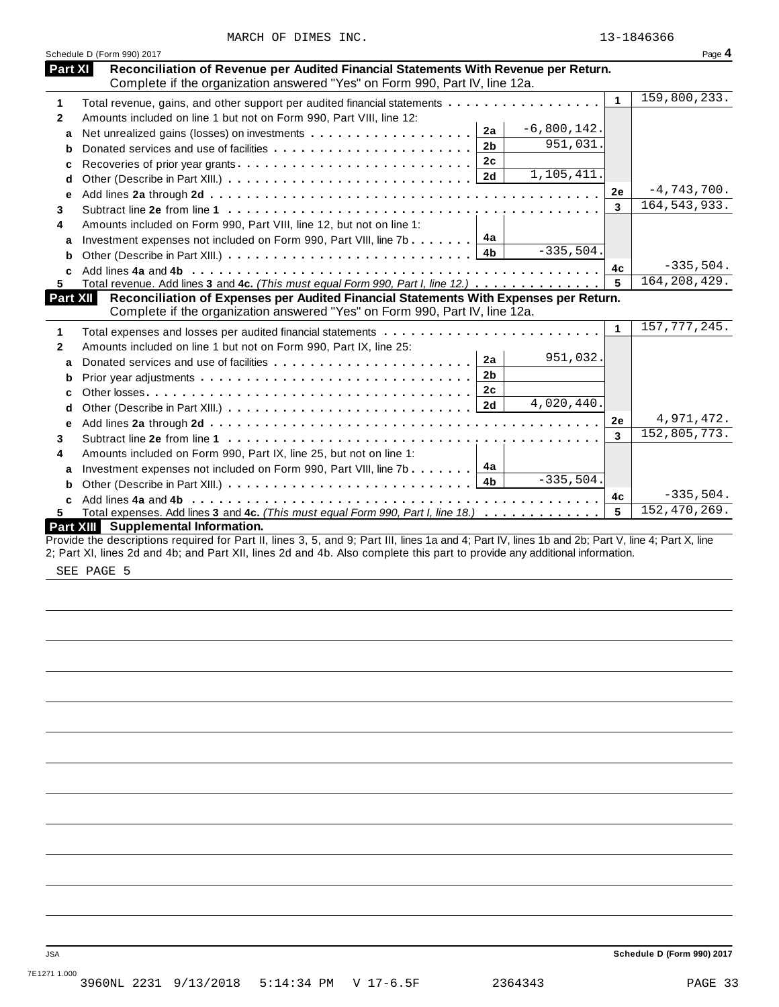|              | Schedule D (Form 990) 2017                                                                                                                                                                                                                                                       |                            |              | Page 4         |
|--------------|----------------------------------------------------------------------------------------------------------------------------------------------------------------------------------------------------------------------------------------------------------------------------------|----------------------------|--------------|----------------|
| Part XI      | Reconciliation of Revenue per Audited Financial Statements With Revenue per Return.<br>Complete if the organization answered "Yes" on Form 990, Part IV, line 12a.                                                                                                               |                            |              |                |
| 1            | Total revenue, gains, and other support per audited financial statements                                                                                                                                                                                                         |                            | $\mathbf{1}$ | 159,800,233.   |
| $\mathbf{2}$ | Amounts included on line 1 but not on Form 990, Part VIII, line 12:                                                                                                                                                                                                              |                            |              |                |
| a            | 2a                                                                                                                                                                                                                                                                               | $-6,800,142.$              |              |                |
| b            | 2 <sub>b</sub>                                                                                                                                                                                                                                                                   | 951,031.                   |              |                |
| c            | 2c<br>Recoveries of prior year grants                                                                                                                                                                                                                                            |                            |              |                |
| d            | 2d                                                                                                                                                                                                                                                                               | 1,105,411.                 |              |                |
| е            |                                                                                                                                                                                                                                                                                  |                            | 2e           | $-4,743,700.$  |
|              |                                                                                                                                                                                                                                                                                  |                            | 3            | 164, 543, 933. |
|              | Amounts included on Form 990, Part VIII, line 12, but not on line 1:                                                                                                                                                                                                             |                            |              |                |
| a            | 4a<br>Investment expenses not included on Form 990, Part VIII, line 7b                                                                                                                                                                                                           |                            |              |                |
| b            | 4 <sub>b</sub>                                                                                                                                                                                                                                                                   | $-335,504.$                |              |                |
|              |                                                                                                                                                                                                                                                                                  |                            | 4c           | $-335,504.$    |
|              | Total revenue. Add lines 3 and 4c. (This must equal Form 990, Part I, line 12.)                                                                                                                                                                                                  |                            | 5            | 164, 208, 429. |
|              | Reconciliation of Expenses per Audited Financial Statements With Expenses per Return.<br>Part XII                                                                                                                                                                                |                            |              |                |
|              | Complete if the organization answered "Yes" on Form 990, Part IV, line 12a.                                                                                                                                                                                                      |                            |              |                |
|              |                                                                                                                                                                                                                                                                                  |                            | 1            | 157, 777, 245. |
|              | Amounts included on line 1 but not on Form 990, Part IX, line 25:                                                                                                                                                                                                                |                            |              |                |
| a            | 2a                                                                                                                                                                                                                                                                               | 951,032.                   |              |                |
| b            | 2 <sub>b</sub>                                                                                                                                                                                                                                                                   |                            |              |                |
| C            | 2c                                                                                                                                                                                                                                                                               |                            |              |                |
| d            |                                                                                                                                                                                                                                                                                  | $\overline{4}$ , 020, 440. |              |                |
| е            |                                                                                                                                                                                                                                                                                  |                            | 2e           | 4,971,472.     |
|              |                                                                                                                                                                                                                                                                                  |                            | 3            | 152,805,773.   |
|              | Amounts included on Form 990, Part IX, line 25, but not on line 1:                                                                                                                                                                                                               |                            |              |                |
| a            | 4а<br>Investment expenses not included on Form 990, Part VIII, line 7b                                                                                                                                                                                                           |                            |              |                |
| b            |                                                                                                                                                                                                                                                                                  | $-335,504.$                |              |                |
| C            |                                                                                                                                                                                                                                                                                  |                            | 4c           | $-335,504.$    |
|              | Total expenses. Add lines 3 and 4c. (This must equal Form 990, Part I, line 18.)                                                                                                                                                                                                 |                            | 5            | 152,470,269.   |
|              | <b>Part XIII</b><br>Supplemental Information.                                                                                                                                                                                                                                    |                            |              |                |
|              | Provide the descriptions required for Part II, lines 3, 5, and 9; Part III, lines 1a and 4; Part IV, lines 1b and 2b; Part V, line 4; Part X, line<br>2; Part XI, lines 2d and 4b; and Part XII, lines 2d and 4b. Also complete this part to provide any additional information. |                            |              |                |

SEE PAGE 5

JSA **Schedule D (Form 990) 2017**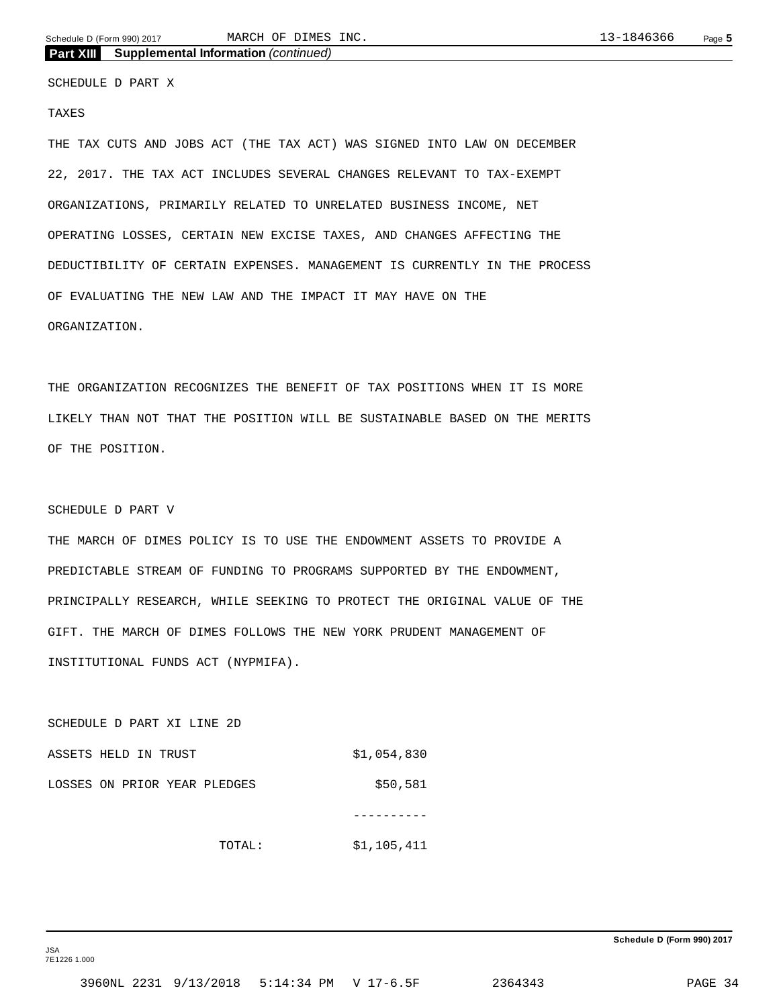Schedule D (Form 990) 2017 MARCH OF DIMES INC. 2014 13-1846366 Page 5 MARCH OF DIMES INC.

**Part XIII Supplemental Information** *(continued)*

SCHEDULE D PART X

#### TAXES

THE TAX CUTS AND JOBS ACT (THE TAX ACT) WAS SIGNED INTO LAW ON DECEMBER 22, 2017. THE TAX ACT INCLUDES SEVERAL CHANGES RELEVANT TO TAX-EXEMPT ORGANIZATIONS, PRIMARILY RELATED TO UNRELATED BUSINESS INCOME, NET OPERATING LOSSES, CERTAIN NEW EXCISE TAXES, AND CHANGES AFFECTING THE DEDUCTIBILITY OF CERTAIN EXPENSES. MANAGEMENT IS CURRENTLY IN THE PROCESS OF EVALUATING THE NEW LAW AND THE IMPACT IT MAY HAVE ON THE ORGANIZATION.

THE ORGANIZATION RECOGNIZES THE BENEFIT OF TAX POSITIONS WHEN IT IS MORE LIKELY THAN NOT THAT THE POSITION WILL BE SUSTAINABLE BASED ON THE MERITS OF THE POSITION.

#### SCHEDULE D PART V

THE MARCH OF DIMES POLICY IS TO USE THE ENDOWMENT ASSETS TO PROVIDE A PREDICTABLE STREAM OF FUNDING TO PROGRAMS SUPPORTED BY THE ENDOWMENT, PRINCIPALLY RESEARCH, WHILE SEEKING TO PROTECT THE ORIGINAL VALUE OF THE GIFT. THE MARCH OF DIMES FOLLOWS THE NEW YORK PRUDENT MANAGEMENT OF INSTITUTIONAL FUNDS ACT (NYPMIFA).

SCHEDULE D PART XI LINE 2D ASSETS HELD IN TRUST \$1,054,830 LOSSES ON PRIOR YEAR PLEDGES  $$50,581$ ----------

TOTAL: \$1,105,411

JSA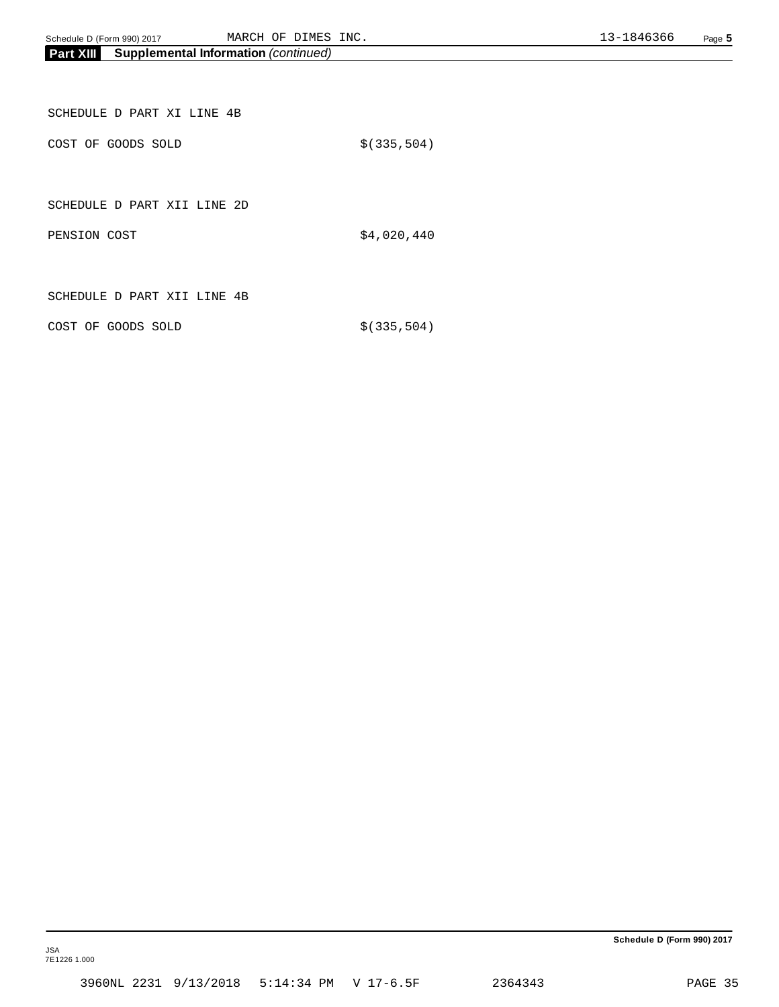| SCHEDULE D PART XI LINE 4B  |              |
|-----------------------------|--------------|
| COST OF GOODS SOLD          | \$(335, 504) |
|                             |              |
| SCHEDULE D PART XII LINE 2D |              |
| PENSION COST                | \$4,020,440  |

SCHEDULE D PART XII LINE 4B

COST OF GOODS SOLD  $$(335,504)$ 

**Schedule D (Form 990) 2017**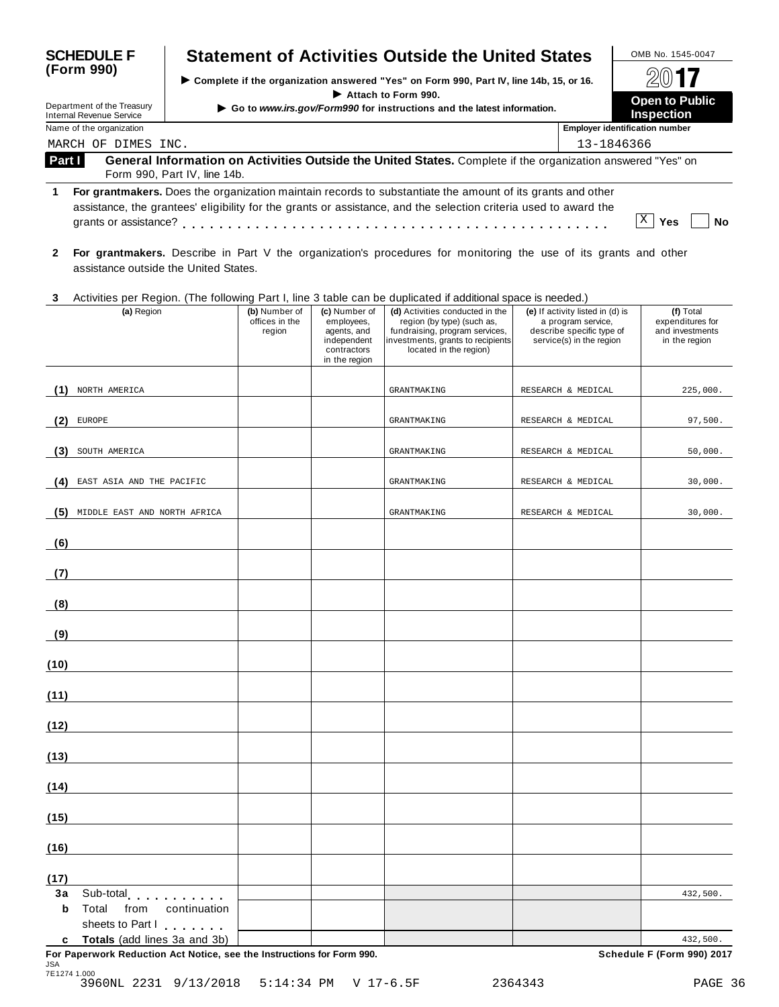| <b>SCHEDULE F</b> |                                                                                                          |              |                                                                                          |                                                                                           | <b>Statement of Activities Outside the United States</b>                                                                                                       |                                                                                                                 | OMB No. 1545-0047                                                 |
|-------------------|----------------------------------------------------------------------------------------------------------|--------------|------------------------------------------------------------------------------------------|-------------------------------------------------------------------------------------------|----------------------------------------------------------------------------------------------------------------------------------------------------------------|-----------------------------------------------------------------------------------------------------------------|-------------------------------------------------------------------|
| (Form 990)        |                                                                                                          |              | > Complete if the organization answered "Yes" on Form 990, Part IV, line 14b, 15, or 16. | $201$ <b>7</b>                                                                            |                                                                                                                                                                |                                                                                                                 |                                                                   |
|                   | Department of the Treasury<br><b>Internal Revenue Service</b>                                            |              |                                                                                          |                                                                                           | Attach to Form 990.<br>Go to www.irs.gov/Form990 for instructions and the latest information.                                                                  |                                                                                                                 | <b>Open to Public</b><br><b>Inspection</b>                        |
|                   | Name of the organization<br>MARCH OF DIMES INC.                                                          |              |                                                                                          |                                                                                           |                                                                                                                                                                |                                                                                                                 | <b>Employer identification number</b><br>13-1846366               |
| Part I            | Form 990, Part IV, line 14b.                                                                             |              |                                                                                          |                                                                                           | General Information on Activities Outside the United States. Complete if the organization answered "Yes" on                                                    |                                                                                                                 |                                                                   |
| 1                 |                                                                                                          |              |                                                                                          |                                                                                           | For grantmakers. Does the organization maintain records to substantiate the amount of its grants and other                                                     |                                                                                                                 |                                                                   |
|                   |                                                                                                          |              |                                                                                          |                                                                                           | assistance, the grantees' eligibility for the grants or assistance, and the selection criteria used to award the                                               |                                                                                                                 | $\bar{X}$   Yes<br>No                                             |
| $\mathbf{2}$      | assistance outside the United States.                                                                    |              |                                                                                          |                                                                                           | For grantmakers. Describe in Part V the organization's procedures for monitoring the use of its grants and other                                               |                                                                                                                 |                                                                   |
| 3                 |                                                                                                          |              |                                                                                          |                                                                                           | Activities per Region. (The following Part I, line 3 table can be duplicated if additional space is needed.)                                                   |                                                                                                                 |                                                                   |
|                   | (a) Region                                                                                               |              | (b) Number of<br>offices in the<br>region                                                | (c) Number of<br>employees,<br>agents, and<br>independent<br>contractors<br>in the region | (d) Activities conducted in the<br>region (by type) (such as,<br>fundraising, program services,<br>investments, grants to recipients<br>located in the region) | (e) If activity listed in (d) is<br>a program service,<br>describe specific type of<br>service(s) in the region | (f) Total<br>expenditures for<br>and investments<br>in the region |
| (1)               | NORTH AMERICA                                                                                            |              |                                                                                          |                                                                                           | <b>GRANTMAKING</b>                                                                                                                                             | RESEARCH & MEDICAL                                                                                              | 225,000.                                                          |
| (2)               | EUROPE                                                                                                   |              |                                                                                          |                                                                                           | <b>GRANTMAKING</b>                                                                                                                                             | RESEARCH & MEDICAL                                                                                              | 97,500.                                                           |
| (3)               | SOUTH AMERICA                                                                                            |              |                                                                                          |                                                                                           | <b>GRANTMAKING</b>                                                                                                                                             | RESEARCH & MEDICAL                                                                                              | 50,000.                                                           |
| (4)               | EAST ASIA AND THE PACIFIC                                                                                |              |                                                                                          |                                                                                           | <b>GRANTMAKING</b>                                                                                                                                             | RESEARCH & MEDICAL                                                                                              | 30,000.                                                           |
| (5)               | MIDDLE EAST AND NORTH AFRICA                                                                             |              |                                                                                          |                                                                                           | <b>GRANTMAKING</b>                                                                                                                                             | RESEARCH & MEDICAL                                                                                              | 30,000.                                                           |
| (6)               |                                                                                                          |              |                                                                                          |                                                                                           |                                                                                                                                                                |                                                                                                                 |                                                                   |
| (7)               |                                                                                                          |              |                                                                                          |                                                                                           |                                                                                                                                                                |                                                                                                                 |                                                                   |
| (8)               |                                                                                                          |              |                                                                                          |                                                                                           |                                                                                                                                                                |                                                                                                                 |                                                                   |
| <u>(9)</u>        |                                                                                                          |              |                                                                                          |                                                                                           |                                                                                                                                                                |                                                                                                                 |                                                                   |
| (10)              |                                                                                                          |              |                                                                                          |                                                                                           |                                                                                                                                                                |                                                                                                                 |                                                                   |
| (11)              |                                                                                                          |              |                                                                                          |                                                                                           |                                                                                                                                                                |                                                                                                                 |                                                                   |
| (12)              |                                                                                                          |              |                                                                                          |                                                                                           |                                                                                                                                                                |                                                                                                                 |                                                                   |
| (13)              |                                                                                                          |              |                                                                                          |                                                                                           |                                                                                                                                                                |                                                                                                                 |                                                                   |
| (14)              |                                                                                                          |              |                                                                                          |                                                                                           |                                                                                                                                                                |                                                                                                                 |                                                                   |
| (15)              |                                                                                                          |              |                                                                                          |                                                                                           |                                                                                                                                                                |                                                                                                                 |                                                                   |
| (16)              |                                                                                                          |              |                                                                                          |                                                                                           |                                                                                                                                                                |                                                                                                                 |                                                                   |
| (17)              |                                                                                                          |              |                                                                                          |                                                                                           |                                                                                                                                                                |                                                                                                                 |                                                                   |
| За<br>b           | Sub-total<br>Total from<br>sheets to Part I                                                              | continuation |                                                                                          |                                                                                           |                                                                                                                                                                |                                                                                                                 | 432,500                                                           |
|                   | c Totals (add lines 3a and 3b)<br>For Paperwork Reduction Act Notice, see the Instructions for Form 990. |              |                                                                                          |                                                                                           |                                                                                                                                                                |                                                                                                                 | 432,500.<br><b>Schedule F (Form 990) 2017</b>                     |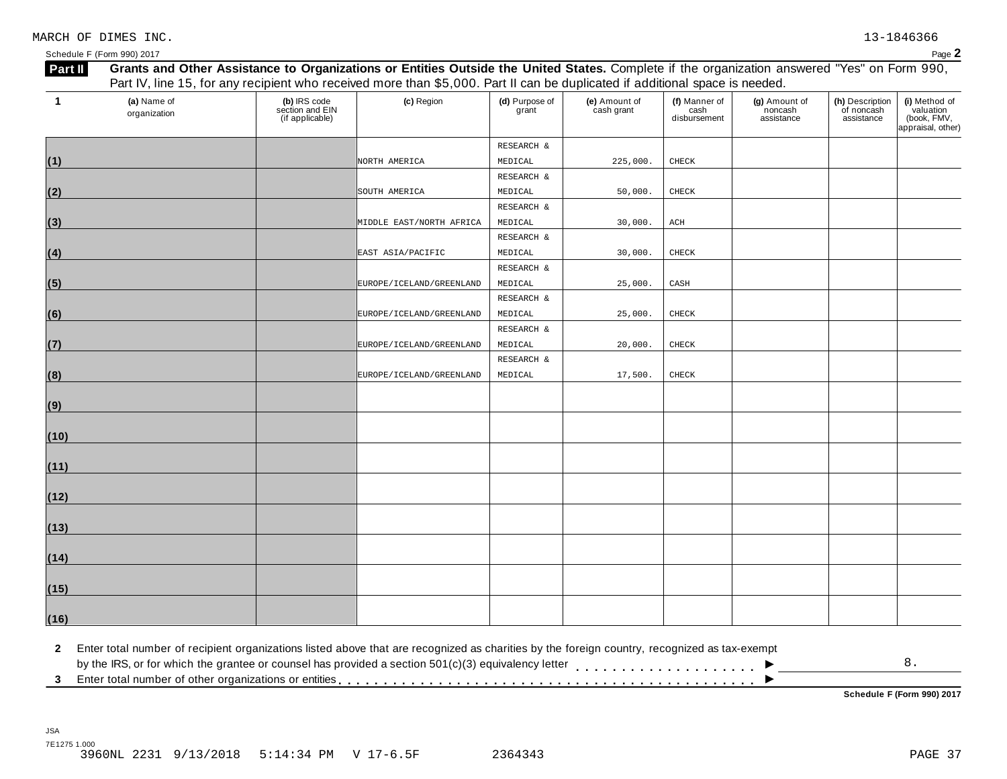| Schedule F (Form 990) 2017 | Door<br>auc |
|----------------------------|-------------|
|                            |             |

| $\mathbf 1$ | (a) Name of<br>organization | (b) IRS code<br>section and EIN<br>(if applicable) | (c) Region               | (d) Purpose of<br>grant | (e) Amount of<br>cash grant | (f) Manner of<br>cash<br>disbursement | (g) Amount of<br>noncash<br>assistance | (h) Description<br>of noncash<br>assistance | (i) Method of<br>valuation<br>(book, FMV,<br>appraisal, other) |
|-------------|-----------------------------|----------------------------------------------------|--------------------------|-------------------------|-----------------------------|---------------------------------------|----------------------------------------|---------------------------------------------|----------------------------------------------------------------|
|             |                             |                                                    |                          | RESEARCH &              |                             |                                       |                                        |                                             |                                                                |
| (1)         |                             |                                                    | NORTH AMERICA            | MEDICAL                 | 225,000                     | CHECK                                 |                                        |                                             |                                                                |
|             |                             |                                                    |                          | RESEARCH &              |                             |                                       |                                        |                                             |                                                                |
| (2)         |                             |                                                    | SOUTH AMERICA            | MEDICAL                 | 50,000.                     | CHECK                                 |                                        |                                             |                                                                |
|             |                             |                                                    |                          | RESEARCH &              |                             |                                       |                                        |                                             |                                                                |
| (3)         |                             |                                                    | MIDDLE EAST/NORTH AFRICA | MEDICAL                 | 30,000.                     | ACH                                   |                                        |                                             |                                                                |
|             |                             |                                                    |                          | RESEARCH &              |                             |                                       |                                        |                                             |                                                                |
| (4)         |                             |                                                    | EAST ASIA/PACIFIC        | MEDICAL                 | 30,000.                     | CHECK                                 |                                        |                                             |                                                                |
|             |                             |                                                    |                          | RESEARCH &              |                             |                                       |                                        |                                             |                                                                |
| (5)         |                             |                                                    | EUROPE/ICELAND/GREENLAND | MEDICAL                 | 25,000.                     | CASH                                  |                                        |                                             |                                                                |
|             |                             |                                                    |                          | RESEARCH &              |                             |                                       |                                        |                                             |                                                                |
| (6)         |                             |                                                    | EUROPE/ICELAND/GREENLAND | MEDICAL                 | 25,000.                     | CHECK                                 |                                        |                                             |                                                                |
|             |                             |                                                    |                          | RESEARCH &              |                             |                                       |                                        |                                             |                                                                |
| (7)         |                             |                                                    | EUROPE/ICELAND/GREENLAND | MEDICAL                 | 20,000.                     | CHECK                                 |                                        |                                             |                                                                |
|             |                             |                                                    |                          | RESEARCH &              |                             |                                       |                                        |                                             |                                                                |
| (8)         |                             |                                                    | EUROPE/ICELAND/GREENLAND | MEDICAL                 | 17,500.                     | CHECK                                 |                                        |                                             |                                                                |
|             |                             |                                                    |                          |                         |                             |                                       |                                        |                                             |                                                                |
| (9)         |                             |                                                    |                          |                         |                             |                                       |                                        |                                             |                                                                |
|             |                             |                                                    |                          |                         |                             |                                       |                                        |                                             |                                                                |
| (10)        |                             |                                                    |                          |                         |                             |                                       |                                        |                                             |                                                                |
|             |                             |                                                    |                          |                         |                             |                                       |                                        |                                             |                                                                |
| (11)        |                             |                                                    |                          |                         |                             |                                       |                                        |                                             |                                                                |
|             |                             |                                                    |                          |                         |                             |                                       |                                        |                                             |                                                                |
| (12)        |                             |                                                    |                          |                         |                             |                                       |                                        |                                             |                                                                |
|             |                             |                                                    |                          |                         |                             |                                       |                                        |                                             |                                                                |
| (13)        |                             |                                                    |                          |                         |                             |                                       |                                        |                                             |                                                                |
|             |                             |                                                    |                          |                         |                             |                                       |                                        |                                             |                                                                |
| (14)        |                             |                                                    |                          |                         |                             |                                       |                                        |                                             |                                                                |
|             |                             |                                                    |                          |                         |                             |                                       |                                        |                                             |                                                                |
| (15)        |                             |                                                    |                          |                         |                             |                                       |                                        |                                             |                                                                |
|             |                             |                                                    |                          |                         |                             |                                       |                                        |                                             |                                                                |
| (16)        |                             |                                                    |                          |                         |                             |                                       |                                        |                                             |                                                                |

 $\blacksquare$ <br>by the IRS, or for which the grantee or counsel has provided a section 501(c)(3) equivalency letter<br>3 Enter total number of other organizations or entities  $\overline{\phantom{a}}$ 8.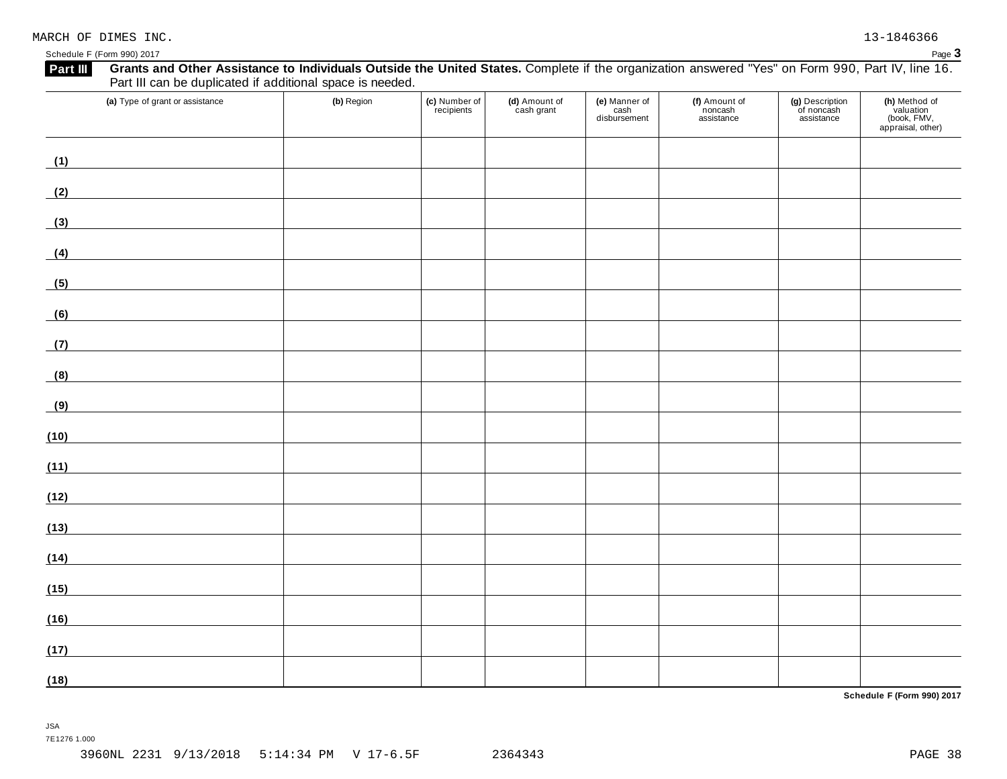Schedule F (Form 990) 2017 Page 3

| (a) Type of grant or assistance                                                                                              | (b) Region | (c) Number of<br>recipients | (d) Amount of<br>cash grant | (e) Manner of<br>cash<br>disbursement | (f) Amount of<br>noncash<br>assistance | (g) Description<br>of noncash<br>assistance | (h) Method of<br>valuation<br>(book, FMV,<br>appraisal, other) |
|------------------------------------------------------------------------------------------------------------------------------|------------|-----------------------------|-----------------------------|---------------------------------------|----------------------------------------|---------------------------------------------|----------------------------------------------------------------|
| (1)<br><u> 1980 - Johann Barbara, martxa a</u>                                                                               |            |                             |                             |                                       |                                        |                                             |                                                                |
| (2)<br><u> 1989 - Andrea Station Barbara, amerikan per</u>                                                                   |            |                             |                             |                                       |                                        |                                             |                                                                |
| (3)<br><u> 1980 - Johann Barbara, martxa al</u>                                                                              |            |                             |                             |                                       |                                        |                                             |                                                                |
| (4)                                                                                                                          |            |                             |                             |                                       |                                        |                                             |                                                                |
| <u> 1990 - Andrea Station Barbara, amerikan per</u><br>(5)                                                                   |            |                             |                             |                                       |                                        |                                             |                                                                |
| (6)                                                                                                                          |            |                             |                             |                                       |                                        |                                             |                                                                |
| (7)                                                                                                                          |            |                             |                             |                                       |                                        |                                             |                                                                |
| (8)                                                                                                                          |            |                             |                             |                                       |                                        |                                             |                                                                |
| (9)<br><u> 1989 - Johann Barn, mars eta bainar eta industrial eta industrial eta industrial eta industrial eta industria</u> |            |                             |                             |                                       |                                        |                                             |                                                                |
| (10)<br><u> 1980 - Johann Barbara, martxa al</u>                                                                             |            |                             |                             |                                       |                                        |                                             |                                                                |
| (11)<br><u> 1990 - Jan James James Barbara, politik e</u> ta pro                                                             |            |                             |                             |                                       |                                        |                                             |                                                                |
| (12)                                                                                                                         |            |                             |                             |                                       |                                        |                                             |                                                                |
| (13)                                                                                                                         |            |                             |                             |                                       |                                        |                                             |                                                                |
| (14)<br><u> 1980 - Johann Barbara, martxa</u>                                                                                |            |                             |                             |                                       |                                        |                                             |                                                                |
| (15)<br><u> 1980 - John Barn Barn, mars a</u>                                                                                |            |                             |                             |                                       |                                        |                                             |                                                                |
| (16)                                                                                                                         |            |                             |                             |                                       |                                        |                                             |                                                                |
| (17)                                                                                                                         |            |                             |                             |                                       |                                        |                                             |                                                                |
| (18)                                                                                                                         |            |                             |                             |                                       |                                        |                                             |                                                                |

**Schedule F (Form 990) 2017**

JSA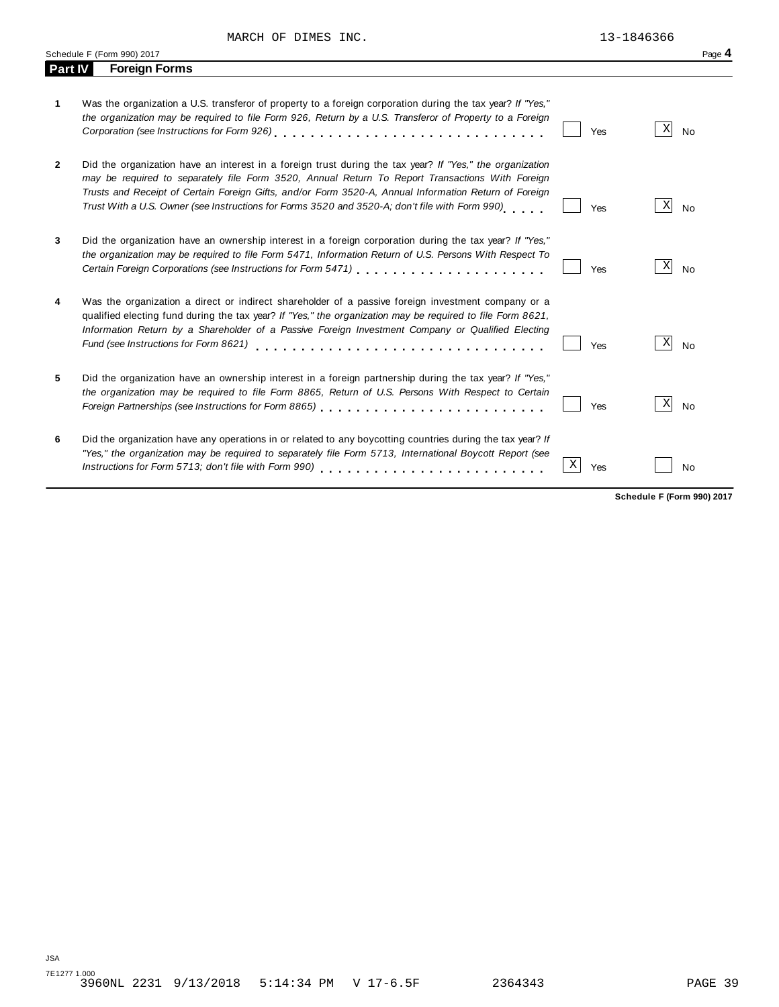MARCH OF DIMES INC. 13-1846366

*"Yes," the organization may be required to separately file Form 5713, International Boycott Report (see*

|                | Schedule F (Form 990) 2017                                                                                                                                                                                                                                                                                                                                                                                             |     |                       |  |  |
|----------------|------------------------------------------------------------------------------------------------------------------------------------------------------------------------------------------------------------------------------------------------------------------------------------------------------------------------------------------------------------------------------------------------------------------------|-----|-----------------------|--|--|
| Part IV        | <b>Foreign Forms</b>                                                                                                                                                                                                                                                                                                                                                                                                   |     |                       |  |  |
| 1.             | Was the organization a U.S. transferor of property to a foreign corporation during the tax year? If "Yes,"<br>the organization may be required to file Form 926, Return by a U.S. Transferor of Property to a Foreign                                                                                                                                                                                                  | Yes | Χ<br>No               |  |  |
| $\overline{2}$ | Did the organization have an interest in a foreign trust during the tax year? If "Yes," the organization<br>may be required to separately file Form 3520, Annual Return To Report Transactions With Foreign<br>Trusts and Receipt of Certain Foreign Gifts, and/or Form 3520-A, Annual Information Return of Foreign<br>Trust With a U.S. Owner (see Instructions for Forms 3520 and 3520-A; don't file with Form 990) | Yes | $\vert X \vert$<br>No |  |  |
| 3              | Did the organization have an ownership interest in a foreign corporation during the tax year? If "Yes,"<br>the organization may be required to file Form 5471, Information Return of U.S. Persons With Respect To<br>Certain Foreign Corporations (see Instructions for Form 5471)                                                                                                                                     | Yes | X <br>No              |  |  |
| 4              | Was the organization a direct or indirect shareholder of a passive foreign investment company or a<br>qualified electing fund during the tax year? If "Yes," the organization may be required to file Form 8621,<br>Information Return by a Shareholder of a Passive Foreign Investment Company or Qualified Electing<br>Fund (see Instructions for Form 8621)                                                         | Yes | Χ<br><b>No</b>        |  |  |
| 5              | Did the organization have an ownership interest in a foreign partnership during the tax year? If "Yes,"<br>the organization may be required to file Form 8865, Return of U.S. Persons With Respect to Certain                                                                                                                                                                                                          | Yes | Χ<br>No               |  |  |
| 6              | Did the organization have any operations in or related to any boycotting countries during the tax year? If                                                                                                                                                                                                                                                                                                             |     |                       |  |  |

*Instructions* for *Form* 5713; *don't file with Form 990*) **m** m m m m m m m m m m m m m m  $\boxed{X}$  Yes  $\boxed{\phantom{0}}$  No

**Schedule F (Form 990) 2017**

 $X$  Yes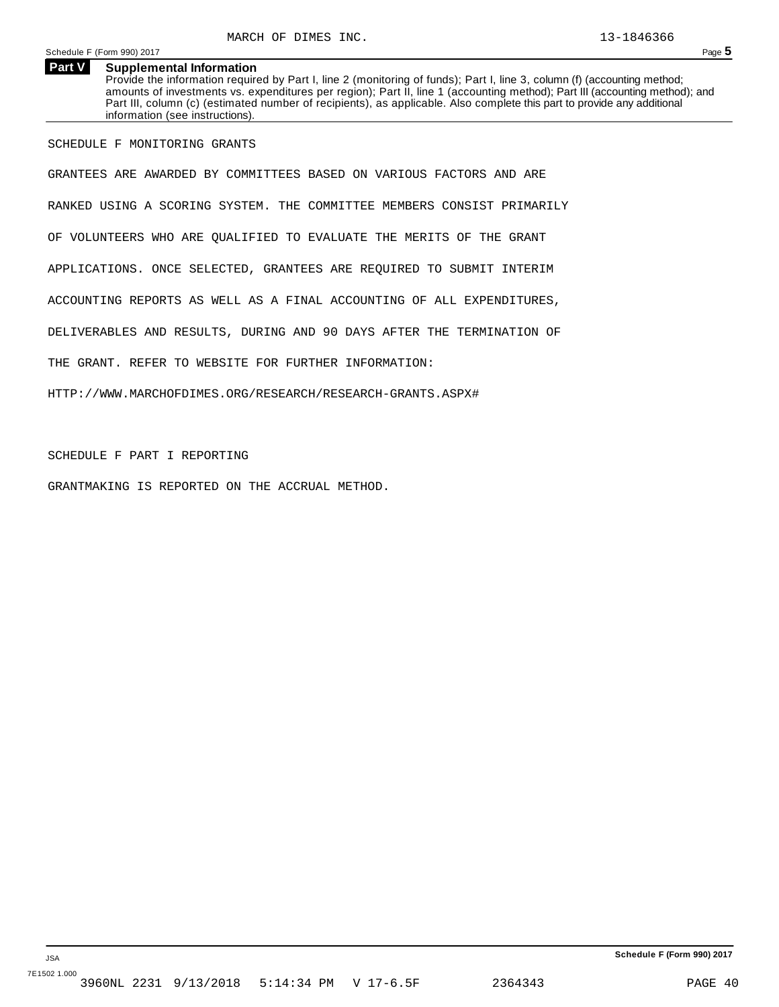## **Part V Supplemental Information**

Provide the information required by Part I, line 2 (monitoring of funds); Part I, line 3, column (f) (accounting method; amounts of investments vs. expenditures per region); Part II, line 1 (accounting method); Part III (accounting method); and Part III, column (c) (estimated number of recipients), as applicable. Also complete this part to provide any additional information (see instructions).

SCHEDULE F MONITORING GRANTS

GRANTEES ARE AWARDED BY COMMITTEES BASED ON VARIOUS FACTORS AND ARE RANKED USING A SCORING SYSTEM. THE COMMITTEE MEMBERS CONSIST PRIMARILY OF VOLUNTEERS WHO ARE QUALIFIED TO EVALUATE THE MERITS OF THE GRANT APPLICATIONS. ONCE SELECTED, GRANTEES ARE REQUIRED TO SUBMIT INTERIM ACCOUNTING REPORTS AS WELL AS A FINAL ACCOUNTING OF ALL EXPENDITURES, DELIVERABLES AND RESULTS, DURING AND 90 DAYS AFTER THE TERMINATION OF THE GRANT. REFER TO WEBSITE FOR FURTHER INFORMATION: HTTP://WWW.MARCHOFDIMES.ORG/RESEARCH/RESEARCH-GRANTS.ASPX#

SCHEDULE F PART I REPORTING

GRANTMAKING IS REPORTED ON THE ACCRUAL METHOD.

**Schedule F (Form 990) 2017**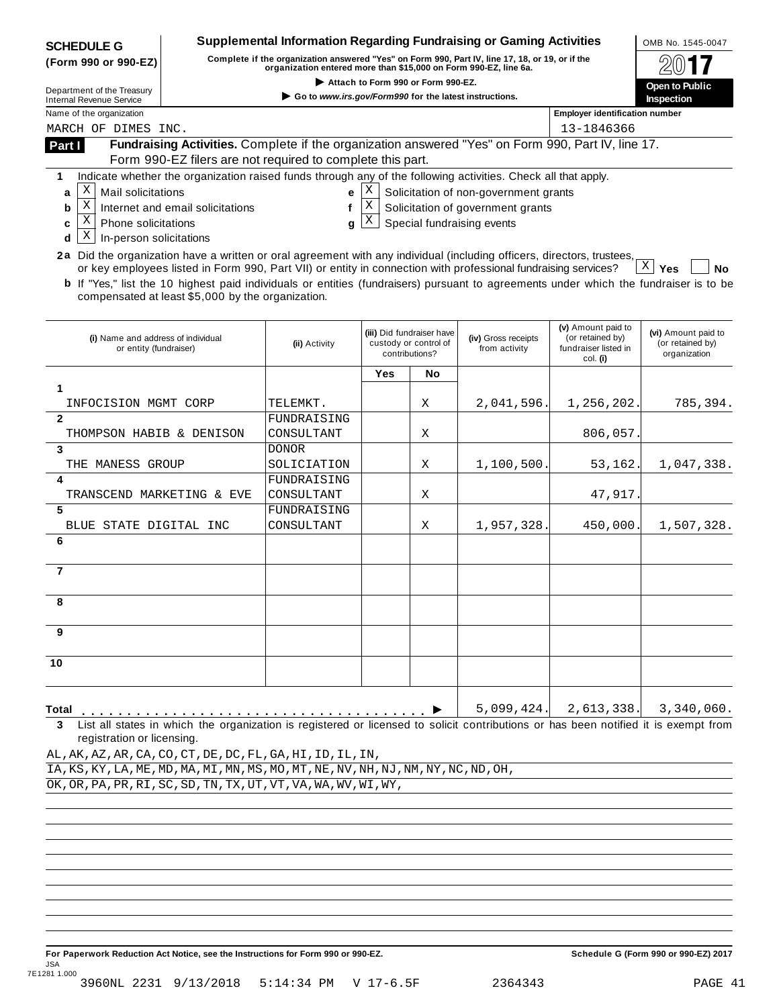| <b>SCHEDULE G</b>                                                                                                                                                                           | <b>Supplemental Information Regarding Fundraising or Gaming Activities</b><br>OMB No. 1545-0047 |                                                            |             |                                                                      |                                                                            |                                                                            |                                                         |
|---------------------------------------------------------------------------------------------------------------------------------------------------------------------------------------------|-------------------------------------------------------------------------------------------------|------------------------------------------------------------|-------------|----------------------------------------------------------------------|----------------------------------------------------------------------------|----------------------------------------------------------------------------|---------------------------------------------------------|
| Complete if the organization answered "Yes" on Form 990, Part IV, line 17, 18, or 19, or if the<br>(Form 990 or 990-EZ)<br>organization entered more than \$15,000 on Form 990-EZ, line 6a. |                                                                                                 |                                                            |             |                                                                      |                                                                            |                                                                            |                                                         |
| Attach to Form 990 or Form 990-EZ.                                                                                                                                                          |                                                                                                 |                                                            |             |                                                                      |                                                                            |                                                                            | Open to Public                                          |
| Department of the Treasury<br><b>Internal Revenue Service</b>                                                                                                                               |                                                                                                 | Go to www.irs.gov/Form990 for the latest instructions.     |             |                                                                      |                                                                            |                                                                            | Inspection                                              |
| Name of the organization                                                                                                                                                                    | <b>Employer identification number</b>                                                           |                                                            |             |                                                                      |                                                                            |                                                                            |                                                         |
| 13-1846366<br>MARCH OF DIMES INC.<br>Fundraising Activities. Complete if the organization answered "Yes" on Form 990, Part IV, line 17.                                                     |                                                                                                 |                                                            |             |                                                                      |                                                                            |                                                                            |                                                         |
| Part I                                                                                                                                                                                      |                                                                                                 |                                                            |             |                                                                      |                                                                            |                                                                            |                                                         |
|                                                                                                                                                                                             |                                                                                                 | Form 990-EZ filers are not required to complete this part. |             |                                                                      |                                                                            |                                                                            |                                                         |
| Indicate whether the organization raised funds through any of the following activities. Check all that apply.<br>1<br>X<br><b>Mail solicitations</b>                                        |                                                                                                 |                                                            | Χ           |                                                                      |                                                                            |                                                                            |                                                         |
| a<br>Χ<br>b                                                                                                                                                                                 | Internet and email solicitations                                                                | е<br>f                                                     | $\mathbf X$ |                                                                      | Solicitation of non-government grants<br>Solicitation of government grants |                                                                            |                                                         |
| Χ<br>Phone solicitations<br>c                                                                                                                                                               |                                                                                                 | q                                                          | Χ           |                                                                      | Special fundraising events                                                 |                                                                            |                                                         |
| Χ<br>In-person solicitations<br>d                                                                                                                                                           |                                                                                                 |                                                            |             |                                                                      |                                                                            |                                                                            |                                                         |
| 2a Did the organization have a written or oral agreement with any individual (including officers, directors, trustees,                                                                      |                                                                                                 |                                                            |             |                                                                      |                                                                            |                                                                            |                                                         |
| or key employees listed in Form 990, Part VII) or entity in connection with professional fundraising services?                                                                              |                                                                                                 |                                                            |             |                                                                      |                                                                            |                                                                            | $X \mid Y$ es<br><b>No</b>                              |
| <b>b</b> If "Yes," list the 10 highest paid individuals or entities (fundraisers) pursuant to agreements under which the fundraiser is to be                                                |                                                                                                 |                                                            |             |                                                                      |                                                                            |                                                                            |                                                         |
| compensated at least \$5,000 by the organization.                                                                                                                                           |                                                                                                 |                                                            |             |                                                                      |                                                                            |                                                                            |                                                         |
|                                                                                                                                                                                             |                                                                                                 |                                                            |             |                                                                      |                                                                            |                                                                            |                                                         |
| (i) Name and address of individual<br>or entity (fundraiser)                                                                                                                                |                                                                                                 | (ii) Activity                                              |             | (iii) Did fundraiser have<br>custody or control of<br>contributions? | (iv) Gross receipts<br>from activity                                       | (v) Amount paid to<br>(or retained by)<br>fundraiser listed in<br>col. (i) | (vi) Amount paid to<br>(or retained by)<br>organization |
|                                                                                                                                                                                             |                                                                                                 |                                                            | Yes         | No                                                                   |                                                                            |                                                                            |                                                         |
| 1                                                                                                                                                                                           |                                                                                                 |                                                            |             |                                                                      |                                                                            |                                                                            |                                                         |
| INFOCISION MGMT CORP                                                                                                                                                                        |                                                                                                 | TELEMKT.                                                   |             | Χ                                                                    | 2,041,596.                                                                 | 1,256,202.                                                                 | 785,394.                                                |
| $\mathbf{2}$                                                                                                                                                                                |                                                                                                 | FUNDRAISING                                                |             |                                                                      |                                                                            |                                                                            |                                                         |
| THOMPSON HABIB & DENISON<br>3                                                                                                                                                               |                                                                                                 | CONSULTANT                                                 |             | Χ                                                                    |                                                                            | 806,057                                                                    |                                                         |
| THE MANESS GROUP                                                                                                                                                                            |                                                                                                 | <b>DONOR</b><br>SOLICIATION                                |             | Χ                                                                    | 1,100,500.                                                                 | 53,162.                                                                    | 1,047,338.                                              |
| 4                                                                                                                                                                                           |                                                                                                 | FUNDRAISING                                                |             |                                                                      |                                                                            |                                                                            |                                                         |
| TRANSCEND MARKETING & EVE                                                                                                                                                                   |                                                                                                 | CONSULTANT                                                 |             | Χ                                                                    |                                                                            | 47,917                                                                     |                                                         |
| 5                                                                                                                                                                                           |                                                                                                 | FUNDRAISING                                                |             |                                                                      |                                                                            |                                                                            |                                                         |
| BLUE STATE DIGITAL INC                                                                                                                                                                      |                                                                                                 | CONSULTANT                                                 |             | Χ                                                                    | 1,957,328.                                                                 | 450,000.                                                                   | 1,507,328.                                              |
| 6                                                                                                                                                                                           |                                                                                                 |                                                            |             |                                                                      |                                                                            |                                                                            |                                                         |
|                                                                                                                                                                                             |                                                                                                 |                                                            |             |                                                                      |                                                                            |                                                                            |                                                         |
| $\overline{7}$                                                                                                                                                                              |                                                                                                 |                                                            |             |                                                                      |                                                                            |                                                                            |                                                         |
| я                                                                                                                                                                                           |                                                                                                 |                                                            |             |                                                                      |                                                                            |                                                                            |                                                         |
|                                                                                                                                                                                             |                                                                                                 |                                                            |             |                                                                      |                                                                            |                                                                            |                                                         |
| 9                                                                                                                                                                                           |                                                                                                 |                                                            |             |                                                                      |                                                                            |                                                                            |                                                         |
|                                                                                                                                                                                             |                                                                                                 |                                                            |             |                                                                      |                                                                            |                                                                            |                                                         |
| 10                                                                                                                                                                                          |                                                                                                 |                                                            |             |                                                                      |                                                                            |                                                                            |                                                         |
|                                                                                                                                                                                             |                                                                                                 |                                                            |             |                                                                      |                                                                            |                                                                            |                                                         |
|                                                                                                                                                                                             |                                                                                                 |                                                            |             |                                                                      |                                                                            |                                                                            |                                                         |
| Total                                                                                                                                                                                       |                                                                                                 |                                                            |             |                                                                      | 5,099,424.                                                                 | 2,613,338.                                                                 | 3,340,060.                                              |
| List all states in which the organization is registered or licensed to solicit contributions or has been notified it is exempt from<br>3                                                    |                                                                                                 |                                                            |             |                                                                      |                                                                            |                                                                            |                                                         |
| registration or licensing.<br>AL, AK, AZ, AR, CA, CO, CT, DE, DC, FL, GA, HI, ID, IL, IN,                                                                                                   |                                                                                                 |                                                            |             |                                                                      |                                                                            |                                                                            |                                                         |
| IA, KS, KY, LA, ME, MD, MA, MI, MN, MS, MO, MT, NE, NV, NH, NJ, NM, NY, NC, ND, OH,                                                                                                         |                                                                                                 |                                                            |             |                                                                      |                                                                            |                                                                            |                                                         |
| OK, OR, PA, PR, RI, SC, SD, TN, TX, UT, VT, VA, WA, WV, WI, WY,                                                                                                                             |                                                                                                 |                                                            |             |                                                                      |                                                                            |                                                                            |                                                         |
|                                                                                                                                                                                             |                                                                                                 |                                                            |             |                                                                      |                                                                            |                                                                            |                                                         |
|                                                                                                                                                                                             |                                                                                                 |                                                            |             |                                                                      |                                                                            |                                                                            |                                                         |
|                                                                                                                                                                                             |                                                                                                 |                                                            |             |                                                                      |                                                                            |                                                                            |                                                         |
|                                                                                                                                                                                             |                                                                                                 |                                                            |             |                                                                      |                                                                            |                                                                            |                                                         |
|                                                                                                                                                                                             |                                                                                                 |                                                            |             |                                                                      |                                                                            |                                                                            |                                                         |
|                                                                                                                                                                                             |                                                                                                 |                                                            |             |                                                                      |                                                                            |                                                                            |                                                         |
|                                                                                                                                                                                             |                                                                                                 |                                                            |             |                                                                      |                                                                            |                                                                            |                                                         |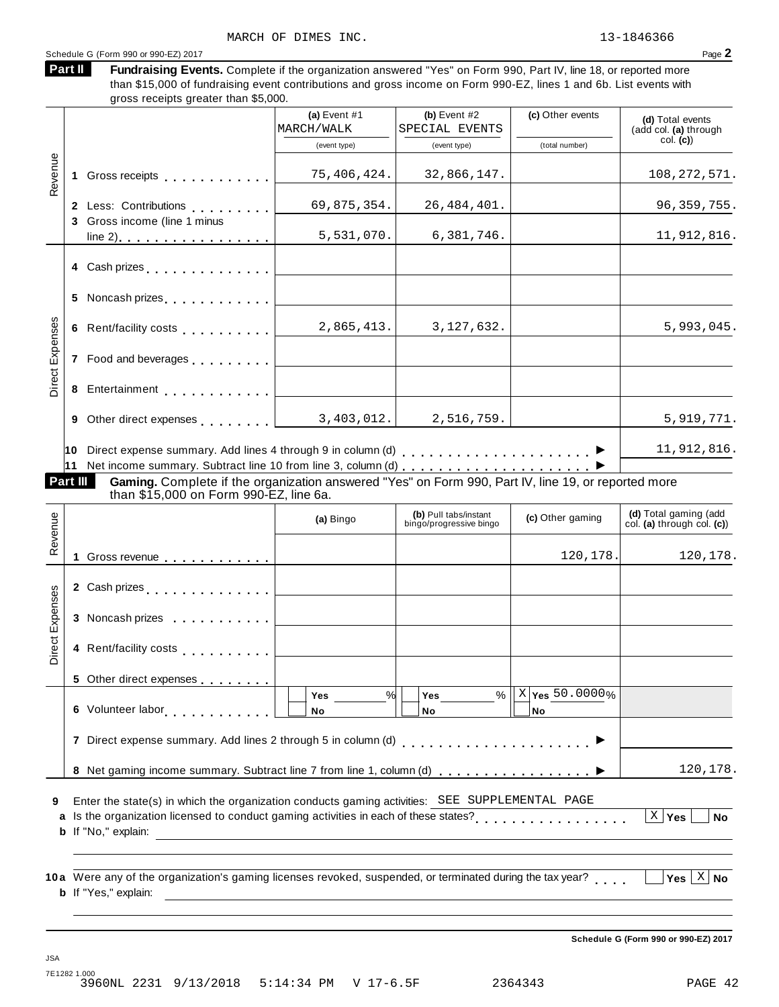# Schedule G (Form 990 or 990-EZ) 2017  $\qquad \qquad$

| Part II | Fundraising Events. Complete if the organization answered "Yes" on Form 990, Part IV, line 18, or reported more    |
|---------|--------------------------------------------------------------------------------------------------------------------|
|         | than \$15,000 of fundraising event contributions and gross income on Form 990-EZ, lines 1 and 6b. List events with |
|         | gross receipts greater than \$5,000.                                                                               |

|                 |          |                                                                                                                                                                                                                                      | (a) Event $#1$<br>MARCH/WALK                 | (b) Event $#2$<br>SPECIAL EVENTS                 | (c) Other events                | (d) Total events<br>(add col. (a) through            |
|-----------------|----------|--------------------------------------------------------------------------------------------------------------------------------------------------------------------------------------------------------------------------------------|----------------------------------------------|--------------------------------------------------|---------------------------------|------------------------------------------------------|
|                 |          |                                                                                                                                                                                                                                      | (event type)                                 | (event type)                                     | (total number)                  | col. (c)                                             |
| Revenue         |          | 1 Gross receipts <b>that a state of the state of the state of the state of the state of the state of the state of the state of the state of the state of the state of the state of the state of the state of the state of the st</b> | 75,406,424.                                  | 32,866,147.                                      |                                 | 108, 272, 571.                                       |
|                 |          | 2 Less: Contributions<br>3 Gross income (line 1 minus                                                                                                                                                                                | 69,875,354.                                  | 26,484,401.                                      |                                 | 96, 359, 755.                                        |
|                 |          |                                                                                                                                                                                                                                      | 5,531,070.                                   | 6,381,746.                                       |                                 | 11,912,816.                                          |
|                 |          |                                                                                                                                                                                                                                      | <u> 1980 - Andrea Station Books, actor</u>   |                                                  |                                 |                                                      |
|                 |          |                                                                                                                                                                                                                                      |                                              |                                                  |                                 |                                                      |
|                 |          |                                                                                                                                                                                                                                      |                                              | $2,865,413.$ $3,127,632.$                        |                                 | 5,993,045.                                           |
| Direct Expenses |          | 7 Food and beverages [1, 1, 1, 1, 1]                                                                                                                                                                                                 | the control of the control of the control of |                                                  |                                 |                                                      |
|                 |          | 8 Entertainment [                                                                                                                                                                                                                    |                                              |                                                  |                                 |                                                      |
|                 |          | 9 Other direct expenses [1,1,1,1,1,1]                                                                                                                                                                                                |                                              | $3,403,012.$ $2,516,759.$                        |                                 | 5,919,771.                                           |
|                 |          | 11 Net income summary. Subtract line 10 from line 3, column (d) <b>. <u>.</u></b>                                                                                                                                                    |                                              |                                                  |                                 | 11,912,816.                                          |
|                 | Part III | Gaming. Complete if the organization answered "Yes" on Form 990, Part IV, line 19, or reported more<br>than \$15,000 on Form 990-EZ, line 6a.                                                                                        |                                              |                                                  |                                 |                                                      |
| Revenue         |          |                                                                                                                                                                                                                                      | (a) Bingo                                    | (b) Pull tabs/instant<br>bingo/progressive bingo | (c) Other gaming                | (d) Total gaming (add<br>col. (a) through col. $(c)$ |
|                 |          |                                                                                                                                                                                                                                      |                                              |                                                  | 120, 178.                       | 120,178.                                             |
|                 |          |                                                                                                                                                                                                                                      |                                              |                                                  |                                 |                                                      |
| Direct Expenses |          |                                                                                                                                                                                                                                      |                                              |                                                  |                                 |                                                      |
|                 |          |                                                                                                                                                                                                                                      |                                              |                                                  |                                 |                                                      |
|                 |          | 4 Rent/facility costs                                                                                                                                                                                                                |                                              |                                                  |                                 |                                                      |
|                 |          | 5 Other direct expenses                                                                                                                                                                                                              |                                              |                                                  |                                 |                                                      |
|                 |          | 6 Volunteer labor                                                                                                                                                                                                                    | %<br>Yes<br>No                               | $\%$<br>Yes<br>No                                | $ X $ Yes 50.0000%<br><b>No</b> |                                                      |
|                 |          |                                                                                                                                                                                                                                      |                                              |                                                  |                                 |                                                      |
|                 |          |                                                                                                                                                                                                                                      |                                              |                                                  |                                 | 120,178.                                             |
| 9<br>a          |          | Enter the state(s) in which the organization conducts gaming activities: SEE SUPPLEMENTAL PAGE<br>Is the organization licensed to conduct gaming activities in each of these states?<br><b>b</b> If "No," explain:                   |                                              |                                                  |                                 | $X \mid Y$ es<br>No                                  |

7E1282 1.000 3960NL 2231 9/13/2018 5:14:34 PM V 17-6.5F 2364343 PAGE 42

JSA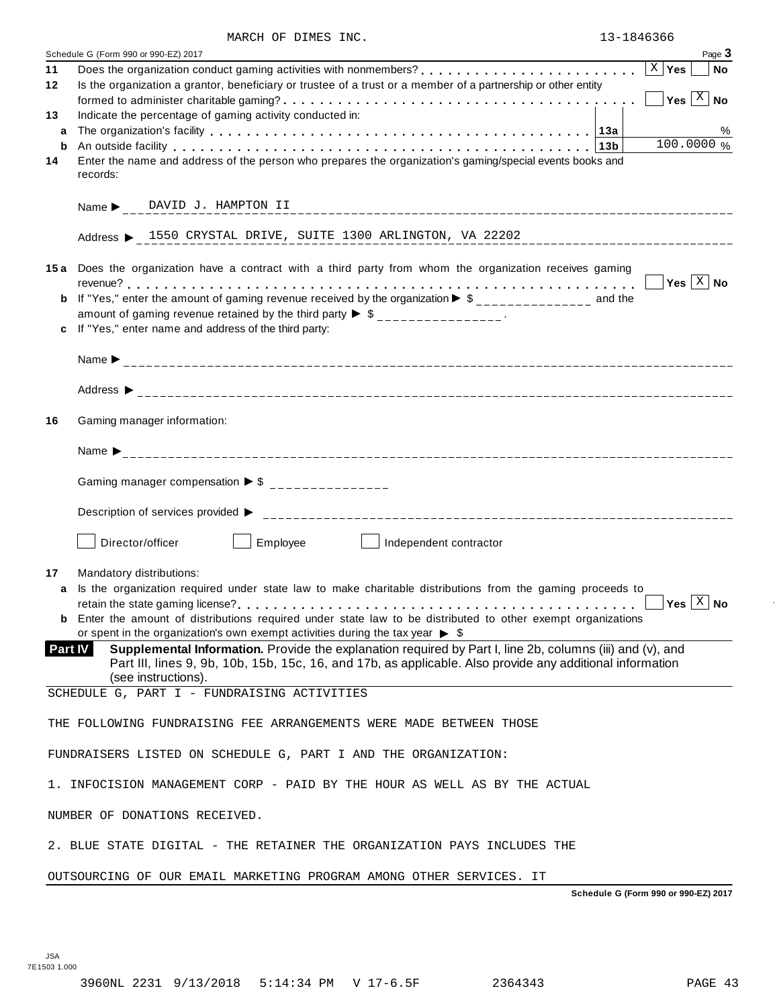|                | Schedule G (Form 990 or 990-EZ) 2017<br>Page 3                                                                                                                                                                                              |
|----------------|---------------------------------------------------------------------------------------------------------------------------------------------------------------------------------------------------------------------------------------------|
| 11             | Does the organization conduct gaming activities with nonmembers?<br>$\ldots, \ldots, \ldots, \ldots, \ldots, \lfloor x \rfloor$ Yes<br><b>No</b>                                                                                            |
| 12             | Is the organization a grantor, beneficiary or trustee of a trust or a member of a partnership or other entity<br>$Yes \left[\begin{array}{c c} X \\ \hline \end{array}\right]$ No                                                           |
| 13             | Indicate the percentage of gaming activity conducted in:                                                                                                                                                                                    |
| a              | %                                                                                                                                                                                                                                           |
| b              | 100.0000 %<br>An outside facility enterpretation of the control of the control of the control of the control of the control of the control of the control of the control of the control of the control of the control of the control of the |
| 14             | Enter the name and address of the person who prepares the organization's gaming/special events books and<br>records:                                                                                                                        |
|                |                                                                                                                                                                                                                                             |
|                | Address > 1550 CRYSTAL DRIVE, SUITE 1300 ARLINGTON, VA 22202                                                                                                                                                                                |
|                | 15a Does the organization have a contract with a third party from whom the organization receives gaming                                                                                                                                     |
|                | Yes $ X $ No<br>If "Yes," enter the amount of gaming revenue received by the organization $\triangleright$ \$______________ and the                                                                                                         |
| b              | amount of gaming revenue retained by the third party $\triangleright$ \$ _______________.                                                                                                                                                   |
|                | If "Yes," enter name and address of the third party:                                                                                                                                                                                        |
|                |                                                                                                                                                                                                                                             |
|                |                                                                                                                                                                                                                                             |
| 16             | Gaming manager information:                                                                                                                                                                                                                 |
|                |                                                                                                                                                                                                                                             |
|                | Gaming manager compensation $\triangleright$ \$ _______________                                                                                                                                                                             |
|                |                                                                                                                                                                                                                                             |
|                | Director/officer<br>Employee<br>Independent contractor<br>and the state of the state                                                                                                                                                        |
| 17             | Mandatory distributions:                                                                                                                                                                                                                    |
| a              | Is the organization required under state law to make charitable distributions from the gaming proceeds to                                                                                                                                   |
|                | Yes $\lfloor x \rfloor$ No<br><b>b</b> Enter the amount of distributions required under state law to be distributed to other exempt organizations                                                                                           |
|                | or spent in the organization's own exempt activities during the tax year $\triangleright$ \$                                                                                                                                                |
| <b>Part IV</b> | Supplemental Information. Provide the explanation required by Part I, line 2b, columns (iii) and (v), and<br>Part III, lines 9, 9b, 10b, 15b, 15c, 16, and 17b, as applicable. Also provide any additional information                      |
|                | (see instructions).<br>SCHEDULE G, PART I - FUNDRAISING ACTIVITIES                                                                                                                                                                          |
|                | THE FOLLOWING FUNDRAISING FEE ARRANGEMENTS WERE MADE BETWEEN THOSE                                                                                                                                                                          |
|                |                                                                                                                                                                                                                                             |
|                | FUNDRAISERS LISTED ON SCHEDULE G, PART I AND THE ORGANIZATION:                                                                                                                                                                              |
|                | 1. INFOCISION MANAGEMENT CORP - PAID BY THE HOUR AS WELL AS BY THE ACTUAL                                                                                                                                                                   |
|                | NUMBER OF DONATIONS RECEIVED.                                                                                                                                                                                                               |
|                | 2. BLUE STATE DIGITAL - THE RETAINER THE ORGANIZATION PAYS INCLUDES THE                                                                                                                                                                     |
|                | OUTSOURCING OF OUR EMAIL MARKETING PROGRAM AMONG OTHER SERVICES. IT                                                                                                                                                                         |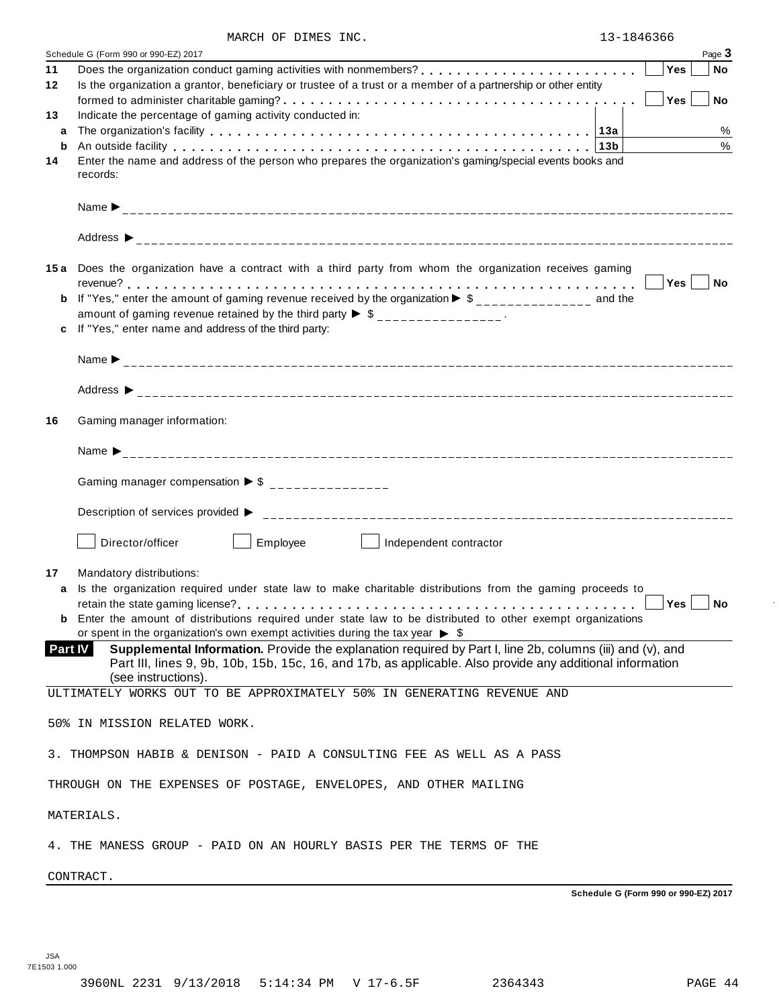|         | MARCH OF DIMES INC.<br>Schedule G (Form 990 or 990-EZ) 2017                                                                                                                                                                                   |        | Page 3    |
|---------|-----------------------------------------------------------------------------------------------------------------------------------------------------------------------------------------------------------------------------------------------|--------|-----------|
| 11      |                                                                                                                                                                                                                                               | Yes    | <b>No</b> |
| 12      | Is the organization a grantor, beneficiary or trustee of a trust or a member of a partnership or other entity                                                                                                                                 |        |           |
|         |                                                                                                                                                                                                                                               | Yes    | <b>No</b> |
| 13      | Indicate the percentage of gaming activity conducted in:                                                                                                                                                                                      |        |           |
| a       |                                                                                                                                                                                                                                               |        | %         |
| b       | An outside facility enterpretation of the control of the control of the control of the control of the control o                                                                                                                               |        | $\%$      |
| 14      | Enter the name and address of the person who prepares the organization's gaming/special events books and                                                                                                                                      |        |           |
|         | records:                                                                                                                                                                                                                                      |        |           |
|         |                                                                                                                                                                                                                                               |        |           |
|         |                                                                                                                                                                                                                                               |        |           |
|         | 15a Does the organization have a contract with a third party from whom the organization receives gaming                                                                                                                                       |        |           |
|         |                                                                                                                                                                                                                                               | ∣Yes ∣ | <b>No</b> |
|         | If "Yes," enter the amount of gaming revenue received by the organization $\blacktriangleright$ \$______________ and the                                                                                                                      |        |           |
|         | amount of gaming revenue retained by the third party $\triangleright$ \$ _______________.                                                                                                                                                     |        |           |
|         | If "Yes," enter name and address of the third party:                                                                                                                                                                                          |        |           |
|         |                                                                                                                                                                                                                                               |        |           |
|         |                                                                                                                                                                                                                                               |        |           |
|         |                                                                                                                                                                                                                                               |        |           |
| 16      | Gaming manager information:                                                                                                                                                                                                                   |        |           |
|         |                                                                                                                                                                                                                                               |        |           |
|         | Gaming manager compensation $\triangleright$ \$ _______________                                                                                                                                                                               |        |           |
|         |                                                                                                                                                                                                                                               |        |           |
|         | Director/officer<br>Employee<br>Independent contractor                                                                                                                                                                                        |        |           |
| 17      | Mandatory distributions:                                                                                                                                                                                                                      |        |           |
|         | Is the organization required under state law to make charitable distributions from the gaming proceeds to                                                                                                                                     |        |           |
|         |                                                                                                                                                                                                                                               | Yes    | <b>No</b> |
|         | <b>b</b> Enter the amount of distributions required under state law to be distributed to other exempt organizations                                                                                                                           |        |           |
|         | or spent in the organization's own exempt activities during the tax year $\triangleright$ \$                                                                                                                                                  |        |           |
| Part IV | Supplemental Information. Provide the explanation required by Part I, line 2b, columns (iii) and (v), and<br>Part III, lines 9, 9b, 10b, 15b, 15c, 16, and 17b, as applicable. Also provide any additional information<br>(see instructions). |        |           |
|         | ULTIMATELY WORKS OUT TO BE APPROXIMATELY 50% IN GENERATING REVENUE AND                                                                                                                                                                        |        |           |
|         |                                                                                                                                                                                                                                               |        |           |
|         | 50% IN MISSION RELATED WORK.                                                                                                                                                                                                                  |        |           |
|         | 3. THOMPSON HABIB & DENISON - PAID A CONSULTING FEE AS WELL AS A PASS                                                                                                                                                                         |        |           |
|         | THROUGH ON THE EXPENSES OF POSTAGE, ENVELOPES, AND OTHER MAILING                                                                                                                                                                              |        |           |
|         | MATERIALS.                                                                                                                                                                                                                                    |        |           |
|         | 4. THE MANESS GROUP - PAID ON AN HOURLY BASIS PER THE TERMS OF THE                                                                                                                                                                            |        |           |

CONTRACT.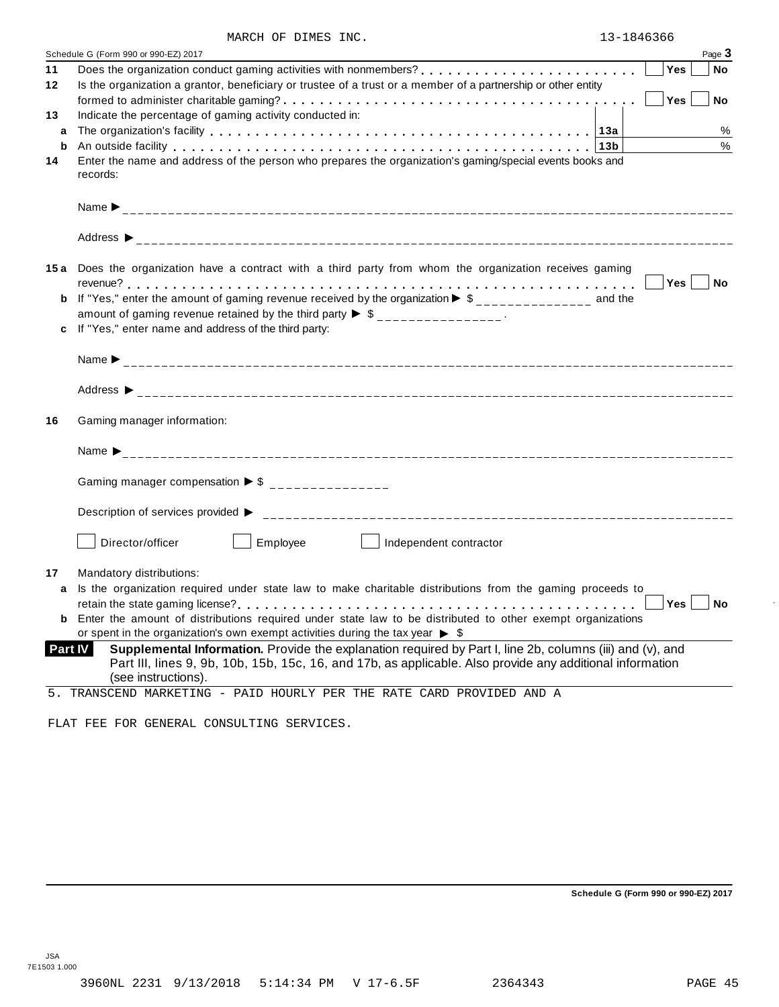|    | Page 3<br>Schedule G (Form 990 or 990-EZ) 2017                                                                                                                                                                                           |
|----|------------------------------------------------------------------------------------------------------------------------------------------------------------------------------------------------------------------------------------------|
| 11 | Yes<br>No                                                                                                                                                                                                                                |
| 12 | Is the organization a grantor, beneficiary or trustee of a trust or a member of a partnership or other entity                                                                                                                            |
|    | Yes<br>No                                                                                                                                                                                                                                |
| 13 | Indicate the percentage of gaming activity conducted in:                                                                                                                                                                                 |
| a  | $\%$                                                                                                                                                                                                                                     |
| b  | $\%$<br>An outside facility enterpreteration of the control of the contract of the contract of the contract of the control of the contract of the control of the control of the control of the control of the control of the control o   |
| 14 | Enter the name and address of the person who prepares the organization's gaming/special events books and                                                                                                                                 |
|    | records:                                                                                                                                                                                                                                 |
|    |                                                                                                                                                                                                                                          |
|    |                                                                                                                                                                                                                                          |
|    |                                                                                                                                                                                                                                          |
|    | 15a Does the organization have a contract with a third party from whom the organization receives gaming                                                                                                                                  |
|    | Yes<br>∣ No                                                                                                                                                                                                                              |
| b  | If "Yes," enter the amount of gaming revenue received by the organization $\triangleright$ \$ ______________ and the                                                                                                                     |
|    | amount of gaming revenue retained by the third party $\triangleright$ \$ _______________.                                                                                                                                                |
| c  | If "Yes," enter name and address of the third party:                                                                                                                                                                                     |
|    |                                                                                                                                                                                                                                          |
|    |                                                                                                                                                                                                                                          |
| 16 | Gaming manager information:                                                                                                                                                                                                              |
|    |                                                                                                                                                                                                                                          |
|    | Gaming manager compensation $\triangleright$ \$ _______________                                                                                                                                                                          |
|    |                                                                                                                                                                                                                                          |
|    | Employee<br>Director/officer<br>Independent contractor                                                                                                                                                                                   |
|    | Mandatory distributions:                                                                                                                                                                                                                 |
| a  | Is the organization required under state law to make charitable distributions from the gaming proceeds to                                                                                                                                |
|    | Yes<br>No                                                                                                                                                                                                                                |
|    | <b>b</b> Enter the amount of distributions required under state law to be distributed to other exempt organizations                                                                                                                      |
|    | or spent in the organization's own exempt activities during the tax year $\triangleright$ \$                                                                                                                                             |
|    | Supplemental Information. Provide the explanation required by Part I, line 2b, columns (iii) and (v), and<br><b>Part IV</b><br>Part III, lines 9, 9b, 10b, 15b, 15c, 16, and 17b, as applicable. Also provide any additional information |
|    | (see instructions).                                                                                                                                                                                                                      |

FLAT FEE FOR GENERAL CONSULTING SERVICES.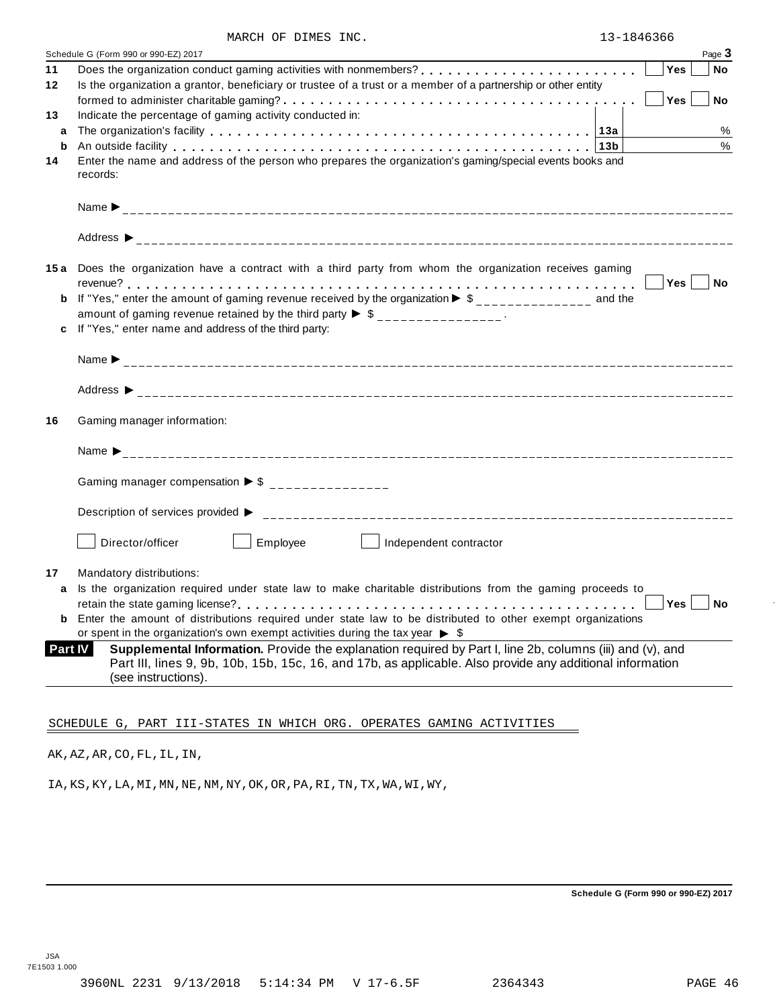|                | Schedule G (Form 990 or 990-EZ) 2017                                                                                                                                                                                                          |     | Page 3    |
|----------------|-----------------------------------------------------------------------------------------------------------------------------------------------------------------------------------------------------------------------------------------------|-----|-----------|
| 11             |                                                                                                                                                                                                                                               | Yes | <b>No</b> |
| 12             | Is the organization a grantor, beneficiary or trustee of a trust or a member of a partnership or other entity                                                                                                                                 | Yes | <b>No</b> |
| 13             | Indicate the percentage of gaming activity conducted in:                                                                                                                                                                                      |     |           |
| a              |                                                                                                                                                                                                                                               |     | %         |
| b              | An outside facility enterpreened and the series of the series of the series of the series of the series of the series of the series of the series of the series of the series of the series of the series of the series of the                |     | $\%$      |
| 14             | Enter the name and address of the person who prepares the organization's gaming/special events books and<br>records:                                                                                                                          |     |           |
|                |                                                                                                                                                                                                                                               |     |           |
|                |                                                                                                                                                                                                                                               |     |           |
|                | 15a Does the organization have a contract with a third party from whom the organization receives gaming                                                                                                                                       |     |           |
|                |                                                                                                                                                                                                                                               | Yes | No No     |
| b              | If "Yes," enter the amount of gaming revenue received by the organization $\blacktriangleright$ \$______________ and the                                                                                                                      |     |           |
|                | amount of gaming revenue retained by the third party $\triangleright$ \$ _______________.                                                                                                                                                     |     |           |
|                | c If "Yes," enter name and address of the third party:                                                                                                                                                                                        |     |           |
|                |                                                                                                                                                                                                                                               |     |           |
|                |                                                                                                                                                                                                                                               |     |           |
| 16             | Gaming manager information:                                                                                                                                                                                                                   |     |           |
|                |                                                                                                                                                                                                                                               |     |           |
|                | Gaming manager compensation $\triangleright$ \$ ________________                                                                                                                                                                              |     |           |
|                |                                                                                                                                                                                                                                               |     |           |
|                | Employee<br>Director/officer<br>Independent contractor                                                                                                                                                                                        |     |           |
| 17             | Mandatory distributions:                                                                                                                                                                                                                      |     |           |
| a              | Is the organization required under state law to make charitable distributions from the gaming proceeds to                                                                                                                                     |     |           |
|                |                                                                                                                                                                                                                                               | Yes | <b>No</b> |
|                | <b>b</b> Enter the amount of distributions required under state law to be distributed to other exempt organizations                                                                                                                           |     |           |
|                | or spent in the organization's own exempt activities during the tax year $\triangleright$ \$                                                                                                                                                  |     |           |
| <b>Part IV</b> | Supplemental Information. Provide the explanation required by Part I, line 2b, columns (iii) and (v), and<br>Part III, lines 9, 9b, 10b, 15b, 15c, 16, and 17b, as applicable. Also provide any additional information<br>(see instructions). |     |           |

AK,AZ,AR,CO,FL,IL,IN,

IA,KS,KY,LA,MI,MN,NE,NM,NY,OK,OR,PA,RI,TN,TX,WA,WI,WY,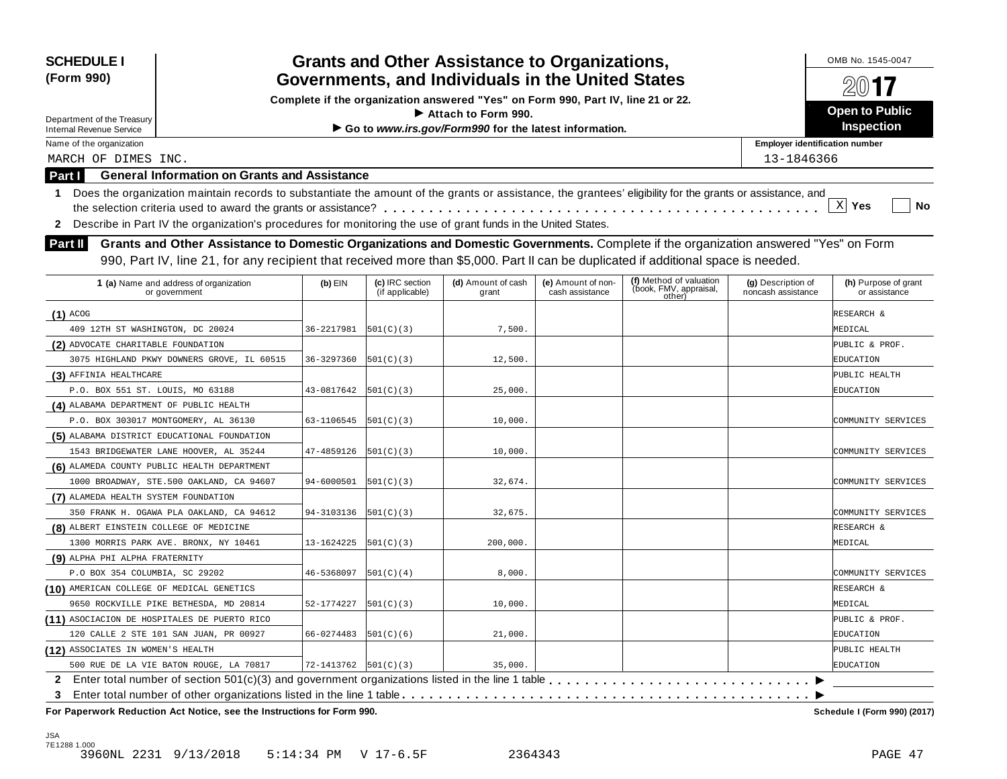| <b>SCHEDULE I</b><br>(Form 990)           |                                                                                                                                                                                                                                                                           |                      |                                    | <b>Grants and Other Assistance to Organizations,</b><br>Governments, and Individuals in the United States |                                       |                                                             |                                          | OMB No. 1545-0047<br>$200$ 17         |
|-------------------------------------------|---------------------------------------------------------------------------------------------------------------------------------------------------------------------------------------------------------------------------------------------------------------------------|----------------------|------------------------------------|-----------------------------------------------------------------------------------------------------------|---------------------------------------|-------------------------------------------------------------|------------------------------------------|---------------------------------------|
|                                           |                                                                                                                                                                                                                                                                           |                      |                                    | Complete if the organization answered "Yes" on Form 990, Part IV, line 21 or 22.                          |                                       |                                                             |                                          |                                       |
| Department of the Treasury                |                                                                                                                                                                                                                                                                           |                      |                                    | $\blacktriangleright$ Attach to Form 990.                                                                 |                                       |                                                             |                                          | <b>Open to Public</b>                 |
| <b>Internal Revenue Service</b>           |                                                                                                                                                                                                                                                                           |                      |                                    | Go to www.irs.gov/Form990 for the latest information.                                                     |                                       |                                                             |                                          | <b>Inspection</b>                     |
| Name of the organization                  |                                                                                                                                                                                                                                                                           |                      |                                    |                                                                                                           |                                       |                                                             | <b>Employer identification number</b>    |                                       |
| MARCH OF DIMES INC.                       |                                                                                                                                                                                                                                                                           |                      |                                    |                                                                                                           |                                       |                                                             | 13-1846366                               |                                       |
| Part I                                    | <b>General Information on Grants and Assistance</b>                                                                                                                                                                                                                       |                      |                                    |                                                                                                           |                                       |                                                             |                                          |                                       |
| 1                                         | Does the organization maintain records to substantiate the amount of the grants or assistance, the grantees' eligibility for the grants or assistance, and                                                                                                                |                      |                                    |                                                                                                           |                                       |                                                             |                                          |                                       |
|                                           |                                                                                                                                                                                                                                                                           |                      |                                    |                                                                                                           |                                       |                                                             |                                          | X <br>Yes<br>No                       |
| $\mathbf{2}$                              | Describe in Part IV the organization's procedures for monitoring the use of grant funds in the United States.                                                                                                                                                             |                      |                                    |                                                                                                           |                                       |                                                             |                                          |                                       |
| <b>Part II</b>                            | Grants and Other Assistance to Domestic Organizations and Domestic Governments. Complete if the organization answered "Yes" on Form<br>990, Part IV, line 21, for any recipient that received more than \$5,000. Part II can be duplicated if additional space is needed. |                      |                                    |                                                                                                           |                                       |                                                             |                                          |                                       |
|                                           | 1 (a) Name and address of organization<br>or government                                                                                                                                                                                                                   | $(b)$ EIN            | (c) IRC section<br>(if applicable) | (d) Amount of cash<br>grant                                                                               | (e) Amount of non-<br>cash assistance | (f) Method of valuation<br>(book, FMV, appraisal,<br>other) | (g) Description of<br>noncash assistance | (h) Purpose of grant<br>or assistance |
| $(1)$ ACOG                                |                                                                                                                                                                                                                                                                           |                      |                                    |                                                                                                           |                                       |                                                             |                                          | RESEARCH &                            |
| 409 12TH ST WASHINGTON, DC 20024          |                                                                                                                                                                                                                                                                           | 36-2217981           | 501(C)(3)                          | 7,500.                                                                                                    |                                       |                                                             |                                          | MEDICAL                               |
| (2) ADVOCATE CHARITABLE FOUNDATION        |                                                                                                                                                                                                                                                                           |                      |                                    |                                                                                                           |                                       |                                                             |                                          | PUBLIC & PROF.                        |
|                                           | 3075 HIGHLAND PKWY DOWNERS GROVE, IL 60515                                                                                                                                                                                                                                | 36-3297360           | 501(C)(3)                          | 12,500.                                                                                                   |                                       |                                                             |                                          | EDUCATION                             |
| (3) AFFINIA HEALTHCARE                    |                                                                                                                                                                                                                                                                           |                      |                                    |                                                                                                           |                                       |                                                             |                                          | PUBLIC HEALTH                         |
| P.O. BOX 551 ST. LOUIS, MO 63188          |                                                                                                                                                                                                                                                                           | 43-0817642           | 501(C)(3)                          | 25,000.                                                                                                   |                                       |                                                             |                                          | EDUCATION                             |
| (4) ALABAMA DEPARTMENT OF PUBLIC HEALTH   |                                                                                                                                                                                                                                                                           |                      |                                    |                                                                                                           |                                       |                                                             |                                          |                                       |
|                                           | P.O. BOX 303017 MONTGOMERY, AL 36130                                                                                                                                                                                                                                      | 63-1106545           | 501(C)(3)                          | 10,000.                                                                                                   |                                       |                                                             |                                          | COMMUNITY SERVICES                    |
|                                           | (5) ALABAMA DISTRICT EDUCATIONAL FOUNDATION                                                                                                                                                                                                                               |                      |                                    |                                                                                                           |                                       |                                                             |                                          |                                       |
|                                           | 1543 BRIDGEWATER LANE HOOVER, AL 35244                                                                                                                                                                                                                                    | 47-4859126           | 501(C)(3)                          | 10,000.                                                                                                   |                                       |                                                             |                                          | COMMUNITY SERVICES                    |
|                                           | (6) ALAMEDA COUNTY PUBLIC HEALTH DEPARTMENT                                                                                                                                                                                                                               |                      |                                    |                                                                                                           |                                       |                                                             |                                          |                                       |
|                                           | 1000 BROADWAY, STE.500 OAKLAND, CA 94607                                                                                                                                                                                                                                  | 94-6000501           | 501(C)(3)                          | 32,674.                                                                                                   |                                       |                                                             |                                          | COMMUNITY SERVICES                    |
| (7) ALAMEDA HEALTH SYSTEM FOUNDATION      |                                                                                                                                                                                                                                                                           |                      |                                    |                                                                                                           |                                       |                                                             |                                          |                                       |
|                                           | 350 FRANK H. OGAWA PLA OAKLAND, CA 94612                                                                                                                                                                                                                                  | 94-3103136           | 501(C)(3)                          | 32,675.                                                                                                   |                                       |                                                             |                                          | COMMUNITY SERVICES                    |
| (8) ALBERT EINSTEIN COLLEGE OF MEDICINE   |                                                                                                                                                                                                                                                                           |                      |                                    |                                                                                                           |                                       |                                                             |                                          | RESEARCH &                            |
|                                           | 1300 MORRIS PARK AVE. BRONX, NY 10461                                                                                                                                                                                                                                     | 13-1624225           | 501(C)(3)                          | 200,000.                                                                                                  |                                       |                                                             |                                          | MEDICAL                               |
| (9) ALPHA PHI ALPHA FRATERNITY            |                                                                                                                                                                                                                                                                           |                      |                                    |                                                                                                           |                                       |                                                             |                                          |                                       |
| P.O BOX 354 COLUMBIA, SC 29202            |                                                                                                                                                                                                                                                                           | 46-5368097           | 501(C)(4)                          | 8,000.                                                                                                    |                                       |                                                             |                                          | COMMUNITY SERVICES                    |
| (10) AMERICAN COLLEGE OF MEDICAL GENETICS |                                                                                                                                                                                                                                                                           |                      |                                    |                                                                                                           |                                       |                                                             |                                          | RESEARCH &                            |
|                                           | 9650 ROCKVILLE PIKE BETHESDA, MD 20814                                                                                                                                                                                                                                    | 52-1774227           | 501(C)(3)                          | 10,000.                                                                                                   |                                       |                                                             |                                          | MEDICAL                               |
|                                           | (11) ASOCIACION DE HOSPITALES DE PUERTO RICO                                                                                                                                                                                                                              |                      |                                    |                                                                                                           |                                       |                                                             |                                          | PUBLIC & PROF.                        |
|                                           | 120 CALLE 2 STE 101 SAN JUAN, PR 00927                                                                                                                                                                                                                                    | 66-0274483           | 501(C)(6)                          | 21,000.                                                                                                   |                                       |                                                             |                                          | EDUCATION                             |
| (12) ASSOCIATES IN WOMEN'S HEALTH         |                                                                                                                                                                                                                                                                           |                      |                                    |                                                                                                           |                                       |                                                             |                                          | PUBLIC HEALTH                         |
|                                           | 500 RUE DE LA VIE BATON ROUGE, LA 70817                                                                                                                                                                                                                                   | 72-1413762 501(C)(3) |                                    | 35,000.                                                                                                   |                                       |                                                             |                                          | EDUCATION                             |
|                                           |                                                                                                                                                                                                                                                                           |                      |                                    |                                                                                                           |                                       |                                                             |                                          |                                       |
| 3                                         |                                                                                                                                                                                                                                                                           |                      |                                    |                                                                                                           |                                       |                                                             |                                          |                                       |
|                                           | For Paperwork Reduction Act Notice, see the Instructions for Form 990.                                                                                                                                                                                                    |                      |                                    |                                                                                                           |                                       |                                                             |                                          | Schedule I (Form 990) (2017)          |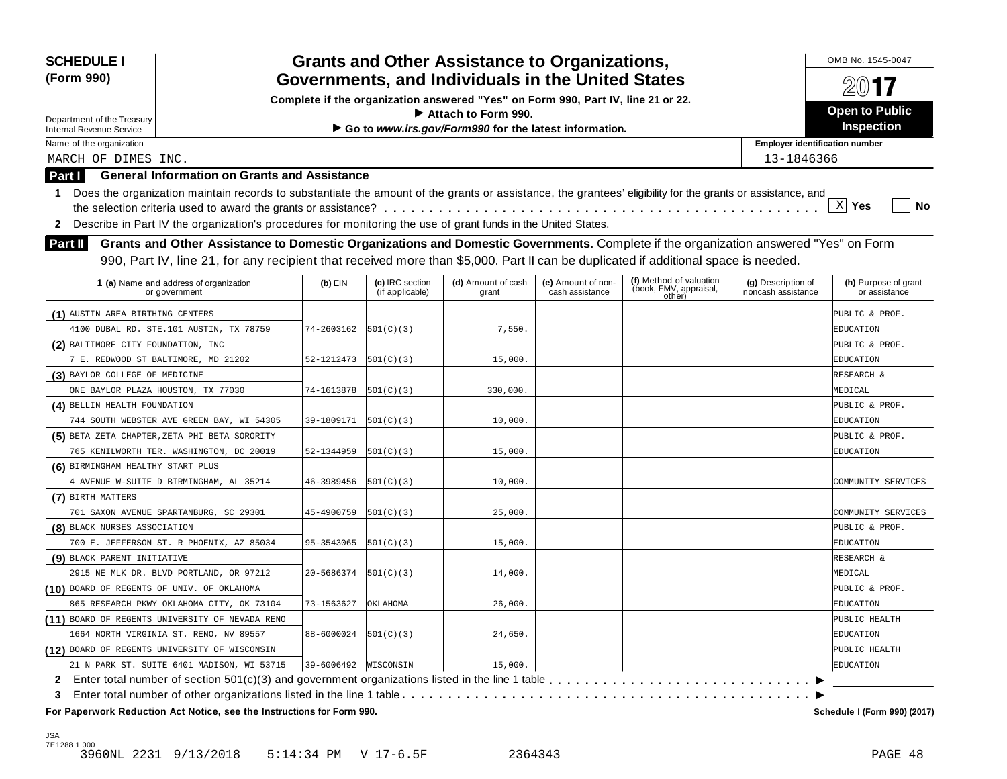| <b>SCHEDULE I</b><br>(Form 990)            |                                                                                                                                                                                                                                                                           |                      |                                    | <b>Grants and Other Assistance to Organizations,</b><br>Governments, and Individuals in the United States |                                       |                                                             |                                          | OMB No. 1545-0047                     |
|--------------------------------------------|---------------------------------------------------------------------------------------------------------------------------------------------------------------------------------------------------------------------------------------------------------------------------|----------------------|------------------------------------|-----------------------------------------------------------------------------------------------------------|---------------------------------------|-------------------------------------------------------------|------------------------------------------|---------------------------------------|
|                                            |                                                                                                                                                                                                                                                                           |                      |                                    | Complete if the organization answered "Yes" on Form 990, Part IV, line 21 or 22.                          |                                       |                                                             |                                          |                                       |
| Department of the Treasury                 |                                                                                                                                                                                                                                                                           |                      |                                    | $\blacktriangleright$ Attach to Form 990.                                                                 |                                       |                                                             |                                          | <b>Open to Public</b>                 |
| <b>Internal Revenue Service</b>            |                                                                                                                                                                                                                                                                           |                      |                                    | Go to www.irs.gov/Form990 for the latest information.                                                     |                                       |                                                             |                                          | <b>Inspection</b>                     |
| Name of the organization                   |                                                                                                                                                                                                                                                                           |                      |                                    |                                                                                                           |                                       |                                                             | <b>Employer identification number</b>    |                                       |
| MARCH OF DIMES INC.                        |                                                                                                                                                                                                                                                                           |                      |                                    |                                                                                                           |                                       |                                                             | 13-1846366                               |                                       |
| <b>Part I</b>                              | <b>General Information on Grants and Assistance</b>                                                                                                                                                                                                                       |                      |                                    |                                                                                                           |                                       |                                                             |                                          |                                       |
| $\mathbf{1}$                               | Does the organization maintain records to substantiate the amount of the grants or assistance, the grantees' eligibility for the grants or assistance, and                                                                                                                |                      |                                    |                                                                                                           |                                       |                                                             |                                          |                                       |
|                                            |                                                                                                                                                                                                                                                                           |                      |                                    |                                                                                                           |                                       |                                                             |                                          | $\mathbf{x}$<br>Yes<br>No             |
| 2                                          | Describe in Part IV the organization's procedures for monitoring the use of grant funds in the United States.                                                                                                                                                             |                      |                                    |                                                                                                           |                                       |                                                             |                                          |                                       |
| Part II                                    | Grants and Other Assistance to Domestic Organizations and Domestic Governments. Complete if the organization answered "Yes" on Form<br>990, Part IV, line 21, for any recipient that received more than \$5,000. Part II can be duplicated if additional space is needed. |                      |                                    |                                                                                                           |                                       |                                                             |                                          |                                       |
|                                            | 1 (a) Name and address of organization<br>or government                                                                                                                                                                                                                   | $(b)$ EIN            | (c) IRC section<br>(if applicable) | (d) Amount of cash<br>grant                                                                               | (e) Amount of non-<br>cash assistance | (f) Method of valuation<br>(book, FMV, appraisal,<br>other) | (g) Description of<br>noncash assistance | (h) Purpose of grant<br>or assistance |
| (1) AUSTIN AREA BIRTHING CENTERS           |                                                                                                                                                                                                                                                                           |                      |                                    |                                                                                                           |                                       |                                                             |                                          | PUBLIC & PROF.                        |
|                                            | 4100 DUBAL RD. STE.101 AUSTIN, TX 78759                                                                                                                                                                                                                                   | 74-2603162           | 501(C)(3)                          | 7,550.                                                                                                    |                                       |                                                             |                                          | EDUCATION                             |
| (2) BALTIMORE CITY FOUNDATION, INC         |                                                                                                                                                                                                                                                                           |                      |                                    |                                                                                                           |                                       |                                                             |                                          | PUBLIC & PROF.                        |
|                                            | 7 E. REDWOOD ST BALTIMORE, MD 21202                                                                                                                                                                                                                                       | 52-1212473           | 501(C)(3)                          | 15,000.                                                                                                   |                                       |                                                             |                                          | EDUCATION                             |
| (3) BAYLOR COLLEGE OF MEDICINE             |                                                                                                                                                                                                                                                                           |                      |                                    |                                                                                                           |                                       |                                                             |                                          | RESEARCH &                            |
|                                            | ONE BAYLOR PLAZA HOUSTON, TX 77030                                                                                                                                                                                                                                        | 74-1613878           | 501(C)(3)                          | 330,000.                                                                                                  |                                       |                                                             |                                          | MEDICAL                               |
| (4) BELLIN HEALTH FOUNDATION               |                                                                                                                                                                                                                                                                           |                      |                                    |                                                                                                           |                                       |                                                             |                                          | PUBLIC & PROF.                        |
|                                            | 744 SOUTH WEBSTER AVE GREEN BAY, WI 54305                                                                                                                                                                                                                                 | 39-1809171           | 501(C)(3)                          | 10,000.                                                                                                   |                                       |                                                             |                                          | EDUCATION                             |
|                                            | (5) BETA ZETA CHAPTER, ZETA PHI BETA SORORITY                                                                                                                                                                                                                             |                      |                                    |                                                                                                           |                                       |                                                             |                                          | PUBLIC & PROF.                        |
|                                            | 765 KENILWORTH TER. WASHINGTON, DC 20019                                                                                                                                                                                                                                  | 52-1344959           | 501(C)(3)                          | 15,000.                                                                                                   |                                       |                                                             |                                          | EDUCATION                             |
| (6) BIRMINGHAM HEALTHY START PLUS          |                                                                                                                                                                                                                                                                           |                      |                                    |                                                                                                           |                                       |                                                             |                                          |                                       |
|                                            | 4 AVENUE W-SUITE D BIRMINGHAM, AL 35214                                                                                                                                                                                                                                   | 46-3989456           | 501(C)(3)                          | 10,000                                                                                                    |                                       |                                                             |                                          | COMMUNITY SERVICES                    |
| (7) BIRTH MATTERS                          |                                                                                                                                                                                                                                                                           |                      |                                    |                                                                                                           |                                       |                                                             |                                          |                                       |
|                                            | 701 SAXON AVENUE SPARTANBURG, SC 29301                                                                                                                                                                                                                                    | 45-4900759           | 501(C)(3)                          | 25,000                                                                                                    |                                       |                                                             |                                          | COMMUNITY SERVICES                    |
| (8) BLACK NURSES ASSOCIATION               |                                                                                                                                                                                                                                                                           |                      |                                    |                                                                                                           |                                       |                                                             |                                          | PUBLIC & PROF.                        |
|                                            | 700 E. JEFFERSON ST. R PHOENIX, AZ 85034                                                                                                                                                                                                                                  | 95-3543065           | 501(C)(3)                          | 15,000.                                                                                                   |                                       |                                                             |                                          | EDUCATION                             |
| (9) BLACK PARENT INITIATIVE                |                                                                                                                                                                                                                                                                           |                      |                                    |                                                                                                           |                                       |                                                             |                                          | RESEARCH &                            |
|                                            | 2915 NE MLK DR. BLVD PORTLAND, OR 97212                                                                                                                                                                                                                                   | 20-5686374           | 501(C)(3)                          | 14,000.                                                                                                   |                                       |                                                             |                                          | MEDICAL                               |
| (10) BOARD OF REGENTS OF UNIV. OF OKLAHOMA |                                                                                                                                                                                                                                                                           |                      |                                    |                                                                                                           |                                       |                                                             |                                          | PUBLIC & PROF.                        |
|                                            | 865 RESEARCH PKWY OKLAHOMA CITY, OK 73104                                                                                                                                                                                                                                 | 73-1563627           | OKLAHOMA                           | 26,000.                                                                                                   |                                       |                                                             |                                          | EDUCATION                             |
|                                            | (11) BOARD OF REGENTS UNIVERSITY OF NEVADA RENO                                                                                                                                                                                                                           |                      |                                    |                                                                                                           |                                       |                                                             |                                          | PUBLIC HEALTH                         |
|                                            | 1664 NORTH VIRGINIA ST. RENO, NV 89557                                                                                                                                                                                                                                    | 88-6000024           | 501(C)(3)                          | 24,650.                                                                                                   |                                       |                                                             |                                          | EDUCATION                             |
|                                            | (12) BOARD OF REGENTS UNIVERSITY OF WISCONSIN                                                                                                                                                                                                                             |                      |                                    |                                                                                                           |                                       |                                                             |                                          | PUBLIC HEALTH                         |
|                                            | 21 N PARK ST. SUITE 6401 MADISON, WI 53715                                                                                                                                                                                                                                | 39-6006492 WISCONSIN |                                    | 15,000.                                                                                                   |                                       |                                                             |                                          | EDUCATION                             |
|                                            |                                                                                                                                                                                                                                                                           |                      |                                    |                                                                                                           |                                       |                                                             |                                          |                                       |
| 3                                          |                                                                                                                                                                                                                                                                           |                      |                                    |                                                                                                           |                                       |                                                             |                                          |                                       |
|                                            | For Paperwork Reduction Act Notice, see the Instructions for Form 990.                                                                                                                                                                                                    |                      |                                    |                                                                                                           |                                       |                                                             |                                          | Schedule I (Form 990) (2017)          |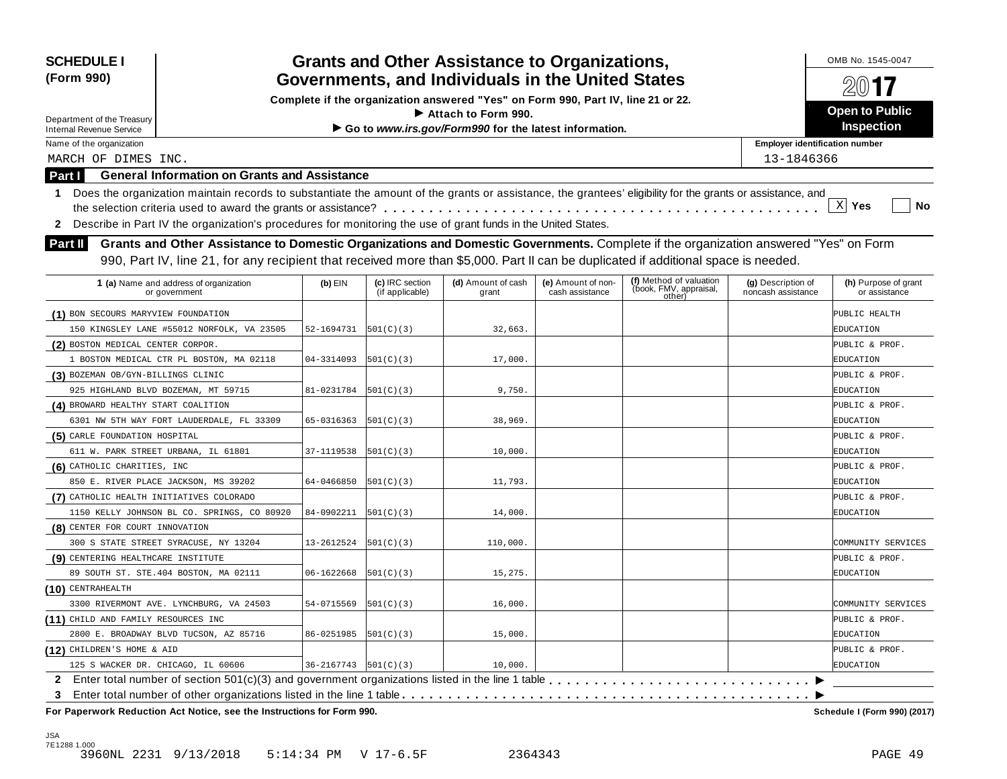| <b>SCHEDULE I</b><br>(Form 990)                                                                                                                                  | <b>Grants and Other Assistance to Organizations,</b><br>Governments, and Individuals in the United States                           |                                    |                                                                                  |                                       |                                                             |                                          |                                       |  |  |
|------------------------------------------------------------------------------------------------------------------------------------------------------------------|-------------------------------------------------------------------------------------------------------------------------------------|------------------------------------|----------------------------------------------------------------------------------|---------------------------------------|-------------------------------------------------------------|------------------------------------------|---------------------------------------|--|--|
|                                                                                                                                                                  |                                                                                                                                     |                                    | Complete if the organization answered "Yes" on Form 990, Part IV, line 21 or 22. |                                       |                                                             |                                          | 2017                                  |  |  |
| Department of the Treasury                                                                                                                                       |                                                                                                                                     |                                    | Attach to Form 990.                                                              |                                       |                                                             |                                          | <b>Open to Public</b>                 |  |  |
| <b>Internal Revenue Service</b>                                                                                                                                  |                                                                                                                                     |                                    | Go to www.irs.gov/Form990 for the latest information.                            |                                       |                                                             |                                          | Inspection                            |  |  |
| Name of the organization                                                                                                                                         |                                                                                                                                     |                                    |                                                                                  |                                       |                                                             | <b>Employer identification number</b>    |                                       |  |  |
| MARCH OF DIMES INC.                                                                                                                                              |                                                                                                                                     |                                    |                                                                                  |                                       |                                                             | 13-1846366                               |                                       |  |  |
| <b>Part I</b>                                                                                                                                                    | <b>General Information on Grants and Assistance</b>                                                                                 |                                    |                                                                                  |                                       |                                                             |                                          |                                       |  |  |
| Does the organization maintain records to substantiate the amount of the grants or assistance, the grantees' eligibility for the grants or assistance, and<br>1. |                                                                                                                                     |                                    |                                                                                  |                                       |                                                             |                                          |                                       |  |  |
|                                                                                                                                                                  |                                                                                                                                     |                                    |                                                                                  |                                       |                                                             |                                          | $\mathbf{x}$<br>Yes<br>No             |  |  |
| Describe in Part IV the organization's procedures for monitoring the use of grant funds in the United States.<br>$\mathbf{2}$                                    |                                                                                                                                     |                                    |                                                                                  |                                       |                                                             |                                          |                                       |  |  |
| <b>Part II</b>                                                                                                                                                   | Grants and Other Assistance to Domestic Organizations and Domestic Governments. Complete if the organization answered "Yes" on Form |                                    |                                                                                  |                                       |                                                             |                                          |                                       |  |  |
|                                                                                                                                                                  | 990, Part IV, line 21, for any recipient that received more than \$5,000. Part II can be duplicated if additional space is needed.  |                                    |                                                                                  |                                       |                                                             |                                          |                                       |  |  |
|                                                                                                                                                                  |                                                                                                                                     |                                    |                                                                                  |                                       |                                                             |                                          |                                       |  |  |
| 1 (a) Name and address of organization<br>or government                                                                                                          | $(b)$ EIN                                                                                                                           | (c) IRC section<br>(if applicable) | (d) Amount of cash<br>grant                                                      | (e) Amount of non-<br>cash assistance | (f) Method of valuation<br>(book, FMV, appraisal,<br>other) | (g) Description of<br>noncash assistance | (h) Purpose of grant<br>or assistance |  |  |
| (1) BON SECOURS MARYVIEW FOUNDATION                                                                                                                              |                                                                                                                                     |                                    |                                                                                  |                                       |                                                             |                                          | PUBLIC HEALTH                         |  |  |
| 150 KINGSLEY LANE #55012 NORFOLK, VA 23505                                                                                                                       | 52-1694731                                                                                                                          | 501(C)(3)                          | 32,663.                                                                          |                                       |                                                             |                                          | EDUCATION                             |  |  |
| (2) BOSTON MEDICAL CENTER CORPOR.                                                                                                                                |                                                                                                                                     |                                    |                                                                                  |                                       |                                                             |                                          | PUBLIC & PROF.                        |  |  |
| 1 BOSTON MEDICAL CTR PL BOSTON, MA 02118                                                                                                                         | 04-3314093                                                                                                                          | 501(C)(3)                          | 17,000.                                                                          |                                       |                                                             |                                          | EDUCATION                             |  |  |
| (3) BOZEMAN OB/GYN-BILLINGS CLINIC                                                                                                                               |                                                                                                                                     |                                    |                                                                                  |                                       |                                                             |                                          | PUBLIC & PROF.                        |  |  |
| 925 HIGHLAND BLVD BOZEMAN, MT 59715                                                                                                                              | 81-0231784                                                                                                                          | 501(C)(3)                          | 9,750.                                                                           |                                       |                                                             |                                          | EDUCATION                             |  |  |
| (4) BROWARD HEALTHY START COALITION                                                                                                                              |                                                                                                                                     |                                    |                                                                                  |                                       |                                                             |                                          | PUBLIC & PROF.                        |  |  |
| 6301 NW 5TH WAY FORT LAUDERDALE, FL 33309                                                                                                                        | 65-0316363                                                                                                                          | 501(C)(3)                          | 38,969                                                                           |                                       |                                                             |                                          | EDUCATION                             |  |  |
| (5) CARLE FOUNDATION HOSPITAL                                                                                                                                    |                                                                                                                                     |                                    |                                                                                  |                                       |                                                             |                                          | PUBLIC & PROF.                        |  |  |
| 611 W. PARK STREET URBANA, IL 61801                                                                                                                              | 37-1119538                                                                                                                          | 501(C)(3)                          | 10,000.                                                                          |                                       |                                                             |                                          | EDUCATION                             |  |  |
| (6) CATHOLIC CHARITIES, INC                                                                                                                                      |                                                                                                                                     |                                    |                                                                                  |                                       |                                                             |                                          | PUBLIC & PROF.                        |  |  |
| 850 E. RIVER PLACE JACKSON, MS 39202                                                                                                                             | 64-0466850                                                                                                                          | 501(C)(3)                          | 11,793.                                                                          |                                       |                                                             |                                          | EDUCATION                             |  |  |
| (7) CATHOLIC HEALTH INITIATIVES COLORADO                                                                                                                         |                                                                                                                                     |                                    |                                                                                  |                                       |                                                             |                                          | PUBLIC & PROF.                        |  |  |
| 1150 KELLY JOHNSON BL CO. SPRINGS, CO 80920                                                                                                                      | 84-0902211                                                                                                                          | 501(C)(3)                          | 14,000                                                                           |                                       |                                                             |                                          | EDUCATION                             |  |  |
| (8) CENTER FOR COURT INNOVATION                                                                                                                                  |                                                                                                                                     |                                    |                                                                                  |                                       |                                                             |                                          |                                       |  |  |
| 300 S STATE STREET SYRACUSE, NY 13204                                                                                                                            | 13-2612524                                                                                                                          | 501(C)(3)                          | 110,000.                                                                         |                                       |                                                             |                                          | COMMUNITY SERVICES                    |  |  |
| (9) CENTERING HEALTHCARE INSTITUTE                                                                                                                               |                                                                                                                                     |                                    |                                                                                  |                                       |                                                             |                                          | PUBLIC & PROF.                        |  |  |
| 89 SOUTH ST. STE. 404 BOSTON, MA 02111                                                                                                                           | 06-1622668                                                                                                                          | 501(C)(3)                          | 15,275.                                                                          |                                       |                                                             |                                          | EDUCATION                             |  |  |
| $(10)$ CENTRAHEALTH                                                                                                                                              |                                                                                                                                     |                                    |                                                                                  |                                       |                                                             |                                          |                                       |  |  |
| 3300 RIVERMONT AVE. LYNCHBURG, VA 24503                                                                                                                          | 54-0715569                                                                                                                          | 501(C)(3)                          | 16,000.                                                                          |                                       |                                                             |                                          | COMMUNITY SERVICES                    |  |  |
| (11) CHILD AND FAMILY RESOURCES INC                                                                                                                              |                                                                                                                                     |                                    |                                                                                  |                                       |                                                             |                                          | PUBLIC & PROF.                        |  |  |
| 2800 E. BROADWAY BLVD TUCSON, AZ 85716                                                                                                                           | 86-0251985                                                                                                                          | 501(C)(3)                          | 15,000.                                                                          |                                       |                                                             |                                          | EDUCATION                             |  |  |
| (12) CHILDREN'S HOME & AID                                                                                                                                       |                                                                                                                                     |                                    |                                                                                  |                                       |                                                             |                                          | PUBLIC & PROF.                        |  |  |
| 125 S WACKER DR. CHICAGO, IL 60606                                                                                                                               |                                                                                                                                     | $36-2167743$ $ 501(C)(3) $         | 10,000.                                                                          |                                       |                                                             |                                          | EDUCATION                             |  |  |
|                                                                                                                                                                  |                                                                                                                                     |                                    |                                                                                  |                                       |                                                             |                                          |                                       |  |  |
| 3<br>For Paperwork Reduction Act Notice, see the Instructions for Form 990.                                                                                      |                                                                                                                                     |                                    |                                                                                  |                                       |                                                             |                                          | Schedule I (Form 990) (2017)          |  |  |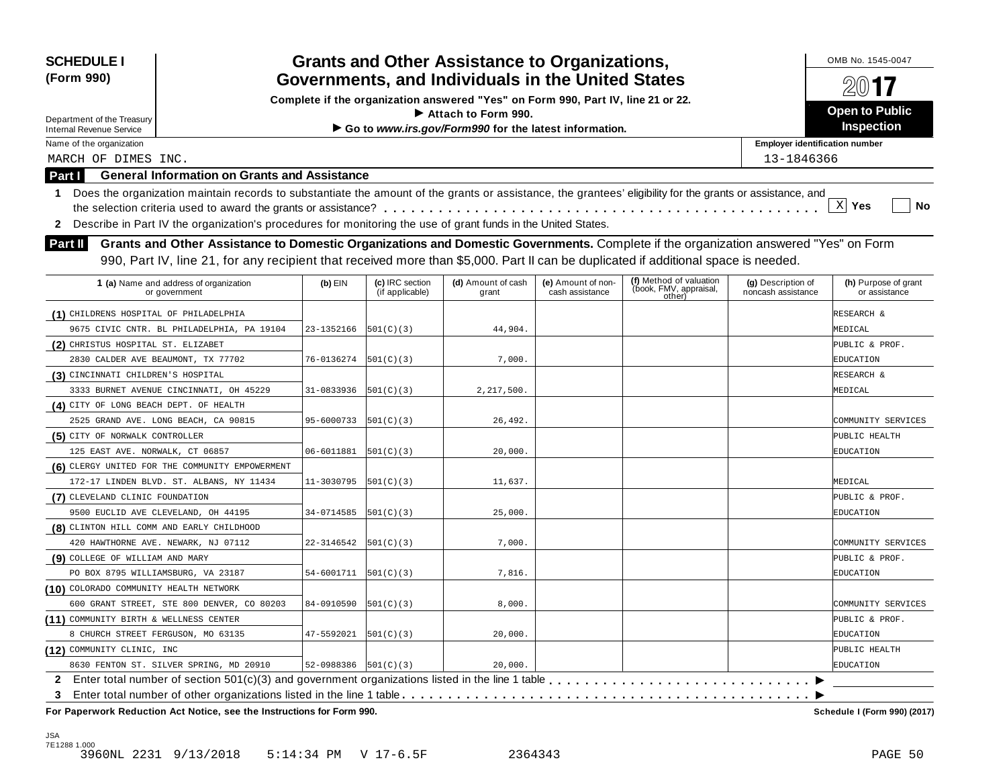| <b>SCHEDULE I</b><br>(Form 990)                                                                                                                                                                                                                                                                                                                             |                              |                 | <b>Grants and Other Assistance to Organizations,</b><br>Governments, and Individuals in the United States |                 |        |                                       | OMB No. 1545-0047<br>$201$ <b>7</b> |  |  |  |
|-------------------------------------------------------------------------------------------------------------------------------------------------------------------------------------------------------------------------------------------------------------------------------------------------------------------------------------------------------------|------------------------------|-----------------|-----------------------------------------------------------------------------------------------------------|-----------------|--------|---------------------------------------|-------------------------------------|--|--|--|
|                                                                                                                                                                                                                                                                                                                                                             |                              |                 | Complete if the organization answered "Yes" on Form 990, Part IV, line 21 or 22.                          |                 |        |                                       |                                     |  |  |  |
| Department of the Treasury                                                                                                                                                                                                                                                                                                                                  |                              |                 | $\blacktriangleright$ Attach to Form 990.                                                                 |                 |        |                                       | <b>Open to Public</b>               |  |  |  |
| <b>Internal Revenue Service</b>                                                                                                                                                                                                                                                                                                                             |                              |                 | Go to www.irs.gov/Form990 for the latest information.                                                     |                 |        |                                       | Inspection                          |  |  |  |
| Name of the organization                                                                                                                                                                                                                                                                                                                                    |                              |                 |                                                                                                           |                 |        | <b>Employer identification number</b> |                                     |  |  |  |
| MARCH OF DIMES INC.                                                                                                                                                                                                                                                                                                                                         |                              |                 |                                                                                                           |                 |        | 13-1846366                            |                                     |  |  |  |
| <b>General Information on Grants and Assistance</b><br>Part I                                                                                                                                                                                                                                                                                               |                              |                 |                                                                                                           |                 |        |                                       |                                     |  |  |  |
| Does the organization maintain records to substantiate the amount of the grants or assistance, the grantees' eligibility for the grants or assistance, and<br>-1                                                                                                                                                                                            |                              |                 |                                                                                                           |                 |        |                                       |                                     |  |  |  |
|                                                                                                                                                                                                                                                                                                                                                             |                              |                 |                                                                                                           |                 |        |                                       | $\mathbf{x}$<br>Yes<br>No           |  |  |  |
| Describe in Part IV the organization's procedures for monitoring the use of grant funds in the United States.<br>2                                                                                                                                                                                                                                          |                              |                 |                                                                                                           |                 |        |                                       |                                     |  |  |  |
| Grants and Other Assistance to Domestic Organizations and Domestic Governments. Complete if the organization answered "Yes" on Form<br>Part II                                                                                                                                                                                                              |                              |                 |                                                                                                           |                 |        |                                       |                                     |  |  |  |
|                                                                                                                                                                                                                                                                                                                                                             |                              |                 |                                                                                                           |                 |        |                                       |                                     |  |  |  |
| 990, Part IV, line 21, for any recipient that received more than \$5,000. Part II can be duplicated if additional space is needed.<br>(f) Method of valuation<br>(c) IRC section<br>(d) Amount of cash<br>(e) Amount of non-<br>$(b)$ EIN<br>(g) Description of<br>(h) Purpose of grant<br>1 (a) Name and address of organization<br>(book, FMV, appraisal, |                              |                 |                                                                                                           |                 |        |                                       |                                     |  |  |  |
| or government                                                                                                                                                                                                                                                                                                                                               |                              | (if applicable) | grant                                                                                                     | cash assistance | other) | noncash assistance                    | or assistance                       |  |  |  |
| (1) CHILDRENS HOSPITAL OF PHILADELPHIA                                                                                                                                                                                                                                                                                                                      |                              |                 |                                                                                                           |                 |        |                                       | RESEARCH &                          |  |  |  |
| 9675 CIVIC CNTR. BL PHILADELPHIA, PA 19104                                                                                                                                                                                                                                                                                                                  | 23-1352166                   | 501(C)(3)       | 44,904.                                                                                                   |                 |        |                                       | MEDICAL                             |  |  |  |
| (2) CHRISTUS HOSPITAL ST. ELIZABET                                                                                                                                                                                                                                                                                                                          |                              |                 |                                                                                                           |                 |        |                                       | PUBLIC & PROF.                      |  |  |  |
| 2830 CALDER AVE BEAUMONT, TX 77702                                                                                                                                                                                                                                                                                                                          | 76-0136274                   | 501(C)(3)       | 7,000.                                                                                                    |                 |        |                                       | EDUCATION                           |  |  |  |
| (3) CINCINNATI CHILDREN'S HOSPITAL                                                                                                                                                                                                                                                                                                                          |                              |                 |                                                                                                           |                 |        |                                       | RESEARCH &                          |  |  |  |
| 3333 BURNET AVENUE CINCINNATI, OH 45229                                                                                                                                                                                                                                                                                                                     | 31-0833936                   | 501(C)(3)       | 2,217,500                                                                                                 |                 |        |                                       | MEDICAL                             |  |  |  |
| (4) CITY OF LONG BEACH DEPT. OF HEALTH                                                                                                                                                                                                                                                                                                                      |                              |                 |                                                                                                           |                 |        |                                       |                                     |  |  |  |
| 2525 GRAND AVE. LONG BEACH, CA 90815                                                                                                                                                                                                                                                                                                                        | 95-6000733                   | 501(C)(3)       | 26,492.                                                                                                   |                 |        |                                       | COMMUNITY SERVICES                  |  |  |  |
| (5) CITY OF NORWALK CONTROLLER                                                                                                                                                                                                                                                                                                                              |                              |                 |                                                                                                           |                 |        |                                       | PUBLIC HEALTH                       |  |  |  |
| 125 EAST AVE. NORWALK, CT 06857                                                                                                                                                                                                                                                                                                                             | 06-6011881                   | 501(C)(3)       | 20,000.                                                                                                   |                 |        |                                       | EDUCATION                           |  |  |  |
| (6) CLERGY UNITED FOR THE COMMUNITY EMPOWERMENT                                                                                                                                                                                                                                                                                                             |                              |                 |                                                                                                           |                 |        |                                       |                                     |  |  |  |
| 172-17 LINDEN BLVD. ST. ALBANS, NY 11434                                                                                                                                                                                                                                                                                                                    | 11-3030795                   | 501(C)(3)       | 11,637.                                                                                                   |                 |        |                                       | MEDICAL                             |  |  |  |
| (7) CLEVELAND CLINIC FOUNDATION                                                                                                                                                                                                                                                                                                                             |                              |                 |                                                                                                           |                 |        |                                       | PUBLIC & PROF.                      |  |  |  |
| 9500 EUCLID AVE CLEVELAND, OH 44195                                                                                                                                                                                                                                                                                                                         | 34-0714585                   | 501(C)(3)       | 25,000.                                                                                                   |                 |        |                                       | EDUCATION                           |  |  |  |
| (8) CLINTON HILL COMM AND EARLY CHILDHOOD                                                                                                                                                                                                                                                                                                                   |                              |                 |                                                                                                           |                 |        |                                       |                                     |  |  |  |
| 420 HAWTHORNE AVE. NEWARK, NJ 07112                                                                                                                                                                                                                                                                                                                         | 22-3146542                   | 501(C)(3)       | 7,000.                                                                                                    |                 |        |                                       | COMMUNITY SERVICES                  |  |  |  |
| (9) COLLEGE OF WILLIAM AND MARY                                                                                                                                                                                                                                                                                                                             |                              |                 |                                                                                                           |                 |        |                                       | PUBLIC & PROF.                      |  |  |  |
| PO BOX 8795 WILLIAMSBURG, VA 23187                                                                                                                                                                                                                                                                                                                          | 54-6001711                   | 501(C)(3)       | 7,816.                                                                                                    |                 |        |                                       | EDUCATION                           |  |  |  |
| (10) COLORADO COMMUNITY HEALTH NETWORK                                                                                                                                                                                                                                                                                                                      |                              |                 |                                                                                                           |                 |        |                                       |                                     |  |  |  |
| 600 GRANT STREET, STE 800 DENVER, CO 80203                                                                                                                                                                                                                                                                                                                  | 84-0910590                   | 501(C)(3)       | 8,000.                                                                                                    |                 |        |                                       | COMMUNITY SERVICES                  |  |  |  |
| (11) COMMUNITY BIRTH & WELLNESS CENTER                                                                                                                                                                                                                                                                                                                      |                              |                 |                                                                                                           |                 |        |                                       | PUBLIC & PROF.                      |  |  |  |
| 8 CHURCH STREET FERGUSON, MO 63135                                                                                                                                                                                                                                                                                                                          | $47 - 5592021$ $ 501(C)(3) $ |                 | 20,000.                                                                                                   |                 |        |                                       | EDUCATION                           |  |  |  |
| (12) COMMUNITY CLINIC, INC                                                                                                                                                                                                                                                                                                                                  |                              |                 |                                                                                                           |                 |        |                                       | PUBLIC HEALTH                       |  |  |  |
| 8630 FENTON ST. SILVER SPRING, MD 20910                                                                                                                                                                                                                                                                                                                     | $52-0988386$ $501(C)(3)$     |                 | 20,000.                                                                                                   |                 |        |                                       | EDUCATION                           |  |  |  |
|                                                                                                                                                                                                                                                                                                                                                             |                              |                 |                                                                                                           |                 |        |                                       |                                     |  |  |  |
| 3<br>For Paperwork Reduction Act Notice, see the Instructions for Form 990.                                                                                                                                                                                                                                                                                 |                              |                 |                                                                                                           |                 |        |                                       | Schedule I (Form 990) (2017)        |  |  |  |

JSA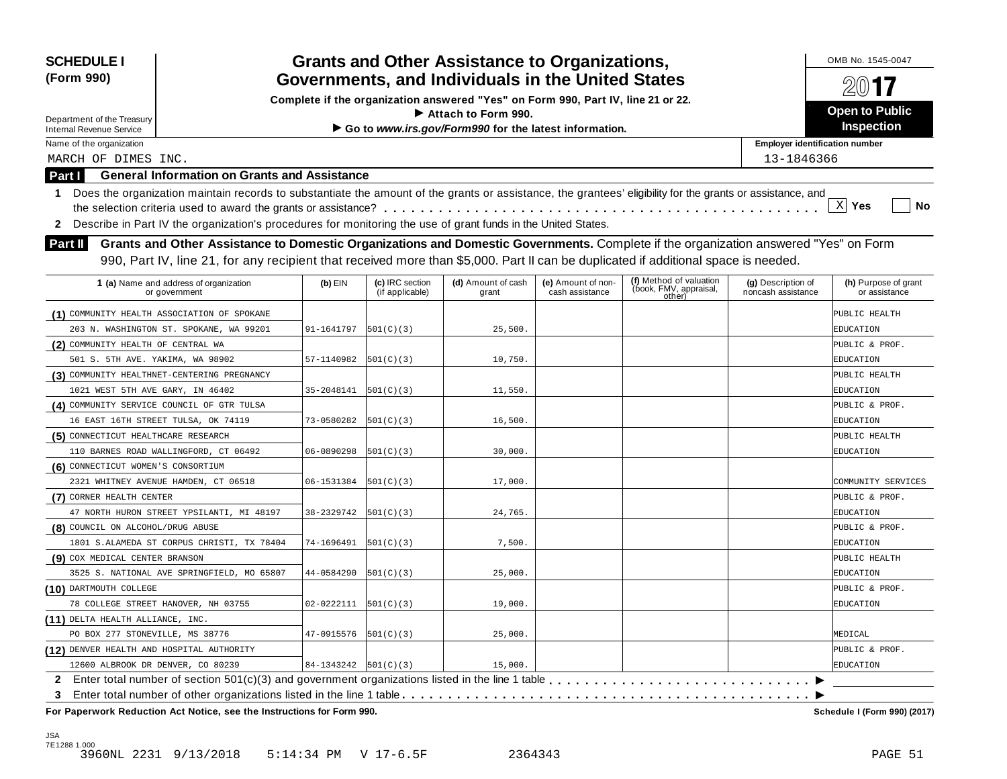| <b>SCHEDULE I</b><br>(Form 990)             | <b>Grants and Other Assistance to Organizations,</b><br>Governments, and Individuals in the United States                                                  |                      |                                    |                                                                                  |                                       |                                                             |                                          |                                       |  |
|---------------------------------------------|------------------------------------------------------------------------------------------------------------------------------------------------------------|----------------------|------------------------------------|----------------------------------------------------------------------------------|---------------------------------------|-------------------------------------------------------------|------------------------------------------|---------------------------------------|--|
|                                             |                                                                                                                                                            |                      |                                    | Complete if the organization answered "Yes" on Form 990, Part IV, line 21 or 22. |                                       |                                                             |                                          | 2017                                  |  |
| Department of the Treasury                  |                                                                                                                                                            |                      |                                    | Attach to Form 990.                                                              |                                       |                                                             |                                          | <b>Open to Public</b>                 |  |
| <b>Internal Revenue Service</b>             |                                                                                                                                                            |                      |                                    | Go to www.irs.gov/Form990 for the latest information.                            |                                       |                                                             |                                          | Inspection                            |  |
| Name of the organization                    |                                                                                                                                                            |                      |                                    |                                                                                  |                                       |                                                             | <b>Employer identification number</b>    |                                       |  |
| MARCH OF DIMES INC.                         |                                                                                                                                                            |                      |                                    |                                                                                  |                                       |                                                             | 13-1846366                               |                                       |  |
| <b>Part I</b>                               | <b>General Information on Grants and Assistance</b>                                                                                                        |                      |                                    |                                                                                  |                                       |                                                             |                                          |                                       |  |
| 1.                                          | Does the organization maintain records to substantiate the amount of the grants or assistance, the grantees' eligibility for the grants or assistance, and |                      |                                    |                                                                                  |                                       |                                                             |                                          |                                       |  |
|                                             |                                                                                                                                                            |                      |                                    |                                                                                  |                                       |                                                             |                                          | $\mathbf{x}$<br>Yes<br>No             |  |
| $\mathbf{2}$                                | Describe in Part IV the organization's procedures for monitoring the use of grant funds in the United States.                                              |                      |                                    |                                                                                  |                                       |                                                             |                                          |                                       |  |
| <b>Part II</b>                              | Grants and Other Assistance to Domestic Organizations and Domestic Governments. Complete if the organization answered "Yes" on Form                        |                      |                                    |                                                                                  |                                       |                                                             |                                          |                                       |  |
|                                             | 990, Part IV, line 21, for any recipient that received more than \$5,000. Part II can be duplicated if additional space is needed.                         |                      |                                    |                                                                                  |                                       |                                                             |                                          |                                       |  |
|                                             |                                                                                                                                                            |                      |                                    |                                                                                  |                                       |                                                             |                                          |                                       |  |
|                                             | 1 (a) Name and address of organization<br>or government                                                                                                    | $(b)$ EIN            | (c) IRC section<br>(if applicable) | (d) Amount of cash<br>grant                                                      | (e) Amount of non-<br>cash assistance | (f) Method of valuation<br>(book, FMV, appraisal,<br>other) | (g) Description of<br>noncash assistance | (h) Purpose of grant<br>or assistance |  |
| (1) COMMUNITY HEALTH ASSOCIATION OF SPOKANE |                                                                                                                                                            |                      |                                    |                                                                                  |                                       |                                                             |                                          | PUBLIC HEALTH                         |  |
|                                             | 203 N. WASHINGTON ST. SPOKANE, WA 99201                                                                                                                    | 91-1641797           | 501(C)(3)                          | 25,500.                                                                          |                                       |                                                             |                                          | EDUCATION                             |  |
| (2) COMMUNITY HEALTH OF CENTRAL WA          |                                                                                                                                                            |                      |                                    |                                                                                  |                                       |                                                             |                                          | PUBLIC & PROF.                        |  |
| 501 S. 5TH AVE. YAKIMA, WA 98902            |                                                                                                                                                            | 57-1140982           | 501(C)(3)                          | 10,750.                                                                          |                                       |                                                             |                                          | EDUCATION                             |  |
| (3) COMMUNITY HEALTHNET-CENTERING PREGNANCY |                                                                                                                                                            |                      |                                    |                                                                                  |                                       |                                                             |                                          | PUBLIC HEALTH                         |  |
| 1021 WEST 5TH AVE GARY, IN 46402            |                                                                                                                                                            | 35-2048141           | 501(C)(3)                          | 11,550                                                                           |                                       |                                                             |                                          | EDUCATION                             |  |
| (4) COMMUNITY SERVICE COUNCIL OF GTR TULSA  |                                                                                                                                                            |                      |                                    |                                                                                  |                                       |                                                             |                                          | PUBLIC & PROF.                        |  |
| 16 EAST 16TH STREET TULSA, OK 74119         |                                                                                                                                                            | 73-0580282           | 501(C)(3)                          | 16,500.                                                                          |                                       |                                                             |                                          | EDUCATION                             |  |
| (5) CONNECTICUT HEALTHCARE RESEARCH         |                                                                                                                                                            |                      |                                    |                                                                                  |                                       |                                                             |                                          | PUBLIC HEALTH                         |  |
| 110 BARNES ROAD WALLINGFORD, CT 06492       |                                                                                                                                                            | 06-0890298           | 501(C)(3)                          | 30,000.                                                                          |                                       |                                                             |                                          | EDUCATION                             |  |
| (6) CONNECTICUT WOMEN'S CONSORTIUM          |                                                                                                                                                            |                      |                                    |                                                                                  |                                       |                                                             |                                          |                                       |  |
| 2321 WHITNEY AVENUE HAMDEN, CT 06518        |                                                                                                                                                            | 06-1531384           | 501(C)(3)                          | 17,000.                                                                          |                                       |                                                             |                                          | COMMUNITY SERVICES                    |  |
| (7) CORNER HEALTH CENTER                    |                                                                                                                                                            |                      |                                    |                                                                                  |                                       |                                                             |                                          | PUBLIC & PROF.                        |  |
|                                             | 47 NORTH HURON STREET YPSILANTI, MI 48197                                                                                                                  | 38-2329742           | 501(C)(3)                          | 24,765.                                                                          |                                       |                                                             |                                          | EDUCATION                             |  |
| (8) COUNCIL ON ALCOHOL/DRUG ABUSE           |                                                                                                                                                            |                      |                                    |                                                                                  |                                       |                                                             |                                          | PUBLIC & PROF.                        |  |
|                                             | 1801 S.ALAMEDA ST CORPUS CHRISTI, TX 78404                                                                                                                 | 74-1696491           | 501(C)(3)                          | 7,500.                                                                           |                                       |                                                             |                                          | EDUCATION                             |  |
| (9) COX MEDICAL CENTER BRANSON              |                                                                                                                                                            |                      |                                    |                                                                                  |                                       |                                                             |                                          | PUBLIC HEALTH                         |  |
|                                             | 3525 S. NATIONAL AVE SPRINGFIELD, MO 65807                                                                                                                 | 44-0584290           | 501(C)(3)                          | 25,000.                                                                          |                                       |                                                             |                                          | EDUCATION                             |  |
| (10) DARTMOUTH COLLEGE                      |                                                                                                                                                            |                      |                                    |                                                                                  |                                       |                                                             |                                          | PUBLIC & PROF.                        |  |
| 78 COLLEGE STREET HANOVER, NH 03755         |                                                                                                                                                            | 02-0222111           | 501(C)(3)                          | 19,000.                                                                          |                                       |                                                             |                                          | EDUCATION                             |  |
| (11) DELTA HEALTH ALLIANCE, INC.            |                                                                                                                                                            |                      |                                    |                                                                                  |                                       |                                                             |                                          |                                       |  |
| PO BOX 277 STONEVILLE, MS 38776             |                                                                                                                                                            | 47-0915576           | 501(C)(3)                          | 25,000.                                                                          |                                       |                                                             |                                          | MEDICAL                               |  |
| (12) DENVER HEALTH AND HOSPITAL AUTHORITY   |                                                                                                                                                            |                      |                                    |                                                                                  |                                       |                                                             |                                          | PUBLIC & PROF.                        |  |
| 12600 ALBROOK DR DENVER, CO 80239           |                                                                                                                                                            | 84-1343242 501(C)(3) |                                    | 15,000.                                                                          |                                       |                                                             |                                          | EDUCATION                             |  |
|                                             |                                                                                                                                                            |                      |                                    |                                                                                  |                                       |                                                             |                                          |                                       |  |
| 3                                           | For Paperwork Reduction Act Notice, see the Instructions for Form 990.                                                                                     |                      |                                    |                                                                                  |                                       |                                                             |                                          | Schedule I (Form 990) (2017)          |  |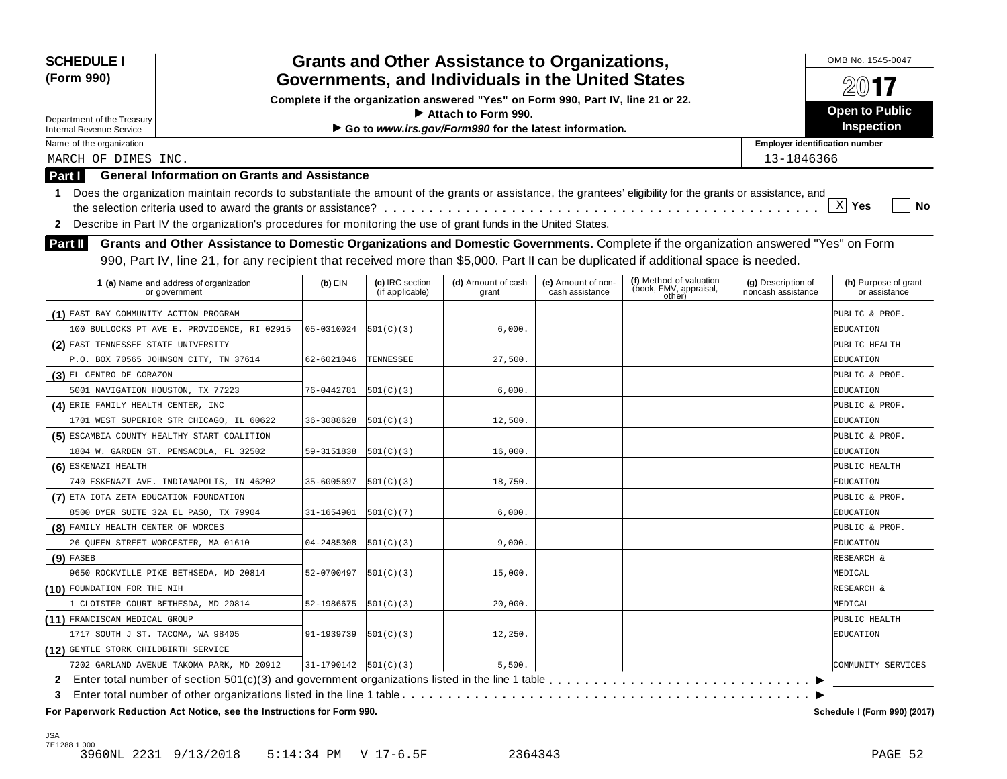| (Form 990)                                  | <b>Grants and Other Assistance to Organizations,</b><br><b>SCHEDULE I</b><br>Governments, and Individuals in the United States                             |                        |                                    |                                                                                  |                                       |                                                             |                                          |                                       |  |
|---------------------------------------------|------------------------------------------------------------------------------------------------------------------------------------------------------------|------------------------|------------------------------------|----------------------------------------------------------------------------------|---------------------------------------|-------------------------------------------------------------|------------------------------------------|---------------------------------------|--|
|                                             |                                                                                                                                                            |                        |                                    | Complete if the organization answered "Yes" on Form 990, Part IV, line 21 or 22. |                                       |                                                             |                                          | 20017                                 |  |
| Department of the Treasury                  |                                                                                                                                                            |                        |                                    | $\blacktriangleright$ Attach to Form 990.                                        |                                       |                                                             |                                          | <b>Open to Public</b>                 |  |
| <b>Internal Revenue Service</b>             |                                                                                                                                                            |                        |                                    | Go to www.irs.gov/Form990 for the latest information.                            |                                       |                                                             |                                          | Inspection                            |  |
| Name of the organization                    |                                                                                                                                                            |                        |                                    |                                                                                  |                                       |                                                             | <b>Employer identification number</b>    |                                       |  |
| MARCH OF DIMES INC.                         |                                                                                                                                                            |                        |                                    |                                                                                  |                                       |                                                             | 13-1846366                               |                                       |  |
| Part I                                      | <b>General Information on Grants and Assistance</b>                                                                                                        |                        |                                    |                                                                                  |                                       |                                                             |                                          |                                       |  |
| -1.                                         | Does the organization maintain records to substantiate the amount of the grants or assistance, the grantees' eligibility for the grants or assistance, and |                        |                                    |                                                                                  |                                       |                                                             |                                          |                                       |  |
|                                             |                                                                                                                                                            |                        |                                    |                                                                                  |                                       |                                                             |                                          | $\mathbf{x}$<br>Yes<br>No             |  |
| 2                                           | Describe in Part IV the organization's procedures for monitoring the use of grant funds in the United States.                                              |                        |                                    |                                                                                  |                                       |                                                             |                                          |                                       |  |
| <b>Part II</b>                              | Grants and Other Assistance to Domestic Organizations and Domestic Governments. Complete if the organization answered "Yes" on Form                        |                        |                                    |                                                                                  |                                       |                                                             |                                          |                                       |  |
|                                             | 990, Part IV, line 21, for any recipient that received more than \$5,000. Part II can be duplicated if additional space is needed.                         |                        |                                    |                                                                                  |                                       |                                                             |                                          |                                       |  |
|                                             |                                                                                                                                                            |                        |                                    |                                                                                  |                                       |                                                             |                                          |                                       |  |
|                                             | 1 (a) Name and address of organization<br>or government                                                                                                    | $(b)$ EIN              | (c) IRC section<br>(if applicable) | (d) Amount of cash<br>grant                                                      | (e) Amount of non-<br>cash assistance | (f) Method of valuation<br>(book, FMV, appraisal,<br>other) | (g) Description of<br>noncash assistance | (h) Purpose of grant<br>or assistance |  |
| (1) EAST BAY COMMUNITY ACTION PROGRAM       |                                                                                                                                                            |                        |                                    |                                                                                  |                                       |                                                             |                                          | PUBLIC & PROF.                        |  |
|                                             | 100 BULLOCKS PT AVE E. PROVIDENCE, RI 02915                                                                                                                | 05-0310024             | 501(C)(3)                          | 6,000.                                                                           |                                       |                                                             |                                          | EDUCATION                             |  |
| (2) EAST TENNESSEE STATE UNIVERSITY         |                                                                                                                                                            |                        |                                    |                                                                                  |                                       |                                                             |                                          | PUBLIC HEALTH                         |  |
|                                             | P.O. BOX 70565 JOHNSON CITY, TN 37614                                                                                                                      | 62-6021046             | TENNESSEE                          | 27,500                                                                           |                                       |                                                             |                                          | EDUCATION                             |  |
| (3) EL CENTRO DE CORAZON                    |                                                                                                                                                            |                        |                                    |                                                                                  |                                       |                                                             |                                          | PUBLIC & PROF.                        |  |
| 5001 NAVIGATION HOUSTON, TX 77223           |                                                                                                                                                            | 76-0442781             | 501(C)(3)                          | 6,000.                                                                           |                                       |                                                             |                                          | EDUCATION                             |  |
| (4) ERIE FAMILY HEALTH CENTER, INC          |                                                                                                                                                            |                        |                                    |                                                                                  |                                       |                                                             |                                          | PUBLIC & PROF.                        |  |
|                                             | 1701 WEST SUPERIOR STR CHICAGO, IL 60622                                                                                                                   | 36-3088628             | 501(C)(3)                          | 12,500                                                                           |                                       |                                                             |                                          | EDUCATION                             |  |
| (5) ESCAMBIA COUNTY HEALTHY START COALITION |                                                                                                                                                            |                        |                                    |                                                                                  |                                       |                                                             |                                          | PUBLIC & PROF.                        |  |
|                                             | 1804 W. GARDEN ST. PENSACOLA, FL 32502                                                                                                                     | 59-3151838             | 501(C)(3)                          | 16,000                                                                           |                                       |                                                             |                                          | EDUCATION                             |  |
| (6) ESKENAZI HEALTH                         |                                                                                                                                                            |                        |                                    |                                                                                  |                                       |                                                             |                                          | PUBLIC HEALTH                         |  |
|                                             | 740 ESKENAZI AVE. INDIANAPOLIS, IN 46202                                                                                                                   | 35-6005697             | 501(C)(3)                          | 18,750                                                                           |                                       |                                                             |                                          | EDUCATION                             |  |
| (7) ETA IOTA ZETA EDUCATION FOUNDATION      |                                                                                                                                                            |                        |                                    |                                                                                  |                                       |                                                             |                                          | PUBLIC & PROF.                        |  |
|                                             | 8500 DYER SUITE 32A EL PASO, TX 79904                                                                                                                      | 31-1654901             | 501(C)(7)                          | 6,000.                                                                           |                                       |                                                             |                                          | EDUCATION                             |  |
| (8) FAMILY HEALTH CENTER OF WORCES          |                                                                                                                                                            |                        |                                    |                                                                                  |                                       |                                                             |                                          | PUBLIC & PROF.                        |  |
| 26 OUEEN STREET WORCESTER, MA 01610         |                                                                                                                                                            | 04-2485308             | 501(C)(3)                          | 9,000.                                                                           |                                       |                                                             |                                          | EDUCATION                             |  |
| $(9)$ FASEB                                 |                                                                                                                                                            |                        |                                    |                                                                                  |                                       |                                                             |                                          | RESEARCH &                            |  |
|                                             | 9650 ROCKVILLE PIKE BETHSEDA, MD 20814                                                                                                                     | 52-0700497             | 501(C)(3)                          | 15,000                                                                           |                                       |                                                             |                                          | MEDICAL                               |  |
| (10) FOUNDATION FOR THE NIH                 |                                                                                                                                                            |                        |                                    |                                                                                  |                                       |                                                             |                                          | RESEARCH &                            |  |
| 1 CLOISTER COURT BETHESDA, MD 20814         |                                                                                                                                                            | 52-1986675             | 501(C)(3)                          | 20,000.                                                                          |                                       |                                                             |                                          | MEDICAL                               |  |
| (11) FRANCISCAN MEDICAL GROUP               |                                                                                                                                                            |                        |                                    |                                                                                  |                                       |                                                             |                                          | PUBLIC HEALTH                         |  |
| 1717 SOUTH J ST. TACOMA, WA 98405           |                                                                                                                                                            | 91-1939739             | 501(C)(3)                          | 12,250.                                                                          |                                       |                                                             |                                          | EDUCATION                             |  |
| (12) GENTLE STORK CHILDBIRTH SERVICE        |                                                                                                                                                            |                        |                                    |                                                                                  |                                       |                                                             |                                          |                                       |  |
|                                             | 7202 GARLAND AVENUE TAKOMA PARK, MD 20912                                                                                                                  | $31-1790142$ 501(C)(3) |                                    | 5,500.                                                                           |                                       |                                                             |                                          | COMMUNITY SERVICES                    |  |
|                                             |                                                                                                                                                            |                        |                                    |                                                                                  |                                       |                                                             |                                          |                                       |  |
| 3                                           | For Paperwork Reduction Act Notice, see the Instructions for Form 990.                                                                                     |                        |                                    |                                                                                  |                                       |                                                             |                                          | Schedule I (Form 990) (2017)          |  |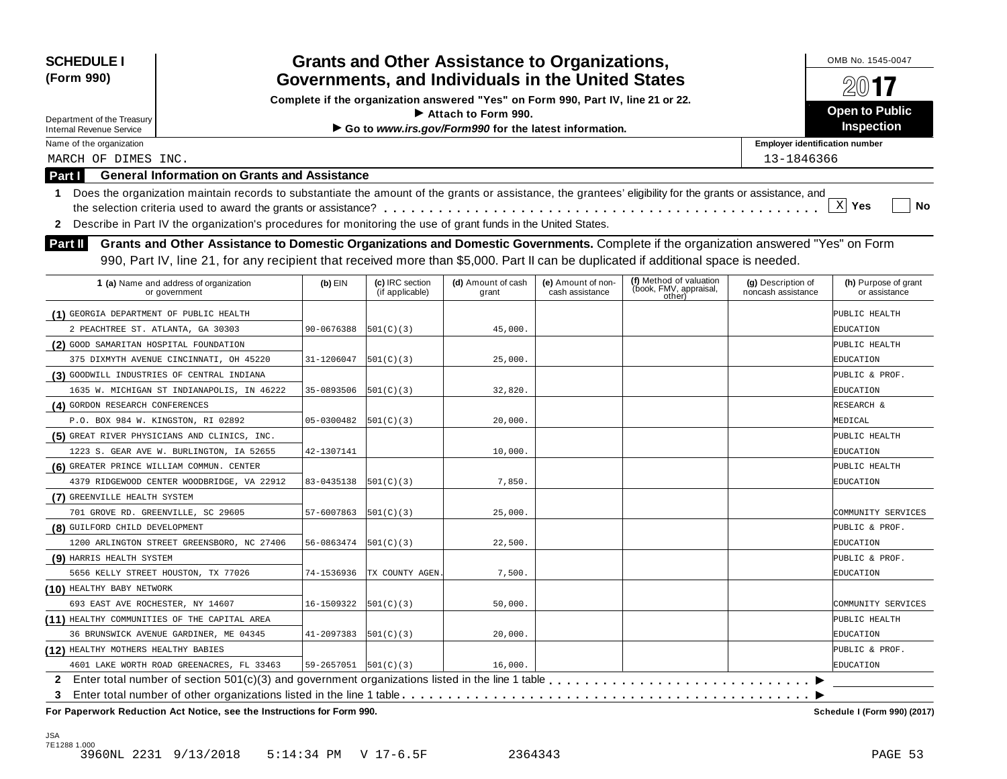| <b>SCHEDULE I</b><br>(Form 990)           | <b>Grants and Other Assistance to Organizations,</b><br>Governments, and Individuals in the United States                                                  |                              | OMB No. 1545-0047<br>20017         |                                                                                  |                                       |                                  |                                          |                                       |
|-------------------------------------------|------------------------------------------------------------------------------------------------------------------------------------------------------------|------------------------------|------------------------------------|----------------------------------------------------------------------------------|---------------------------------------|----------------------------------|------------------------------------------|---------------------------------------|
|                                           |                                                                                                                                                            |                              |                                    | Complete if the organization answered "Yes" on Form 990, Part IV, line 21 or 22. |                                       |                                  |                                          |                                       |
| Department of the Treasury                |                                                                                                                                                            |                              |                                    | $\blacktriangleright$ Attach to Form 990.                                        |                                       |                                  |                                          | <b>Open to Public</b>                 |
| <b>Internal Revenue Service</b>           |                                                                                                                                                            |                              |                                    | Go to www.irs.gov/Form990 for the latest information.                            |                                       |                                  |                                          | Inspection                            |
| Name of the organization                  |                                                                                                                                                            |                              |                                    |                                                                                  |                                       |                                  | <b>Employer identification number</b>    |                                       |
| MARCH OF DIMES INC.                       |                                                                                                                                                            |                              |                                    |                                                                                  |                                       |                                  | 13-1846366                               |                                       |
| Part I                                    | <b>General Information on Grants and Assistance</b>                                                                                                        |                              |                                    |                                                                                  |                                       |                                  |                                          |                                       |
| -1.                                       | Does the organization maintain records to substantiate the amount of the grants or assistance, the grantees' eligibility for the grants or assistance, and |                              |                                    |                                                                                  |                                       |                                  |                                          |                                       |
|                                           |                                                                                                                                                            |                              |                                    |                                                                                  |                                       |                                  |                                          | $\mathbf{x}$<br>Yes<br>No             |
| 2                                         | Describe in Part IV the organization's procedures for monitoring the use of grant funds in the United States.                                              |                              |                                    |                                                                                  |                                       |                                  |                                          |                                       |
| <b>Part II</b>                            | Grants and Other Assistance to Domestic Organizations and Domestic Governments. Complete if the organization answered "Yes" on Form                        |                              |                                    |                                                                                  |                                       |                                  |                                          |                                       |
|                                           | 990, Part IV, line 21, for any recipient that received more than \$5,000. Part II can be duplicated if additional space is needed.                         |                              |                                    |                                                                                  |                                       |                                  |                                          |                                       |
|                                           |                                                                                                                                                            |                              |                                    |                                                                                  |                                       | (f) Method of valuation          |                                          |                                       |
|                                           | 1 (a) Name and address of organization<br>or government                                                                                                    | $(b)$ EIN                    | (c) IRC section<br>(if applicable) | (d) Amount of cash<br>grant                                                      | (e) Amount of non-<br>cash assistance | (book, FMV, appraisal,<br>other) | (g) Description of<br>noncash assistance | (h) Purpose of grant<br>or assistance |
| (1) GEORGIA DEPARTMENT OF PUBLIC HEALTH   |                                                                                                                                                            |                              |                                    |                                                                                  |                                       |                                  |                                          | PUBLIC HEALTH                         |
| 2 PEACHTREE ST. ATLANTA, GA 30303         |                                                                                                                                                            | 90-0676388                   | 501(C)(3)                          | 45,000.                                                                          |                                       |                                  |                                          | EDUCATION                             |
| (2) GOOD SAMARITAN HOSPITAL FOUNDATION    |                                                                                                                                                            |                              |                                    |                                                                                  |                                       |                                  |                                          | PUBLIC HEALTH                         |
|                                           | 375 DIXMYTH AVENUE CINCINNATI, OH 45220                                                                                                                    | 31-1206047                   | 501(C)(3)                          | 25,000                                                                           |                                       |                                  |                                          | EDUCATION                             |
|                                           | (3) GOODWILL INDUSTRIES OF CENTRAL INDIANA                                                                                                                 |                              |                                    |                                                                                  |                                       |                                  |                                          | PUBLIC & PROF.                        |
|                                           | 1635 W. MICHIGAN ST INDIANAPOLIS, IN 46222                                                                                                                 | 35-0893506                   | 501(C)(3)                          | 32,820                                                                           |                                       |                                  |                                          | EDUCATION                             |
| (4) GORDON RESEARCH CONFERENCES           |                                                                                                                                                            |                              |                                    |                                                                                  |                                       |                                  |                                          | RESEARCH &                            |
|                                           | P.O. BOX 984 W. KINGSTON, RI 02892                                                                                                                         | 05-0300482                   | 501(C)(3)                          | 20,000                                                                           |                                       |                                  |                                          | MEDICAL                               |
|                                           | (5) GREAT RIVER PHYSICIANS AND CLINICS, INC.                                                                                                               |                              |                                    |                                                                                  |                                       |                                  |                                          | PUBLIC HEALTH                         |
|                                           | 1223 S. GEAR AVE W. BURLINGTON, IA 52655                                                                                                                   | 42-1307141                   |                                    | 10,000                                                                           |                                       |                                  |                                          | EDUCATION                             |
| (6) GREATER PRINCE WILLIAM COMMUN. CENTER |                                                                                                                                                            |                              |                                    |                                                                                  |                                       |                                  |                                          | PUBLIC HEALTH                         |
|                                           | 4379 RIDGEWOOD CENTER WOODBRIDGE, VA 22912                                                                                                                 | 83-0435138                   | 501(C)(3)                          | 7,850.                                                                           |                                       |                                  |                                          | EDUCATION                             |
| (7) GREENVILLE HEALTH SYSTEM              |                                                                                                                                                            |                              |                                    |                                                                                  |                                       |                                  |                                          |                                       |
|                                           | 701 GROVE RD. GREENVILLE, SC 29605                                                                                                                         | 57-6007863                   | 501(C)(3)                          | 25,000                                                                           |                                       |                                  |                                          | COMMUNITY SERVICES                    |
| (8) GUILFORD CHILD DEVELOPMENT            |                                                                                                                                                            |                              |                                    |                                                                                  |                                       |                                  |                                          | PUBLIC & PROF.                        |
|                                           | 1200 ARLINGTON STREET GREENSBORO, NC 27406                                                                                                                 | 56-0863474                   | 501(C)(3)                          | 22,500                                                                           |                                       |                                  |                                          | EDUCATION                             |
| (9) HARRIS HEALTH SYSTEM                  |                                                                                                                                                            |                              |                                    |                                                                                  |                                       |                                  |                                          | PUBLIC & PROF.                        |
|                                           | 5656 KELLY STREET HOUSTON, TX 77026                                                                                                                        | 74-1536936                   | TX COUNTY AGEN                     | 7,500.                                                                           |                                       |                                  |                                          | EDUCATION                             |
| (10) HEALTHY BABY NETWORK                 |                                                                                                                                                            |                              |                                    |                                                                                  |                                       |                                  |                                          |                                       |
| 693 EAST AVE ROCHESTER, NY 14607          |                                                                                                                                                            | 16-1509322                   | 501(C)(3)                          | 50,000.                                                                          |                                       |                                  |                                          | COMMUNITY SERVICES                    |
|                                           | (11) HEALTHY COMMUNITIES OF THE CAPITAL AREA                                                                                                               |                              |                                    |                                                                                  |                                       |                                  |                                          | PUBLIC HEALTH                         |
|                                           | 36 BRUNSWICK AVENUE GARDINER, ME 04345                                                                                                                     | 41-2097383                   | 501(C)(3)                          | 20,000.                                                                          |                                       |                                  |                                          | EDUCATION                             |
| (12) HEALTHY MOTHERS HEALTHY BABIES       |                                                                                                                                                            |                              |                                    |                                                                                  |                                       |                                  |                                          | PUBLIC & PROF.                        |
|                                           | 4601 LAKE WORTH ROAD GREENACRES, FL 33463                                                                                                                  | $59 - 2657051$   $501(C)(3)$ |                                    | 16,000.                                                                          |                                       |                                  |                                          | EDUCATION                             |
|                                           |                                                                                                                                                            |                              |                                    |                                                                                  |                                       |                                  |                                          |                                       |
| 3                                         |                                                                                                                                                            |                              |                                    |                                                                                  |                                       |                                  |                                          |                                       |
|                                           | For Paperwork Reduction Act Notice, see the Instructions for Form 990.                                                                                     |                              |                                    |                                                                                  |                                       |                                  |                                          | Schedule I (Form 990) (2017)          |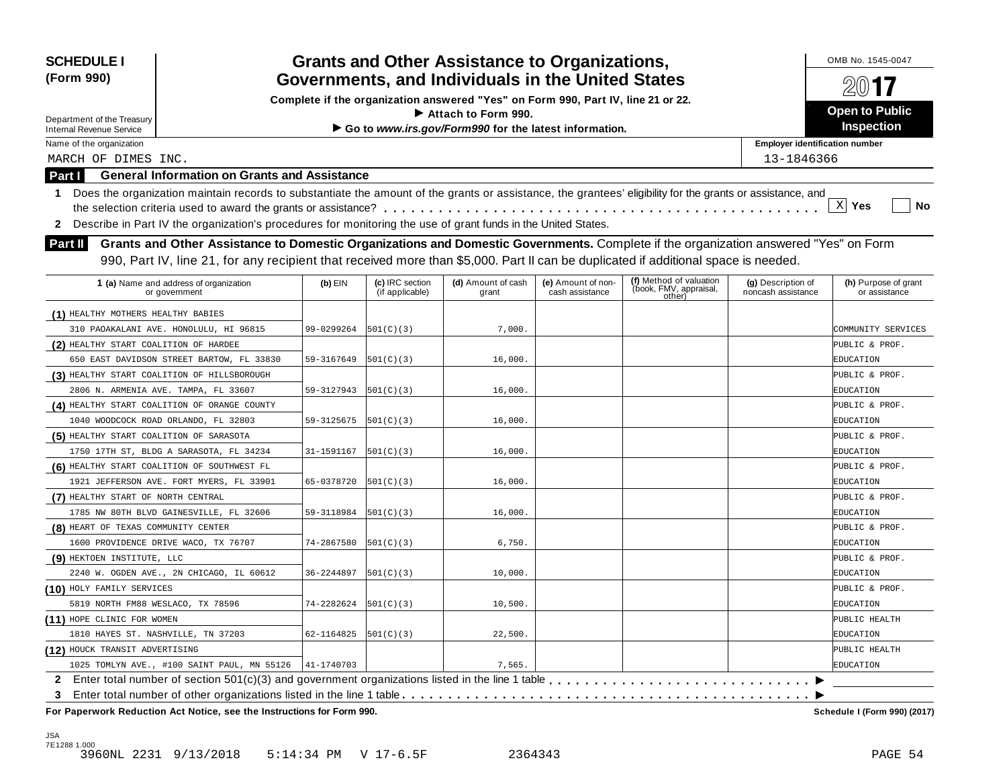| <b>SCHEDULE I</b><br>(Form 990)         | <b>Grants and Other Assistance to Organizations,</b><br>Governments, and Individuals in the United States                                                                                                                                                                 |            |                                    |                                                                                  |                                       |                                                             |                                          |                                       |  |
|-----------------------------------------|---------------------------------------------------------------------------------------------------------------------------------------------------------------------------------------------------------------------------------------------------------------------------|------------|------------------------------------|----------------------------------------------------------------------------------|---------------------------------------|-------------------------------------------------------------|------------------------------------------|---------------------------------------|--|
|                                         |                                                                                                                                                                                                                                                                           |            |                                    | Complete if the organization answered "Yes" on Form 990, Part IV, line 21 or 22. |                                       |                                                             |                                          | 20017                                 |  |
| Department of the Treasury              |                                                                                                                                                                                                                                                                           |            |                                    | $\blacktriangleright$ Attach to Form 990.                                        |                                       |                                                             |                                          | <b>Open to Public</b>                 |  |
| <b>Internal Revenue Service</b>         |                                                                                                                                                                                                                                                                           |            |                                    | Go to www.irs.gov/Form990 for the latest information.                            |                                       |                                                             |                                          | Inspection                            |  |
| Name of the organization                |                                                                                                                                                                                                                                                                           |            |                                    |                                                                                  |                                       |                                                             | <b>Employer identification number</b>    |                                       |  |
| MARCH OF DIMES INC.                     |                                                                                                                                                                                                                                                                           |            |                                    |                                                                                  |                                       |                                                             | 13-1846366                               |                                       |  |
| Part I                                  | <b>General Information on Grants and Assistance</b>                                                                                                                                                                                                                       |            |                                    |                                                                                  |                                       |                                                             |                                          |                                       |  |
| -1.                                     | Does the organization maintain records to substantiate the amount of the grants or assistance, the grantees' eligibility for the grants or assistance, and                                                                                                                |            |                                    |                                                                                  |                                       |                                                             |                                          |                                       |  |
|                                         |                                                                                                                                                                                                                                                                           |            |                                    |                                                                                  |                                       |                                                             |                                          | $\mathbf{x}$<br>Yes<br>No             |  |
| 2                                       | Describe in Part IV the organization's procedures for monitoring the use of grant funds in the United States.                                                                                                                                                             |            |                                    |                                                                                  |                                       |                                                             |                                          |                                       |  |
| <b>Part II</b>                          | Grants and Other Assistance to Domestic Organizations and Domestic Governments. Complete if the organization answered "Yes" on Form<br>990, Part IV, line 21, for any recipient that received more than \$5,000. Part II can be duplicated if additional space is needed. |            |                                    |                                                                                  |                                       |                                                             |                                          |                                       |  |
|                                         | 1 (a) Name and address of organization<br>or government                                                                                                                                                                                                                   | $(b)$ EIN  | (c) IRC section<br>(if applicable) | (d) Amount of cash<br>grant                                                      | (e) Amount of non-<br>cash assistance | (f) Method of valuation<br>(book, FMV, appraisal,<br>other) | (g) Description of<br>noncash assistance | (h) Purpose of grant<br>or assistance |  |
| (1) HEALTHY MOTHERS HEALTHY BABIES      |                                                                                                                                                                                                                                                                           |            |                                    |                                                                                  |                                       |                                                             |                                          |                                       |  |
|                                         | 310 PAOAKALANI AVE. HONOLULU, HI 96815                                                                                                                                                                                                                                    | 99-0299264 | 501(C)(3)                          | 7,000.                                                                           |                                       |                                                             |                                          | COMMUNITY SERVICES                    |  |
| (2) HEALTHY START COALITION OF HARDEE   |                                                                                                                                                                                                                                                                           |            |                                    |                                                                                  |                                       |                                                             |                                          | PUBLIC & PROF.                        |  |
|                                         | 650 EAST DAVIDSON STREET BARTOW, FL 33830                                                                                                                                                                                                                                 | 59-3167649 | 501(C)(3)                          | 16,000                                                                           |                                       |                                                             |                                          | EDUCATION                             |  |
|                                         | (3) HEALTHY START COALITION OF HILLSBOROUGH                                                                                                                                                                                                                               |            |                                    |                                                                                  |                                       |                                                             |                                          | PUBLIC & PROF.                        |  |
|                                         | 2806 N. ARMENIA AVE. TAMPA, FL 33607                                                                                                                                                                                                                                      | 59-3127943 | 501(C)(3)                          | 16,000                                                                           |                                       |                                                             |                                          | EDUCATION                             |  |
|                                         | (4) HEALTHY START COALITION OF ORANGE COUNTY                                                                                                                                                                                                                              |            |                                    |                                                                                  |                                       |                                                             |                                          | PUBLIC & PROF.                        |  |
|                                         | 1040 WOODCOCK ROAD ORLANDO, FL 32803                                                                                                                                                                                                                                      | 59-3125675 | 501(C)(3)                          | 16,000                                                                           |                                       |                                                             |                                          | EDUCATION                             |  |
| (5) HEALTHY START COALITION OF SARASOTA |                                                                                                                                                                                                                                                                           |            |                                    |                                                                                  |                                       |                                                             |                                          | PUBLIC & PROF.                        |  |
|                                         | 1750 17TH ST, BLDG A SARASOTA, FL 34234                                                                                                                                                                                                                                   | 31-1591167 | 501(C)(3)                          | 16,000                                                                           |                                       |                                                             |                                          | EDUCATION                             |  |
|                                         | (6) HEALTHY START COALITION OF SOUTHWEST FL                                                                                                                                                                                                                               |            |                                    |                                                                                  |                                       |                                                             |                                          | PUBLIC & PROF.                        |  |
|                                         | 1921 JEFFERSON AVE. FORT MYERS, FL 33901                                                                                                                                                                                                                                  | 65-0378720 | 501(C)(3)                          | 16,000                                                                           |                                       |                                                             |                                          | EDUCATION                             |  |
| (7) HEALTHY START OF NORTH CENTRAL      |                                                                                                                                                                                                                                                                           |            |                                    |                                                                                  |                                       |                                                             |                                          | PUBLIC & PROF.                        |  |
|                                         | 1785 NW 80TH BLVD GAINESVILLE, FL 32606                                                                                                                                                                                                                                   | 59-3118984 | 501(C)(3)                          | 16,000                                                                           |                                       |                                                             |                                          | EDUCATION                             |  |
| (8) HEART OF TEXAS COMMUNITY CENTER     |                                                                                                                                                                                                                                                                           |            |                                    |                                                                                  |                                       |                                                             |                                          | PUBLIC & PROF.                        |  |
|                                         | 1600 PROVIDENCE DRIVE WACO, TX 76707                                                                                                                                                                                                                                      | 74-2867580 | 501(C)(3)                          | 6,750.                                                                           |                                       |                                                             |                                          | EDUCATION                             |  |
| (9) HEKTOEN INSTITUTE, LLC              |                                                                                                                                                                                                                                                                           |            |                                    |                                                                                  |                                       |                                                             |                                          | PUBLIC & PROF.                        |  |
|                                         | 2240 W. OGDEN AVE., 2N CHICAGO, IL 60612                                                                                                                                                                                                                                  | 36-2244897 | 501(C)(3)                          | 10,000                                                                           |                                       |                                                             |                                          | EDUCATION                             |  |
| (10) HOLY FAMILY SERVICES               |                                                                                                                                                                                                                                                                           |            |                                    |                                                                                  |                                       |                                                             |                                          | PUBLIC & PROF.                        |  |
| 5819 NORTH FM88 WESLACO, TX 78596       |                                                                                                                                                                                                                                                                           | 74-2282624 | 501(C)(3)                          | 10,500.                                                                          |                                       |                                                             |                                          | EDUCATION                             |  |
| (11) HOPE CLINIC FOR WOMEN              |                                                                                                                                                                                                                                                                           |            |                                    |                                                                                  |                                       |                                                             |                                          | PUBLIC HEALTH                         |  |
| 1810 HAYES ST. NASHVILLE, TN 37203      |                                                                                                                                                                                                                                                                           | 62-1164825 | 501(C)(3)                          | 22,500.                                                                          |                                       |                                                             |                                          | EDUCATION                             |  |
| (12) HOUCK TRANSIT ADVERTISING          |                                                                                                                                                                                                                                                                           |            |                                    |                                                                                  |                                       |                                                             |                                          | PUBLIC HEALTH                         |  |
|                                         | 1025 TOMLYN AVE., #100 SAINT PAUL, MN 55126                                                                                                                                                                                                                               | 41-1740703 |                                    | 7,565.                                                                           |                                       |                                                             |                                          | EDUCATION                             |  |
|                                         |                                                                                                                                                                                                                                                                           |            |                                    |                                                                                  |                                       |                                                             |                                          |                                       |  |
| 3                                       | For Paperwork Reduction Act Notice, see the Instructions for Form 990.                                                                                                                                                                                                    |            |                                    |                                                                                  |                                       |                                                             |                                          |                                       |  |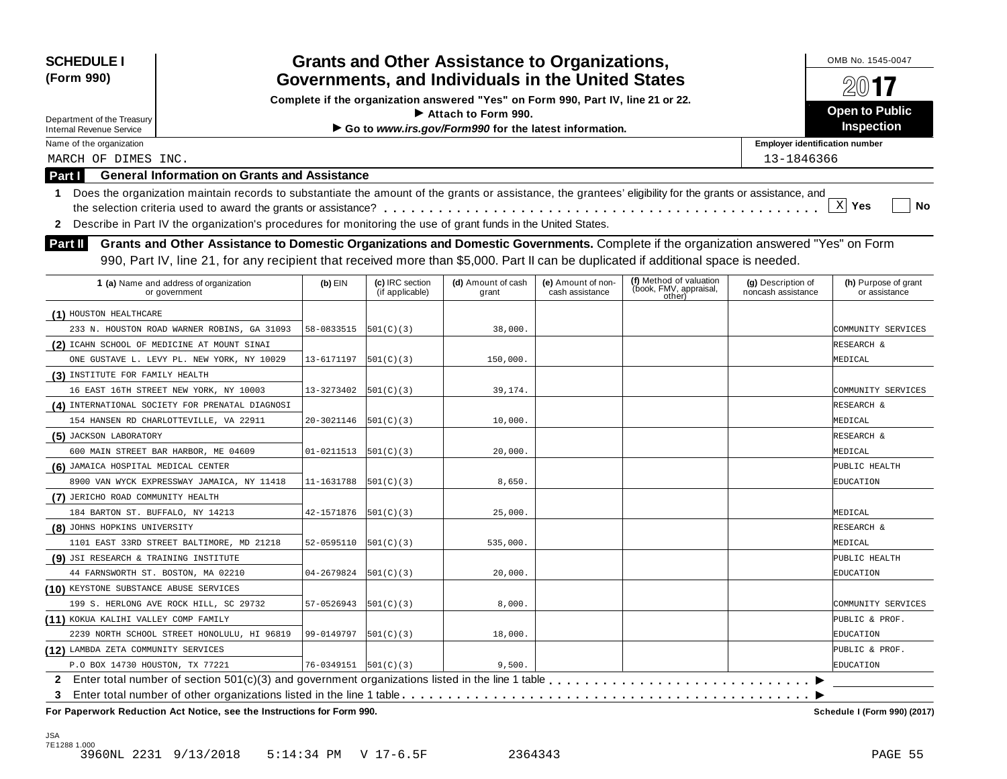| <b>SCHEDULE I</b><br>(Form 990)                                             |                                                                                                                                                                                                                                                                           |                            |                                    | <b>Grants and Other Assistance to Organizations,</b><br>Governments, and Individuals in the United States |                                       |                                                             |                                          | OMB No. 1545-0047                     |
|-----------------------------------------------------------------------------|---------------------------------------------------------------------------------------------------------------------------------------------------------------------------------------------------------------------------------------------------------------------------|----------------------------|------------------------------------|-----------------------------------------------------------------------------------------------------------|---------------------------------------|-------------------------------------------------------------|------------------------------------------|---------------------------------------|
|                                                                             |                                                                                                                                                                                                                                                                           |                            |                                    | Complete if the organization answered "Yes" on Form 990, Part IV, line 21 or 22.                          |                                       |                                                             |                                          |                                       |
|                                                                             |                                                                                                                                                                                                                                                                           |                            |                                    | $\blacktriangleright$ Attach to Form 990.                                                                 |                                       |                                                             |                                          | <b>Open to Public</b>                 |
| Department of the Treasury<br><b>Internal Revenue Service</b>               |                                                                                                                                                                                                                                                                           |                            |                                    | Go to www.irs.gov/Form990 for the latest information.                                                     |                                       |                                                             |                                          | <b>Inspection</b>                     |
| Name of the organization                                                    |                                                                                                                                                                                                                                                                           |                            |                                    |                                                                                                           |                                       |                                                             | <b>Employer identification number</b>    |                                       |
| MARCH OF DIMES INC.                                                         |                                                                                                                                                                                                                                                                           |                            |                                    |                                                                                                           |                                       |                                                             | 13-1846366                               |                                       |
| Part I                                                                      | <b>General Information on Grants and Assistance</b>                                                                                                                                                                                                                       |                            |                                    |                                                                                                           |                                       |                                                             |                                          |                                       |
| $\mathbf 1$                                                                 | Does the organization maintain records to substantiate the amount of the grants or assistance, the grantees' eligibility for the grants or assistance, and                                                                                                                |                            |                                    |                                                                                                           |                                       |                                                             |                                          |                                       |
|                                                                             |                                                                                                                                                                                                                                                                           |                            |                                    |                                                                                                           |                                       |                                                             |                                          | $\mathbf{x}$<br>Yes<br>No             |
| $\mathbf{2}$                                                                | Describe in Part IV the organization's procedures for monitoring the use of grant funds in the United States.                                                                                                                                                             |                            |                                    |                                                                                                           |                                       |                                                             |                                          |                                       |
| <b>Part II</b>                                                              | Grants and Other Assistance to Domestic Organizations and Domestic Governments. Complete if the organization answered "Yes" on Form<br>990, Part IV, line 21, for any recipient that received more than \$5,000. Part II can be duplicated if additional space is needed. |                            |                                    |                                                                                                           |                                       |                                                             |                                          |                                       |
| 1 (a) Name and address of organization<br>or government                     |                                                                                                                                                                                                                                                                           | $(b)$ EIN                  | (c) IRC section<br>(if applicable) | (d) Amount of cash<br>grant                                                                               | (e) Amount of non-<br>cash assistance | (f) Method of valuation<br>(book, FMV, appraisal,<br>other) | (g) Description of<br>noncash assistance | (h) Purpose of grant<br>or assistance |
| (1) HOUSTON HEALTHCARE                                                      |                                                                                                                                                                                                                                                                           |                            |                                    |                                                                                                           |                                       |                                                             |                                          |                                       |
|                                                                             | 233 N. HOUSTON ROAD WARNER ROBINS, GA 31093                                                                                                                                                                                                                               | 58-0833515                 | 501(C)(3)                          | 38,000.                                                                                                   |                                       |                                                             |                                          | COMMUNITY SERVICES                    |
| (2) ICAHN SCHOOL OF MEDICINE AT MOUNT SINAI                                 |                                                                                                                                                                                                                                                                           |                            |                                    |                                                                                                           |                                       |                                                             |                                          | RESEARCH &                            |
|                                                                             | ONE GUSTAVE L. LEVY PL. NEW YORK, NY 10029                                                                                                                                                                                                                                | 13-6171197                 | 501(C)(3)                          | 150,000.                                                                                                  |                                       |                                                             |                                          | MEDICAL                               |
| (3) INSTITUTE FOR FAMILY HEALTH                                             |                                                                                                                                                                                                                                                                           |                            |                                    |                                                                                                           |                                       |                                                             |                                          |                                       |
| 16 EAST 16TH STREET NEW YORK, NY 10003                                      |                                                                                                                                                                                                                                                                           | 13-3273402                 | 501(C)(3)                          | 39,174.                                                                                                   |                                       |                                                             |                                          | COMMUNITY SERVICES                    |
| (4) INTERNATIONAL SOCIETY FOR PRENATAL DIAGNOSI                             |                                                                                                                                                                                                                                                                           |                            |                                    |                                                                                                           |                                       |                                                             |                                          | RESEARCH &                            |
| 154 HANSEN RD CHARLOTTEVILLE, VA 22911                                      |                                                                                                                                                                                                                                                                           | 20-3021146                 | 501(C)(3)                          | 10,000.                                                                                                   |                                       |                                                             |                                          | MEDICAL                               |
| (5) JACKSON LABORATORY                                                      |                                                                                                                                                                                                                                                                           |                            |                                    |                                                                                                           |                                       |                                                             |                                          | RESEARCH &                            |
| 600 MAIN STREET BAR HARBOR, ME 04609                                        |                                                                                                                                                                                                                                                                           | 01-0211513                 | 501(C)(3)                          | 20,000.                                                                                                   |                                       |                                                             |                                          | MEDICAL                               |
| (6) JAMAICA HOSPITAL MEDICAL CENTER                                         |                                                                                                                                                                                                                                                                           |                            |                                    |                                                                                                           |                                       |                                                             |                                          | PUBLIC HEALTH                         |
|                                                                             | 8900 VAN WYCK EXPRESSWAY JAMAICA, NY 11418                                                                                                                                                                                                                                | 11-1631788                 | 501(C)(3)                          | 8,650.                                                                                                    |                                       |                                                             |                                          | EDUCATION                             |
| (7) JERICHO ROAD COMMUNITY HEALTH                                           |                                                                                                                                                                                                                                                                           |                            |                                    |                                                                                                           |                                       |                                                             |                                          |                                       |
| 184 BARTON ST. BUFFALO, NY 14213                                            |                                                                                                                                                                                                                                                                           | 42-1571876                 | 501(C)(3)                          | 25,000.                                                                                                   |                                       |                                                             |                                          | MEDICAL                               |
| (8) JOHNS HOPKINS UNIVERSITY                                                |                                                                                                                                                                                                                                                                           |                            |                                    |                                                                                                           |                                       |                                                             |                                          | RESEARCH &                            |
| 1101 EAST 33RD STREET BALTIMORE, MD 21218                                   |                                                                                                                                                                                                                                                                           | 52-0595110                 | 501(C)(3)                          | 535,000.                                                                                                  |                                       |                                                             |                                          | MEDICAL                               |
| (9) JSI RESEARCH & TRAINING INSTITUTE                                       |                                                                                                                                                                                                                                                                           |                            |                                    |                                                                                                           |                                       |                                                             |                                          | PUBLIC HEALTH                         |
| 44 FARNSWORTH ST. BOSTON, MA 02210                                          |                                                                                                                                                                                                                                                                           | 04-2679824                 | 501(C)(3)                          | 20,000.                                                                                                   |                                       |                                                             |                                          | EDUCATION                             |
| (10) KEYSTONE SUBSTANCE ABUSE SERVICES                                      |                                                                                                                                                                                                                                                                           |                            |                                    |                                                                                                           |                                       |                                                             |                                          |                                       |
| 199 S. HERLONG AVE ROCK HILL, SC 29732                                      |                                                                                                                                                                                                                                                                           | 57-0526943                 | 501(C)(3)                          | 8,000.                                                                                                    |                                       |                                                             |                                          | COMMUNITY SERVICES                    |
| (11) KOKUA KALIHI VALLEY COMP FAMILY                                        |                                                                                                                                                                                                                                                                           |                            |                                    |                                                                                                           |                                       |                                                             |                                          | PUBLIC & PROF.                        |
|                                                                             | 2239 NORTH SCHOOL STREET HONOLULU, HI 96819                                                                                                                                                                                                                               | 99-0149797                 | 501(C)(3)                          | 18,000.                                                                                                   |                                       |                                                             |                                          | EDUCATION                             |
| (12) LAMBDA ZETA COMMUNITY SERVICES                                         |                                                                                                                                                                                                                                                                           |                            |                                    |                                                                                                           |                                       |                                                             |                                          | PUBLIC & PROF.                        |
| P.O BOX 14730 HOUSTON, TX 77221                                             |                                                                                                                                                                                                                                                                           | $76 - 0349151$ $501(C)(3)$ |                                    | 9,500.                                                                                                    |                                       |                                                             |                                          | EDUCATION                             |
| 2.                                                                          |                                                                                                                                                                                                                                                                           |                            |                                    |                                                                                                           |                                       |                                                             |                                          |                                       |
| 3<br>For Paperwork Reduction Act Notice, see the Instructions for Form 990. |                                                                                                                                                                                                                                                                           |                            |                                    |                                                                                                           |                                       |                                                             |                                          | Schedule I (Form 990) (2017)          |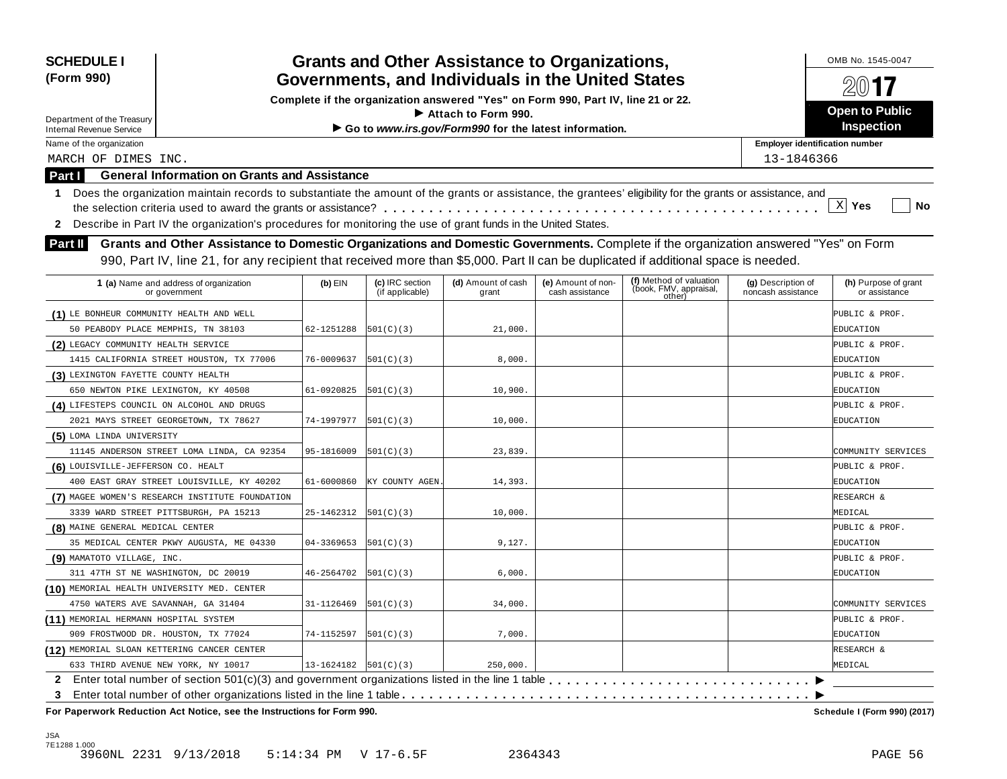| <b>SCHEDULE I</b><br>(Form 990)                                                                                                                                  | <b>Grants and Other Assistance to Organizations,</b><br>Governments, and Individuals in the United States |                                    |                                                                                  |                                       |                                                             |                                          |                                       |  |  |
|------------------------------------------------------------------------------------------------------------------------------------------------------------------|-----------------------------------------------------------------------------------------------------------|------------------------------------|----------------------------------------------------------------------------------|---------------------------------------|-------------------------------------------------------------|------------------------------------------|---------------------------------------|--|--|
|                                                                                                                                                                  |                                                                                                           |                                    | Complete if the organization answered "Yes" on Form 990, Part IV, line 21 or 22. |                                       |                                                             |                                          | $2(0)$ <b>17</b>                      |  |  |
| Department of the Treasury                                                                                                                                       |                                                                                                           |                                    | Attach to Form 990.                                                              |                                       |                                                             |                                          | <b>Open to Public</b>                 |  |  |
| <b>Internal Revenue Service</b>                                                                                                                                  |                                                                                                           |                                    | Go to www.irs.gov/Form990 for the latest information.                            |                                       |                                                             |                                          | Inspection                            |  |  |
| Name of the organization                                                                                                                                         |                                                                                                           |                                    |                                                                                  |                                       |                                                             | <b>Employer identification number</b>    |                                       |  |  |
| MARCH OF DIMES INC.                                                                                                                                              |                                                                                                           |                                    |                                                                                  |                                       |                                                             | 13-1846366                               |                                       |  |  |
| <b>General Information on Grants and Assistance</b><br><b>Part I</b>                                                                                             |                                                                                                           |                                    |                                                                                  |                                       |                                                             |                                          |                                       |  |  |
| Does the organization maintain records to substantiate the amount of the grants or assistance, the grantees' eligibility for the grants or assistance, and<br>1. |                                                                                                           |                                    |                                                                                  |                                       |                                                             |                                          |                                       |  |  |
|                                                                                                                                                                  |                                                                                                           |                                    |                                                                                  |                                       |                                                             |                                          | $\mathbf{x}$<br>Yes<br>No             |  |  |
| Describe in Part IV the organization's procedures for monitoring the use of grant funds in the United States.<br>$\mathbf{2}$                                    |                                                                                                           |                                    |                                                                                  |                                       |                                                             |                                          |                                       |  |  |
| Grants and Other Assistance to Domestic Organizations and Domestic Governments. Complete if the organization answered "Yes" on Form<br>Part II                   |                                                                                                           |                                    |                                                                                  |                                       |                                                             |                                          |                                       |  |  |
| 990, Part IV, line 21, for any recipient that received more than \$5,000. Part II can be duplicated if additional space is needed.                               |                                                                                                           |                                    |                                                                                  |                                       |                                                             |                                          |                                       |  |  |
|                                                                                                                                                                  |                                                                                                           |                                    |                                                                                  |                                       |                                                             |                                          |                                       |  |  |
| 1 (a) Name and address of organization<br>or government                                                                                                          | $(b)$ EIN                                                                                                 | (c) IRC section<br>(if applicable) | (d) Amount of cash<br>grant                                                      | (e) Amount of non-<br>cash assistance | (f) Method of valuation<br>(book, FMV, appraisal,<br>other) | (g) Description of<br>noncash assistance | (h) Purpose of grant<br>or assistance |  |  |
| (1) LE BONHEUR COMMUNITY HEALTH AND WELL                                                                                                                         |                                                                                                           |                                    |                                                                                  |                                       |                                                             |                                          | PUBLIC & PROF.                        |  |  |
| 50 PEABODY PLACE MEMPHIS, TN 38103                                                                                                                               | 62-1251288                                                                                                | 501(C)(3)                          | 21,000.                                                                          |                                       |                                                             |                                          | EDUCATION                             |  |  |
| (2) LEGACY COMMUNITY HEALTH SERVICE                                                                                                                              |                                                                                                           |                                    |                                                                                  |                                       |                                                             |                                          | PUBLIC & PROF.                        |  |  |
| 1415 CALIFORNIA STREET HOUSTON, TX 77006                                                                                                                         | 76-0009637                                                                                                | 501(C)(3)                          | 8,000.                                                                           |                                       |                                                             |                                          | EDUCATION                             |  |  |
| (3) LEXINGTON FAYETTE COUNTY HEALTH                                                                                                                              |                                                                                                           |                                    |                                                                                  |                                       |                                                             |                                          | PUBLIC & PROF.                        |  |  |
| 650 NEWTON PIKE LEXINGTON, KY 40508                                                                                                                              | 61-0920825                                                                                                | 501(C)(3)                          | 10,900                                                                           |                                       |                                                             |                                          | EDUCATION                             |  |  |
| (4) LIFESTEPS COUNCIL ON ALCOHOL AND DRUGS                                                                                                                       |                                                                                                           |                                    |                                                                                  |                                       |                                                             |                                          | PUBLIC & PROF.                        |  |  |
| 2021 MAYS STREET GEORGETOWN, TX 78627                                                                                                                            | 74-1997977                                                                                                | 501(C)(3)                          | 10,000                                                                           |                                       |                                                             |                                          | EDUCATION                             |  |  |
| (5) LOMA LINDA UNIVERSITY                                                                                                                                        |                                                                                                           |                                    |                                                                                  |                                       |                                                             |                                          |                                       |  |  |
| 11145 ANDERSON STREET LOMA LINDA, CA 92354                                                                                                                       | 95-1816009                                                                                                | 501(C)(3)                          | 23,839.                                                                          |                                       |                                                             |                                          | COMMUNITY SERVICES                    |  |  |
| (6) LOUISVILLE-JEFFERSON CO. HEALT                                                                                                                               |                                                                                                           |                                    |                                                                                  |                                       |                                                             |                                          | PUBLIC & PROF.                        |  |  |
| 400 EAST GRAY STREET LOUISVILLE, KY 40202                                                                                                                        | 61-6000860                                                                                                | KY COUNTY AGEN                     | 14,393                                                                           |                                       |                                                             |                                          | EDUCATION                             |  |  |
| (7) MAGEE WOMEN'S RESEARCH INSTITUTE FOUNDATION                                                                                                                  |                                                                                                           |                                    |                                                                                  |                                       |                                                             |                                          | RESEARCH &                            |  |  |
| 3339 WARD STREET PITTSBURGH, PA 15213                                                                                                                            | 25-1462312                                                                                                | 501(C)(3)                          | 10,000                                                                           |                                       |                                                             |                                          | MEDICAL                               |  |  |
| (8) MAINE GENERAL MEDICAL CENTER                                                                                                                                 |                                                                                                           |                                    |                                                                                  |                                       |                                                             |                                          | PUBLIC & PROF.                        |  |  |
| 35 MEDICAL CENTER PKWY AUGUSTA, ME 04330                                                                                                                         | 04-3369653                                                                                                | 501(C)(3)                          | 9,127.                                                                           |                                       |                                                             |                                          | EDUCATION                             |  |  |
| (9) MAMATOTO VILLAGE, INC.                                                                                                                                       |                                                                                                           |                                    |                                                                                  |                                       |                                                             |                                          | PUBLIC & PROF.                        |  |  |
| 311 47TH ST NE WASHINGTON, DC 20019                                                                                                                              | 46-2564702                                                                                                | 501(C)(3)                          | 6,000.                                                                           |                                       |                                                             |                                          | EDUCATION                             |  |  |
| (10) MEMORIAL HEALTH UNIVERSITY MED. CENTER                                                                                                                      |                                                                                                           |                                    |                                                                                  |                                       |                                                             |                                          |                                       |  |  |
| 4750 WATERS AVE SAVANNAH, GA 31404                                                                                                                               | 31-1126469                                                                                                | 501(C)(3)                          | 34,000.                                                                          |                                       |                                                             |                                          | COMMUNITY SERVICES                    |  |  |
| (11) MEMORIAL HERMANN HOSPITAL SYSTEM                                                                                                                            |                                                                                                           |                                    |                                                                                  |                                       |                                                             |                                          | PUBLIC & PROF.                        |  |  |
| 909 FROSTWOOD DR. HOUSTON, TX 77024                                                                                                                              | 74-1152597                                                                                                | 501(C)(3)                          | 7,000.                                                                           |                                       |                                                             |                                          | EDUCATION                             |  |  |
| (12) MEMORIAL SLOAN KETTERING CANCER CENTER                                                                                                                      |                                                                                                           |                                    |                                                                                  |                                       |                                                             |                                          | RESEARCH &                            |  |  |
| 633 THIRD AVENUE NEW YORK, NY 10017                                                                                                                              | 13-1624182   501 (C) (3)                                                                                  |                                    | 250,000.                                                                         |                                       |                                                             |                                          | MEDICAL                               |  |  |
| 2 Enter total number of section 501(c)(3) and government organizations listed in the line 1 table                                                                |                                                                                                           |                                    |                                                                                  |                                       |                                                             |                                          |                                       |  |  |
| 3<br>For Paperwork Reduction Act Notice, see the Instructions for Form 990.                                                                                      |                                                                                                           |                                    |                                                                                  |                                       |                                                             |                                          | Schedule I (Form 990) (2017)          |  |  |

JSA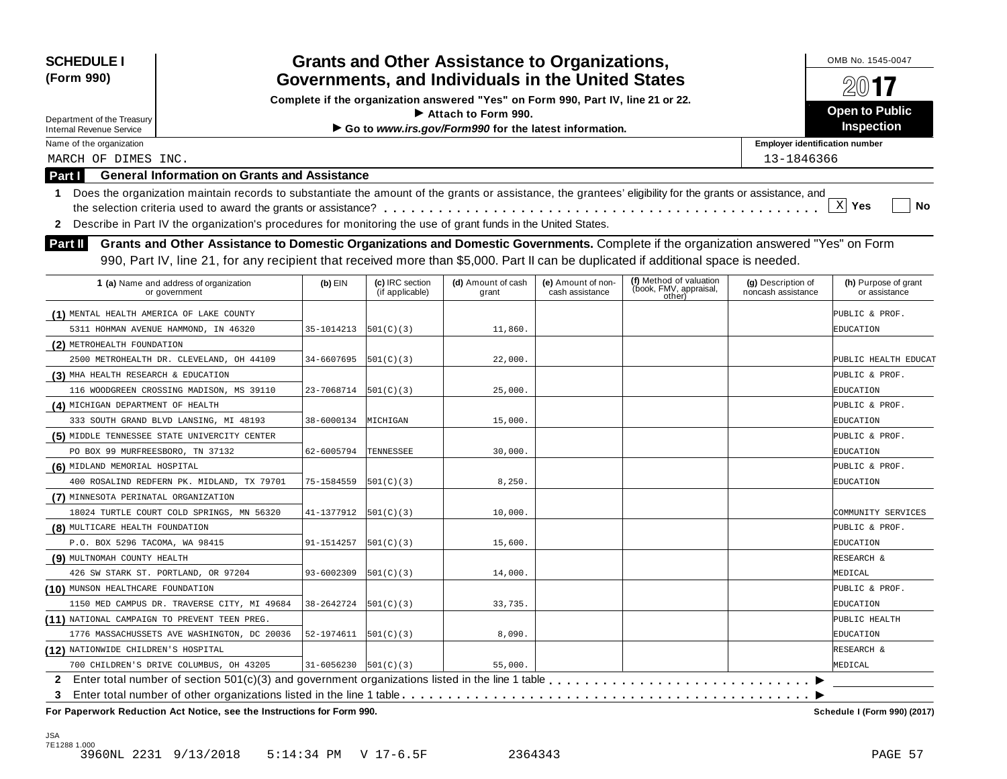| <b>SCHEDULE I</b><br>(Form 990)                                        |                                                                                                                                                            |                            |                                    | <b>Grants and Other Assistance to Organizations,</b><br>Governments, and Individuals in the United States                     |                                       |                                                             |                                          | OMB No. 1545-0047                     |
|------------------------------------------------------------------------|------------------------------------------------------------------------------------------------------------------------------------------------------------|----------------------------|------------------------------------|-------------------------------------------------------------------------------------------------------------------------------|---------------------------------------|-------------------------------------------------------------|------------------------------------------|---------------------------------------|
|                                                                        |                                                                                                                                                            |                            |                                    |                                                                                                                               |                                       |                                                             |                                          |                                       |
|                                                                        |                                                                                                                                                            |                            |                                    | Complete if the organization answered "Yes" on Form 990, Part IV, line 21 or 22.<br>$\blacktriangleright$ Attach to Form 990. |                                       |                                                             |                                          | <b>Open to Public</b>                 |
| Department of the Treasury<br><b>Internal Revenue Service</b>          |                                                                                                                                                            |                            |                                    | Go to www.irs.gov/Form990 for the latest information.                                                                         |                                       |                                                             |                                          | <b>Inspection</b>                     |
| Name of the organization                                               |                                                                                                                                                            |                            |                                    |                                                                                                                               |                                       |                                                             | <b>Employer identification number</b>    |                                       |
| MARCH OF DIMES INC.                                                    |                                                                                                                                                            |                            |                                    |                                                                                                                               |                                       |                                                             | 13-1846366                               |                                       |
| Part I                                                                 | <b>General Information on Grants and Assistance</b>                                                                                                        |                            |                                    |                                                                                                                               |                                       |                                                             |                                          |                                       |
| $\mathbf 1$                                                            | Does the organization maintain records to substantiate the amount of the grants or assistance, the grantees' eligibility for the grants or assistance, and |                            |                                    |                                                                                                                               |                                       |                                                             |                                          |                                       |
|                                                                        |                                                                                                                                                            |                            |                                    |                                                                                                                               |                                       |                                                             |                                          | $\mathbf{x}$<br>Yes<br>No             |
| $\mathbf{2}$                                                           | Describe in Part IV the organization's procedures for monitoring the use of grant funds in the United States.                                              |                            |                                    |                                                                                                                               |                                       |                                                             |                                          |                                       |
| <b>Part II</b>                                                         | Grants and Other Assistance to Domestic Organizations and Domestic Governments. Complete if the organization answered "Yes" on Form                        |                            |                                    |                                                                                                                               |                                       |                                                             |                                          |                                       |
|                                                                        |                                                                                                                                                            |                            |                                    |                                                                                                                               |                                       |                                                             |                                          |                                       |
|                                                                        | 990, Part IV, line 21, for any recipient that received more than \$5,000. Part II can be duplicated if additional space is needed.                         |                            |                                    |                                                                                                                               |                                       |                                                             |                                          |                                       |
| 1 (a) Name and address of organization<br>or government                |                                                                                                                                                            | $(b)$ EIN                  | (c) IRC section<br>(if applicable) | (d) Amount of cash<br>grant                                                                                                   | (e) Amount of non-<br>cash assistance | (f) Method of valuation<br>(book, FMV, appraisal,<br>other) | (g) Description of<br>noncash assistance | (h) Purpose of grant<br>or assistance |
| (1) MENTAL HEALTH AMERICA OF LAKE COUNTY                               |                                                                                                                                                            |                            |                                    |                                                                                                                               |                                       |                                                             |                                          | PUBLIC & PROF.                        |
| 5311 HOHMAN AVENUE HAMMOND, IN 46320                                   |                                                                                                                                                            | 35-1014213                 | 501(C)(3)                          | 11,860.                                                                                                                       |                                       |                                                             |                                          | EDUCATION                             |
| (2) METROHEALTH FOUNDATION                                             |                                                                                                                                                            |                            |                                    |                                                                                                                               |                                       |                                                             |                                          |                                       |
| 2500 METROHEALTH DR. CLEVELAND, OH 44109                               |                                                                                                                                                            | 34-6607695                 | 501(C)(3)                          | 22,000.                                                                                                                       |                                       |                                                             |                                          | PUBLIC HEALTH EDUCAT                  |
| (3) MHA HEALTH RESEARCH & EDUCATION                                    |                                                                                                                                                            |                            |                                    |                                                                                                                               |                                       |                                                             |                                          | PUBLIC & PROF.                        |
| 116 WOODGREEN CROSSING MADISON, MS 39110                               |                                                                                                                                                            | 23-7068714                 | 501(C)(3)                          | 25,000.                                                                                                                       |                                       |                                                             |                                          | EDUCATION                             |
| (4) MICHIGAN DEPARTMENT OF HEALTH                                      |                                                                                                                                                            |                            |                                    |                                                                                                                               |                                       |                                                             |                                          | PUBLIC & PROF.                        |
| 333 SOUTH GRAND BLVD LANSING, MI 48193                                 |                                                                                                                                                            | 38-6000134                 | MICHIGAN                           | 15,000.                                                                                                                       |                                       |                                                             |                                          | EDUCATION                             |
| (5) MIDDLE TENNESSEE STATE UNIVERCITY CENTER                           |                                                                                                                                                            |                            |                                    |                                                                                                                               |                                       |                                                             |                                          | PUBLIC & PROF.                        |
| PO BOX 99 MURFREESBORO, TN 37132                                       |                                                                                                                                                            | 62-6005794                 | TENNESSEE                          | 30,000.                                                                                                                       |                                       |                                                             |                                          | EDUCATION                             |
| (6) MIDLAND MEMORIAL HOSPITAL                                          |                                                                                                                                                            |                            |                                    |                                                                                                                               |                                       |                                                             |                                          | PUBLIC & PROF.                        |
| 400 ROSALIND REDFERN PK. MIDLAND, TX 79701                             |                                                                                                                                                            | 75-1584559                 | 501(C)(3)                          | 8,250.                                                                                                                        |                                       |                                                             |                                          | EDUCATION                             |
| (7) MINNESOTA PERINATAL ORGANIZATION                                   |                                                                                                                                                            |                            |                                    |                                                                                                                               |                                       |                                                             |                                          |                                       |
| 18024 TURTLE COURT COLD SPRINGS, MN 56320                              |                                                                                                                                                            | 41-1377912                 | 501(C)(3)                          | 10,000.                                                                                                                       |                                       |                                                             |                                          | COMMUNITY SERVICES                    |
| (8) MULTICARE HEALTH FOUNDATION                                        |                                                                                                                                                            |                            |                                    |                                                                                                                               |                                       |                                                             |                                          | PUBLIC & PROF.                        |
| P.O. BOX 5296 TACOMA, WA 98415                                         |                                                                                                                                                            | 91-1514257                 | 501(C)(3)                          | 15,600.                                                                                                                       |                                       |                                                             |                                          | EDUCATION                             |
| (9) MULTNOMAH COUNTY HEALTH                                            |                                                                                                                                                            |                            |                                    |                                                                                                                               |                                       |                                                             |                                          | RESEARCH &                            |
| 426 SW STARK ST. PORTLAND, OR 97204                                    |                                                                                                                                                            | 93-6002309                 | 501(C)(3)                          | 14,000.                                                                                                                       |                                       |                                                             |                                          | MEDICAL                               |
| (10) MUNSON HEALTHCARE FOUNDATION                                      |                                                                                                                                                            |                            |                                    |                                                                                                                               |                                       |                                                             |                                          | PUBLIC & PROF.                        |
|                                                                        | 1150 MED CAMPUS DR. TRAVERSE CITY, MI 49684                                                                                                                | 38-2642724                 | 501(C)(3)                          | 33,735.                                                                                                                       |                                       |                                                             |                                          | EDUCATION                             |
| (11) NATIONAL CAMPAIGN TO PREVENT TEEN PREG.                           | 1776 MASSACHUSSETS AVE WASHINGTON, DC 20036                                                                                                                | 52-1974611                 | 501(C)(3)                          | 8,090.                                                                                                                        |                                       |                                                             |                                          | PUBLIC HEALTH<br>EDUCATION            |
| (12) NATIONWIDE CHILDREN'S HOSPITAL                                    |                                                                                                                                                            |                            |                                    |                                                                                                                               |                                       |                                                             |                                          | RESEARCH &                            |
| 700 CHILDREN'S DRIVE COLUMBUS, OH 43205                                |                                                                                                                                                            | $31-6056230$ $ 501(C)(3) $ |                                    | 55,000.                                                                                                                       |                                       |                                                             |                                          | MEDICAL                               |
| 2.                                                                     |                                                                                                                                                            |                            |                                    |                                                                                                                               |                                       |                                                             |                                          |                                       |
| 3                                                                      |                                                                                                                                                            |                            |                                    |                                                                                                                               |                                       |                                                             |                                          |                                       |
| For Paperwork Reduction Act Notice, see the Instructions for Form 990. |                                                                                                                                                            |                            |                                    |                                                                                                                               |                                       |                                                             |                                          | Schedule I (Form 990) (2017)          |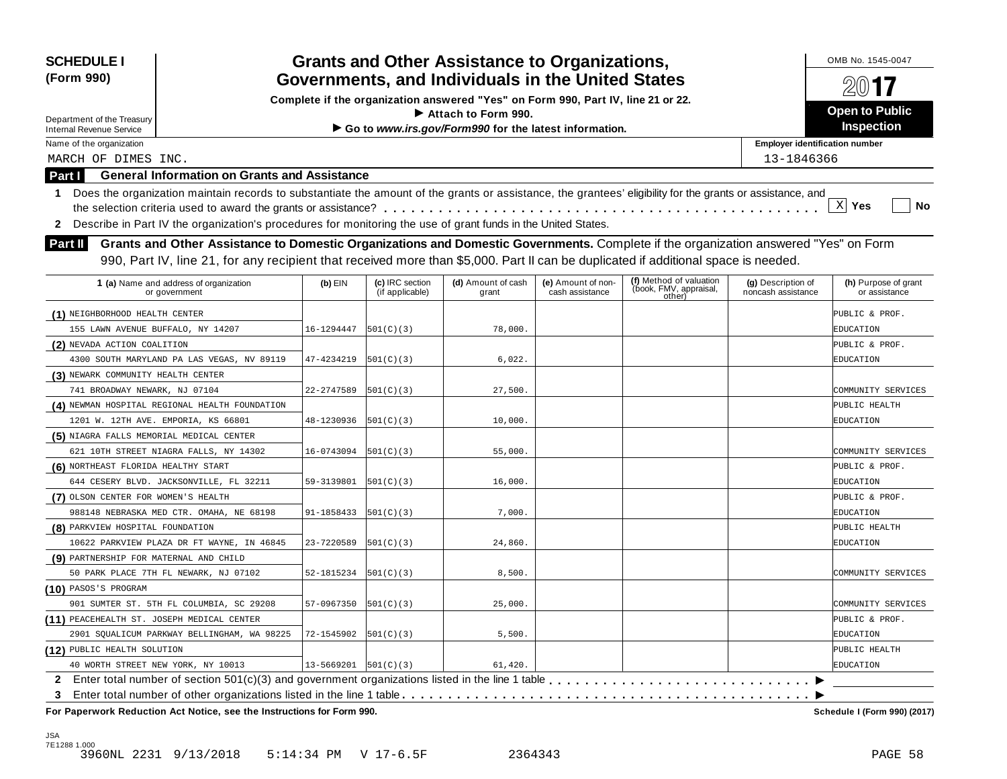| <b>SCHEDULE I</b><br>(Form 990)            |                                                                                                                                                            |                              |                                    | <b>Grants and Other Assistance to Organizations,</b><br>Governments, and Individuals in the United States |                                       |                                  |                                          | OMB No. 1545-0047                     |
|--------------------------------------------|------------------------------------------------------------------------------------------------------------------------------------------------------------|------------------------------|------------------------------------|-----------------------------------------------------------------------------------------------------------|---------------------------------------|----------------------------------|------------------------------------------|---------------------------------------|
|                                            |                                                                                                                                                            |                              |                                    |                                                                                                           |                                       |                                  |                                          |                                       |
|                                            |                                                                                                                                                            |                              |                                    | Complete if the organization answered "Yes" on Form 990, Part IV, line 21 or 22.                          |                                       |                                  |                                          | <b>Open to Public</b>                 |
| Department of the Treasury                 |                                                                                                                                                            |                              |                                    | $\blacktriangleright$ Attach to Form 990.                                                                 |                                       |                                  |                                          | <b>Inspection</b>                     |
| <b>Internal Revenue Service</b>            |                                                                                                                                                            |                              |                                    | Go to www.irs.gov/Form990 for the latest information.                                                     |                                       |                                  |                                          |                                       |
| Name of the organization                   |                                                                                                                                                            |                              |                                    |                                                                                                           |                                       |                                  | <b>Employer identification number</b>    |                                       |
| MARCH OF DIMES INC.                        |                                                                                                                                                            |                              |                                    |                                                                                                           |                                       |                                  | 13-1846366                               |                                       |
| Part I                                     | <b>General Information on Grants and Assistance</b>                                                                                                        |                              |                                    |                                                                                                           |                                       |                                  |                                          |                                       |
| $\mathbf 1$                                | Does the organization maintain records to substantiate the amount of the grants or assistance, the grantees' eligibility for the grants or assistance, and |                              |                                    |                                                                                                           |                                       |                                  |                                          |                                       |
|                                            |                                                                                                                                                            |                              |                                    |                                                                                                           |                                       |                                  |                                          | $X$ Yes<br>No                         |
| $\mathbf{2}$                               | Describe in Part IV the organization's procedures for monitoring the use of grant funds in the United States.                                              |                              |                                    |                                                                                                           |                                       |                                  |                                          |                                       |
| <b>Part II</b>                             | Grants and Other Assistance to Domestic Organizations and Domestic Governments. Complete if the organization answered "Yes" on Form                        |                              |                                    |                                                                                                           |                                       |                                  |                                          |                                       |
|                                            | 990, Part IV, line 21, for any recipient that received more than \$5,000. Part II can be duplicated if additional space is needed.                         |                              |                                    |                                                                                                           |                                       |                                  |                                          |                                       |
|                                            |                                                                                                                                                            |                              |                                    |                                                                                                           |                                       | (f) Method of valuation          |                                          |                                       |
|                                            | 1 (a) Name and address of organization<br>or government                                                                                                    | $(b)$ EIN                    | (c) IRC section<br>(if applicable) | (d) Amount of cash<br>grant                                                                               | (e) Amount of non-<br>cash assistance | (book, FMV, appraisal,<br>other) | (g) Description of<br>noncash assistance | (h) Purpose of grant<br>or assistance |
| (1) NEIGHBORHOOD HEALTH CENTER             |                                                                                                                                                            |                              |                                    |                                                                                                           |                                       |                                  |                                          | PUBLIC & PROF.                        |
| 155 LAWN AVENUE BUFFALO, NY 14207          |                                                                                                                                                            | 16-1294447                   | 501(C)(3)                          | 78,000.                                                                                                   |                                       |                                  |                                          | EDUCATION                             |
| (2) NEVADA ACTION COALITION                |                                                                                                                                                            |                              |                                    |                                                                                                           |                                       |                                  |                                          | PUBLIC & PROF.                        |
|                                            | 4300 SOUTH MARYLAND PA LAS VEGAS, NV 89119                                                                                                                 | 47-4234219                   | 501(C)(3)                          | 6,022.                                                                                                    |                                       |                                  |                                          | EDUCATION                             |
| (3) NEWARK COMMUNITY HEALTH CENTER         |                                                                                                                                                            |                              |                                    |                                                                                                           |                                       |                                  |                                          |                                       |
| 741 BROADWAY NEWARK, NJ 07104              |                                                                                                                                                            | 22-2747589                   | 501(C)(3)                          | 27,500.                                                                                                   |                                       |                                  |                                          | COMMUNITY SERVICES                    |
|                                            | (4) NEWMAN HOSPITAL REGIONAL HEALTH FOUNDATION                                                                                                             |                              |                                    |                                                                                                           |                                       |                                  |                                          | PUBLIC HEALTH                         |
|                                            | 1201 W. 12TH AVE. EMPORIA, KS 66801                                                                                                                        | 48-1230936                   | 501(C)(3)                          | 10,000.                                                                                                   |                                       |                                  |                                          | EDUCATION                             |
| (5) NIAGRA FALLS MEMORIAL MEDICAL CENTER   |                                                                                                                                                            |                              |                                    |                                                                                                           |                                       |                                  |                                          |                                       |
|                                            | 621 10TH STREET NIAGRA FALLS, NY 14302                                                                                                                     | 16-0743094                   | 501(C)(3)                          | 55,000.                                                                                                   |                                       |                                  |                                          | COMMUNITY SERVICES                    |
| (6) NORTHEAST FLORIDA HEALTHY START        |                                                                                                                                                            |                              |                                    |                                                                                                           |                                       |                                  |                                          | PUBLIC & PROF.                        |
|                                            | 644 CESERY BLVD. JACKSONVILLE, FL 32211                                                                                                                    | 59-3139801                   | 501(C)(3)                          | 16,000.                                                                                                   |                                       |                                  |                                          | EDUCATION                             |
| (7) OLSON CENTER FOR WOMEN'S HEALTH        |                                                                                                                                                            |                              |                                    |                                                                                                           |                                       |                                  |                                          | PUBLIC & PROF.                        |
|                                            | 988148 NEBRASKA MED CTR. OMAHA, NE 68198                                                                                                                   | 91-1858433                   | 501(C)(3)                          | 7,000.                                                                                                    |                                       |                                  |                                          | EDUCATION                             |
| (8) PARKVIEW HOSPITAL FOUNDATION           |                                                                                                                                                            |                              |                                    |                                                                                                           |                                       |                                  |                                          | PUBLIC HEALTH                         |
|                                            | 10622 PARKVIEW PLAZA DR FT WAYNE, IN 46845                                                                                                                 | 23-7220589                   | 501(C)(3)                          | 24,860                                                                                                    |                                       |                                  |                                          | EDUCATION                             |
| (9) PARTNERSHIP FOR MATERNAL AND CHILD     |                                                                                                                                                            |                              |                                    |                                                                                                           |                                       |                                  |                                          |                                       |
|                                            | 50 PARK PLACE 7TH FL NEWARK, NJ 07102                                                                                                                      | 52-1815234                   | 501(C)(3)                          | 8,500.                                                                                                    |                                       |                                  |                                          | COMMUNITY SERVICES                    |
| $(10)$ PASOS'S PROGRAM                     |                                                                                                                                                            |                              |                                    |                                                                                                           |                                       |                                  |                                          |                                       |
|                                            | 901 SUMTER ST. 5TH FL COLUMBIA, SC 29208                                                                                                                   | 57-0967350                   | 501(C)(3)                          | 25,000.                                                                                                   |                                       |                                  |                                          | COMMUNITY SERVICES                    |
| (11) PEACEHEALTH ST. JOSEPH MEDICAL CENTER |                                                                                                                                                            |                              |                                    |                                                                                                           |                                       |                                  |                                          | PUBLIC & PROF.                        |
|                                            | 2901 SQUALICUM PARKWAY BELLINGHAM, WA 98225                                                                                                                | 72-1545902                   | 501(C)(3)                          | 5,500.                                                                                                    |                                       |                                  |                                          | EDUCATION                             |
| (12) PUBLIC HEALTH SOLUTION                |                                                                                                                                                            |                              |                                    |                                                                                                           |                                       |                                  |                                          | PUBLIC HEALTH                         |
|                                            | 40 WORTH STREET NEW YORK, NY 10013                                                                                                                         | $13 - 5669201$   $501(C)(3)$ |                                    | 61,420.                                                                                                   |                                       |                                  |                                          | EDUCATION                             |
| 2.                                         |                                                                                                                                                            |                              |                                    |                                                                                                           |                                       |                                  |                                          |                                       |
| 3                                          |                                                                                                                                                            |                              |                                    |                                                                                                           |                                       |                                  |                                          |                                       |
|                                            | For Paperwork Reduction Act Notice, see the Instructions for Form 990.                                                                                     |                              |                                    |                                                                                                           |                                       |                                  |                                          | Schedule I (Form 990) (2017)          |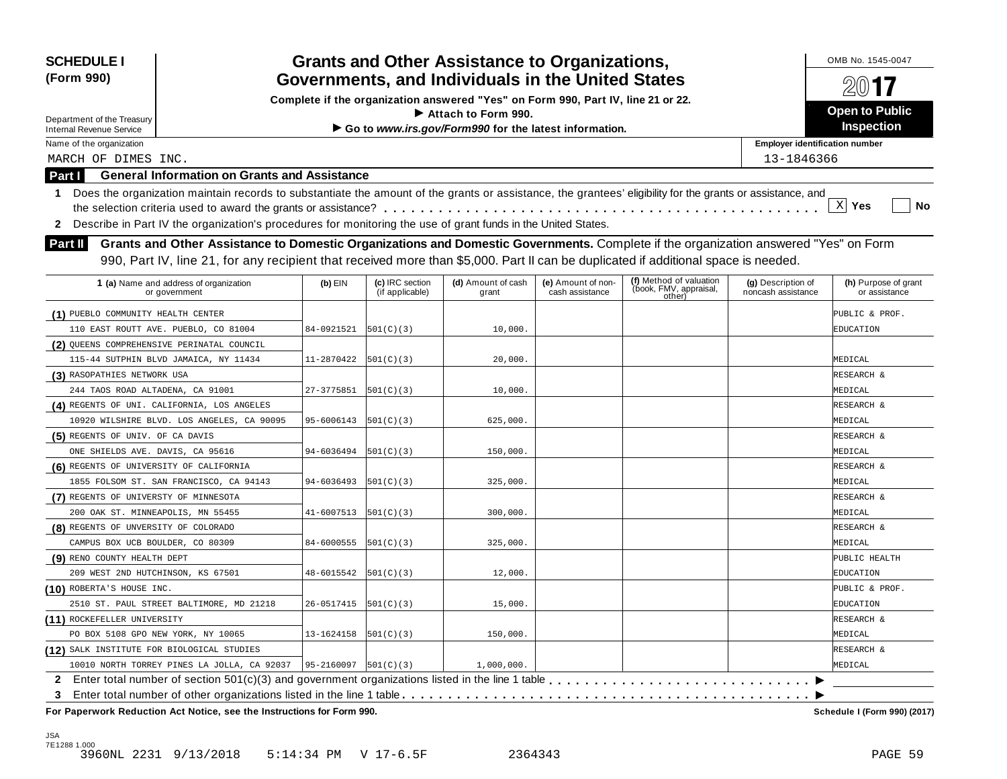| <b>SCHEDULE I</b><br>(Form 990)             |                                                                                                                                                                                                                                                                             |                              | <b>Grants and Other Assistance to Organizations,</b><br>Governments, and Individuals in the United States |                                                                                  |                                       | OMB No. 1545-0047                                           |                                          |                                       |
|---------------------------------------------|-----------------------------------------------------------------------------------------------------------------------------------------------------------------------------------------------------------------------------------------------------------------------------|------------------------------|-----------------------------------------------------------------------------------------------------------|----------------------------------------------------------------------------------|---------------------------------------|-------------------------------------------------------------|------------------------------------------|---------------------------------------|
|                                             |                                                                                                                                                                                                                                                                             |                              |                                                                                                           | Complete if the organization answered "Yes" on Form 990, Part IV, line 21 or 22. |                                       |                                                             |                                          |                                       |
| Department of the Treasury                  |                                                                                                                                                                                                                                                                             |                              |                                                                                                           | $\blacktriangleright$ Attach to Form 990.                                        |                                       |                                                             |                                          | <b>Open to Public</b>                 |
| <b>Internal Revenue Service</b>             |                                                                                                                                                                                                                                                                             |                              |                                                                                                           | Go to www.irs.gov/Form990 for the latest information.                            |                                       |                                                             |                                          | <b>Inspection</b>                     |
| Name of the organization                    |                                                                                                                                                                                                                                                                             |                              |                                                                                                           |                                                                                  |                                       |                                                             | <b>Employer identification number</b>    |                                       |
| MARCH OF DIMES INC.                         |                                                                                                                                                                                                                                                                             |                              |                                                                                                           |                                                                                  |                                       |                                                             | 13-1846366                               |                                       |
| <b>Part I</b>                               | <b>General Information on Grants and Assistance</b>                                                                                                                                                                                                                         |                              |                                                                                                           |                                                                                  |                                       |                                                             |                                          |                                       |
| $\mathbf{1}$<br>2                           | Does the organization maintain records to substantiate the amount of the grants or assistance, the grantees' eligibility for the grants or assistance, and<br>Describe in Part IV the organization's procedures for monitoring the use of grant funds in the United States. |                              |                                                                                                           |                                                                                  |                                       |                                                             |                                          | $\mathbf{x}$<br>Yes<br>No             |
| Part II                                     | Grants and Other Assistance to Domestic Organizations and Domestic Governments. Complete if the organization answered "Yes" on Form                                                                                                                                         |                              |                                                                                                           |                                                                                  |                                       |                                                             |                                          |                                       |
|                                             | 990, Part IV, line 21, for any recipient that received more than \$5,000. Part II can be duplicated if additional space is needed.                                                                                                                                          |                              |                                                                                                           |                                                                                  |                                       |                                                             |                                          |                                       |
|                                             | 1 (a) Name and address of organization<br>or government                                                                                                                                                                                                                     | $(b)$ EIN                    | (c) IRC section<br>(if applicable)                                                                        | (d) Amount of cash<br>grant                                                      | (e) Amount of non-<br>cash assistance | (f) Method of valuation<br>(book, FMV, appraisal,<br>other) | (g) Description of<br>noncash assistance | (h) Purpose of grant<br>or assistance |
| (1) PUEBLO COMMUNITY HEALTH CENTER          |                                                                                                                                                                                                                                                                             |                              |                                                                                                           |                                                                                  |                                       |                                                             |                                          | PUBLIC & PROF.                        |
| 110 EAST ROUTT AVE. PUEBLO, CO 81004        |                                                                                                                                                                                                                                                                             | 84-0921521                   | 501(C)(3)                                                                                                 | 10,000.                                                                          |                                       |                                                             |                                          | EDUCATION                             |
| (2) QUEENS COMPREHENSIVE PERINATAL COUNCIL  |                                                                                                                                                                                                                                                                             |                              |                                                                                                           |                                                                                  |                                       |                                                             |                                          |                                       |
|                                             | 115-44 SUTPHIN BLVD JAMAICA, NY 11434                                                                                                                                                                                                                                       | 11-2870422                   | 501(C)(3)                                                                                                 | 20,000.                                                                          |                                       |                                                             |                                          | MEDICAL                               |
| (3) RASOPATHIES NETWORK USA                 |                                                                                                                                                                                                                                                                             |                              |                                                                                                           |                                                                                  |                                       |                                                             |                                          | RESEARCH &                            |
| 244 TAOS ROAD ALTADENA, CA 91001            |                                                                                                                                                                                                                                                                             | 27-3775851                   | 501(C)(3)                                                                                                 | 10,000.                                                                          |                                       |                                                             |                                          | MEDICAL                               |
| (4) REGENTS OF UNI. CALIFORNIA, LOS ANGELES |                                                                                                                                                                                                                                                                             |                              |                                                                                                           |                                                                                  |                                       |                                                             |                                          | RESEARCH &                            |
|                                             | 10920 WILSHIRE BLVD. LOS ANGELES, CA 90095                                                                                                                                                                                                                                  | 95-6006143                   | 501(C)(3)                                                                                                 | 625,000.                                                                         |                                       |                                                             |                                          | MEDICAL                               |
| (5) REGENTS OF UNIV. OF CA DAVIS            |                                                                                                                                                                                                                                                                             |                              |                                                                                                           |                                                                                  |                                       |                                                             |                                          | RESEARCH &                            |
| ONE SHIELDS AVE. DAVIS, CA 95616            |                                                                                                                                                                                                                                                                             | 94-6036494                   | 501(C)(3)                                                                                                 | 150,000.                                                                         |                                       |                                                             |                                          | MEDICAL                               |
| (6) REGENTS OF UNIVERSITY OF CALIFORNIA     |                                                                                                                                                                                                                                                                             |                              |                                                                                                           |                                                                                  |                                       |                                                             |                                          | RESEARCH &                            |
|                                             | 1855 FOLSOM ST. SAN FRANCISCO, CA 94143                                                                                                                                                                                                                                     | 94-6036493                   | 501(C)(3)                                                                                                 | 325,000.                                                                         |                                       |                                                             |                                          | MEDICAL                               |
| (7) REGENTS OF UNIVERSTY OF MINNESOTA       |                                                                                                                                                                                                                                                                             |                              |                                                                                                           |                                                                                  |                                       |                                                             |                                          | RESEARCH &                            |
| 200 OAK ST. MINNEAPOLIS, MN 55455           |                                                                                                                                                                                                                                                                             | 41-6007513                   | 501(C)(3)                                                                                                 | 300,000.                                                                         |                                       |                                                             |                                          | MEDICAL                               |
| (8) REGENTS OF UNVERSITY OF COLORADO        |                                                                                                                                                                                                                                                                             |                              |                                                                                                           |                                                                                  |                                       |                                                             |                                          | RESEARCH &                            |
| CAMPUS BOX UCB BOULDER, CO 80309            |                                                                                                                                                                                                                                                                             | 84-6000555                   | 501(C)(3)                                                                                                 | 325,000.                                                                         |                                       |                                                             |                                          | MEDICAL                               |
| (9) RENO COUNTY HEALTH DEPT                 |                                                                                                                                                                                                                                                                             |                              |                                                                                                           |                                                                                  |                                       |                                                             |                                          | PUBLIC HEALTH                         |
| 209 WEST 2ND HUTCHINSON, KS 67501           |                                                                                                                                                                                                                                                                             | 48-6015542                   | 501(C)(3)                                                                                                 | 12,000.                                                                          |                                       |                                                             |                                          | EDUCATION                             |
| (10) ROBERTA'S HOUSE INC.                   |                                                                                                                                                                                                                                                                             |                              |                                                                                                           |                                                                                  |                                       |                                                             |                                          | PUBLIC & PROF.                        |
|                                             | 2510 ST. PAUL STREET BALTIMORE, MD 21218                                                                                                                                                                                                                                    | 26-0517415                   | 501(C)(3)                                                                                                 | 15,000.                                                                          |                                       |                                                             |                                          | EDUCATION                             |
| (11) ROCKEFELLER UNIVERSITY                 |                                                                                                                                                                                                                                                                             |                              |                                                                                                           |                                                                                  |                                       |                                                             |                                          | RESEARCH &                            |
| PO BOX 5108 GPO NEW YORK, NY 10065          |                                                                                                                                                                                                                                                                             | 13-1624158                   | 501(C)(3)                                                                                                 | 150,000.                                                                         |                                       |                                                             |                                          | MEDICAL                               |
| (12) SALK INSTITUTE FOR BIOLOGICAL STUDIES  |                                                                                                                                                                                                                                                                             |                              |                                                                                                           |                                                                                  |                                       |                                                             |                                          | RESEARCH &                            |
|                                             | 10010 NORTH TORREY PINES LA JOLLA, CA 92037                                                                                                                                                                                                                                 | $95 - 2160097$ $ 501(C)(3) $ |                                                                                                           | 1,000,000.                                                                       |                                       |                                                             |                                          | MEDICAL                               |
|                                             |                                                                                                                                                                                                                                                                             |                              |                                                                                                           |                                                                                  |                                       |                                                             |                                          |                                       |
| 3                                           |                                                                                                                                                                                                                                                                             |                              |                                                                                                           |                                                                                  |                                       |                                                             |                                          |                                       |

**For Paperwork Reduction Act Notice, see the Instructions for Form 990. Schedule I (Form 990) (2017)**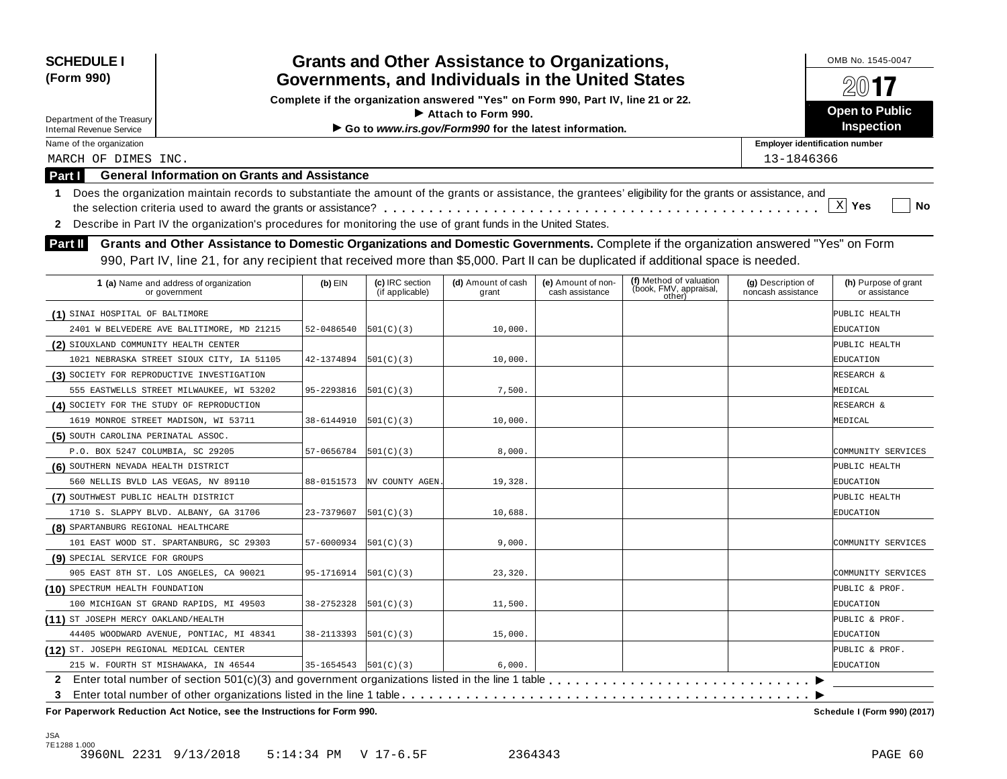| <b>SCHEDULE I</b><br>(Form 990)           |                                                                                                                                                            |                            |                                    | <b>Grants and Other Assistance to Organizations,</b><br>Governments, and Individuals in the United States |                                       |                                                             |                                          | OMB No. 1545-0047<br>2017             |
|-------------------------------------------|------------------------------------------------------------------------------------------------------------------------------------------------------------|----------------------------|------------------------------------|-----------------------------------------------------------------------------------------------------------|---------------------------------------|-------------------------------------------------------------|------------------------------------------|---------------------------------------|
|                                           |                                                                                                                                                            |                            |                                    | Complete if the organization answered "Yes" on Form 990, Part IV, line 21 or 22.                          |                                       |                                                             |                                          |                                       |
| Department of the Treasury                |                                                                                                                                                            |                            |                                    | Attach to Form 990.                                                                                       |                                       |                                                             |                                          | <b>Open to Public</b>                 |
| <b>Internal Revenue Service</b>           |                                                                                                                                                            |                            |                                    | Go to www.irs.gov/Form990 for the latest information.                                                     |                                       |                                                             |                                          | Inspection                            |
| Name of the organization                  |                                                                                                                                                            |                            |                                    |                                                                                                           |                                       |                                                             | <b>Employer identification number</b>    |                                       |
| MARCH OF DIMES INC.                       |                                                                                                                                                            |                            |                                    |                                                                                                           |                                       |                                                             | 13-1846366                               |                                       |
| <b>Part I</b>                             | <b>General Information on Grants and Assistance</b>                                                                                                        |                            |                                    |                                                                                                           |                                       |                                                             |                                          |                                       |
| 1.                                        | Does the organization maintain records to substantiate the amount of the grants or assistance, the grantees' eligibility for the grants or assistance, and |                            |                                    |                                                                                                           |                                       |                                                             |                                          |                                       |
|                                           |                                                                                                                                                            |                            |                                    |                                                                                                           |                                       |                                                             |                                          | $\mathbf{x}$<br>Yes<br>No             |
| $\mathbf{2}$                              | Describe in Part IV the organization's procedures for monitoring the use of grant funds in the United States.                                              |                            |                                    |                                                                                                           |                                       |                                                             |                                          |                                       |
| <b>Part II</b>                            | Grants and Other Assistance to Domestic Organizations and Domestic Governments. Complete if the organization answered "Yes" on Form                        |                            |                                    |                                                                                                           |                                       |                                                             |                                          |                                       |
|                                           | 990, Part IV, line 21, for any recipient that received more than \$5,000. Part II can be duplicated if additional space is needed.                         |                            |                                    |                                                                                                           |                                       |                                                             |                                          |                                       |
|                                           |                                                                                                                                                            |                            |                                    |                                                                                                           |                                       |                                                             |                                          |                                       |
|                                           | 1 (a) Name and address of organization<br>or government                                                                                                    | $(b)$ EIN                  | (c) IRC section<br>(if applicable) | (d) Amount of cash<br>grant                                                                               | (e) Amount of non-<br>cash assistance | (f) Method of valuation<br>(book, FMV, appraisal,<br>other) | (g) Description of<br>noncash assistance | (h) Purpose of grant<br>or assistance |
| (1) SINAI HOSPITAL OF BALTIMORE           |                                                                                                                                                            |                            |                                    |                                                                                                           |                                       |                                                             |                                          | PUBLIC HEALTH                         |
|                                           | 2401 W BELVEDERE AVE BALITIMORE, MD 21215                                                                                                                  | 52-0486540                 | 501(C)(3)                          | 10,000.                                                                                                   |                                       |                                                             |                                          | EDUCATION                             |
| (2) SIOUXLAND COMMUNITY HEALTH CENTER     |                                                                                                                                                            |                            |                                    |                                                                                                           |                                       |                                                             |                                          | PUBLIC HEALTH                         |
|                                           | 1021 NEBRASKA STREET SIOUX CITY, IA 51105                                                                                                                  | 42-1374894                 | 501(C)(3)                          | 10,000                                                                                                    |                                       |                                                             |                                          | EDUCATION                             |
|                                           | (3) SOCIETY FOR REPRODUCTIVE INVESTIGATION                                                                                                                 |                            |                                    |                                                                                                           |                                       |                                                             |                                          | RESEARCH &                            |
|                                           | 555 EASTWELLS STREET MILWAUKEE, WI 53202                                                                                                                   | 95-2293816                 | 501(C)(3)                          | 7,500.                                                                                                    |                                       |                                                             |                                          | MEDICAL                               |
| (4) SOCIETY FOR THE STUDY OF REPRODUCTION |                                                                                                                                                            |                            |                                    |                                                                                                           |                                       |                                                             |                                          | RESEARCH &                            |
|                                           | 1619 MONROE STREET MADISON, WI 53711                                                                                                                       | 38-6144910                 | 501(C)(3)                          | 10,000                                                                                                    |                                       |                                                             |                                          | MEDICAL                               |
| (5) SOUTH CAROLINA PERINATAL ASSOC.       |                                                                                                                                                            |                            |                                    |                                                                                                           |                                       |                                                             |                                          |                                       |
| P.O. BOX 5247 COLUMBIA, SC 29205          |                                                                                                                                                            | 57-0656784                 | 501(C)(3)                          | 8,000.                                                                                                    |                                       |                                                             |                                          | COMMUNITY SERVICES                    |
| (6) SOUTHERN NEVADA HEALTH DISTRICT       |                                                                                                                                                            |                            |                                    |                                                                                                           |                                       |                                                             |                                          | PUBLIC HEALTH                         |
|                                           | 560 NELLIS BVLD LAS VEGAS, NV 89110                                                                                                                        | 88-0151573                 | NV COUNTY AGEN                     | 19,328                                                                                                    |                                       |                                                             |                                          | EDUCATION                             |
| (7) SOUTHWEST PUBLIC HEALTH DISTRICT      |                                                                                                                                                            |                            |                                    |                                                                                                           |                                       |                                                             |                                          | PUBLIC HEALTH                         |
|                                           | 1710 S. SLAPPY BLVD. ALBANY, GA 31706                                                                                                                      | 23-7379607                 | 501(C)(3)                          | 10,688                                                                                                    |                                       |                                                             |                                          | EDUCATION                             |
| (8) SPARTANBURG REGIONAL HEALTHCARE       |                                                                                                                                                            |                            |                                    |                                                                                                           |                                       |                                                             |                                          |                                       |
|                                           | 101 EAST WOOD ST. SPARTANBURG, SC 29303                                                                                                                    | 57-6000934                 | 501(C)(3)                          | 9,000.                                                                                                    |                                       |                                                             |                                          | COMMUNITY SERVICES                    |
| (9) SPECIAL SERVICE FOR GROUPS            |                                                                                                                                                            |                            |                                    |                                                                                                           |                                       |                                                             |                                          |                                       |
|                                           | 905 EAST 8TH ST. LOS ANGELES, CA 90021                                                                                                                     | 95-1716914                 | 501(C)(3)                          | 23,320                                                                                                    |                                       |                                                             |                                          | COMMUNITY SERVICES                    |
| (10) SPECTRUM HEALTH FOUNDATION           |                                                                                                                                                            |                            |                                    |                                                                                                           |                                       |                                                             |                                          | PUBLIC & PROF.                        |
|                                           | 100 MICHIGAN ST GRAND RAPIDS, MI 49503                                                                                                                     | 38-2752328                 | 501(C)(3)                          | 11,500.                                                                                                   |                                       |                                                             |                                          | EDUCATION                             |
| (11) ST JOSEPH MERCY OAKLAND/HEALTH       |                                                                                                                                                            |                            |                                    |                                                                                                           |                                       |                                                             |                                          | PUBLIC & PROF.                        |
|                                           | 44405 WOODWARD AVENUE, PONTIAC, MI 48341                                                                                                                   | 38-2113393                 | 501(C)(3)                          | 15,000.                                                                                                   |                                       |                                                             |                                          | EDUCATION                             |
| (12) ST. JOSEPH REGIONAL MEDICAL CENTER   |                                                                                                                                                            |                            |                                    |                                                                                                           |                                       |                                                             |                                          | PUBLIC & PROF.                        |
|                                           | 215 W. FOURTH ST MISHAWAKA, IN 46544                                                                                                                       | $35-1654543$ $ 501(C)(3) $ |                                    | 6,000.                                                                                                    |                                       |                                                             |                                          | EDUCATION                             |
|                                           | 2 Enter total number of section 501(c)(3) and government organizations listed in the line 1 table                                                          |                            |                                    |                                                                                                           |                                       |                                                             |                                          |                                       |
| 3                                         |                                                                                                                                                            |                            |                                    |                                                                                                           |                                       |                                                             |                                          |                                       |
|                                           | For Paperwork Reduction Act Notice, see the Instructions for Form 990.                                                                                     |                            |                                    |                                                                                                           |                                       |                                                             |                                          | Schedule I (Form 990) (2017)          |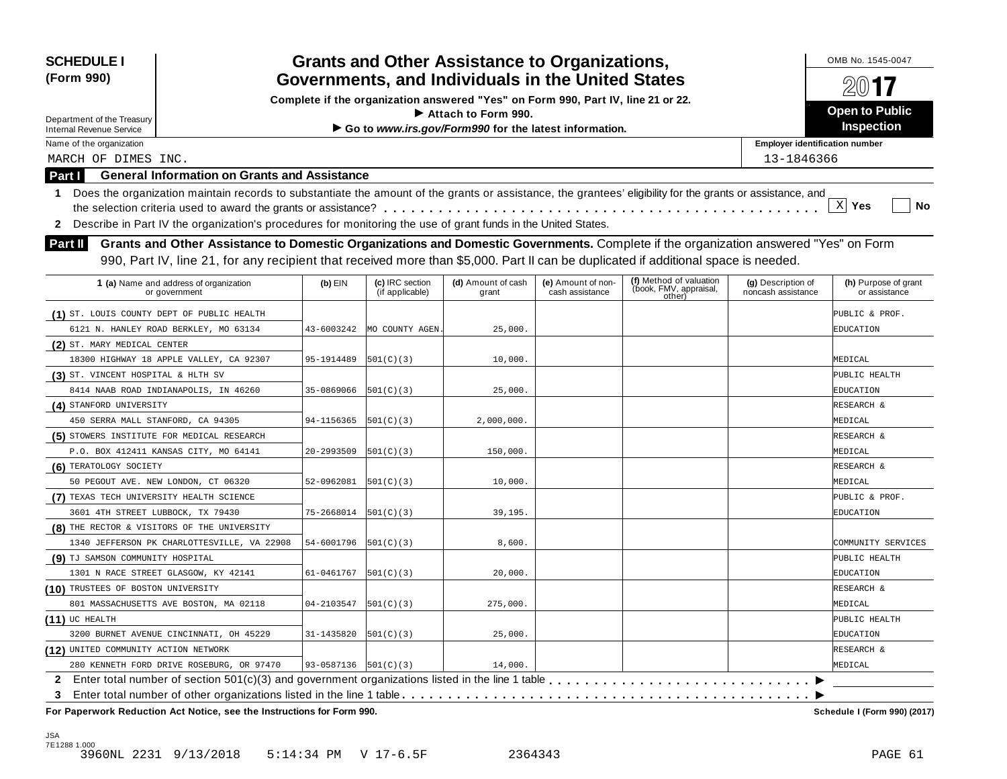| <b>SCHEDULE I</b><br>(Form 990)                                                                                                                                  |            |                                    | <b>Grants and Other Assistance to Organizations,</b><br>Governments, and Individuals in the United States |                                       |                                                             |                                          | OMB No. 1545-0047<br>20017            |
|------------------------------------------------------------------------------------------------------------------------------------------------------------------|------------|------------------------------------|-----------------------------------------------------------------------------------------------------------|---------------------------------------|-------------------------------------------------------------|------------------------------------------|---------------------------------------|
|                                                                                                                                                                  |            |                                    | Complete if the organization answered "Yes" on Form 990, Part IV, line 21 or 22.                          |                                       |                                                             |                                          |                                       |
| Department of the Treasury                                                                                                                                       |            |                                    | Attach to Form 990.                                                                                       |                                       |                                                             |                                          | <b>Open to Public</b>                 |
| <b>Internal Revenue Service</b>                                                                                                                                  |            |                                    | Go to www.irs.gov/Form990 for the latest information.                                                     |                                       |                                                             |                                          | Inspection                            |
| Name of the organization                                                                                                                                         |            |                                    |                                                                                                           |                                       |                                                             | <b>Employer identification number</b>    |                                       |
| MARCH OF DIMES INC.                                                                                                                                              |            |                                    |                                                                                                           |                                       |                                                             | 13-1846366                               |                                       |
| <b>General Information on Grants and Assistance</b><br><b>Part I</b>                                                                                             |            |                                    |                                                                                                           |                                       |                                                             |                                          |                                       |
| Does the organization maintain records to substantiate the amount of the grants or assistance, the grantees' eligibility for the grants or assistance, and<br>1. |            |                                    |                                                                                                           |                                       |                                                             |                                          |                                       |
|                                                                                                                                                                  |            |                                    |                                                                                                           |                                       |                                                             |                                          | $\mathbf{x}$<br>Yes<br>No             |
| Describe in Part IV the organization's procedures for monitoring the use of grant funds in the United States.<br>$\mathbf{2}$                                    |            |                                    |                                                                                                           |                                       |                                                             |                                          |                                       |
| Grants and Other Assistance to Domestic Organizations and Domestic Governments. Complete if the organization answered "Yes" on Form<br><b>Part II</b>            |            |                                    |                                                                                                           |                                       |                                                             |                                          |                                       |
| 990, Part IV, line 21, for any recipient that received more than \$5,000. Part II can be duplicated if additional space is needed.                               |            |                                    |                                                                                                           |                                       |                                                             |                                          |                                       |
|                                                                                                                                                                  |            |                                    |                                                                                                           |                                       |                                                             |                                          |                                       |
| 1 (a) Name and address of organization<br>or government                                                                                                          | $(b)$ EIN  | (c) IRC section<br>(if applicable) | (d) Amount of cash<br>grant                                                                               | (e) Amount of non-<br>cash assistance | (f) Method of valuation<br>(book, FMV, appraisal,<br>other) | (g) Description of<br>noncash assistance | (h) Purpose of grant<br>or assistance |
| (1) ST. LOUIS COUNTY DEPT OF PUBLIC HEALTH                                                                                                                       |            |                                    |                                                                                                           |                                       |                                                             |                                          | PUBLIC & PROF.                        |
| 6121 N. HANLEY ROAD BERKLEY, MO 63134                                                                                                                            | 43-6003242 | MO COUNTY AGEN                     | 25,000.                                                                                                   |                                       |                                                             |                                          | EDUCATION                             |
| (2) ST. MARY MEDICAL CENTER                                                                                                                                      |            |                                    |                                                                                                           |                                       |                                                             |                                          |                                       |
| 18300 HIGHWAY 18 APPLE VALLEY, CA 92307                                                                                                                          | 95-1914489 | 501(C)(3)                          | 10,000.                                                                                                   |                                       |                                                             |                                          | MEDICAL                               |
| (3) ST. VINCENT HOSPITAL & HLTH SV                                                                                                                               |            |                                    |                                                                                                           |                                       |                                                             |                                          | PUBLIC HEALTH                         |
| 8414 NAAB ROAD INDIANAPOLIS, IN 46260                                                                                                                            | 35-0869066 | 501(C)(3)                          | 25,000.                                                                                                   |                                       |                                                             |                                          | EDUCATION                             |
| (4) STANFORD UNIVERSITY                                                                                                                                          |            |                                    |                                                                                                           |                                       |                                                             |                                          | RESEARCH &                            |
| 450 SERRA MALL STANFORD, CA 94305                                                                                                                                | 94-1156365 | 501(C)(3)                          | 2,000,000                                                                                                 |                                       |                                                             |                                          | MEDICAL                               |
| (5) STOWERS INSTITUTE FOR MEDICAL RESEARCH                                                                                                                       |            |                                    |                                                                                                           |                                       |                                                             |                                          | RESEARCH &                            |
| P.O. BOX 412411 KANSAS CITY, MO 64141                                                                                                                            | 20-2993509 | 501(C)(3)                          | 150,000.                                                                                                  |                                       |                                                             |                                          | MEDICAL                               |
| (6) TERATOLOGY SOCIETY                                                                                                                                           |            |                                    |                                                                                                           |                                       |                                                             |                                          | RESEARCH &                            |
| 50 PEGOUT AVE. NEW LONDON, CT 06320                                                                                                                              | 52-0962081 | 501(C)(3)                          | 10,000.                                                                                                   |                                       |                                                             |                                          | MEDICAL                               |
| (7) TEXAS TECH UNIVERSITY HEALTH SCIENCE                                                                                                                         |            |                                    |                                                                                                           |                                       |                                                             |                                          | PUBLIC & PROF.                        |
| 3601 4TH STREET LUBBOCK, TX 79430                                                                                                                                | 75-2668014 | 501(C)(3)                          | 39, 195.                                                                                                  |                                       |                                                             |                                          | EDUCATION                             |
| (8) THE RECTOR & VISITORS OF THE UNIVERSITY                                                                                                                      |            |                                    |                                                                                                           |                                       |                                                             |                                          |                                       |
| 1340 JEFFERSON PK CHARLOTTESVILLE, VA 22908                                                                                                                      | 54-6001796 | 501(C)(3)                          | 8,600.                                                                                                    |                                       |                                                             |                                          | COMMUNITY SERVICES                    |
| (9) TJ SAMSON COMMUNITY HOSPITAL                                                                                                                                 |            |                                    |                                                                                                           |                                       |                                                             |                                          | PUBLIC HEALTH                         |
| 1301 N RACE STREET GLASGOW, KY 42141                                                                                                                             | 61-0461767 | 501(C)(3)                          | 20,000.                                                                                                   |                                       |                                                             |                                          | EDUCATION                             |
| (10) TRUSTEES OF BOSTON UNIVERSITY                                                                                                                               |            |                                    |                                                                                                           |                                       |                                                             |                                          | RESEARCH &                            |
| 801 MASSACHUSETTS AVE BOSTON, MA 02118                                                                                                                           | 04-2103547 | 501(C)(3)                          | 275,000.                                                                                                  |                                       |                                                             |                                          | MEDICAL                               |
| $(11)$ UC HEALTH                                                                                                                                                 |            |                                    |                                                                                                           |                                       |                                                             |                                          | PUBLIC HEALTH                         |
| 3200 BURNET AVENUE CINCINNATI, OH 45229                                                                                                                          | 31-1435820 | 501(C)(3)                          | 25,000.                                                                                                   |                                       |                                                             |                                          | EDUCATION                             |
| (12) UNITED COMMUNITY ACTION NETWORK                                                                                                                             |            |                                    |                                                                                                           |                                       |                                                             |                                          | RESEARCH &                            |
| 280 KENNETH FORD DRIVE ROSEBURG, OR 97470                                                                                                                        |            | $93-0587136$ $ 501(C)(3) $         | 14,000.                                                                                                   |                                       |                                                             |                                          | MEDICAL                               |
|                                                                                                                                                                  |            |                                    |                                                                                                           |                                       |                                                             |                                          |                                       |
| 3<br>For Paperwork Reduction Act Notice, see the Instructions for Form 990.                                                                                      |            |                                    |                                                                                                           |                                       |                                                             |                                          | Schedule I (Form 990) (2017)          |

JSA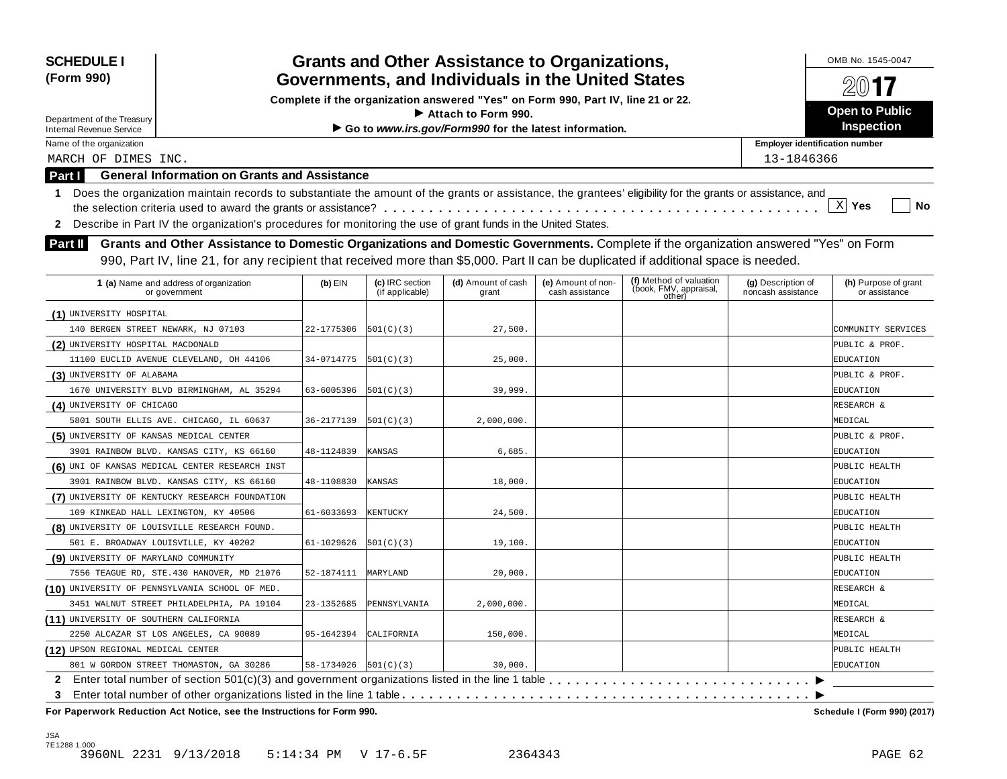| <b>SCHEDULE I</b><br>(Form 990)                               |                                                                                                                                                                                                                                                                           |                          |                                    | <b>Grants and Other Assistance to Organizations,</b><br>Governments, and Individuals in the United States |                                       |                                                             |                                          | OMB No. 1545-0047                     |
|---------------------------------------------------------------|---------------------------------------------------------------------------------------------------------------------------------------------------------------------------------------------------------------------------------------------------------------------------|--------------------------|------------------------------------|-----------------------------------------------------------------------------------------------------------|---------------------------------------|-------------------------------------------------------------|------------------------------------------|---------------------------------------|
|                                                               |                                                                                                                                                                                                                                                                           |                          |                                    | Complete if the organization answered "Yes" on Form 990, Part IV, line 21 or 22.                          |                                       |                                                             |                                          |                                       |
|                                                               |                                                                                                                                                                                                                                                                           |                          |                                    | $\blacktriangleright$ Attach to Form 990.                                                                 |                                       |                                                             |                                          | <b>Open to Public</b>                 |
| Department of the Treasury<br><b>Internal Revenue Service</b> |                                                                                                                                                                                                                                                                           |                          |                                    | Go to www.irs.gov/Form990 for the latest information.                                                     |                                       |                                                             |                                          | <b>Inspection</b>                     |
| Name of the organization                                      |                                                                                                                                                                                                                                                                           |                          |                                    |                                                                                                           |                                       |                                                             | <b>Employer identification number</b>    |                                       |
| MARCH OF DIMES INC.                                           |                                                                                                                                                                                                                                                                           |                          |                                    |                                                                                                           |                                       |                                                             | 13-1846366                               |                                       |
| Part I                                                        | <b>General Information on Grants and Assistance</b>                                                                                                                                                                                                                       |                          |                                    |                                                                                                           |                                       |                                                             |                                          |                                       |
| $\mathbf 1$                                                   | Does the organization maintain records to substantiate the amount of the grants or assistance, the grantees' eligibility for the grants or assistance, and                                                                                                                |                          |                                    |                                                                                                           |                                       |                                                             |                                          |                                       |
|                                                               |                                                                                                                                                                                                                                                                           |                          |                                    |                                                                                                           |                                       |                                                             |                                          | $\mathbf{x}$<br>Yes<br>No             |
| $\mathbf{2}$                                                  | Describe in Part IV the organization's procedures for monitoring the use of grant funds in the United States.                                                                                                                                                             |                          |                                    |                                                                                                           |                                       |                                                             |                                          |                                       |
| <b>Part II</b>                                                | Grants and Other Assistance to Domestic Organizations and Domestic Governments. Complete if the organization answered "Yes" on Form<br>990, Part IV, line 21, for any recipient that received more than \$5,000. Part II can be duplicated if additional space is needed. |                          |                                    |                                                                                                           |                                       |                                                             |                                          |                                       |
|                                                               | 1 (a) Name and address of organization<br>or government                                                                                                                                                                                                                   | $(b)$ EIN                | (c) IRC section<br>(if applicable) | (d) Amount of cash<br>grant                                                                               | (e) Amount of non-<br>cash assistance | (f) Method of valuation<br>(book, FMV, appraisal,<br>other) | (g) Description of<br>noncash assistance | (h) Purpose of grant<br>or assistance |
| (1) UNIVERSITY HOSPITAL                                       |                                                                                                                                                                                                                                                                           |                          |                                    |                                                                                                           |                                       |                                                             |                                          |                                       |
| 140 BERGEN STREET NEWARK, NJ 07103                            |                                                                                                                                                                                                                                                                           | 22-1775306               | 501(C)(3)                          | 27,500.                                                                                                   |                                       |                                                             |                                          | COMMUNITY SERVICES                    |
| (2) UNIVERSITY HOSPITAL MACDONALD                             |                                                                                                                                                                                                                                                                           |                          |                                    |                                                                                                           |                                       |                                                             |                                          | PUBLIC & PROF.                        |
|                                                               | 11100 EUCLID AVENUE CLEVELAND, OH 44106                                                                                                                                                                                                                                   | 34-0714775               | 501(C)(3)                          | 25,000.                                                                                                   |                                       |                                                             |                                          | EDUCATION                             |
| (3) UNIVERSITY OF ALABAMA                                     |                                                                                                                                                                                                                                                                           |                          |                                    |                                                                                                           |                                       |                                                             |                                          | PUBLIC & PROF.                        |
|                                                               | 1670 UNIVERSITY BLVD BIRMINGHAM, AL 35294                                                                                                                                                                                                                                 | 63-6005396               | 501(C)(3)                          | 39,999.                                                                                                   |                                       |                                                             |                                          | EDUCATION                             |
| (4) UNIVERSITY OF CHICAGO                                     |                                                                                                                                                                                                                                                                           |                          |                                    |                                                                                                           |                                       |                                                             |                                          | RESEARCH &                            |
|                                                               | 5801 SOUTH ELLIS AVE. CHICAGO, IL 60637                                                                                                                                                                                                                                   | 36-2177139               | 501(C)(3)                          | 2,000,000.                                                                                                |                                       |                                                             |                                          | MEDICAL                               |
| (5) UNIVERSITY OF KANSAS MEDICAL CENTER                       |                                                                                                                                                                                                                                                                           |                          |                                    |                                                                                                           |                                       |                                                             |                                          | PUBLIC & PROF.                        |
|                                                               | 3901 RAINBOW BLVD. KANSAS CITY, KS 66160                                                                                                                                                                                                                                  | 48-1124839               | KANSAS                             | 6,685.                                                                                                    |                                       |                                                             |                                          | EDUCATION                             |
|                                                               | (6) UNI OF KANSAS MEDICAL CENTER RESEARCH INST                                                                                                                                                                                                                            |                          |                                    |                                                                                                           |                                       |                                                             |                                          | PUBLIC HEALTH                         |
|                                                               | 3901 RAINBOW BLVD. KANSAS CITY, KS 66160                                                                                                                                                                                                                                  | 48-1108830               | KANSAS                             | 18,000.                                                                                                   |                                       |                                                             |                                          | EDUCATION                             |
|                                                               | (7) UNIVERSITY OF KENTUCKY RESEARCH FOUNDATION                                                                                                                                                                                                                            |                          |                                    |                                                                                                           |                                       |                                                             |                                          | PUBLIC HEALTH                         |
| 109 KINKEAD HALL LEXINGTON, KY 40506                          |                                                                                                                                                                                                                                                                           | 61-6033693               | KENTUCKY                           | 24,500.                                                                                                   |                                       |                                                             |                                          | EDUCATION                             |
| (8) UNIVERSITY OF LOUISVILLE RESEARCH FOUND.                  |                                                                                                                                                                                                                                                                           |                          |                                    |                                                                                                           |                                       |                                                             |                                          | PUBLIC HEALTH                         |
| 501 E. BROADWAY LOUISVILLE, KY 40202                          |                                                                                                                                                                                                                                                                           | 61-1029626               | 501(C)(3)                          | 19,100.                                                                                                   |                                       |                                                             |                                          | EDUCATION                             |
| (9) UNIVERSITY OF MARYLAND COMMUNITY                          |                                                                                                                                                                                                                                                                           |                          |                                    |                                                                                                           |                                       |                                                             |                                          | PUBLIC HEALTH                         |
|                                                               | 7556 TEAGUE RD, STE.430 HANOVER, MD 21076                                                                                                                                                                                                                                 | 52-1874111               | MARYLAND                           | 20,000.                                                                                                   |                                       |                                                             |                                          | EDUCATION                             |
| (10) UNIVERSITY OF PENNSYLVANIA SCHOOL OF MED.                |                                                                                                                                                                                                                                                                           |                          |                                    |                                                                                                           |                                       |                                                             |                                          | RESEARCH &                            |
|                                                               | 3451 WALNUT STREET PHILADELPHIA, PA 19104                                                                                                                                                                                                                                 | 23-1352685               | PENNSYLVANIA                       | 2,000,000.                                                                                                |                                       |                                                             |                                          | MEDICAL                               |
| (11) UNIVERSITY OF SOUTHERN CALIFORNIA                        |                                                                                                                                                                                                                                                                           |                          |                                    |                                                                                                           |                                       |                                                             |                                          | RESEARCH &                            |
|                                                               | 2250 ALCAZAR ST LOS ANGELES, CA 90089                                                                                                                                                                                                                                     | 95-1642394               | CALIFORNIA                         | 150,000.                                                                                                  |                                       |                                                             |                                          | MEDICAL                               |
| (12) UPSON REGIONAL MEDICAL CENTER                            |                                                                                                                                                                                                                                                                           |                          |                                    |                                                                                                           |                                       |                                                             |                                          | PUBLIC HEALTH                         |
|                                                               | 801 W GORDON STREET THOMASTON, GA 30286                                                                                                                                                                                                                                   | $58-1734026$ $501(C)(3)$ |                                    | 30,000.                                                                                                   |                                       |                                                             |                                          | EDUCATION                             |
| 2.<br>3                                                       |                                                                                                                                                                                                                                                                           |                          |                                    |                                                                                                           |                                       |                                                             |                                          |                                       |
|                                                               | For Paperwork Reduction Act Notice, see the Instructions for Form 990.                                                                                                                                                                                                    |                          |                                    |                                                                                                           |                                       |                                                             |                                          | Schedule I (Form 990) (2017)          |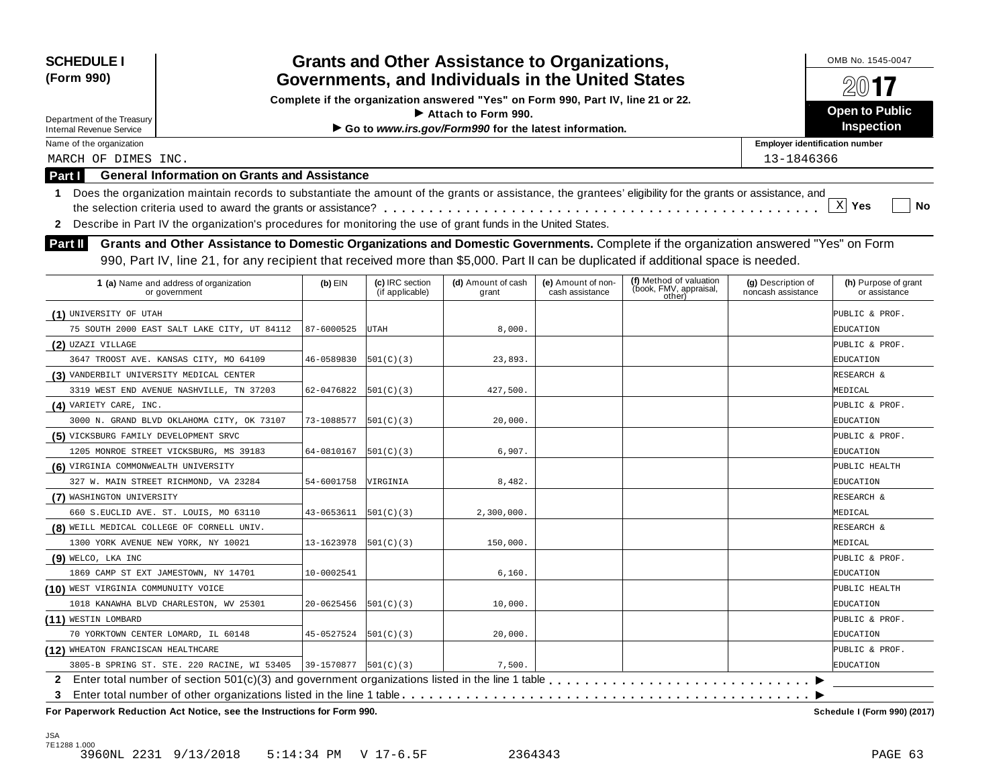| <b>SCHEDULE I</b><br>(Form 990)                               |                                                                                                                                                                                                                                                                           |                          |                                    | <b>Grants and Other Assistance to Organizations,</b><br>Governments, and Individuals in the United States                     |                                       |                                                             |                                          | OMB No. 1545-0047                     |
|---------------------------------------------------------------|---------------------------------------------------------------------------------------------------------------------------------------------------------------------------------------------------------------------------------------------------------------------------|--------------------------|------------------------------------|-------------------------------------------------------------------------------------------------------------------------------|---------------------------------------|-------------------------------------------------------------|------------------------------------------|---------------------------------------|
|                                                               |                                                                                                                                                                                                                                                                           |                          |                                    |                                                                                                                               |                                       |                                                             |                                          |                                       |
|                                                               |                                                                                                                                                                                                                                                                           |                          |                                    | Complete if the organization answered "Yes" on Form 990, Part IV, line 21 or 22.<br>$\blacktriangleright$ Attach to Form 990. |                                       |                                                             |                                          | <b>Open to Public</b>                 |
| Department of the Treasury<br><b>Internal Revenue Service</b> |                                                                                                                                                                                                                                                                           |                          |                                    | Go to www.irs.gov/Form990 for the latest information.                                                                         |                                       |                                                             |                                          | <b>Inspection</b>                     |
| Name of the organization                                      |                                                                                                                                                                                                                                                                           |                          |                                    |                                                                                                                               |                                       |                                                             | <b>Employer identification number</b>    |                                       |
| MARCH OF DIMES INC.                                           |                                                                                                                                                                                                                                                                           |                          |                                    |                                                                                                                               |                                       |                                                             | 13-1846366                               |                                       |
| Part I                                                        | <b>General Information on Grants and Assistance</b>                                                                                                                                                                                                                       |                          |                                    |                                                                                                                               |                                       |                                                             |                                          |                                       |
| $\mathbf 1$                                                   | Does the organization maintain records to substantiate the amount of the grants or assistance, the grantees' eligibility for the grants or assistance, and                                                                                                                |                          |                                    |                                                                                                                               |                                       |                                                             |                                          |                                       |
|                                                               |                                                                                                                                                                                                                                                                           |                          |                                    |                                                                                                                               |                                       |                                                             |                                          | $\mathbf{x}$<br>Yes<br>No             |
| $\mathbf{2}$                                                  | Describe in Part IV the organization's procedures for monitoring the use of grant funds in the United States.                                                                                                                                                             |                          |                                    |                                                                                                                               |                                       |                                                             |                                          |                                       |
| <b>Part II</b>                                                | Grants and Other Assistance to Domestic Organizations and Domestic Governments. Complete if the organization answered "Yes" on Form<br>990, Part IV, line 21, for any recipient that received more than \$5,000. Part II can be duplicated if additional space is needed. |                          |                                    |                                                                                                                               |                                       |                                                             |                                          |                                       |
|                                                               | 1 (a) Name and address of organization<br>or government                                                                                                                                                                                                                   | $(b)$ EIN                | (c) IRC section<br>(if applicable) | (d) Amount of cash<br>grant                                                                                                   | (e) Amount of non-<br>cash assistance | (f) Method of valuation<br>(book, FMV, appraisal,<br>other) | (g) Description of<br>noncash assistance | (h) Purpose of grant<br>or assistance |
| (1) UNIVERSITY OF UTAH                                        |                                                                                                                                                                                                                                                                           |                          |                                    |                                                                                                                               |                                       |                                                             |                                          | PUBLIC & PROF.                        |
|                                                               | 75 SOUTH 2000 EAST SALT LAKE CITY, UT 84112                                                                                                                                                                                                                               | 87-6000525               | UTAH                               | 8,000.                                                                                                                        |                                       |                                                             |                                          | EDUCATION                             |
| (2) UZAZI VILLAGE                                             |                                                                                                                                                                                                                                                                           |                          |                                    |                                                                                                                               |                                       |                                                             |                                          | PUBLIC & PROF.                        |
|                                                               | 3647 TROOST AVE. KANSAS CITY, MO 64109                                                                                                                                                                                                                                    | 46-0589830               | 501(C)(3)                          | 23,893.                                                                                                                       |                                       |                                                             |                                          | EDUCATION                             |
| (3) VANDERBILT UNIVERSITY MEDICAL CENTER                      |                                                                                                                                                                                                                                                                           |                          |                                    |                                                                                                                               |                                       |                                                             |                                          | RESEARCH &                            |
|                                                               | 3319 WEST END AVENUE NASHVILLE, TN 37203                                                                                                                                                                                                                                  | 62-0476822               | 501(C)(3)                          | 427,500.                                                                                                                      |                                       |                                                             |                                          | MEDICAL                               |
| (4) VARIETY CARE, INC.                                        |                                                                                                                                                                                                                                                                           |                          |                                    |                                                                                                                               |                                       |                                                             |                                          | PUBLIC & PROF.                        |
|                                                               | 3000 N. GRAND BLVD OKLAHOMA CITY, OK 73107                                                                                                                                                                                                                                | 73-1088577               | 501(C)(3)                          | 20,000.                                                                                                                       |                                       |                                                             |                                          | EDUCATION                             |
| (5) VICKSBURG FAMILY DEVELOPMENT SRVC                         |                                                                                                                                                                                                                                                                           |                          |                                    |                                                                                                                               |                                       |                                                             |                                          | PUBLIC & PROF.                        |
|                                                               | 1205 MONROE STREET VICKSBURG, MS 39183                                                                                                                                                                                                                                    | 64-0810167               | 501(C)(3)                          | 6,907.                                                                                                                        |                                       |                                                             |                                          | EDUCATION                             |
| (6) VIRGINIA COMMONWEALTH UNIVERSITY                          |                                                                                                                                                                                                                                                                           |                          |                                    |                                                                                                                               |                                       |                                                             |                                          | PUBLIC HEALTH                         |
|                                                               | 327 W. MAIN STREET RICHMOND, VA 23284                                                                                                                                                                                                                                     | 54-6001758               | VIRGINIA                           | 8,482.                                                                                                                        |                                       |                                                             |                                          | EDUCATION                             |
| (7) WASHINGTON UNIVERSITY                                     |                                                                                                                                                                                                                                                                           |                          |                                    |                                                                                                                               |                                       |                                                             |                                          | RESEARCH &                            |
|                                                               | 660 S.EUCLID AVE. ST. LOUIS, MO 63110                                                                                                                                                                                                                                     | 43-0653611               | 501(C)(3)                          | 2,300,000.                                                                                                                    |                                       |                                                             |                                          | MEDICAL                               |
| (8) WEILL MEDICAL COLLEGE OF CORNELL UNIV.                    |                                                                                                                                                                                                                                                                           |                          |                                    |                                                                                                                               |                                       |                                                             |                                          | RESEARCH &                            |
| 1300 YORK AVENUE NEW YORK, NY 10021                           |                                                                                                                                                                                                                                                                           | 13-1623978               | 501(C)(3)                          | 150,000.                                                                                                                      |                                       |                                                             |                                          | MEDICAL                               |
| (9) WELCO, LKA INC                                            |                                                                                                                                                                                                                                                                           |                          |                                    |                                                                                                                               |                                       |                                                             |                                          | PUBLIC & PROF.                        |
|                                                               | 1869 CAMP ST EXT JAMESTOWN, NY 14701                                                                                                                                                                                                                                      | 10-0002541               |                                    | 6,160.                                                                                                                        |                                       |                                                             |                                          | EDUCATION                             |
| (10) WEST VIRGINIA COMMUNUITY VOICE                           |                                                                                                                                                                                                                                                                           |                          |                                    |                                                                                                                               |                                       |                                                             |                                          | PUBLIC HEALTH                         |
|                                                               | 1018 KANAWHA BLVD CHARLESTON, WV 25301                                                                                                                                                                                                                                    | 20-0625456               | 501(C)(3)                          | 10,000.                                                                                                                       |                                       |                                                             |                                          | EDUCATION                             |
| (11) WESTIN LOMBARD                                           |                                                                                                                                                                                                                                                                           |                          |                                    |                                                                                                                               |                                       |                                                             |                                          | PUBLIC & PROF.                        |
| 70 YORKTOWN CENTER LOMARD, IL 60148                           |                                                                                                                                                                                                                                                                           | 45-0527524               | 501(C)(3)                          | 20,000.                                                                                                                       |                                       |                                                             |                                          | EDUCATION                             |
| (12) WHEATON FRANCISCAN HEALTHCARE                            |                                                                                                                                                                                                                                                                           |                          |                                    |                                                                                                                               |                                       |                                                             |                                          | PUBLIC & PROF.                        |
|                                                               | 3805-B SPRING ST. STE. 220 RACINE, WI 53405                                                                                                                                                                                                                               | $39-1570877$ $501(C)(3)$ |                                    | 7,500.                                                                                                                        |                                       |                                                             |                                          | EDUCATION                             |
| 2.                                                            |                                                                                                                                                                                                                                                                           |                          |                                    |                                                                                                                               |                                       |                                                             |                                          |                                       |
| 3                                                             | For Paperwork Reduction Act Notice, see the Instructions for Form 990.                                                                                                                                                                                                    |                          |                                    |                                                                                                                               |                                       |                                                             |                                          | Schedule I (Form 990) (2017)          |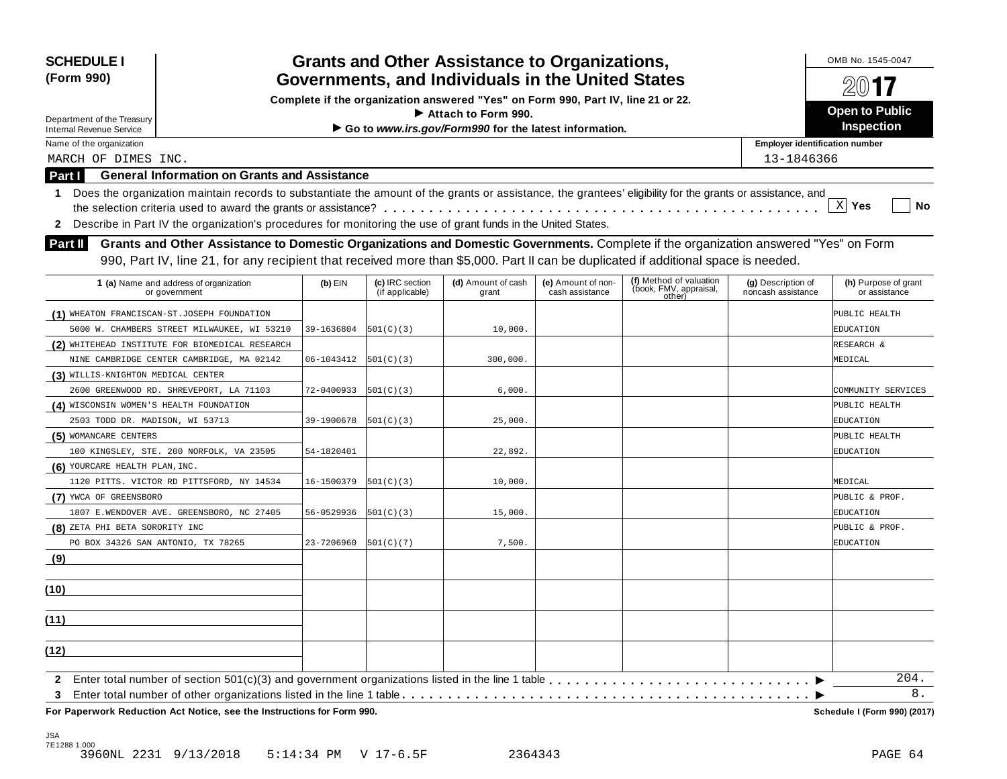| (Form 990)<br>Department of the Treasury<br><b>Internal Revenue Service</b><br>Name of the organization                                                          |            |                                    | Governments, and Individuals in the United States     |                                                                                  |                                                             |                                          |                                       |  |  |  |  |  |
|------------------------------------------------------------------------------------------------------------------------------------------------------------------|------------|------------------------------------|-------------------------------------------------------|----------------------------------------------------------------------------------|-------------------------------------------------------------|------------------------------------------|---------------------------------------|--|--|--|--|--|
|                                                                                                                                                                  |            |                                    |                                                       | Complete if the organization answered "Yes" on Form 990, Part IV, line 21 or 22. |                                                             |                                          |                                       |  |  |  |  |  |
|                                                                                                                                                                  |            |                                    | $\blacktriangleright$ Attach to Form 990.             |                                                                                  |                                                             |                                          | <b>Open to Public</b>                 |  |  |  |  |  |
|                                                                                                                                                                  |            |                                    | Go to www.irs.gov/Form990 for the latest information. |                                                                                  |                                                             |                                          | <b>Inspection</b>                     |  |  |  |  |  |
|                                                                                                                                                                  |            |                                    |                                                       |                                                                                  |                                                             | <b>Employer identification number</b>    |                                       |  |  |  |  |  |
| MARCH OF DIMES INC.                                                                                                                                              |            |                                    |                                                       |                                                                                  |                                                             | 13-1846366                               |                                       |  |  |  |  |  |
| <b>General Information on Grants and Assistance</b><br>Part I                                                                                                    |            |                                    |                                                       |                                                                                  |                                                             |                                          |                                       |  |  |  |  |  |
|                                                                                                                                                                  |            |                                    |                                                       |                                                                                  |                                                             |                                          |                                       |  |  |  |  |  |
| Does the organization maintain records to substantiate the amount of the grants or assistance, the grantees' eligibility for the grants or assistance, and<br>1. |            |                                    |                                                       |                                                                                  |                                                             |                                          | $X$ Yes<br>No                         |  |  |  |  |  |
| Describe in Part IV the organization's procedures for monitoring the use of grant funds in the United States.                                                    |            |                                    |                                                       |                                                                                  |                                                             |                                          |                                       |  |  |  |  |  |
| $\mathbf{2}$                                                                                                                                                     |            |                                    |                                                       |                                                                                  |                                                             |                                          |                                       |  |  |  |  |  |
| Grants and Other Assistance to Domestic Organizations and Domestic Governments. Complete if the organization answered "Yes" on Form<br><b>Part II</b>            |            |                                    |                                                       |                                                                                  |                                                             |                                          |                                       |  |  |  |  |  |
| 990, Part IV, line 21, for any recipient that received more than \$5,000. Part II can be duplicated if additional space is needed.                               |            |                                    |                                                       |                                                                                  |                                                             |                                          |                                       |  |  |  |  |  |
| 1 (a) Name and address of organization<br>or government                                                                                                          | $(b)$ EIN  | (c) IRC section<br>(if applicable) | (d) Amount of cash<br>grant                           | (e) Amount of non-<br>cash assistance                                            | (f) Method of valuation<br>(book, FMV, appraisal,<br>other) | (g) Description of<br>noncash assistance | (h) Purpose of grant<br>or assistance |  |  |  |  |  |
| (1) WHEATON FRANCISCAN-ST.JOSEPH FOUNDATION                                                                                                                      |            |                                    |                                                       |                                                                                  |                                                             |                                          | PUBLIC HEALTH                         |  |  |  |  |  |
| 5000 W. CHAMBERS STREET MILWAUKEE, WI 53210                                                                                                                      | 39-1636804 | 501(C)(3)                          | 10,000.                                               |                                                                                  |                                                             |                                          | EDUCATION                             |  |  |  |  |  |
| (2) WHITEHEAD INSTITUTE FOR BIOMEDICAL RESEARCH                                                                                                                  |            |                                    |                                                       |                                                                                  |                                                             |                                          | RESEARCH &                            |  |  |  |  |  |
| NINE CAMBRIDGE CENTER CAMBRIDGE, MA 02142                                                                                                                        | 06-1043412 | 501(C)(3)                          | 300,000.                                              |                                                                                  |                                                             |                                          | MEDICAL                               |  |  |  |  |  |
| (3) WILLIS-KNIGHTON MEDICAL CENTER                                                                                                                               |            |                                    |                                                       |                                                                                  |                                                             |                                          |                                       |  |  |  |  |  |
| 2600 GREENWOOD RD. SHREVEPORT, LA 71103                                                                                                                          | 72-0400933 | 501(C)(3)                          | 6,000.                                                |                                                                                  |                                                             |                                          | COMMUNITY SERVICES                    |  |  |  |  |  |
| (4) WISCONSIN WOMEN'S HEALTH FOUNDATION                                                                                                                          |            |                                    |                                                       |                                                                                  |                                                             |                                          | PUBLIC HEALTH                         |  |  |  |  |  |
| 2503 TODD DR. MADISON, WI 53713                                                                                                                                  | 39-1900678 | 501(C)(3)                          | 25,000.                                               |                                                                                  |                                                             |                                          | EDUCATION                             |  |  |  |  |  |
| (5) WOMANCARE CENTERS                                                                                                                                            |            |                                    |                                                       |                                                                                  |                                                             |                                          | PUBLIC HEALTH                         |  |  |  |  |  |
| 100 KINGSLEY, STE. 200 NORFOLK, VA 23505                                                                                                                         | 54-1820401 |                                    | 22,892.                                               |                                                                                  |                                                             |                                          | EDUCATION                             |  |  |  |  |  |
| (6) YOURCARE HEALTH PLAN, INC.                                                                                                                                   |            |                                    |                                                       |                                                                                  |                                                             |                                          |                                       |  |  |  |  |  |
| 1120 PITTS. VICTOR RD PITTSFORD, NY 14534                                                                                                                        | 16-1500379 | 501(C)(3)                          | 10,000.                                               |                                                                                  |                                                             |                                          | MEDICAL                               |  |  |  |  |  |
| (7) YWCA OF GREENSBORO                                                                                                                                           |            |                                    |                                                       |                                                                                  |                                                             |                                          | PUBLIC & PROF.                        |  |  |  |  |  |
| 1807 E.WENDOVER AVE. GREENSBORO, NC 27405                                                                                                                        | 56-0529936 | 501(C)(3)                          | 15,000.                                               |                                                                                  |                                                             |                                          | EDUCATION                             |  |  |  |  |  |
| (8) ZETA PHI BETA SORORITY INC                                                                                                                                   |            |                                    |                                                       |                                                                                  |                                                             |                                          | PUBLIC & PROF.                        |  |  |  |  |  |
| PO BOX 34326 SAN ANTONIO, TX 78265                                                                                                                               | 23-7206960 | 501(C)(7)                          | 7,500.                                                |                                                                                  |                                                             |                                          | EDUCATION                             |  |  |  |  |  |
| (9)                                                                                                                                                              |            |                                    |                                                       |                                                                                  |                                                             |                                          |                                       |  |  |  |  |  |
| (10)                                                                                                                                                             |            |                                    |                                                       |                                                                                  |                                                             |                                          |                                       |  |  |  |  |  |
|                                                                                                                                                                  |            |                                    |                                                       |                                                                                  |                                                             |                                          |                                       |  |  |  |  |  |
| (11)                                                                                                                                                             |            |                                    |                                                       |                                                                                  |                                                             |                                          |                                       |  |  |  |  |  |
| (12)                                                                                                                                                             |            |                                    |                                                       |                                                                                  |                                                             |                                          |                                       |  |  |  |  |  |
| $\mathbf{2}$                                                                                                                                                     |            |                                    |                                                       |                                                                                  |                                                             |                                          | 204.                                  |  |  |  |  |  |
| 3                                                                                                                                                                |            |                                    |                                                       |                                                                                  |                                                             |                                          | 8.                                    |  |  |  |  |  |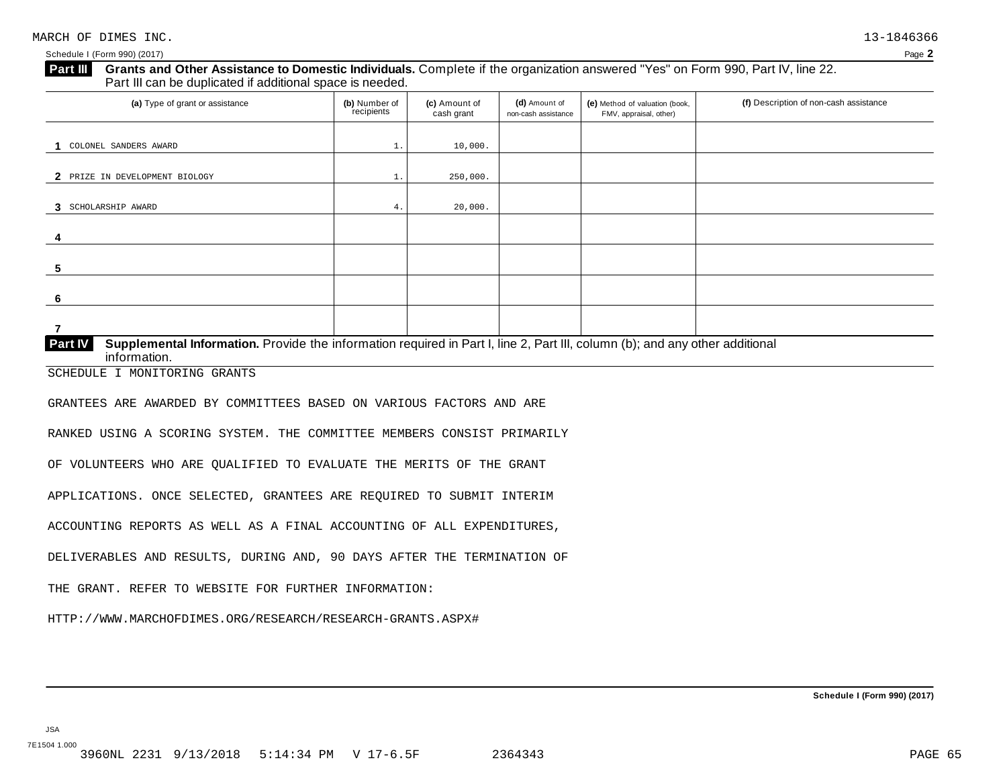Schedule I (Form 990) (2017) Page **2**

# **Grants and Other Assistance to Domestic Individuals.** Complete ifthe organization answered "Yes" on Form 990, Part IV, line 22. **Part III** Grants and Other Assistance to Domestic Individuals<br>Part III can be duplicated if additional space is needed.

| (a) Type of grant or assistance                                                                                                                         | (b) Number of<br>recipients | (c) Amount of<br>cash grant | (d) Amount of<br>non-cash assistance | (e) Method of valuation (book,<br>FMV, appraisal, other) | (f) Description of non-cash assistance |
|---------------------------------------------------------------------------------------------------------------------------------------------------------|-----------------------------|-----------------------------|--------------------------------------|----------------------------------------------------------|----------------------------------------|
| COLONEL SANDERS AWARD                                                                                                                                   |                             | 10,000.                     |                                      |                                                          |                                        |
|                                                                                                                                                         | 1.                          |                             |                                      |                                                          |                                        |
| 2 PRIZE IN DEVELOPMENT BIOLOGY                                                                                                                          | ι.                          | 250,000.                    |                                      |                                                          |                                        |
| 3 SCHOLARSHIP AWARD                                                                                                                                     | 4.                          | 20,000.                     |                                      |                                                          |                                        |
| 4                                                                                                                                                       |                             |                             |                                      |                                                          |                                        |
| 5                                                                                                                                                       |                             |                             |                                      |                                                          |                                        |
| 6                                                                                                                                                       |                             |                             |                                      |                                                          |                                        |
|                                                                                                                                                         |                             |                             |                                      |                                                          |                                        |
| Part IV<br>Supplemental Information. Provide the information required in Part I, line 2, Part III, column (b); and any other additional<br>information. |                             |                             |                                      |                                                          |                                        |

SCHEDULE I MONITORING GRANTS

GRANTEES ARE AWARDED BY COMMITTEES BASED ON VARIOUS FACTORS AND ARE

RANKED USING A SCORING SYSTEM. THE COMMITTEE MEMBERS CONSIST PRIMARILY

OF VOLUNTEERS WHO ARE QUALIFIED TO EVALUATE THE MERITS OF THE GRANT

APPLICATIONS. ONCE SELECTED, GRANTEES ARE REQUIRED TO SUBMIT INTERIM

ACCOUNTING REPORTS AS WELL AS A FINAL ACCOUNTING OF ALL EXPENDITURES,

DELIVERABLES AND RESULTS, DURING AND, 90 DAYS AFTER THE TERMINATION OF

THE GRANT. REFER TO WEBSITE FOR FURTHER INFORMATION:

HTTP://WWW.MARCHOFDIMES.ORG/RESEARCH/RESEARCH-GRANTS.ASPX#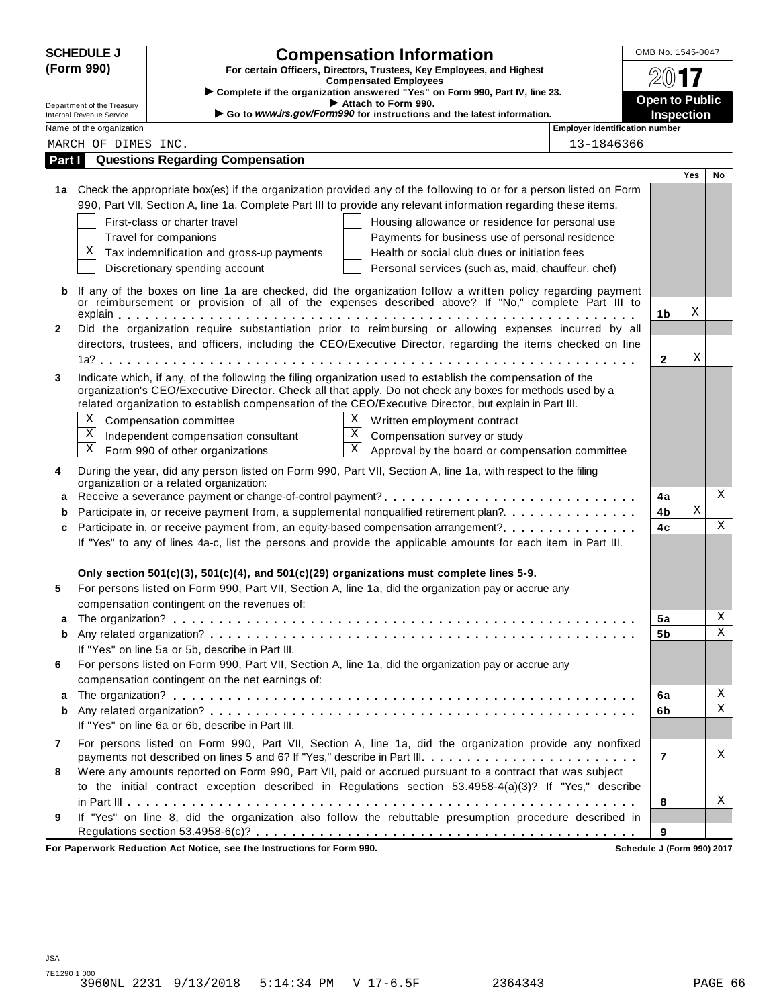|              | <b>SCHEDULE J</b>                                           | <b>Compensation Information</b>                                                                                                                                                                                         |                                       | OMB No. 1545-0047     |            |    |
|--------------|-------------------------------------------------------------|-------------------------------------------------------------------------------------------------------------------------------------------------------------------------------------------------------------------------|---------------------------------------|-----------------------|------------|----|
|              | (Form 990)                                                  | For certain Officers, Directors, Trustees, Key Employees, and Highest                                                                                                                                                   |                                       |                       |            |    |
|              |                                                             | <b>Compensated Employees</b><br>Complete if the organization answered "Yes" on Form 990, Part IV, line 23.                                                                                                              |                                       |                       |            |    |
|              | Department of the Treasury                                  | Attach to Form 990.                                                                                                                                                                                                     |                                       | <b>Open to Public</b> |            |    |
|              | <b>Internal Revenue Service</b><br>Name of the organization | Go to www.irs.gov/Form990 for instructions and the latest information.                                                                                                                                                  | <b>Employer identification number</b> | <b>Inspection</b>     |            |    |
|              | MARCH OF DIMES INC.                                         |                                                                                                                                                                                                                         | 13-1846366                            |                       |            |    |
| Part I       |                                                             | <b>Questions Regarding Compensation</b>                                                                                                                                                                                 |                                       |                       |            |    |
|              |                                                             |                                                                                                                                                                                                                         |                                       |                       | <b>Yes</b> | No |
|              |                                                             | 1a Check the appropriate box(es) if the organization provided any of the following to or for a person listed on Form                                                                                                    |                                       |                       |            |    |
|              |                                                             | 990, Part VII, Section A, line 1a. Complete Part III to provide any relevant information regarding these items.                                                                                                         |                                       |                       |            |    |
|              |                                                             | First-class or charter travel<br>Housing allowance or residence for personal use                                                                                                                                        |                                       |                       |            |    |
|              |                                                             | Payments for business use of personal residence<br>Travel for companions                                                                                                                                                |                                       |                       |            |    |
|              | Χ                                                           | Tax indemnification and gross-up payments<br>Health or social club dues or initiation fees                                                                                                                              |                                       |                       |            |    |
|              |                                                             | Discretionary spending account<br>Personal services (such as, maid, chauffeur, chef)                                                                                                                                    |                                       |                       |            |    |
| b            |                                                             | If any of the boxes on line 1a are checked, did the organization follow a written policy regarding payment                                                                                                              |                                       |                       |            |    |
|              |                                                             | or reimbursement or provision of all of the expenses described above? If "No," complete Part III to                                                                                                                     |                                       |                       |            |    |
|              |                                                             |                                                                                                                                                                                                                         |                                       | 1 <sub>b</sub>        | Χ          |    |
| $\mathbf{2}$ |                                                             | Did the organization require substantiation prior to reimbursing or allowing expenses incurred by all                                                                                                                   |                                       |                       |            |    |
|              |                                                             | directors, trustees, and officers, including the CEO/Executive Director, regarding the items checked on line                                                                                                            |                                       | $\mathbf{2}$          | Χ          |    |
|              |                                                             |                                                                                                                                                                                                                         |                                       |                       |            |    |
| 3            |                                                             | Indicate which, if any, of the following the filing organization used to establish the compensation of the<br>organization's CEO/Executive Director. Check all that apply. Do not check any boxes for methods used by a |                                       |                       |            |    |
|              |                                                             | related organization to establish compensation of the CEO/Executive Director, but explain in Part III.                                                                                                                  |                                       |                       |            |    |
|              | Χ                                                           | X<br>Compensation committee<br>Written employment contract                                                                                                                                                              |                                       |                       |            |    |
|              | $\mathbf X$                                                 | $\mathbf X$<br>Compensation survey or study<br>Independent compensation consultant                                                                                                                                      |                                       |                       |            |    |
|              | $\mathbf X$                                                 | $\mathbf X$<br>Form 990 of other organizations<br>Approval by the board or compensation committee                                                                                                                       |                                       |                       |            |    |
| 4            |                                                             | During the year, did any person listed on Form 990, Part VII, Section A, line 1a, with respect to the filing                                                                                                            |                                       |                       |            |    |
|              |                                                             | organization or a related organization:                                                                                                                                                                                 |                                       |                       |            |    |
| а            |                                                             |                                                                                                                                                                                                                         |                                       | 4a                    |            | Χ  |
| b            |                                                             | Participate in, or receive payment from, a supplemental nonqualified retirement plan?.                                                                                                                                  |                                       | 4b                    | Χ          |    |
| c            |                                                             | Participate in, or receive payment from, an equity-based compensation arrangement?                                                                                                                                      |                                       | 4c                    |            | X  |
|              |                                                             | If "Yes" to any of lines 4a-c, list the persons and provide the applicable amounts for each item in Part III.                                                                                                           |                                       |                       |            |    |
|              |                                                             |                                                                                                                                                                                                                         |                                       |                       |            |    |
|              |                                                             | Only section $501(c)(3)$ , $501(c)(4)$ , and $501(c)(29)$ organizations must complete lines 5-9.                                                                                                                        |                                       |                       |            |    |
| 5            |                                                             | For persons listed on Form 990, Part VII, Section A, line 1a, did the organization pay or accrue any<br>compensation contingent on the revenues of:                                                                     |                                       |                       |            |    |
| a            |                                                             |                                                                                                                                                                                                                         |                                       | 5a                    |            | Χ  |
| b            |                                                             |                                                                                                                                                                                                                         |                                       | 5 <sub>b</sub>        |            | Χ  |
|              |                                                             | If "Yes" on line 5a or 5b, describe in Part III.                                                                                                                                                                        |                                       |                       |            |    |
| 6            |                                                             | For persons listed on Form 990, Part VII, Section A, line 1a, did the organization pay or accrue any                                                                                                                    |                                       |                       |            |    |
|              |                                                             | compensation contingent on the net earnings of:                                                                                                                                                                         |                                       |                       |            |    |
| а            |                                                             |                                                                                                                                                                                                                         |                                       | 6a                    |            | Χ  |
| b            |                                                             |                                                                                                                                                                                                                         |                                       | 6b                    |            | Χ  |
|              |                                                             | If "Yes" on line 6a or 6b, describe in Part III.                                                                                                                                                                        |                                       |                       |            |    |
| 7            |                                                             | For persons listed on Form 990, Part VII, Section A, line 1a, did the organization provide any nonfixed                                                                                                                 |                                       |                       |            |    |
|              |                                                             | payments not described on lines 5 and 6? If "Yes," describe in Part III.                                                                                                                                                |                                       | 7                     |            | X  |
| 8            |                                                             | Were any amounts reported on Form 990, Part VII, paid or accrued pursuant to a contract that was subject                                                                                                                |                                       |                       |            |    |
|              |                                                             | to the initial contract exception described in Regulations section 53.4958-4(a)(3)? If "Yes," describe                                                                                                                  |                                       |                       |            |    |
|              |                                                             |                                                                                                                                                                                                                         |                                       | 8                     |            | Χ  |
| 9            |                                                             | If "Yes" on line 8, did the organization also follow the rebuttable presumption procedure described in                                                                                                                  |                                       |                       |            |    |
|              |                                                             |                                                                                                                                                                                                                         |                                       | 9                     |            |    |

**For Paperwork Reduction Act Notice, see the Instructions for Form 990. Schedule J (Form 990) 2017**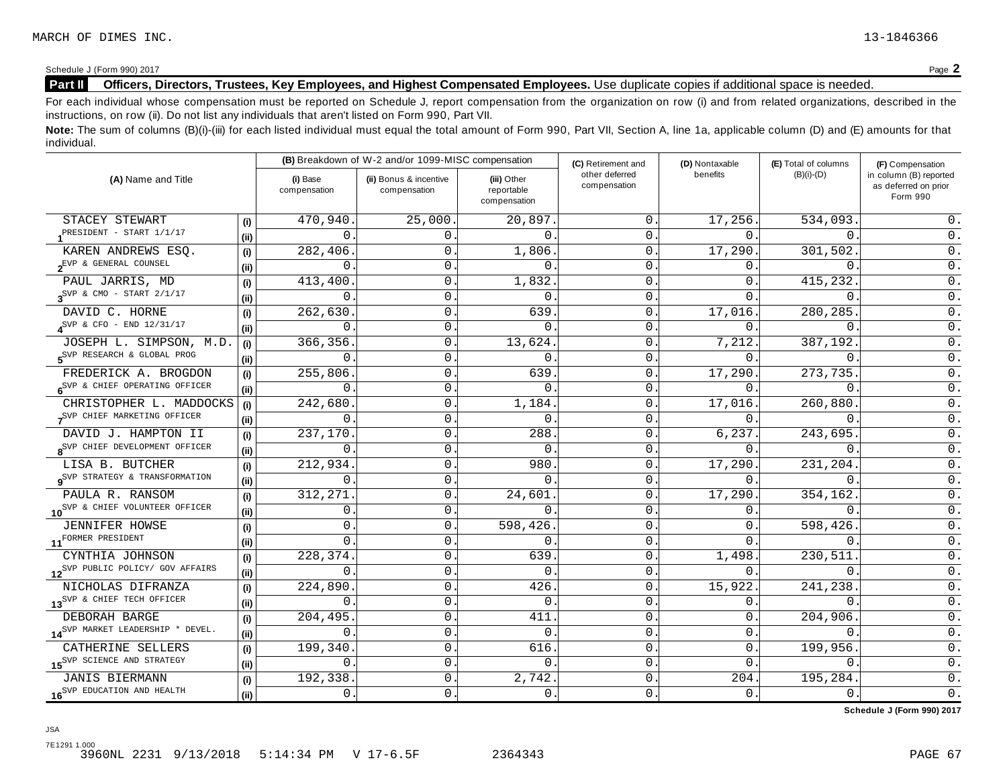# Schedule <sup>J</sup> (Form 990) <sup>2017</sup> Page **2 Part II Officers, Directors, Trustees, Key Employees, and Highest Compensated Employees.** Use duplicate copies ifadditional space is needed.

For each individual whose compensation must be reported on Schedule J, report compensation from the organization on row (i) and from related organizations, described in the instructions, on row (ii). Do not list any individuals that aren't listed on Form 990, Part VII.

Note: The sum of columns (B)(i)-(iii) for each listed individual must equal the total amount of Form 990, Part VII, Section A, line 1a, applicable column (D) and (E) amounts for that individual.

|                                                    |      |                          | (B) Breakdown of W-2 and/or 1099-MISC compensation |                                           | (C) Retirement and             | (D) Nontaxable | (E) Total of columns | (F) Compensation                                           |  |
|----------------------------------------------------|------|--------------------------|----------------------------------------------------|-------------------------------------------|--------------------------------|----------------|----------------------|------------------------------------------------------------|--|
| (A) Name and Title                                 |      | (i) Base<br>compensation | (ii) Bonus & incentive<br>compensation             | (iii) Other<br>reportable<br>compensation | other deferred<br>compensation | benefits       | $(B)(i)-(D)$         | in column (B) reported<br>as deferred on prior<br>Form 990 |  |
| STACEY STEWART                                     | (i)  | 470,940                  | 25,000                                             | 20,897                                    | 0                              | 17,256.        | 534,093              | 0.                                                         |  |
| PRESIDENT - START 1/1/17                           | (i)  | $\Omega$                 | 0.                                                 | $\mathbf{0}$ .                            | 0                              | 0.             | $\Omega$             | 0.                                                         |  |
| KAREN ANDREWS ESQ.                                 | (i)  | 282,406                  | 0                                                  | 1,806                                     | 0                              | 17,290.        | 301,502              | 0.                                                         |  |
| $2^{EVP - \&\text{ GENERAL} \quad \text{COUNTEL}}$ | (ii) | 0                        | 0.                                                 | $\Omega$                                  | 0                              | 0.             | 0                    | 0.                                                         |  |
| PAUL JARRIS, MD                                    | (i)  | 413,400                  | 0                                                  | 1,832                                     | 0                              | 0.             | 415,232              | $0$ .                                                      |  |
| $\gamma^{\text{SVP}}$ & CMO - START 2/1/17         | (i)  | $\mathbf 0$              | $\mathsf 0$                                        | $\mathbf{0}$ .                            | $\mathbf 0$                    | $\Omega$ .     | 0                    | $0$ .                                                      |  |
| DAVID C. HORNE                                     | (i)  | 262,630                  | 0                                                  | 639                                       | 0                              | 17,016.        | 280,285              | 0.                                                         |  |
| $4^{\text{SVP}}$ & CFO - END 12/31/17              | (i)  | 0                        | 0                                                  | $\Omega$                                  | 0                              | 0.             | $\Omega$             | $0$ .                                                      |  |
| JOSEPH L. SIMPSON, M.D.                            | (i)  | 366,356                  | 0                                                  | 13,624.                                   | 0                              | 7,212.         | 387,192              | $0$ .                                                      |  |
| S <sup>SVP</sup> RESEARCH & GLOBAL PROG            | (ii) | 0                        | 0                                                  | 0                                         | 0                              | 0.             | $\mathbf 0$ .        | $0$ .                                                      |  |
| FREDERICK A. BROGDON                               | (i)  | 255,806                  | 0                                                  | 639                                       | 0                              | 17,290.        | 273,735.             | $\mathsf 0$ .                                              |  |
| 6 <sup>SVP &amp;</sup> CHIEF OPERATING OFFICER     | (ii) | 0                        | 0                                                  | 0                                         | 0                              | 0.             | $\mathbf{0}$ .       | $\overline{0}$ .                                           |  |
| CHRISTOPHER L. MADDOCKS                            | (i)  | 242,680                  | $\mathsf{O}$                                       | 1,184                                     | 0                              | 17,016.        | 260,880.             | 0.                                                         |  |
| SVP CHIEF MARKETING OFFICER                        | (ii) | 0                        | 0                                                  | 0                                         | 0                              | 0.             | 0                    | $0$ .                                                      |  |
| DAVID J. HAMPTON II                                | (i)  | 237,170                  | 0                                                  | 288                                       | 0                              | 6,237.         | 243,695.             | $0$ .                                                      |  |
| 8 <sup>SVP</sup> CHIEF DEVELOPMENT OFFICER         | (i)  | 0                        | 0                                                  | 0                                         | 0                              | $0$ .          | $\Omega$             | $0$ .                                                      |  |
| LISA B. BUTCHER                                    | (i)  | 212,934                  | 0                                                  | 980                                       | 0                              | 17,290.        | 231,204.             | $\overline{0}$ .                                           |  |
| <b>9</b> SVP STRATEGY & TRANSFORMATION             | (ii) | 0                        | $\mathsf{O}$                                       | $\Omega$                                  | 0                              | 0.             | 0                    | $\overline{0}$ .                                           |  |
| PAULA R. RANSOM                                    | (i)  | 312,271                  | 0                                                  | 24,601                                    | 0                              | 17,290.        | 354,162              | 0.                                                         |  |
| 10 <sup>SVP &amp; CHIEF VOLUNTEER OFFICER</sup>    | (ii) | $\mathbf{0}$ .           | 0                                                  | $\Omega$ .                                | 0                              | 0.             | $\Omega$             | $0$ .                                                      |  |
| JENNIFER HOWSE                                     | (i)  | 0                        | 0                                                  | 598,426                                   | 0                              | 0.             | 598,426              | 0.                                                         |  |
| 11 <sup>FORMER</sup> PRESIDENT                     | (ii) | $\mathbf{0}$ .           | 0                                                  | 0                                         | 0                              | 0.             | $\mathbf 0$ .        | $\mathsf 0$ .                                              |  |
| CYNTHIA JOHNSON                                    | (i)  | 228,374                  | $\mathsf{O}\xspace$                                | 639                                       | 0                              | 1,498.         | 230,511              | $\overline{0}$ .                                           |  |
| 12 <sup>SVP</sup> PUBLIC POLICY/ GOV AFFAIRS       | (i)  | 0                        | $\mathsf{O}$                                       | $\mathbf{0}$ .                            | 0                              | 0.             | 0.                   | $\overline{0}$ .                                           |  |
| NICHOLAS DIFRANZA                                  | (i)  | 224,890                  | 0                                                  | 426                                       | 0                              | 15,922.        | 241,238              | $0$ .                                                      |  |
| 13 <sup>SVP &amp; CHIEF TECH OFFICER</sup>         | (ii) | 0                        | 0                                                  | $\mathbf{0}$ .                            | 0                              | 0.             | $0$ .                | $0$ .                                                      |  |
| DEBORAH BARGE                                      | (i)  | 204,495                  | 0                                                  | 411                                       | 0                              | 0.             | 204,906.             | $0$ .                                                      |  |
| 14 <sup>SVP</sup> MARKET LEADERSHIP * DEVEL.       | (ii) | 0                        | 0                                                  | 0                                         | 0                              | 0.             | 0                    | $\overline{0}$ .                                           |  |
| CATHERINE SELLERS                                  | (i)  | 199,340                  | 0                                                  | 616                                       | 0                              | $\Omega$ .     | 199,956              | 0.                                                         |  |
| 15 <sup>SVP</sup> SCIENCE AND STRATEGY             | (i)  | 0                        | 0                                                  | $\mathbf 0$                               | 0                              | 0.             | 0                    | $\overline{0}$ .                                           |  |
| <b>JANIS BIERMANN</b>                              | (i)  | 192,338                  | $\mathsf{0}$ .                                     | 2,742                                     | 0                              | 204.           | 195, 284.            | $\mathsf 0$ .                                              |  |
| 16 <sup>SVP</sup> EDUCATION AND HEALTH             | (ii) | 0.                       | 0                                                  | 0.                                        | 0                              | $0$ .          | 0.                   | $0$ .                                                      |  |

**Schedule J (Form 990) 2017**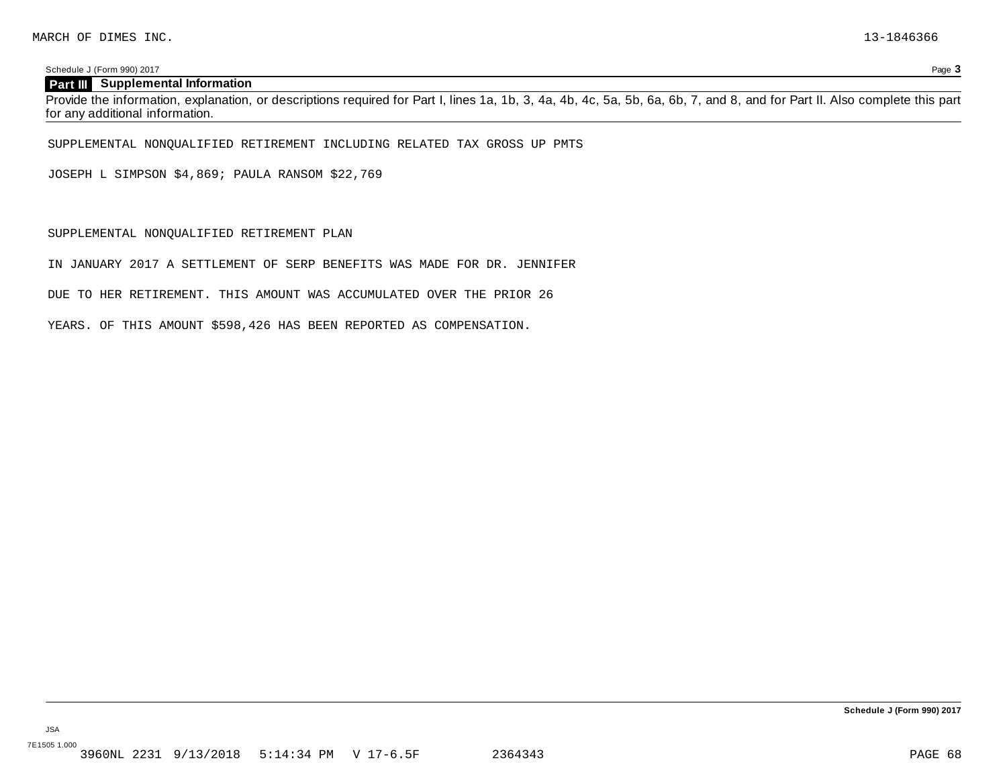Schedule J (Form 990) 2017 Page **3**

# **Part III Supplemental Information**

Provide the information, explanation, or descriptions required for Part I, lines 1a, 1b, 3, 4a, 4b, 4c, 5a, 5b, 6a, 6b, 7, and 8, and for Part II. Also complete this part for any additional information.

SUPPLEMENTAL NONQUALIFIED RETIREMENT INCLUDING RELATED TAX GROSS UP PMTS

JOSEPH L SIMPSON \$4,869; PAULA RANSOM \$22,769

SUPPLEMENTAL NONQUALIFIED RETIREMENT PLAN

IN JANUARY 2017 A SETTLEMENT OF SERP BENEFITS WAS MADE FOR DR. JENNIFER

DUE TO HER RETIREMENT. THIS AMOUNT WAS ACCUMULATED OVER THE PRIOR 26

YEARS. OF THIS AMOUNT \$598,426 HAS BEEN REPORTED AS COMPENSATION.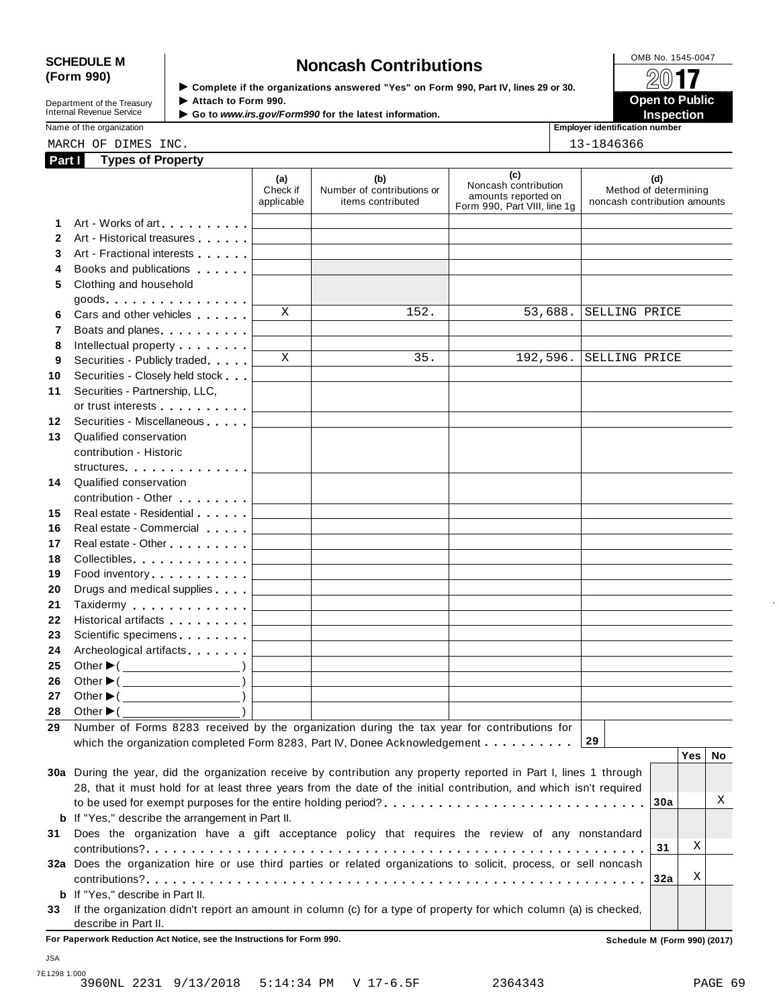# SCHEDULE M<br>
(Form 990) **Schedule Moncash Contributions**<br>  $\begin{array}{r} \boxed{\text{OMB No. 1545-0047}} \\ \text{Form 990 Part IV lines 29 or 30} \end{array}$

Department of the Treasury<br>Internal Revenue Service

**(Form 990)** I **Complete if the organizations answered "Yes" on Form 990, Part IV, lines <sup>29</sup> or 30.** À¾µ» **Department of the Treasury ▶ Attach to Form 990.**<br>Internal Revenue Service ▶ Go to *www.irs.gov/Form990* for the latest information.<br>Nome of the organization, authorities in a support of the latest information.

Name of the organization **intervalse of the organization intervalse of the organization <b>intervalse of the organization intervalse of the organization intervalse of the organization intervalse of the organization**

|  |  | $12 - 1916266$ |  |
|--|--|----------------|--|

| <b>Part I</b> | <b>Types of Property</b> |      |            |
|---------------|--------------------------|------|------------|
|               | MARCH OF DIMES           | INC. | 13-1846366 |

| Part I       | <b>Types of Property</b>                                                                                                                                                                                                       |                               |                                                                                           |                                                                                    |                                                              |     |    |
|--------------|--------------------------------------------------------------------------------------------------------------------------------------------------------------------------------------------------------------------------------|-------------------------------|-------------------------------------------------------------------------------------------|------------------------------------------------------------------------------------|--------------------------------------------------------------|-----|----|
|              |                                                                                                                                                                                                                                | (a)<br>Check if<br>applicable | (b)<br>Number of contributions or<br>items contributed                                    | (c)<br>Noncash contribution<br>amounts reported on<br>Form 990, Part VIII, line 1g | (d)<br>Method of determining<br>noncash contribution amounts |     |    |
| 1            | Art - Works of art extended to the state of                                                                                                                                                                                    |                               |                                                                                           |                                                                                    |                                                              |     |    |
| $\mathbf{2}$ | Art - Historical treasures                                                                                                                                                                                                     |                               | <u> 1989 - Johann Harry Barn, mars a</u>                                                  |                                                                                    |                                                              |     |    |
| 3            | Art - Fractional interests                                                                                                                                                                                                     |                               |                                                                                           |                                                                                    |                                                              |     |    |
| 4            | Books and publications <b>Solutions</b>                                                                                                                                                                                        |                               |                                                                                           |                                                                                    |                                                              |     |    |
| 5            | Clothing and household                                                                                                                                                                                                         |                               |                                                                                           |                                                                                    |                                                              |     |    |
|              | $goods.$                                                                                                                                                                                                                       |                               |                                                                                           |                                                                                    |                                                              |     |    |
| 6            | Cars and other vehicles                                                                                                                                                                                                        | X                             | $\overline{1}$ 52.                                                                        | 53,688.                                                                            | SELLING PRICE                                                |     |    |
| 7            | Boats and planes.                                                                                                                                                                                                              |                               |                                                                                           |                                                                                    |                                                              |     |    |
| 8            | Intellectual property entering the state of                                                                                                                                                                                    |                               |                                                                                           |                                                                                    |                                                              |     |    |
| 9            | Securities - Publicly traded                                                                                                                                                                                                   | X                             | 35.                                                                                       | 192,596.                                                                           | SELLING PRICE                                                |     |    |
| 10           | Securities - Closely held stock                                                                                                                                                                                                |                               |                                                                                           |                                                                                    |                                                              |     |    |
| 11           | Securities - Partnership, LLC,                                                                                                                                                                                                 |                               |                                                                                           |                                                                                    |                                                              |     |    |
|              | or trust interests experience that the set of the set of the set of the set of the set of the set of the set of the set of the set of the set of the set of the set of the set of the set of the set of the set of the set of  |                               |                                                                                           |                                                                                    |                                                              |     |    |
| 12           | Securities - Miscellaneous                                                                                                                                                                                                     |                               |                                                                                           |                                                                                    |                                                              |     |    |
| 13           | Qualified conservation                                                                                                                                                                                                         |                               |                                                                                           |                                                                                    |                                                              |     |    |
|              | contribution - Historic                                                                                                                                                                                                        |                               |                                                                                           |                                                                                    |                                                              |     |    |
|              | structures                                                                                                                                                                                                                     |                               |                                                                                           |                                                                                    |                                                              |     |    |
| 14           | Qualified conservation                                                                                                                                                                                                         |                               |                                                                                           |                                                                                    |                                                              |     |    |
|              | contribution - Other <b>Contribution</b>                                                                                                                                                                                       |                               |                                                                                           |                                                                                    |                                                              |     |    |
| 15           | Real estate - Residential                                                                                                                                                                                                      |                               |                                                                                           |                                                                                    |                                                              |     |    |
| 16           | Real estate - Commercial                                                                                                                                                                                                       |                               |                                                                                           |                                                                                    |                                                              |     |    |
| 17           | Real estate - Other <b>National Executive</b>                                                                                                                                                                                  |                               | <u> 1989 - Johann Stein, mars an t-Amerikaansk kommunister (</u>                          |                                                                                    |                                                              |     |    |
| 18           | Collectibles                                                                                                                                                                                                                   | <b>Contract Contract</b>      | the control of the control of the control of the control of the control of the control of |                                                                                    |                                                              |     |    |
| 19           | Food inventory experience in the set of the set of the set of the set of the set of the set of the set of the set of the set of the set of the set of the set of the set of the set of the set of the set of the set of the se |                               | the control of the control of the control of the control of the control of the control of |                                                                                    |                                                              |     |    |
| 20           | Drugs and medical supplies                                                                                                                                                                                                     |                               | the control of the control of the control of the control of the control of the control of |                                                                                    |                                                              |     |    |
| 21           | Taxidermy                                                                                                                                                                                                                      | <b>Contract Contract</b>      | the control of the control of the control of the control of the control of the control of |                                                                                    |                                                              |     |    |
| 22           | Historical artifacts <b>All Accords</b>                                                                                                                                                                                        | <b>Contract Contract</b>      | the control of the control of the control of the control of the control of the control of |                                                                                    |                                                              |     |    |
| 23           | Scientific specimens                                                                                                                                                                                                           |                               | the control of the control of the control of the control of the control of                |                                                                                    |                                                              |     |    |
| 24           | Archeological artifacts                                                                                                                                                                                                        |                               | the control of the control of the control of the control of the control of                |                                                                                    |                                                              |     |    |
| 25           |                                                                                                                                                                                                                                |                               |                                                                                           |                                                                                    |                                                              |     |    |
| 26           | Other ▶( <u>____________</u> )<br>Other $\blacktriangleright$ ( $\_\_\_\_\_\_\_\_$ )                                                                                                                                           |                               |                                                                                           |                                                                                    |                                                              |     |    |
| 27           | Other $\blacktriangleright$ ( $\_\_\_\_\_\_\_\_$ )                                                                                                                                                                             |                               |                                                                                           |                                                                                    |                                                              |     |    |
|              | 28 Other $\blacktriangleright$ (                                                                                                                                                                                               |                               |                                                                                           |                                                                                    |                                                              |     |    |
|              | 29 Number of Forms 8283 received by the organization during the tax year for contributions for                                                                                                                                 |                               |                                                                                           |                                                                                    |                                                              |     |    |
|              | which the organization completed Form 8283, Part IV, Donee Acknowledgement                                                                                                                                                     |                               |                                                                                           |                                                                                    | 29                                                           |     |    |
|              |                                                                                                                                                                                                                                |                               |                                                                                           |                                                                                    |                                                              | Yes | No |
|              | 30a During the year, did the organization receive by contribution any property reported in Part I, lines 1 through                                                                                                             |                               |                                                                                           |                                                                                    |                                                              |     |    |
|              | 28, that it must hold for at least three years from the date of the initial contribution, and which isn't required                                                                                                             |                               |                                                                                           |                                                                                    |                                                              |     |    |
|              |                                                                                                                                                                                                                                |                               |                                                                                           |                                                                                    | 30a                                                          |     | Χ  |
|              | <b>b</b> If "Yes," describe the arrangement in Part II.                                                                                                                                                                        |                               |                                                                                           |                                                                                    |                                                              |     |    |
|              |                                                                                                                                                                                                                                |                               |                                                                                           |                                                                                    |                                                              |     |    |
| 31           | Does the organization have a gift acceptance policy that requires the review of any nonstandard                                                                                                                                |                               |                                                                                           |                                                                                    |                                                              | Χ   |    |
|              |                                                                                                                                                                                                                                |                               |                                                                                           |                                                                                    | 31                                                           |     |    |
|              | 32a Does the organization hire or use third parties or related organizations to solicit, process, or sell noncash                                                                                                              |                               |                                                                                           |                                                                                    |                                                              | Χ   |    |
|              |                                                                                                                                                                                                                                |                               |                                                                                           |                                                                                    | 32a                                                          |     |    |
|              | <b>b</b> If "Yes," describe in Part II.                                                                                                                                                                                        |                               |                                                                                           |                                                                                    |                                                              |     |    |
|              |                                                                                                                                                                                                                                |                               |                                                                                           |                                                                                    |                                                              |     |    |
|              | 33 If the organization didn't report an amount in column (c) for a type of property for which column (a) is checked,<br>describe in Part II.                                                                                   |                               |                                                                                           |                                                                                    |                                                              |     |    |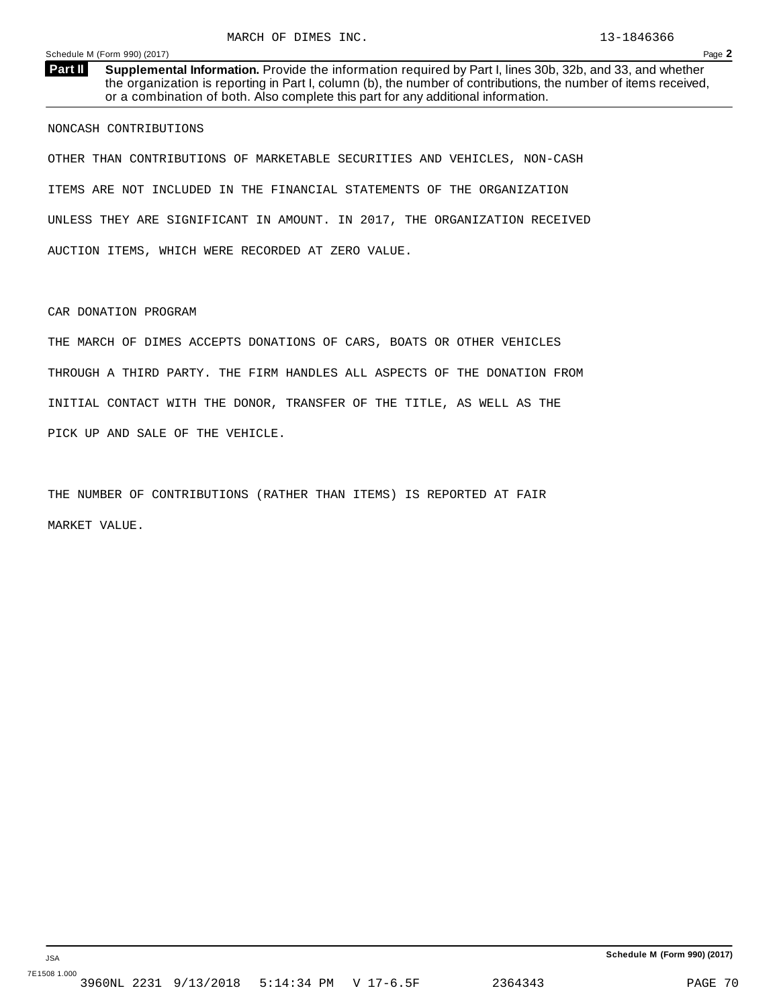**Supplemental Information.** Provide the information required by Part I, lines 30b, 32b, and 33, and whether the organization is reporting in Part I, column (b), the number of contributions, the number of items received, or a combination of both. Also complete this part for any additional information. **Part II**

NONCASH CONTRIBUTIONS

OTHER THAN CONTRIBUTIONS OF MARKETABLE SECURITIES AND VEHICLES, NON-CASH ITEMS ARE NOT INCLUDED IN THE FINANCIAL STATEMENTS OF THE ORGANIZATION UNLESS THEY ARE SIGNIFICANT IN AMOUNT. IN 2017, THE ORGANIZATION RECEIVED AUCTION ITEMS, WHICH WERE RECORDED AT ZERO VALUE.

CAR DONATION PROGRAM

THE MARCH OF DIMES ACCEPTS DONATIONS OF CARS, BOATS OR OTHER VEHICLES THROUGH A THIRD PARTY. THE FIRM HANDLES ALL ASPECTS OF THE DONATION FROM INITIAL CONTACT WITH THE DONOR, TRANSFER OF THE TITLE, AS WELL AS THE PICK UP AND SALE OF THE VEHICLE.

THE NUMBER OF CONTRIBUTIONS (RATHER THAN ITEMS) IS REPORTED AT FAIR MARKET VALUE.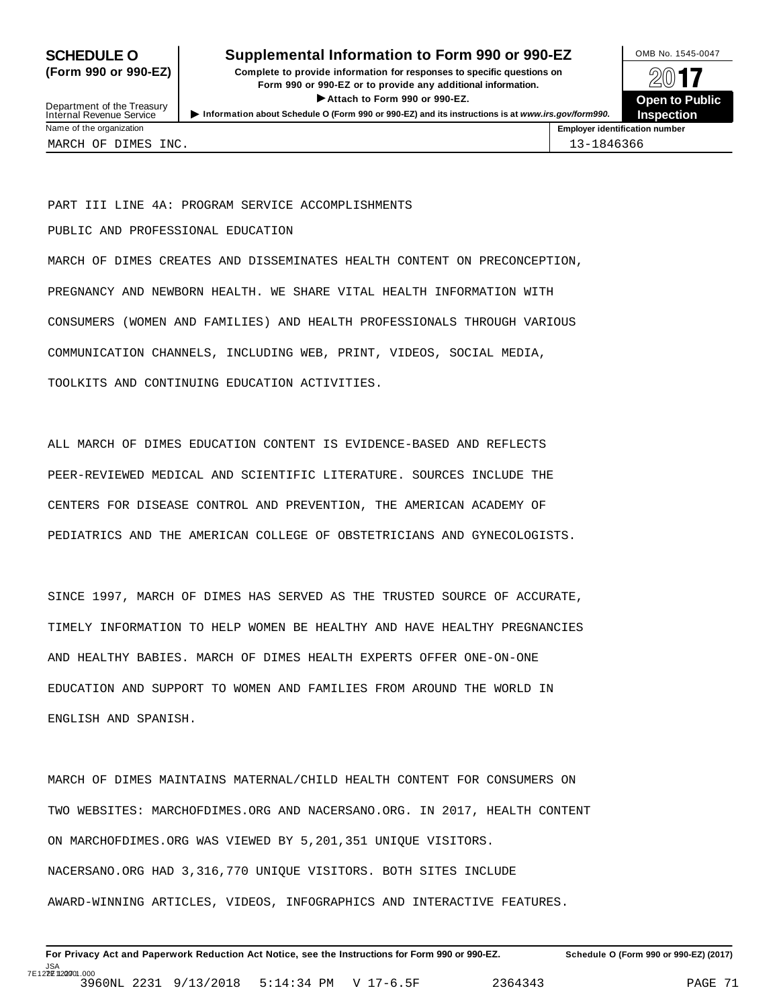# **SCHEDULE O** Supplemental Information to Form 990 or 990-EZ DMB No. 1545-0047

**(Form 990 or 990-EZ) Complete to provide information for responses to specific questions on** plete to provide information for responses to specific questions on  $\Box$   $\Box$   $\Box$ **EXECTED TO PUBLIC 2012 CONSIDER**<br> **EXECTED EXECTED COPEN COPEN COPEN COPEN COPEN COPEN COPEN COPEN COPEN COPEN COPEN COPEN COPEN COPEN COPEN COPEN COPEN COPEN COPEN COPEN C** Department of the Treasury <br>Depen to Public<br>Name of the organization<br>Name of the organization<br>Name of the organization<br>Name of the organization



Department of the Treasury<br>Internal Revenue Service MARCH OF DIMES INC. 13-1846366

PART III LINE 4A: PROGRAM SERVICE ACCOMPLISHMENTS

PUBLIC AND PROFESSIONAL EDUCATION

MARCH OF DIMES CREATES AND DISSEMINATES HEALTH CONTENT ON PRECONCEPTION, PREGNANCY AND NEWBORN HEALTH. WE SHARE VITAL HEALTH INFORMATION WITH CONSUMERS (WOMEN AND FAMILIES) AND HEALTH PROFESSIONALS THROUGH VARIOUS COMMUNICATION CHANNELS, INCLUDING WEB, PRINT, VIDEOS, SOCIAL MEDIA, TOOLKITS AND CONTINUING EDUCATION ACTIVITIES.

ALL MARCH OF DIMES EDUCATION CONTENT IS EVIDENCE-BASED AND REFLECTS PEER-REVIEWED MEDICAL AND SCIENTIFIC LITERATURE. SOURCES INCLUDE THE CENTERS FOR DISEASE CONTROL AND PREVENTION, THE AMERICAN ACADEMY OF PEDIATRICS AND THE AMERICAN COLLEGE OF OBSTETRICIANS AND GYNECOLOGISTS.

SINCE 1997, MARCH OF DIMES HAS SERVED AS THE TRUSTED SOURCE OF ACCURATE, TIMELY INFORMATION TO HELP WOMEN BE HEALTHY AND HAVE HEALTHY PREGNANCIES AND HEALTHY BABIES. MARCH OF DIMES HEALTH EXPERTS OFFER ONE-ON-ONE EDUCATION AND SUPPORT TO WOMEN AND FAMILIES FROM AROUND THE WORLD IN ENGLISH AND SPANISH.

MARCH OF DIMES MAINTAINS MATERNAL/CHILD HEALTH CONTENT FOR CONSUMERS ON TWO WEBSITES: MARCHOFDIMES.ORG AND NACERSANO.ORG. IN 2017, HEALTH CONTENT ON MARCHOFDIMES.ORG WAS VIEWED BY 5,201,351 UNIQUE VISITORS. NACERSANO.ORG HAD 3,316,770 UNIQUE VISITORS. BOTH SITES INCLUDE AWARD-WINNING ARTICLES, VIDEOS, INFOGRAPHICS AND INTERACTIVE FEATURES.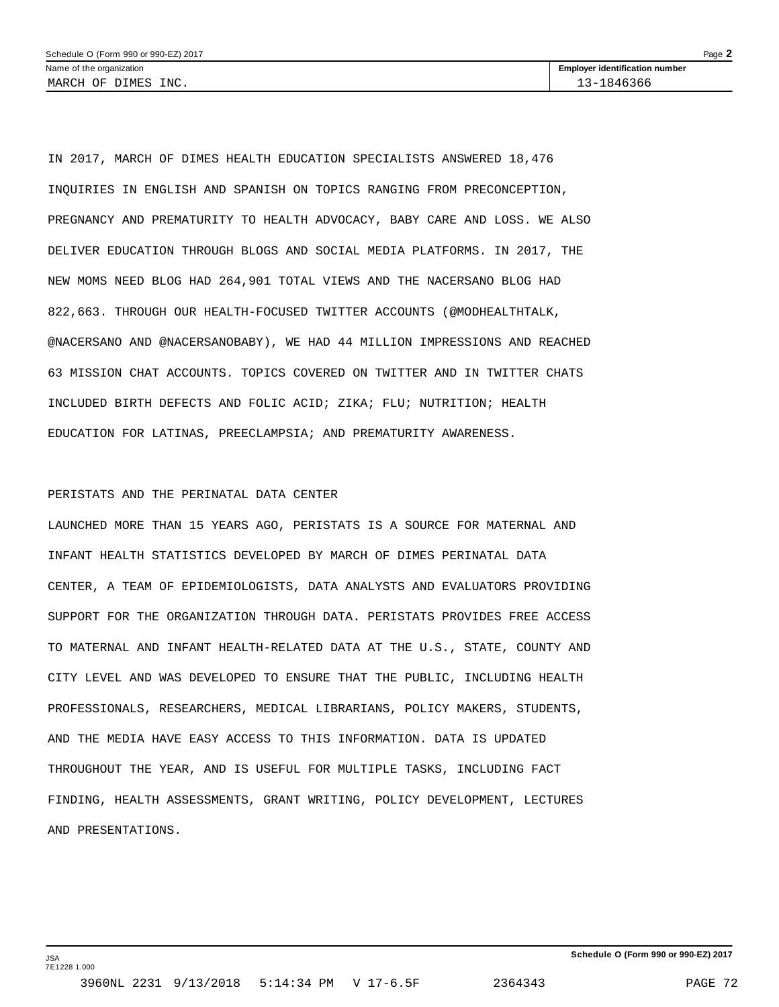IN 2017, MARCH OF DIMES HEALTH EDUCATION SPECIALISTS ANSWERED 18,476 INQUIRIES IN ENGLISH AND SPANISH ON TOPICS RANGING FROM PRECONCEPTION, PREGNANCY AND PREMATURITY TO HEALTH ADVOCACY, BABY CARE AND LOSS. WE ALSO DELIVER EDUCATION THROUGH BLOGS AND SOCIAL MEDIA PLATFORMS. IN 2017, THE NEW MOMS NEED BLOG HAD 264,901 TOTAL VIEWS AND THE NACERSANO BLOG HAD 822,663. THROUGH OUR HEALTH-FOCUSED TWITTER ACCOUNTS (@MODHEALTHTALK, @NACERSANO AND @NACERSANOBABY), WE HAD 44 MILLION IMPRESSIONS AND REACHED 63 MISSION CHAT ACCOUNTS. TOPICS COVERED ON TWITTER AND IN TWITTER CHATS INCLUDED BIRTH DEFECTS AND FOLIC ACID; ZIKA; FLU; NUTRITION; HEALTH EDUCATION FOR LATINAS, PREECLAMPSIA; AND PREMATURITY AWARENESS.

# PERISTATS AND THE PERINATAL DATA CENTER

LAUNCHED MORE THAN 15 YEARS AGO, PERISTATS IS A SOURCE FOR MATERNAL AND INFANT HEALTH STATISTICS DEVELOPED BY MARCH OF DIMES PERINATAL DATA CENTER, A TEAM OF EPIDEMIOLOGISTS, DATA ANALYSTS AND EVALUATORS PROVIDING SUPPORT FOR THE ORGANIZATION THROUGH DATA. PERISTATS PROVIDES FREE ACCESS TO MATERNAL AND INFANT HEALTH-RELATED DATA AT THE U.S., STATE, COUNTY AND CITY LEVEL AND WAS DEVELOPED TO ENSURE THAT THE PUBLIC, INCLUDING HEALTH PROFESSIONALS, RESEARCHERS, MEDICAL LIBRARIANS, POLICY MAKERS, STUDENTS, AND THE MEDIA HAVE EASY ACCESS TO THIS INFORMATION. DATA IS UPDATED THROUGHOUT THE YEAR, AND IS USEFUL FOR MULTIPLE TASKS, INCLUDING FACT FINDING, HEALTH ASSESSMENTS, GRANT WRITING, POLICY DEVELOPMENT, LECTURES AND PRESENTATIONS.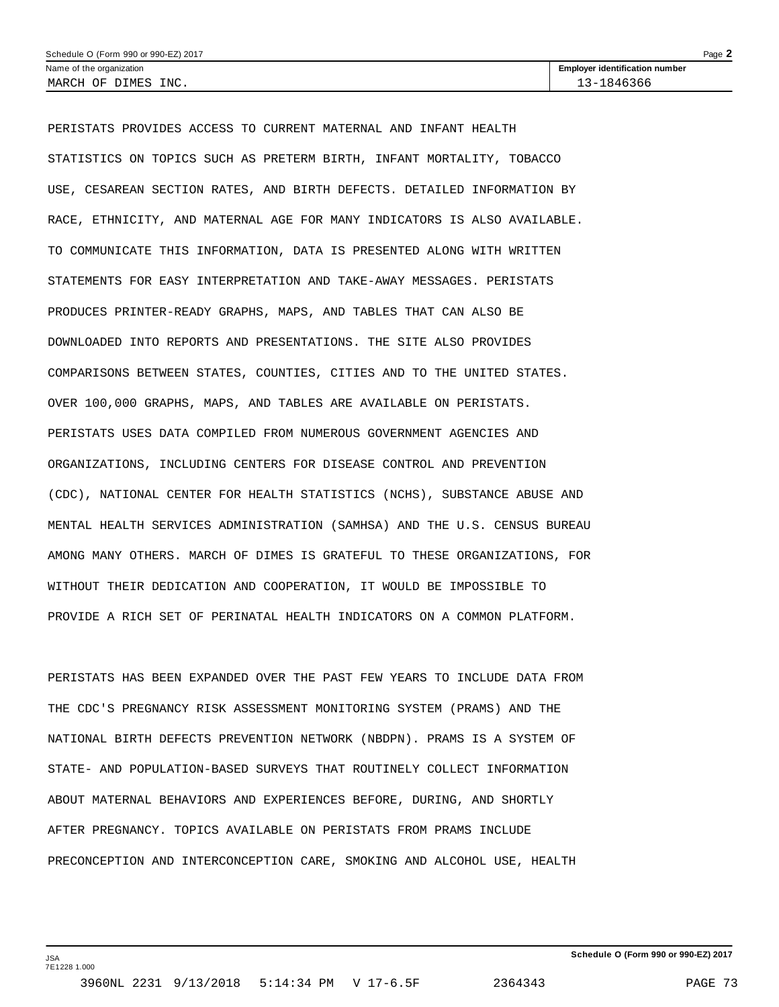| Schedule O (Form 990 or 990-EZ) 2017<br>$Page \triangle$ |                                       |  |  |  |  |  |
|----------------------------------------------------------|---------------------------------------|--|--|--|--|--|
| Name of the organization                                 | <b>Employer identification number</b> |  |  |  |  |  |
| INC.<br>DIMES<br>MARCH (<br>OF                           | 1846366<br>$\sim$                     |  |  |  |  |  |

PERISTATS PROVIDES ACCESS TO CURRENT MATERNAL AND INFANT HEALTH STATISTICS ON TOPICS SUCH AS PRETERM BIRTH, INFANT MORTALITY, TOBACCO USE, CESAREAN SECTION RATES, AND BIRTH DEFECTS. DETAILED INFORMATION BY RACE, ETHNICITY, AND MATERNAL AGE FOR MANY INDICATORS IS ALSO AVAILABLE. TO COMMUNICATE THIS INFORMATION, DATA IS PRESENTED ALONG WITH WRITTEN STATEMENTS FOR EASY INTERPRETATION AND TAKE-AWAY MESSAGES. PERISTATS PRODUCES PRINTER-READY GRAPHS, MAPS, AND TABLES THAT CAN ALSO BE DOWNLOADED INTO REPORTS AND PRESENTATIONS. THE SITE ALSO PROVIDES COMPARISONS BETWEEN STATES, COUNTIES, CITIES AND TO THE UNITED STATES. OVER 100,000 GRAPHS, MAPS, AND TABLES ARE AVAILABLE ON PERISTATS. PERISTATS USES DATA COMPILED FROM NUMEROUS GOVERNMENT AGENCIES AND ORGANIZATIONS, INCLUDING CENTERS FOR DISEASE CONTROL AND PREVENTION (CDC), NATIONAL CENTER FOR HEALTH STATISTICS (NCHS), SUBSTANCE ABUSE AND MENTAL HEALTH SERVICES ADMINISTRATION (SAMHSA) AND THE U.S. CENSUS BUREAU AMONG MANY OTHERS. MARCH OF DIMES IS GRATEFUL TO THESE ORGANIZATIONS, FOR WITHOUT THEIR DEDICATION AND COOPERATION, IT WOULD BE IMPOSSIBLE TO PROVIDE A RICH SET OF PERINATAL HEALTH INDICATORS ON A COMMON PLATFORM.

PERISTATS HAS BEEN EXPANDED OVER THE PAST FEW YEARS TO INCLUDE DATA FROM THE CDC'S PREGNANCY RISK ASSESSMENT MONITORING SYSTEM (PRAMS) AND THE NATIONAL BIRTH DEFECTS PREVENTION NETWORK (NBDPN). PRAMS IS A SYSTEM OF STATE- AND POPULATION-BASED SURVEYS THAT ROUTINELY COLLECT INFORMATION ABOUT MATERNAL BEHAVIORS AND EXPERIENCES BEFORE, DURING, AND SHORTLY AFTER PREGNANCY. TOPICS AVAILABLE ON PERISTATS FROM PRAMS INCLUDE PRECONCEPTION AND INTERCONCEPTION CARE, SMOKING AND ALCOHOL USE, HEALTH

JSA 7E1228 1.000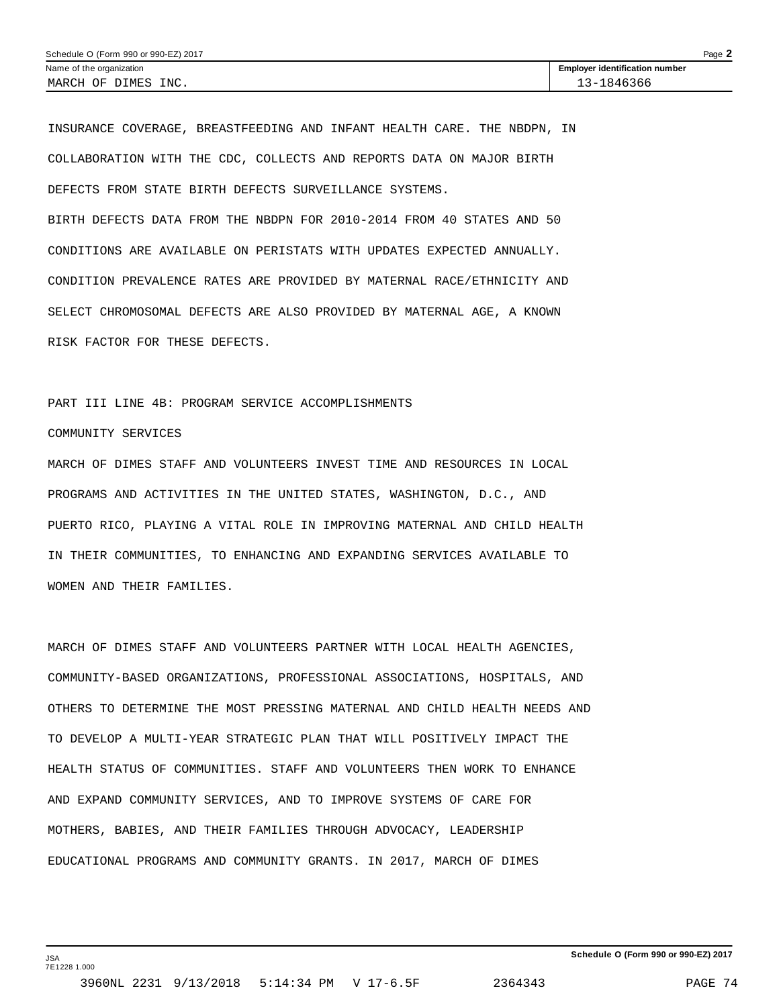INSURANCE COVERAGE, BREASTFEEDING AND INFANT HEALTH CARE. THE NBDPN, IN COLLABORATION WITH THE CDC, COLLECTS AND REPORTS DATA ON MAJOR BIRTH DEFECTS FROM STATE BIRTH DEFECTS SURVEILLANCE SYSTEMS.

BIRTH DEFECTS DATA FROM THE NBDPN FOR 2010-2014 FROM 40 STATES AND 50 CONDITIONS ARE AVAILABLE ON PERISTATS WITH UPDATES EXPECTED ANNUALLY. CONDITION PREVALENCE RATES ARE PROVIDED BY MATERNAL RACE/ETHNICITY AND SELECT CHROMOSOMAL DEFECTS ARE ALSO PROVIDED BY MATERNAL AGE, A KNOWN RISK FACTOR FOR THESE DEFECTS.

## PART III LINE 4B: PROGRAM SERVICE ACCOMPLISHMENTS

# COMMUNITY SERVICES

JSA 7E1228 1.000

MARCH OF DIMES STAFF AND VOLUNTEERS INVEST TIME AND RESOURCES IN LOCAL PROGRAMS AND ACTIVITIES IN THE UNITED STATES, WASHINGTON, D.C., AND PUERTO RICO, PLAYING A VITAL ROLE IN IMPROVING MATERNAL AND CHILD HEALTH IN THEIR COMMUNITIES, TO ENHANCING AND EXPANDING SERVICES AVAILABLE TO WOMEN AND THEIR FAMILIES.

MARCH OF DIMES STAFF AND VOLUNTEERS PARTNER WITH LOCAL HEALTH AGENCIES, COMMUNITY-BASED ORGANIZATIONS, PROFESSIONAL ASSOCIATIONS, HOSPITALS, AND OTHERS TO DETERMINE THE MOST PRESSING MATERNAL AND CHILD HEALTH NEEDS AND TO DEVELOP A MULTI-YEAR STRATEGIC PLAN THAT WILL POSITIVELY IMPACT THE HEALTH STATUS OF COMMUNITIES. STAFF AND VOLUNTEERS THEN WORK TO ENHANCE AND EXPAND COMMUNITY SERVICES, AND TO IMPROVE SYSTEMS OF CARE FOR MOTHERS, BABIES, AND THEIR FAMILIES THROUGH ADVOCACY, LEADERSHIP EDUCATIONAL PROGRAMS AND COMMUNITY GRANTS. IN 2017, MARCH OF DIMES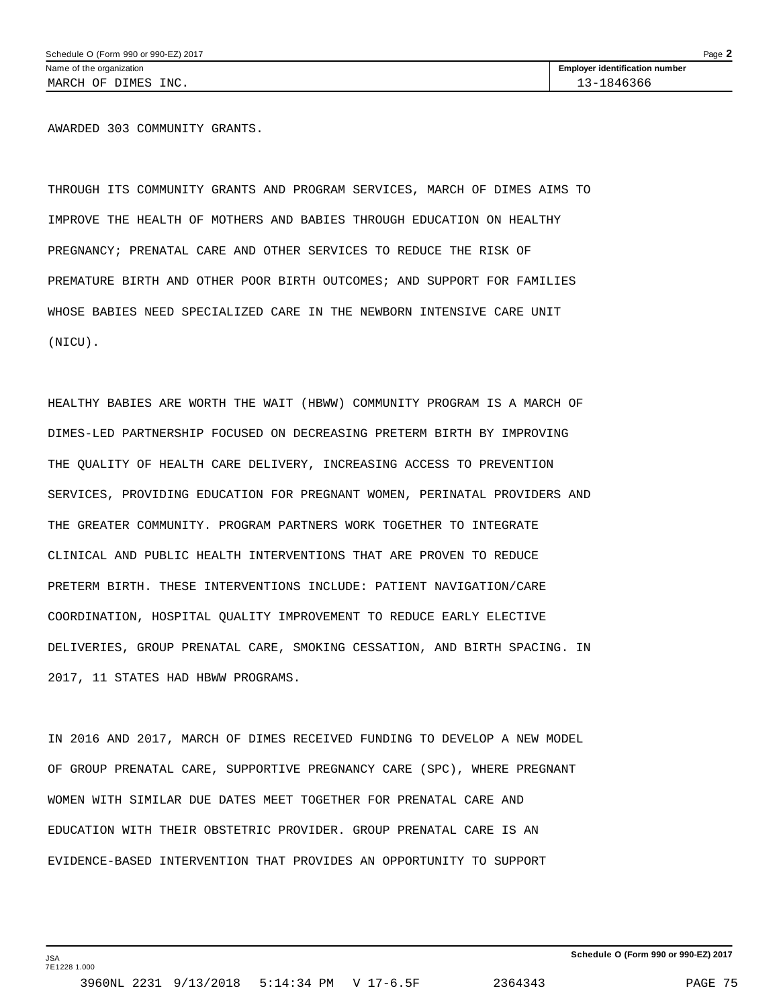AWARDED 303 COMMUNITY GRANTS.

THROUGH ITS COMMUNITY GRANTS AND PROGRAM SERVICES, MARCH OF DIMES AIMS TO IMPROVE THE HEALTH OF MOTHERS AND BABIES THROUGH EDUCATION ON HEALTHY PREGNANCY; PRENATAL CARE AND OTHER SERVICES TO REDUCE THE RISK OF PREMATURE BIRTH AND OTHER POOR BIRTH OUTCOMES; AND SUPPORT FOR FAMILIES WHOSE BABIES NEED SPECIALIZED CARE IN THE NEWBORN INTENSIVE CARE UNIT (NICU).

HEALTHY BABIES ARE WORTH THE WAIT (HBWW) COMMUNITY PROGRAM IS A MARCH OF DIMES-LED PARTNERSHIP FOCUSED ON DECREASING PRETERM BIRTH BY IMPROVING THE QUALITY OF HEALTH CARE DELIVERY, INCREASING ACCESS TO PREVENTION SERVICES, PROVIDING EDUCATION FOR PREGNANT WOMEN, PERINATAL PROVIDERS AND THE GREATER COMMUNITY. PROGRAM PARTNERS WORK TOGETHER TO INTEGRATE CLINICAL AND PUBLIC HEALTH INTERVENTIONS THAT ARE PROVEN TO REDUCE PRETERM BIRTH. THESE INTERVENTIONS INCLUDE: PATIENT NAVIGATION/CARE COORDINATION, HOSPITAL QUALITY IMPROVEMENT TO REDUCE EARLY ELECTIVE DELIVERIES, GROUP PRENATAL CARE, SMOKING CESSATION, AND BIRTH SPACING. IN 2017, 11 STATES HAD HBWW PROGRAMS.

IN 2016 AND 2017, MARCH OF DIMES RECEIVED FUNDING TO DEVELOP A NEW MODEL OF GROUP PRENATAL CARE, SUPPORTIVE PREGNANCY CARE (SPC), WHERE PREGNANT WOMEN WITH SIMILAR DUE DATES MEET TOGETHER FOR PRENATAL CARE AND EDUCATION WITH THEIR OBSTETRIC PROVIDER. GROUP PRENATAL CARE IS AN EVIDENCE-BASED INTERVENTION THAT PROVIDES AN OPPORTUNITY TO SUPPORT

JSA 7E1228 1.000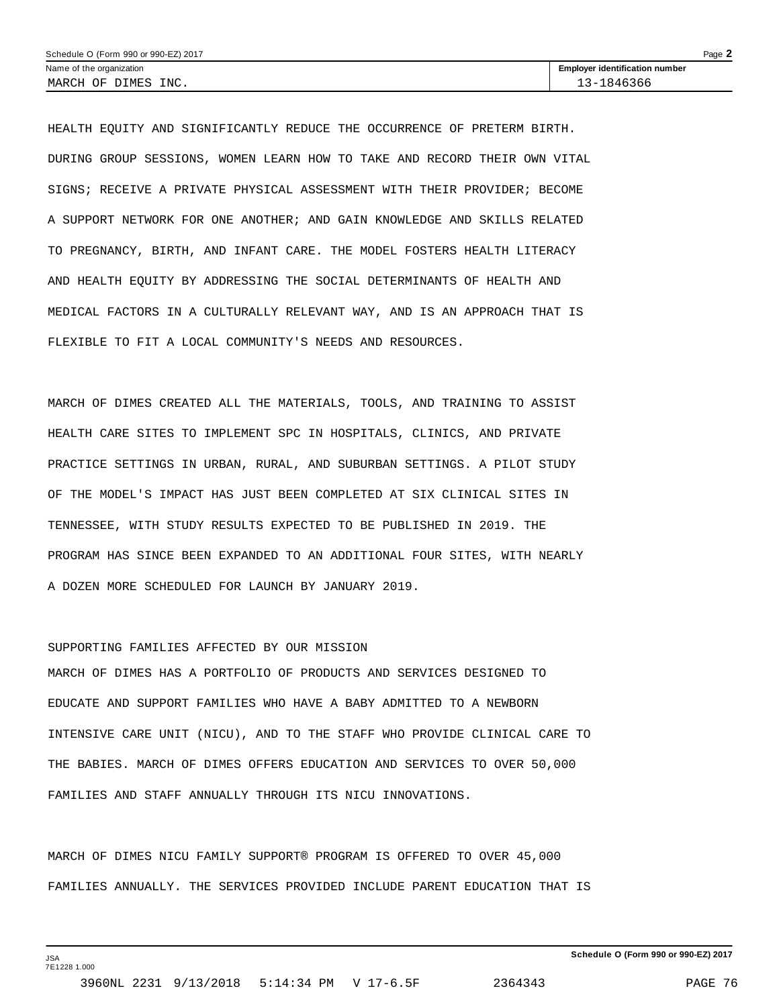| Schedule O (Form 990 or 990-EZ) 2017 | Page                                  |
|--------------------------------------|---------------------------------------|
| Name of the organization             | <b>Employer identification number</b> |
| MARCH OF DIMES INC.                  | 13-1846366                            |

HEALTH EQUITY AND SIGNIFICANTLY REDUCE THE OCCURRENCE OF PRETERM BIRTH. DURING GROUP SESSIONS, WOMEN LEARN HOW TO TAKE AND RECORD THEIR OWN VITAL SIGNS; RECEIVE A PRIVATE PHYSICAL ASSESSMENT WITH THEIR PROVIDER; BECOME A SUPPORT NETWORK FOR ONE ANOTHER; AND GAIN KNOWLEDGE AND SKILLS RELATED TO PREGNANCY, BIRTH, AND INFANT CARE. THE MODEL FOSTERS HEALTH LITERACY AND HEALTH EQUITY BY ADDRESSING THE SOCIAL DETERMINANTS OF HEALTH AND MEDICAL FACTORS IN A CULTURALLY RELEVANT WAY, AND IS AN APPROACH THAT IS FLEXIBLE TO FIT A LOCAL COMMUNITY'S NEEDS AND RESOURCES.

MARCH OF DIMES CREATED ALL THE MATERIALS, TOOLS, AND TRAINING TO ASSIST HEALTH CARE SITES TO IMPLEMENT SPC IN HOSPITALS, CLINICS, AND PRIVATE PRACTICE SETTINGS IN URBAN, RURAL, AND SUBURBAN SETTINGS. A PILOT STUDY OF THE MODEL'S IMPACT HAS JUST BEEN COMPLETED AT SIX CLINICAL SITES IN TENNESSEE, WITH STUDY RESULTS EXPECTED TO BE PUBLISHED IN 2019. THE PROGRAM HAS SINCE BEEN EXPANDED TO AN ADDITIONAL FOUR SITES, WITH NEARLY A DOZEN MORE SCHEDULED FOR LAUNCH BY JANUARY 2019.

### SUPPORTING FAMILIES AFFECTED BY OUR MISSION

MARCH OF DIMES HAS A PORTFOLIO OF PRODUCTS AND SERVICES DESIGNED TO EDUCATE AND SUPPORT FAMILIES WHO HAVE A BABY ADMITTED TO A NEWBORN INTENSIVE CARE UNIT (NICU), AND TO THE STAFF WHO PROVIDE CLINICAL CARE TO THE BABIES. MARCH OF DIMES OFFERS EDUCATION AND SERVICES TO OVER 50,000 FAMILIES AND STAFF ANNUALLY THROUGH ITS NICU INNOVATIONS.

MARCH OF DIMES NICU FAMILY SUPPORT® PROGRAM IS OFFERED TO OVER 45,000 FAMILIES ANNUALLY. THE SERVICES PROVIDED INCLUDE PARENT EDUCATION THAT IS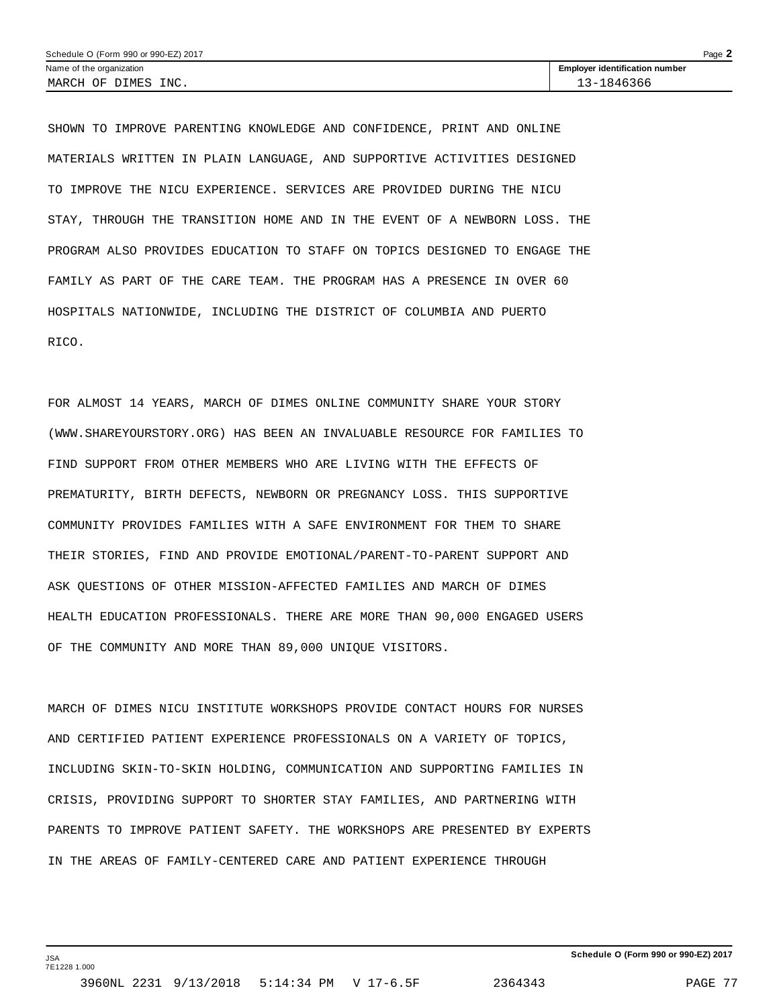| Schedule O (Form 990 or 990-EZ) 2017 | Page                                  |
|--------------------------------------|---------------------------------------|
| Name of the organization             | <b>Employer identification number</b> |
| INC.<br>DIMES<br>MARCH OF            | 1846366<br>$\sim$                     |

SHOWN TO IMPROVE PARENTING KNOWLEDGE AND CONFIDENCE, PRINT AND ONLINE MATERIALS WRITTEN IN PLAIN LANGUAGE, AND SUPPORTIVE ACTIVITIES DESIGNED TO IMPROVE THE NICU EXPERIENCE. SERVICES ARE PROVIDED DURING THE NICU STAY, THROUGH THE TRANSITION HOME AND IN THE EVENT OF A NEWBORN LOSS. THE PROGRAM ALSO PROVIDES EDUCATION TO STAFF ON TOPICS DESIGNED TO ENGAGE THE FAMILY AS PART OF THE CARE TEAM. THE PROGRAM HAS A PRESENCE IN OVER 60 HOSPITALS NATIONWIDE, INCLUDING THE DISTRICT OF COLUMBIA AND PUERTO RICO.

FOR ALMOST 14 YEARS, MARCH OF DIMES ONLINE COMMUNITY SHARE YOUR STORY (WWW.SHAREYOURSTORY.ORG) HAS BEEN AN INVALUABLE RESOURCE FOR FAMILIES TO FIND SUPPORT FROM OTHER MEMBERS WHO ARE LIVING WITH THE EFFECTS OF PREMATURITY, BIRTH DEFECTS, NEWBORN OR PREGNANCY LOSS. THIS SUPPORTIVE COMMUNITY PROVIDES FAMILIES WITH A SAFE ENVIRONMENT FOR THEM TO SHARE THEIR STORIES, FIND AND PROVIDE EMOTIONAL/PARENT-TO-PARENT SUPPORT AND ASK QUESTIONS OF OTHER MISSION-AFFECTED FAMILIES AND MARCH OF DIMES HEALTH EDUCATION PROFESSIONALS. THERE ARE MORE THAN 90,000 ENGAGED USERS OF THE COMMUNITY AND MORE THAN 89,000 UNIQUE VISITORS.

MARCH OF DIMES NICU INSTITUTE WORKSHOPS PROVIDE CONTACT HOURS FOR NURSES AND CERTIFIED PATIENT EXPERIENCE PROFESSIONALS ON A VARIETY OF TOPICS, INCLUDING SKIN-TO-SKIN HOLDING, COMMUNICATION AND SUPPORTING FAMILIES IN CRISIS, PROVIDING SUPPORT TO SHORTER STAY FAMILIES, AND PARTNERING WITH PARENTS TO IMPROVE PATIENT SAFETY. THE WORKSHOPS ARE PRESENTED BY EXPERTS IN THE AREAS OF FAMILY-CENTERED CARE AND PATIENT EXPERIENCE THROUGH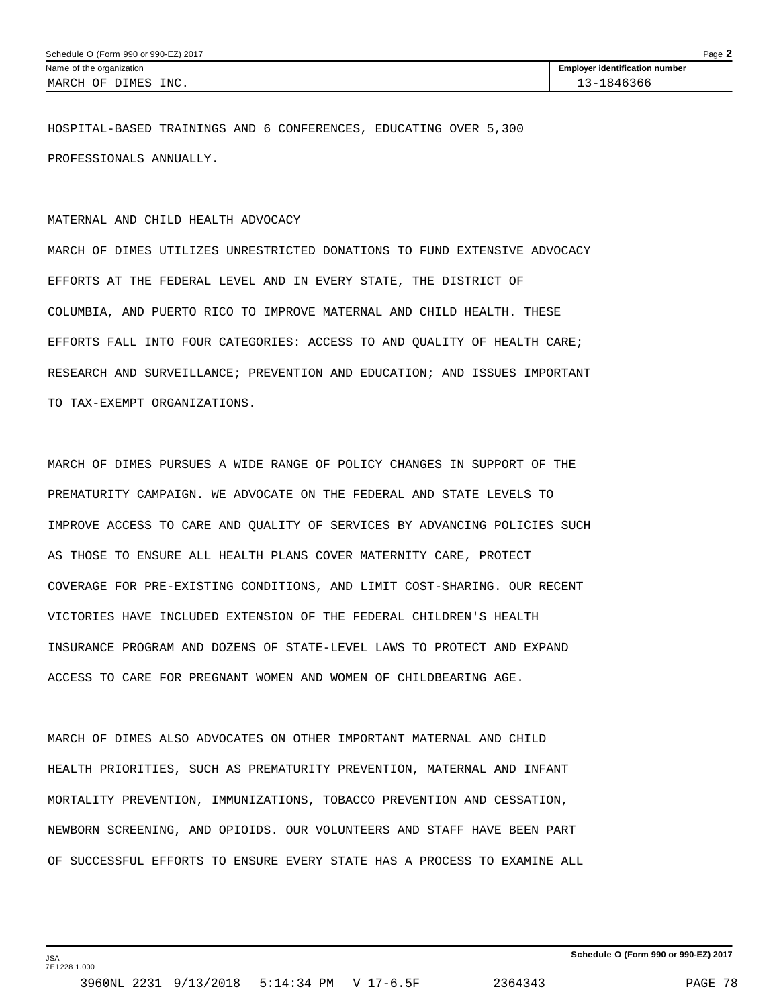HOSPITAL-BASED TRAININGS AND 6 CONFERENCES, EDUCATING OVER 5,300 PROFESSIONALS ANNUALLY.

#### MATERNAL AND CHILD HEALTH ADVOCACY

MARCH OF DIMES UTILIZES UNRESTRICTED DONATIONS TO FUND EXTENSIVE ADVOCACY EFFORTS AT THE FEDERAL LEVEL AND IN EVERY STATE, THE DISTRICT OF COLUMBIA, AND PUERTO RICO TO IMPROVE MATERNAL AND CHILD HEALTH. THESE EFFORTS FALL INTO FOUR CATEGORIES: ACCESS TO AND QUALITY OF HEALTH CARE; RESEARCH AND SURVEILLANCE; PREVENTION AND EDUCATION; AND ISSUES IMPORTANT TO TAX-EXEMPT ORGANIZATIONS.

MARCH OF DIMES PURSUES A WIDE RANGE OF POLICY CHANGES IN SUPPORT OF THE PREMATURITY CAMPAIGN. WE ADVOCATE ON THE FEDERAL AND STATE LEVELS TO IMPROVE ACCESS TO CARE AND QUALITY OF SERVICES BY ADVANCING POLICIES SUCH AS THOSE TO ENSURE ALL HEALTH PLANS COVER MATERNITY CARE, PROTECT COVERAGE FOR PRE-EXISTING CONDITIONS, AND LIMIT COST-SHARING. OUR RECENT VICTORIES HAVE INCLUDED EXTENSION OF THE FEDERAL CHILDREN'S HEALTH INSURANCE PROGRAM AND DOZENS OF STATE-LEVEL LAWS TO PROTECT AND EXPAND ACCESS TO CARE FOR PREGNANT WOMEN AND WOMEN OF CHILDBEARING AGE.

MARCH OF DIMES ALSO ADVOCATES ON OTHER IMPORTANT MATERNAL AND CHILD HEALTH PRIORITIES, SUCH AS PREMATURITY PREVENTION, MATERNAL AND INFANT MORTALITY PREVENTION, IMMUNIZATIONS, TOBACCO PREVENTION AND CESSATION, NEWBORN SCREENING, AND OPIOIDS. OUR VOLUNTEERS AND STAFF HAVE BEEN PART OF SUCCESSFUL EFFORTS TO ENSURE EVERY STATE HAS A PROCESS TO EXAMINE ALL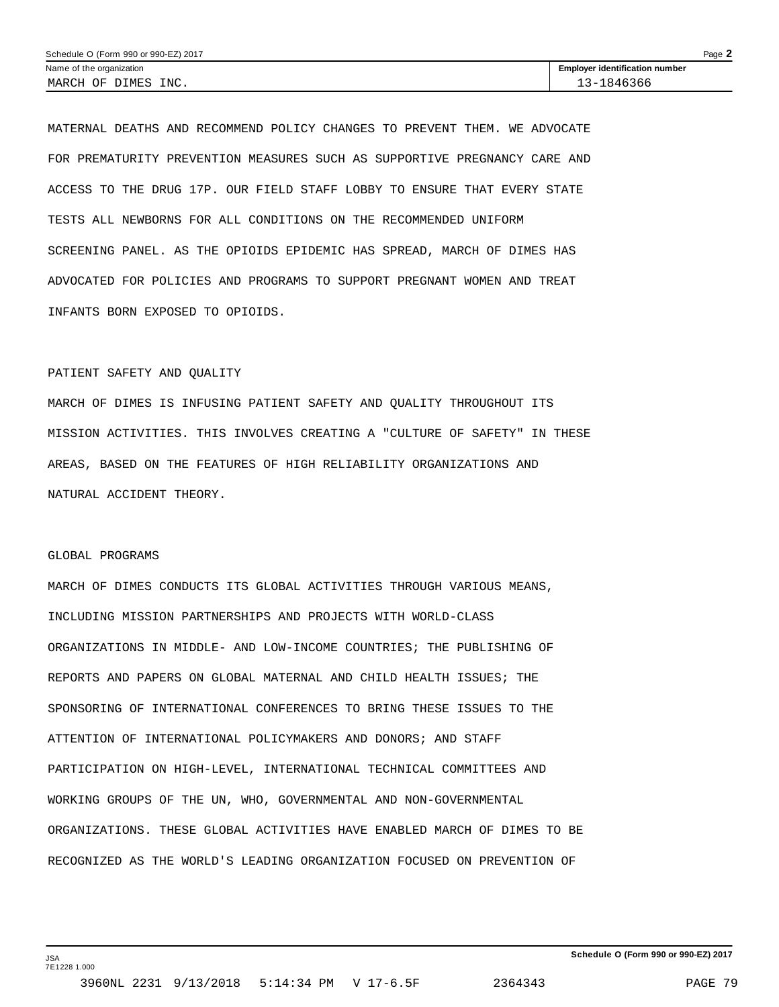| Schedule O (Form 990 or 990-EZ) 2017 | Page                                  |  |
|--------------------------------------|---------------------------------------|--|
| Name of the organization             | <b>Employer identification number</b> |  |
| INC.<br>MARCH OF DIMES               | 1846366<br>マニュ                        |  |

MATERNAL DEATHS AND RECOMMEND POLICY CHANGES TO PREVENT THEM. WE ADVOCATE FOR PREMATURITY PREVENTION MEASURES SUCH AS SUPPORTIVE PREGNANCY CARE AND ACCESS TO THE DRUG 17P. OUR FIELD STAFF LOBBY TO ENSURE THAT EVERY STATE TESTS ALL NEWBORNS FOR ALL CONDITIONS ON THE RECOMMENDED UNIFORM SCREENING PANEL. AS THE OPIOIDS EPIDEMIC HAS SPREAD, MARCH OF DIMES HAS ADVOCATED FOR POLICIES AND PROGRAMS TO SUPPORT PREGNANT WOMEN AND TREAT INFANTS BORN EXPOSED TO OPIOIDS.

### PATIENT SAFETY AND QUALITY

MARCH OF DIMES IS INFUSING PATIENT SAFETY AND QUALITY THROUGHOUT ITS MISSION ACTIVITIES. THIS INVOLVES CREATING A "CULTURE OF SAFETY" IN THESE AREAS, BASED ON THE FEATURES OF HIGH RELIABILITY ORGANIZATIONS AND NATURAL ACCIDENT THEORY.

### GLOBAL PROGRAMS

JSA 7E1228 1.000

MARCH OF DIMES CONDUCTS ITS GLOBAL ACTIVITIES THROUGH VARIOUS MEANS, INCLUDING MISSION PARTNERSHIPS AND PROJECTS WITH WORLD-CLASS ORGANIZATIONS IN MIDDLE- AND LOW-INCOME COUNTRIES; THE PUBLISHING OF REPORTS AND PAPERS ON GLOBAL MATERNAL AND CHILD HEALTH ISSUES; THE SPONSORING OF INTERNATIONAL CONFERENCES TO BRING THESE ISSUES TO THE ATTENTION OF INTERNATIONAL POLICYMAKERS AND DONORS; AND STAFF PARTICIPATION ON HIGH-LEVEL, INTERNATIONAL TECHNICAL COMMITTEES AND WORKING GROUPS OF THE UN, WHO, GOVERNMENTAL AND NON-GOVERNMENTAL ORGANIZATIONS. THESE GLOBAL ACTIVITIES HAVE ENABLED MARCH OF DIMES TO BE RECOGNIZED AS THE WORLD'S LEADING ORGANIZATION FOCUSED ON PREVENTION OF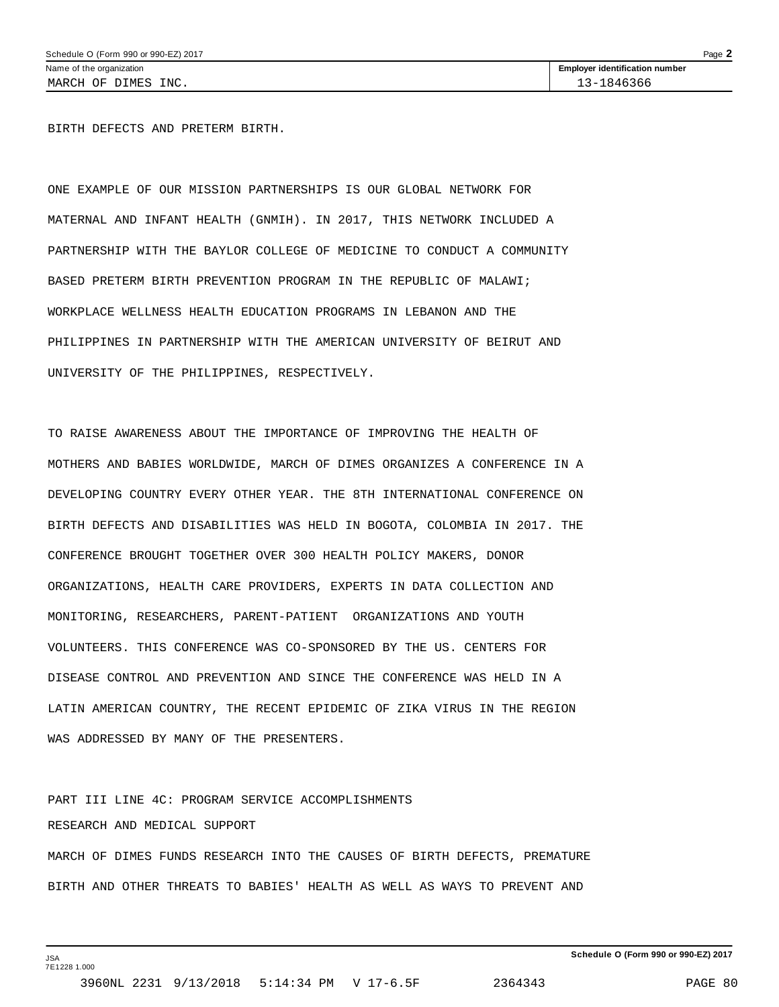BIRTH DEFECTS AND PRETERM BIRTH.

ONE EXAMPLE OF OUR MISSION PARTNERSHIPS IS OUR GLOBAL NETWORK FOR MATERNAL AND INFANT HEALTH (GNMIH). IN 2017, THIS NETWORK INCLUDED A PARTNERSHIP WITH THE BAYLOR COLLEGE OF MEDICINE TO CONDUCT A COMMUNITY BASED PRETERM BIRTH PREVENTION PROGRAM IN THE REPUBLIC OF MALAWI; WORKPLACE WELLNESS HEALTH EDUCATION PROGRAMS IN LEBANON AND THE PHILIPPINES IN PARTNERSHIP WITH THE AMERICAN UNIVERSITY OF BEIRUT AND UNIVERSITY OF THE PHILIPPINES, RESPECTIVELY.

TO RAISE AWARENESS ABOUT THE IMPORTANCE OF IMPROVING THE HEALTH OF MOTHERS AND BABIES WORLDWIDE, MARCH OF DIMES ORGANIZES A CONFERENCE IN A DEVELOPING COUNTRY EVERY OTHER YEAR. THE 8TH INTERNATIONAL CONFERENCE ON BIRTH DEFECTS AND DISABILITIES WAS HELD IN BOGOTA, COLOMBIA IN 2017. THE CONFERENCE BROUGHT TOGETHER OVER 300 HEALTH POLICY MAKERS, DONOR ORGANIZATIONS, HEALTH CARE PROVIDERS, EXPERTS IN DATA COLLECTION AND MONITORING, RESEARCHERS, PARENT-PATIENT ORGANIZATIONS AND YOUTH VOLUNTEERS. THIS CONFERENCE WAS CO-SPONSORED BY THE US. CENTERS FOR DISEASE CONTROL AND PREVENTION AND SINCE THE CONFERENCE WAS HELD IN A LATIN AMERICAN COUNTRY, THE RECENT EPIDEMIC OF ZIKA VIRUS IN THE REGION WAS ADDRESSED BY MANY OF THE PRESENTERS.

PART III LINE 4C: PROGRAM SERVICE ACCOMPLISHMENTS RESEARCH AND MEDICAL SUPPORT MARCH OF DIMES FUNDS RESEARCH INTO THE CAUSES OF BIRTH DEFECTS, PREMATURE BIRTH AND OTHER THREATS TO BABIES' HEALTH AS WELL AS WAYS TO PREVENT AND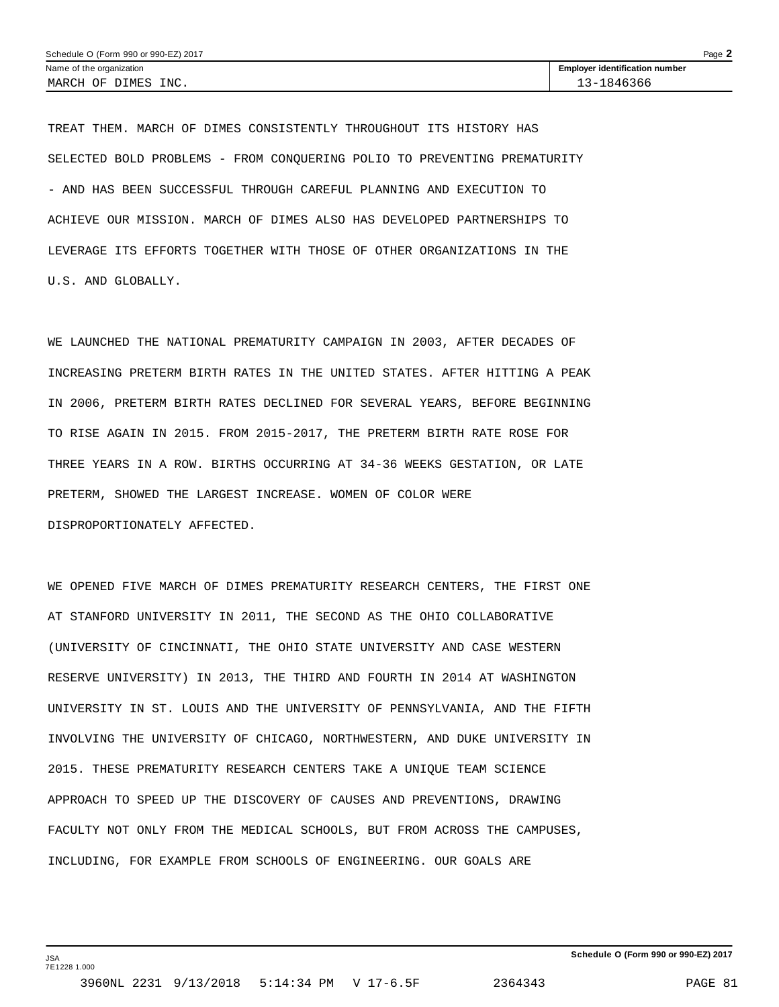TREAT THEM. MARCH OF DIMES CONSISTENTLY THROUGHOUT ITS HISTORY HAS SELECTED BOLD PROBLEMS - FROM CONQUERING POLIO TO PREVENTING PREMATURITY - AND HAS BEEN SUCCESSFUL THROUGH CAREFUL PLANNING AND EXECUTION TO ACHIEVE OUR MISSION. MARCH OF DIMES ALSO HAS DEVELOPED PARTNERSHIPS TO LEVERAGE ITS EFFORTS TOGETHER WITH THOSE OF OTHER ORGANIZATIONS IN THE U.S. AND GLOBALLY.

WE LAUNCHED THE NATIONAL PREMATURITY CAMPAIGN IN 2003, AFTER DECADES OF INCREASING PRETERM BIRTH RATES IN THE UNITED STATES. AFTER HITTING A PEAK IN 2006, PRETERM BIRTH RATES DECLINED FOR SEVERAL YEARS, BEFORE BEGINNING TO RISE AGAIN IN 2015. FROM 2015-2017, THE PRETERM BIRTH RATE ROSE FOR THREE YEARS IN A ROW. BIRTHS OCCURRING AT 34-36 WEEKS GESTATION, OR LATE PRETERM, SHOWED THE LARGEST INCREASE. WOMEN OF COLOR WERE DISPROPORTIONATELY AFFECTED.

WE OPENED FIVE MARCH OF DIMES PREMATURITY RESEARCH CENTERS, THE FIRST ONE AT STANFORD UNIVERSITY IN 2011, THE SECOND AS THE OHIO COLLABORATIVE (UNIVERSITY OF CINCINNATI, THE OHIO STATE UNIVERSITY AND CASE WESTERN RESERVE UNIVERSITY) IN 2013, THE THIRD AND FOURTH IN 2014 AT WASHINGTON UNIVERSITY IN ST. LOUIS AND THE UNIVERSITY OF PENNSYLVANIA, AND THE FIFTH INVOLVING THE UNIVERSITY OF CHICAGO, NORTHWESTERN, AND DUKE UNIVERSITY IN 2015. THESE PREMATURITY RESEARCH CENTERS TAKE A UNIQUE TEAM SCIENCE APPROACH TO SPEED UP THE DISCOVERY OF CAUSES AND PREVENTIONS, DRAWING FACULTY NOT ONLY FROM THE MEDICAL SCHOOLS, BUT FROM ACROSS THE CAMPUSES, INCLUDING, FOR EXAMPLE FROM SCHOOLS OF ENGINEERING. OUR GOALS ARE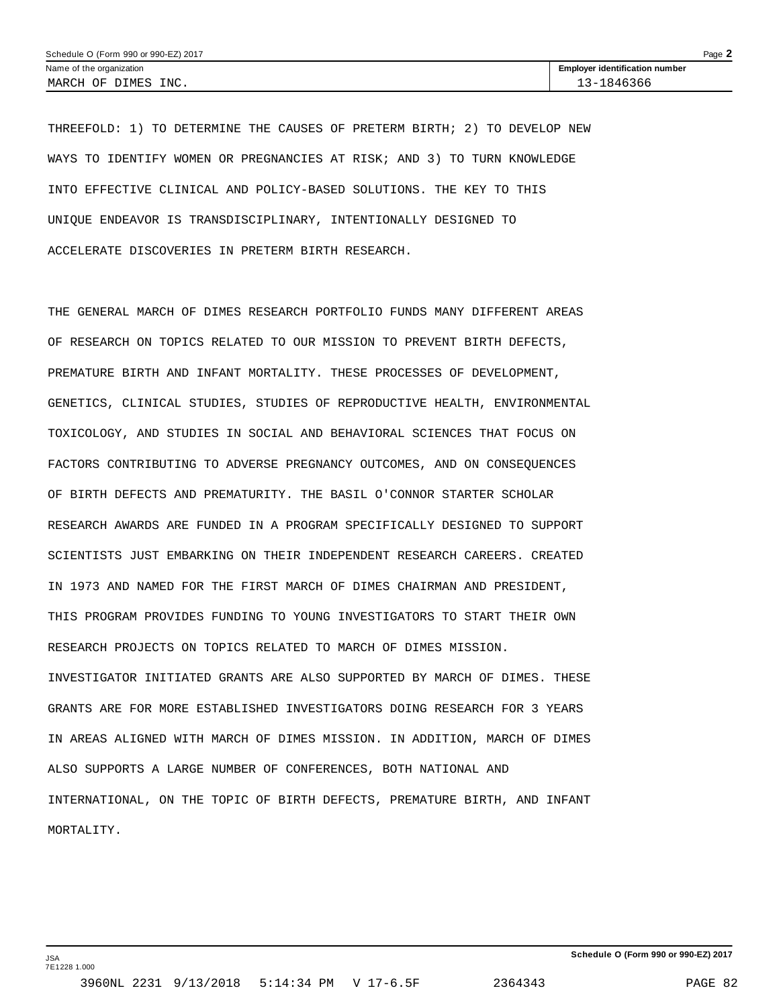THREEFOLD: 1) TO DETERMINE THE CAUSES OF PRETERM BIRTH; 2) TO DEVELOP NEW WAYS TO IDENTIFY WOMEN OR PREGNANCIES AT RISK; AND 3) TO TURN KNOWLEDGE INTO EFFECTIVE CLINICAL AND POLICY-BASED SOLUTIONS. THE KEY TO THIS UNIQUE ENDEAVOR IS TRANSDISCIPLINARY, INTENTIONALLY DESIGNED TO ACCELERATE DISCOVERIES IN PRETERM BIRTH RESEARCH.

THE GENERAL MARCH OF DIMES RESEARCH PORTFOLIO FUNDS MANY DIFFERENT AREAS OF RESEARCH ON TOPICS RELATED TO OUR MISSION TO PREVENT BIRTH DEFECTS, PREMATURE BIRTH AND INFANT MORTALITY. THESE PROCESSES OF DEVELOPMENT, GENETICS, CLINICAL STUDIES, STUDIES OF REPRODUCTIVE HEALTH, ENVIRONMENTAL TOXICOLOGY, AND STUDIES IN SOCIAL AND BEHAVIORAL SCIENCES THAT FOCUS ON FACTORS CONTRIBUTING TO ADVERSE PREGNANCY OUTCOMES, AND ON CONSEQUENCES OF BIRTH DEFECTS AND PREMATURITY. THE BASIL O'CONNOR STARTER SCHOLAR RESEARCH AWARDS ARE FUNDED IN A PROGRAM SPECIFICALLY DESIGNED TO SUPPORT SCIENTISTS JUST EMBARKING ON THEIR INDEPENDENT RESEARCH CAREERS. CREATED IN 1973 AND NAMED FOR THE FIRST MARCH OF DIMES CHAIRMAN AND PRESIDENT, THIS PROGRAM PROVIDES FUNDING TO YOUNG INVESTIGATORS TO START THEIR OWN RESEARCH PROJECTS ON TOPICS RELATED TO MARCH OF DIMES MISSION. INVESTIGATOR INITIATED GRANTS ARE ALSO SUPPORTED BY MARCH OF DIMES. THESE GRANTS ARE FOR MORE ESTABLISHED INVESTIGATORS DOING RESEARCH FOR 3 YEARS IN AREAS ALIGNED WITH MARCH OF DIMES MISSION. IN ADDITION, MARCH OF DIMES ALSO SUPPORTS A LARGE NUMBER OF CONFERENCES, BOTH NATIONAL AND INTERNATIONAL, ON THE TOPIC OF BIRTH DEFECTS, PREMATURE BIRTH, AND INFANT MORTALITY.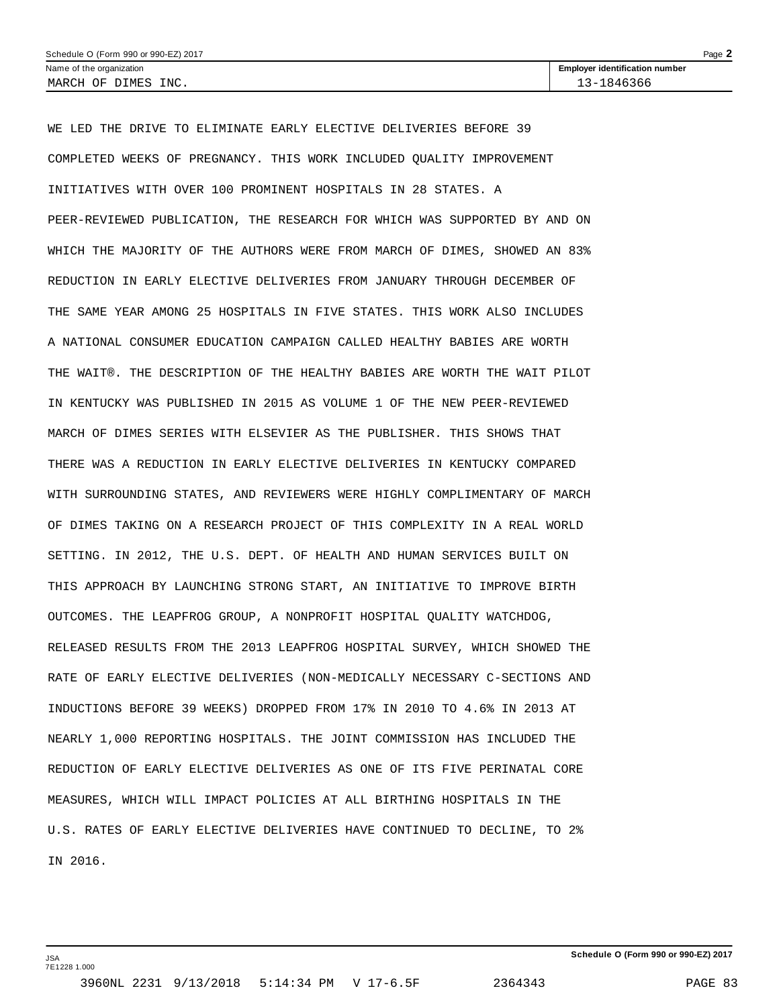| Page $\blacktriangle$<br>Schedule O (Form 990 or 990-EZ) 2017 |                                       |  |  |  |
|---------------------------------------------------------------|---------------------------------------|--|--|--|
| Name of the organization                                      | <b>Employer identification number</b> |  |  |  |
| MARCH OF DIMES INC.                                           | 13-1846366                            |  |  |  |

WE LED THE DRIVE TO ELIMINATE EARLY ELECTIVE DELIVERIES BEFORE 39 COMPLETED WEEKS OF PREGNANCY. THIS WORK INCLUDED QUALITY IMPROVEMENT INITIATIVES WITH OVER 100 PROMINENT HOSPITALS IN 28 STATES. A PEER-REVIEWED PUBLICATION, THE RESEARCH FOR WHICH WAS SUPPORTED BY AND ON WHICH THE MAJORITY OF THE AUTHORS WERE FROM MARCH OF DIMES, SHOWED AN 83% REDUCTION IN EARLY ELECTIVE DELIVERIES FROM JANUARY THROUGH DECEMBER OF THE SAME YEAR AMONG 25 HOSPITALS IN FIVE STATES. THIS WORK ALSO INCLUDES A NATIONAL CONSUMER EDUCATION CAMPAIGN CALLED HEALTHY BABIES ARE WORTH THE WAIT®. THE DESCRIPTION OF THE HEALTHY BABIES ARE WORTH THE WAIT PILOT IN KENTUCKY WAS PUBLISHED IN 2015 AS VOLUME 1 OF THE NEW PEER-REVIEWED MARCH OF DIMES SERIES WITH ELSEVIER AS THE PUBLISHER. THIS SHOWS THAT THERE WAS A REDUCTION IN EARLY ELECTIVE DELIVERIES IN KENTUCKY COMPARED WITH SURROUNDING STATES, AND REVIEWERS WERE HIGHLY COMPLIMENTARY OF MARCH OF DIMES TAKING ON A RESEARCH PROJECT OF THIS COMPLEXITY IN A REAL WORLD SETTING. IN 2012, THE U.S. DEPT. OF HEALTH AND HUMAN SERVICES BUILT ON THIS APPROACH BY LAUNCHING STRONG START, AN INITIATIVE TO IMPROVE BIRTH OUTCOMES. THE LEAPFROG GROUP, A NONPROFIT HOSPITAL QUALITY WATCHDOG, RELEASED RESULTS FROM THE 2013 LEAPFROG HOSPITAL SURVEY, WHICH SHOWED THE RATE OF EARLY ELECTIVE DELIVERIES (NON-MEDICALLY NECESSARY C-SECTIONS AND INDUCTIONS BEFORE 39 WEEKS) DROPPED FROM 17% IN 2010 TO 4.6% IN 2013 AT NEARLY 1,000 REPORTING HOSPITALS. THE JOINT COMMISSION HAS INCLUDED THE REDUCTION OF EARLY ELECTIVE DELIVERIES AS ONE OF ITS FIVE PERINATAL CORE MEASURES, WHICH WILL IMPACT POLICIES AT ALL BIRTHING HOSPITALS IN THE U.S. RATES OF EARLY ELECTIVE DELIVERIES HAVE CONTINUED TO DECLINE, TO 2% IN 2016.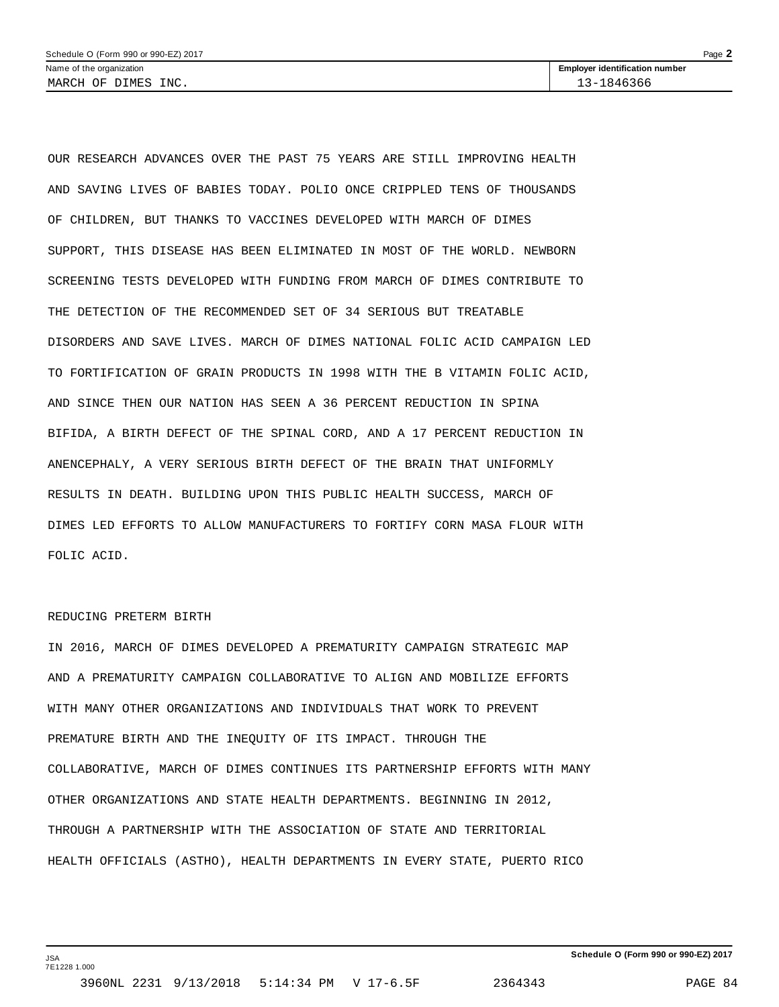OUR RESEARCH ADVANCES OVER THE PAST 75 YEARS ARE STILL IMPROVING HEALTH AND SAVING LIVES OF BABIES TODAY. POLIO ONCE CRIPPLED TENS OF THOUSANDS OF CHILDREN, BUT THANKS TO VACCINES DEVELOPED WITH MARCH OF DIMES SUPPORT, THIS DISEASE HAS BEEN ELIMINATED IN MOST OF THE WORLD. NEWBORN SCREENING TESTS DEVELOPED WITH FUNDING FROM MARCH OF DIMES CONTRIBUTE TO THE DETECTION OF THE RECOMMENDED SET OF 34 SERIOUS BUT TREATABLE DISORDERS AND SAVE LIVES. MARCH OF DIMES NATIONAL FOLIC ACID CAMPAIGN LED TO FORTIFICATION OF GRAIN PRODUCTS IN 1998 WITH THE B VITAMIN FOLIC ACID, AND SINCE THEN OUR NATION HAS SEEN A 36 PERCENT REDUCTION IN SPINA BIFIDA, A BIRTH DEFECT OF THE SPINAL CORD, AND A 17 PERCENT REDUCTION IN ANENCEPHALY, A VERY SERIOUS BIRTH DEFECT OF THE BRAIN THAT UNIFORMLY RESULTS IN DEATH. BUILDING UPON THIS PUBLIC HEALTH SUCCESS, MARCH OF DIMES LED EFFORTS TO ALLOW MANUFACTURERS TO FORTIFY CORN MASA FLOUR WITH FOLIC ACID.

#### REDUCING PRETERM BIRTH

JSA 7E1228 1.000

IN 2016, MARCH OF DIMES DEVELOPED A PREMATURITY CAMPAIGN STRATEGIC MAP AND A PREMATURITY CAMPAIGN COLLABORATIVE TO ALIGN AND MOBILIZE EFFORTS WITH MANY OTHER ORGANIZATIONS AND INDIVIDUALS THAT WORK TO PREVENT PREMATURE BIRTH AND THE INEQUITY OF ITS IMPACT. THROUGH THE COLLABORATIVE, MARCH OF DIMES CONTINUES ITS PARTNERSHIP EFFORTS WITH MANY OTHER ORGANIZATIONS AND STATE HEALTH DEPARTMENTS. BEGINNING IN 2012, THROUGH A PARTNERSHIP WITH THE ASSOCIATION OF STATE AND TERRITORIAL HEALTH OFFICIALS (ASTHO), HEALTH DEPARTMENTS IN EVERY STATE, PUERTO RICO

**Schedule O (Form 990 or 990-EZ) 2017**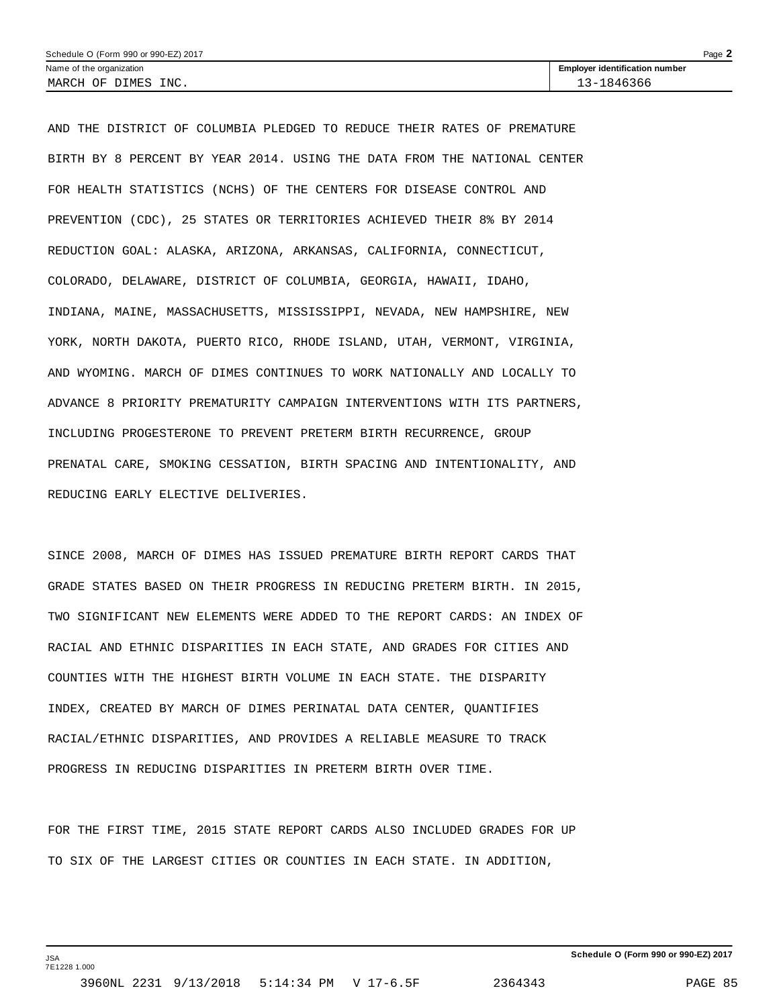| Schedule O (Form 990 or 990-EZ) 2017 |                                       | Page |
|--------------------------------------|---------------------------------------|------|
| Name of the organization             | <b>Employer identification number</b> |      |
| INC.<br>MARCH OF<br>DIMES            | 1846366<br>$\sim$                     |      |

AND THE DISTRICT OF COLUMBIA PLEDGED TO REDUCE THEIR RATES OF PREMATURE BIRTH BY 8 PERCENT BY YEAR 2014. USING THE DATA FROM THE NATIONAL CENTER FOR HEALTH STATISTICS (NCHS) OF THE CENTERS FOR DISEASE CONTROL AND PREVENTION (CDC), 25 STATES OR TERRITORIES ACHIEVED THEIR 8% BY 2014 REDUCTION GOAL: ALASKA, ARIZONA, ARKANSAS, CALIFORNIA, CONNECTICUT, COLORADO, DELAWARE, DISTRICT OF COLUMBIA, GEORGIA, HAWAII, IDAHO, INDIANA, MAINE, MASSACHUSETTS, MISSISSIPPI, NEVADA, NEW HAMPSHIRE, NEW YORK, NORTH DAKOTA, PUERTO RICO, RHODE ISLAND, UTAH, VERMONT, VIRGINIA, AND WYOMING. MARCH OF DIMES CONTINUES TO WORK NATIONALLY AND LOCALLY TO ADVANCE 8 PRIORITY PREMATURITY CAMPAIGN INTERVENTIONS WITH ITS PARTNERS, INCLUDING PROGESTERONE TO PREVENT PRETERM BIRTH RECURRENCE, GROUP PRENATAL CARE, SMOKING CESSATION, BIRTH SPACING AND INTENTIONALITY, AND REDUCING EARLY ELECTIVE DELIVERIES.

SINCE 2008, MARCH OF DIMES HAS ISSUED PREMATURE BIRTH REPORT CARDS THAT GRADE STATES BASED ON THEIR PROGRESS IN REDUCING PRETERM BIRTH. IN 2015, TWO SIGNIFICANT NEW ELEMENTS WERE ADDED TO THE REPORT CARDS: AN INDEX OF RACIAL AND ETHNIC DISPARITIES IN EACH STATE, AND GRADES FOR CITIES AND COUNTIES WITH THE HIGHEST BIRTH VOLUME IN EACH STATE. THE DISPARITY INDEX, CREATED BY MARCH OF DIMES PERINATAL DATA CENTER, QUANTIFIES RACIAL/ETHNIC DISPARITIES, AND PROVIDES A RELIABLE MEASURE TO TRACK PROGRESS IN REDUCING DISPARITIES IN PRETERM BIRTH OVER TIME.

FOR THE FIRST TIME, 2015 STATE REPORT CARDS ALSO INCLUDED GRADES FOR UP TO SIX OF THE LARGEST CITIES OR COUNTIES IN EACH STATE. IN ADDITION,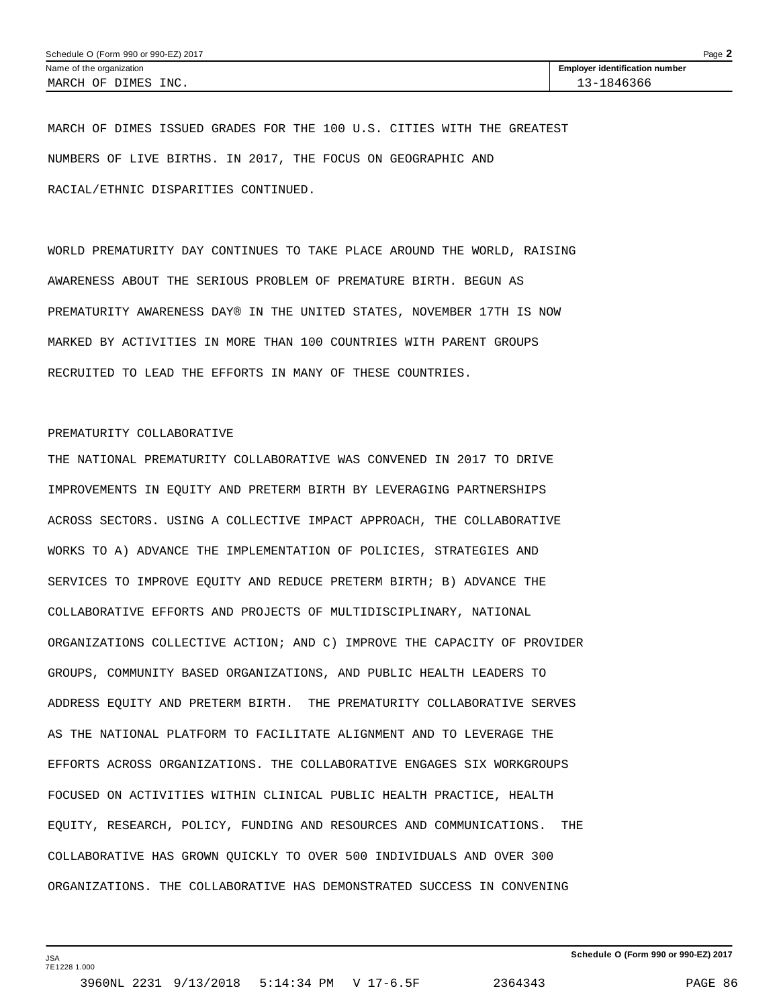MARCH OF DIMES ISSUED GRADES FOR THE 100 U.S. CITIES WITH THE GREATEST NUMBERS OF LIVE BIRTHS. IN 2017, THE FOCUS ON GEOGRAPHIC AND RACIAL/ETHNIC DISPARITIES CONTINUED.

WORLD PREMATURITY DAY CONTINUES TO TAKE PLACE AROUND THE WORLD, RAISING AWARENESS ABOUT THE SERIOUS PROBLEM OF PREMATURE BIRTH. BEGUN AS PREMATURITY AWARENESS DAY® IN THE UNITED STATES, NOVEMBER 17TH IS NOW MARKED BY ACTIVITIES IN MORE THAN 100 COUNTRIES WITH PARENT GROUPS RECRUITED TO LEAD THE EFFORTS IN MANY OF THESE COUNTRIES.

### PREMATURITY COLLABORATIVE

THE NATIONAL PREMATURITY COLLABORATIVE WAS CONVENED IN 2017 TO DRIVE IMPROVEMENTS IN EQUITY AND PRETERM BIRTH BY LEVERAGING PARTNERSHIPS ACROSS SECTORS. USING A COLLECTIVE IMPACT APPROACH, THE COLLABORATIVE WORKS TO A) ADVANCE THE IMPLEMENTATION OF POLICIES, STRATEGIES AND SERVICES TO IMPROVE EQUITY AND REDUCE PRETERM BIRTH; B) ADVANCE THE COLLABORATIVE EFFORTS AND PROJECTS OF MULTIDISCIPLINARY, NATIONAL ORGANIZATIONS COLLECTIVE ACTION; AND C) IMPROVE THE CAPACITY OF PROVIDER GROUPS, COMMUNITY BASED ORGANIZATIONS, AND PUBLIC HEALTH LEADERS TO ADDRESS EQUITY AND PRETERM BIRTH. THE PREMATURITY COLLABORATIVE SERVES AS THE NATIONAL PLATFORM TO FACILITATE ALIGNMENT AND TO LEVERAGE THE EFFORTS ACROSS ORGANIZATIONS. THE COLLABORATIVE ENGAGES SIX WORKGROUPS FOCUSED ON ACTIVITIES WITHIN CLINICAL PUBLIC HEALTH PRACTICE, HEALTH EQUITY, RESEARCH, POLICY, FUNDING AND RESOURCES AND COMMUNICATIONS. THE COLLABORATIVE HAS GROWN QUICKLY TO OVER 500 INDIVIDUALS AND OVER 300 ORGANIZATIONS. THE COLLABORATIVE HAS DEMONSTRATED SUCCESS IN CONVENING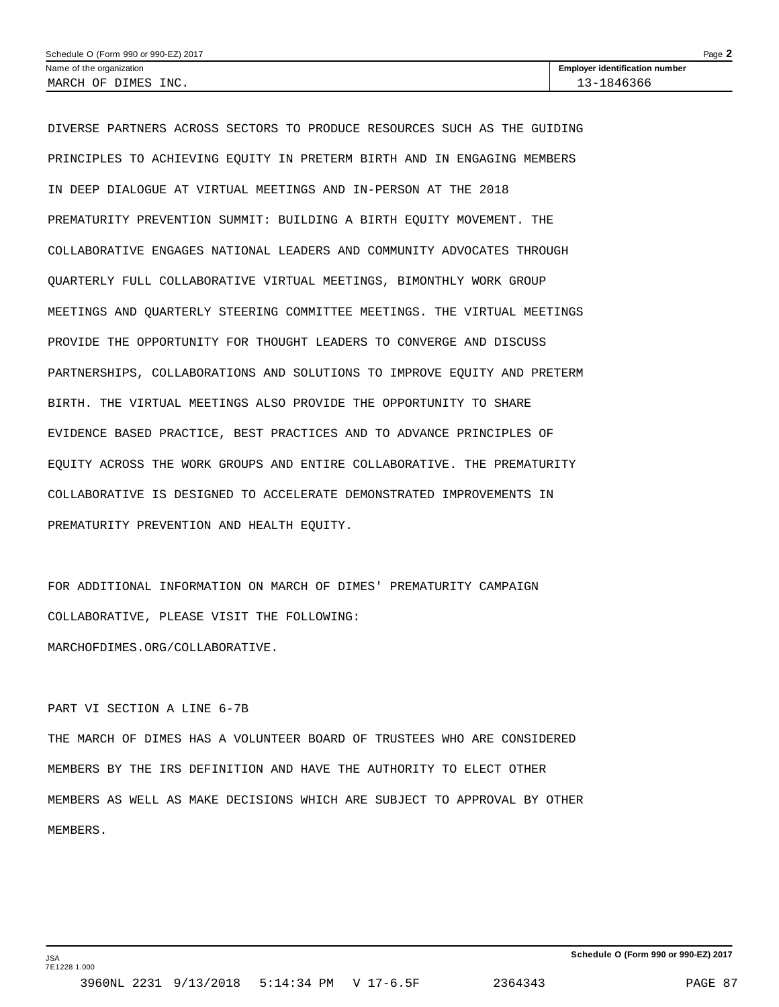| Schedule O (Form 990 or 990-EZ) 2017 | Page                                  |
|--------------------------------------|---------------------------------------|
| Name of the organization             | <b>Employer identification number</b> |
| MARCH OF DIMES INC.                  | 13-1846366                            |

DIVERSE PARTNERS ACROSS SECTORS TO PRODUCE RESOURCES SUCH AS THE GUIDING PRINCIPLES TO ACHIEVING EQUITY IN PRETERM BIRTH AND IN ENGAGING MEMBERS IN DEEP DIALOGUE AT VIRTUAL MEETINGS AND IN-PERSON AT THE 2018 PREMATURITY PREVENTION SUMMIT: BUILDING A BIRTH EQUITY MOVEMENT. THE COLLABORATIVE ENGAGES NATIONAL LEADERS AND COMMUNITY ADVOCATES THROUGH QUARTERLY FULL COLLABORATIVE VIRTUAL MEETINGS, BIMONTHLY WORK GROUP MEETINGS AND QUARTERLY STEERING COMMITTEE MEETINGS. THE VIRTUAL MEETINGS PROVIDE THE OPPORTUNITY FOR THOUGHT LEADERS TO CONVERGE AND DISCUSS PARTNERSHIPS, COLLABORATIONS AND SOLUTIONS TO IMPROVE EQUITY AND PRETERM BIRTH. THE VIRTUAL MEETINGS ALSO PROVIDE THE OPPORTUNITY TO SHARE EVIDENCE BASED PRACTICE, BEST PRACTICES AND TO ADVANCE PRINCIPLES OF EQUITY ACROSS THE WORK GROUPS AND ENTIRE COLLABORATIVE. THE PREMATURITY COLLABORATIVE IS DESIGNED TO ACCELERATE DEMONSTRATED IMPROVEMENTS IN PREMATURITY PREVENTION AND HEALTH EQUITY.

FOR ADDITIONAL INFORMATION ON MARCH OF DIMES' PREMATURITY CAMPAIGN COLLABORATIVE, PLEASE VISIT THE FOLLOWING: MARCHOFDIMES.ORG/COLLABORATIVE.

### PART VI SECTION A LINE 6-7B

THE MARCH OF DIMES HAS A VOLUNTEER BOARD OF TRUSTEES WHO ARE CONSIDERED MEMBERS BY THE IRS DEFINITION AND HAVE THE AUTHORITY TO ELECT OTHER MEMBERS AS WELL AS MAKE DECISIONS WHICH ARE SUBJECT TO APPROVAL BY OTHER MEMBERS.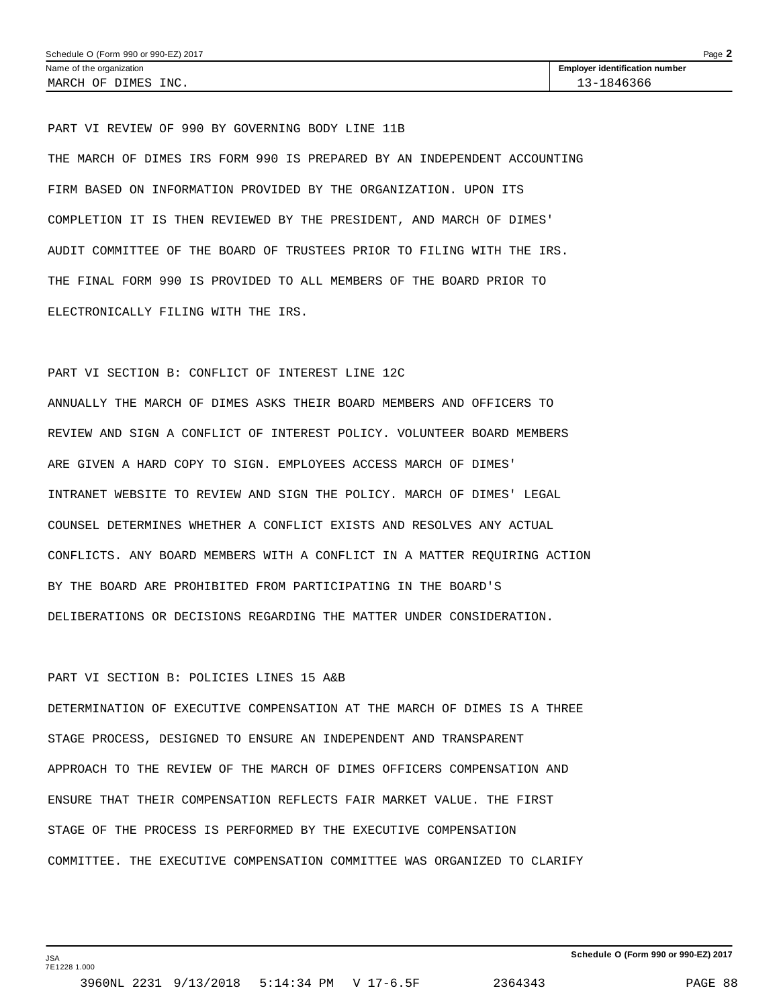PART VI REVIEW OF 990 BY GOVERNING BODY LINE 11B THE MARCH OF DIMES IRS FORM 990 IS PREPARED BY AN INDEPENDENT ACCOUNTING FIRM BASED ON INFORMATION PROVIDED BY THE ORGANIZATION. UPON ITS COMPLETION IT IS THEN REVIEWED BY THE PRESIDENT, AND MARCH OF DIMES' AUDIT COMMITTEE OF THE BOARD OF TRUSTEES PRIOR TO FILING WITH THE IRS. THE FINAL FORM 990 IS PROVIDED TO ALL MEMBERS OF THE BOARD PRIOR TO ELECTRONICALLY FILING WITH THE IRS.

### PART VI SECTION B: CONFLICT OF INTEREST LINE 12C

ANNUALLY THE MARCH OF DIMES ASKS THEIR BOARD MEMBERS AND OFFICERS TO REVIEW AND SIGN A CONFLICT OF INTEREST POLICY. VOLUNTEER BOARD MEMBERS ARE GIVEN A HARD COPY TO SIGN. EMPLOYEES ACCESS MARCH OF DIMES' INTRANET WEBSITE TO REVIEW AND SIGN THE POLICY. MARCH OF DIMES' LEGAL COUNSEL DETERMINES WHETHER A CONFLICT EXISTS AND RESOLVES ANY ACTUAL CONFLICTS. ANY BOARD MEMBERS WITH A CONFLICT IN A MATTER REQUIRING ACTION BY THE BOARD ARE PROHIBITED FROM PARTICIPATING IN THE BOARD'S DELIBERATIONS OR DECISIONS REGARDING THE MATTER UNDER CONSIDERATION.

### PART VI SECTION B: POLICIES LINES 15 A&B

JSA 7E1228 1.000

DETERMINATION OF EXECUTIVE COMPENSATION AT THE MARCH OF DIMES IS A THREE STAGE PROCESS, DESIGNED TO ENSURE AN INDEPENDENT AND TRANSPARENT APPROACH TO THE REVIEW OF THE MARCH OF DIMES OFFICERS COMPENSATION AND ENSURE THAT THEIR COMPENSATION REFLECTS FAIR MARKET VALUE. THE FIRST STAGE OF THE PROCESS IS PERFORMED BY THE EXECUTIVE COMPENSATION COMMITTEE. THE EXECUTIVE COMPENSATION COMMITTEE WAS ORGANIZED TO CLARIFY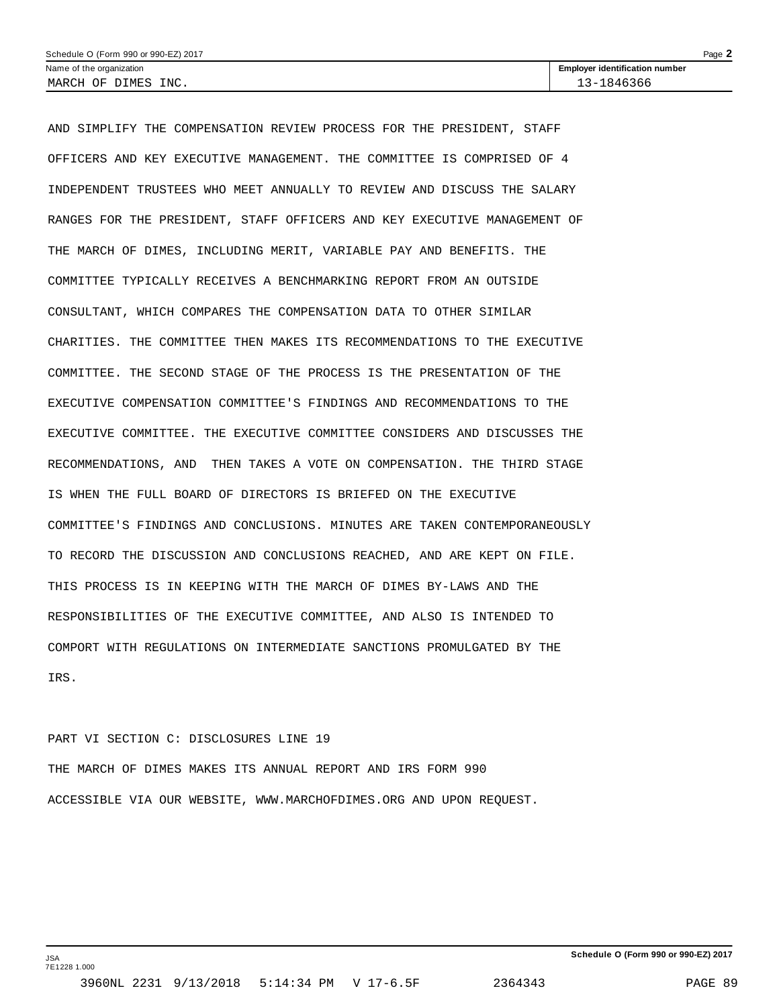AND SIMPLIFY THE COMPENSATION REVIEW PROCESS FOR THE PRESIDENT, STAFF OFFICERS AND KEY EXECUTIVE MANAGEMENT. THE COMMITTEE IS COMPRISED OF 4 INDEPENDENT TRUSTEES WHO MEET ANNUALLY TO REVIEW AND DISCUSS THE SALARY RANGES FOR THE PRESIDENT, STAFF OFFICERS AND KEY EXECUTIVE MANAGEMENT OF THE MARCH OF DIMES, INCLUDING MERIT, VARIABLE PAY AND BENEFITS. THE COMMITTEE TYPICALLY RECEIVES A BENCHMARKING REPORT FROM AN OUTSIDE CONSULTANT, WHICH COMPARES THE COMPENSATION DATA TO OTHER SIMILAR CHARITIES. THE COMMITTEE THEN MAKES ITS RECOMMENDATIONS TO THE EXECUTIVE COMMITTEE. THE SECOND STAGE OF THE PROCESS IS THE PRESENTATION OF THE EXECUTIVE COMPENSATION COMMITTEE'S FINDINGS AND RECOMMENDATIONS TO THE EXECUTIVE COMMITTEE. THE EXECUTIVE COMMITTEE CONSIDERS AND DISCUSSES THE RECOMMENDATIONS, AND THEN TAKES A VOTE ON COMPENSATION. THE THIRD STAGE IS WHEN THE FULL BOARD OF DIRECTORS IS BRIEFED ON THE EXECUTIVE COMMITTEE'S FINDINGS AND CONCLUSIONS. MINUTES ARE TAKEN CONTEMPORANEOUSLY TO RECORD THE DISCUSSION AND CONCLUSIONS REACHED, AND ARE KEPT ON FILE. THIS PROCESS IS IN KEEPING WITH THE MARCH OF DIMES BY-LAWS AND THE RESPONSIBILITIES OF THE EXECUTIVE COMMITTEE, AND ALSO IS INTENDED TO COMPORT WITH REGULATIONS ON INTERMEDIATE SANCTIONS PROMULGATED BY THE IRS.

PART VI SECTION C: DISCLOSURES LINE 19 THE MARCH OF DIMES MAKES ITS ANNUAL REPORT AND IRS FORM 990 ACCESSIBLE VIA OUR WEBSITE, WWW.MARCHOFDIMES.ORG AND UPON REQUEST.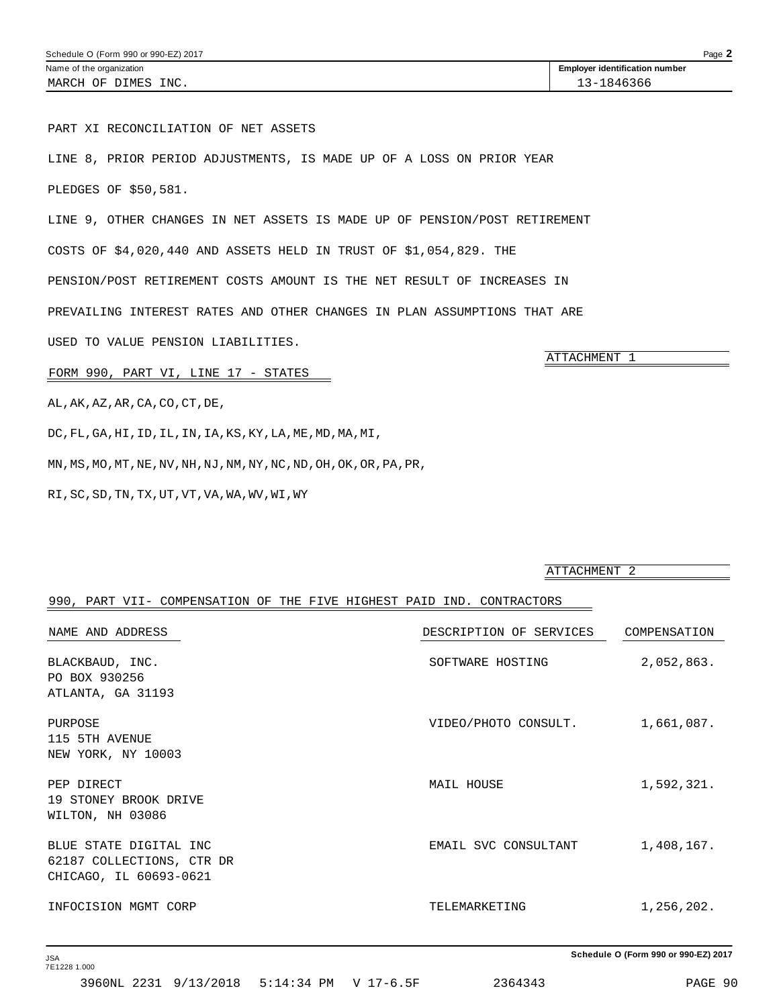PART XI RECONCILIATION OF NET ASSETS

LINE 8, PRIOR PERIOD ADJUSTMENTS, IS MADE UP OF A LOSS ON PRIOR YEAR

PLEDGES OF \$50,581.

LINE 9, OTHER CHANGES IN NET ASSETS IS MADE UP OF PENSION/POST RETIREMENT

COSTS OF \$4,020,440 AND ASSETS HELD IN TRUST OF \$1,054,829. THE

PENSION/POST RETIREMENT COSTS AMOUNT IS THE NET RESULT OF INCREASES IN

PREVAILING INTEREST RATES AND OTHER CHANGES IN PLAN ASSUMPTIONS THAT ARE

USED TO VALUE PENSION LIABILITIES.

FORM 990, PART VI, LINE 17 - STATES

AL,AK,AZ,AR,CA,CO,CT,DE,

DC,FL,GA,HI,ID,IL,IN,IA,KS,KY,LA,ME,MD,MA,MI,

MN,MS,MO,MT,NE,NV,NH,NJ,NM,NY,NC,ND,OH,OK,OR,PA,PR,

RI,SC,SD,TN,TX,UT,VT,VA,WA,WV,WI,WY

### ATTACHMENT 2

#### 990, PART VII- COMPENSATION OF THE FIVE HIGHEST PAID IND. CONTRACTORS

| NAME AND ADDRESS                                                              | DESCRIPTION OF SERVICES | COMPENSATION |
|-------------------------------------------------------------------------------|-------------------------|--------------|
| BLACKBAUD, INC.<br>PO BOX 930256<br>ATLANTA, GA 31193                         | SOFTWARE HOSTING        | 2,052,863.   |
| PURPOSE<br>115 5TH AVENUE<br>NEW YORK, NY 10003                               | VIDEO/PHOTO CONSULT.    | 1,661,087.   |
| PEP DIRECT<br>19 STONEY BROOK DRIVE<br>WILTON, NH 03086                       | MAIL HOUSE              | 1,592,321.   |
| BLUE STATE DIGITAL INC<br>62187 COLLECTIONS, CTR DR<br>CHICAGO, IL 60693-0621 | EMAIL SVC CONSULTANT    | 1,408,167.   |
| INFOCISION MGMT CORP                                                          | TELEMARKETING           | 1,256,202.   |

**Schedule O (Form 990 or 990-EZ) 2017**

ATTACHMENT 1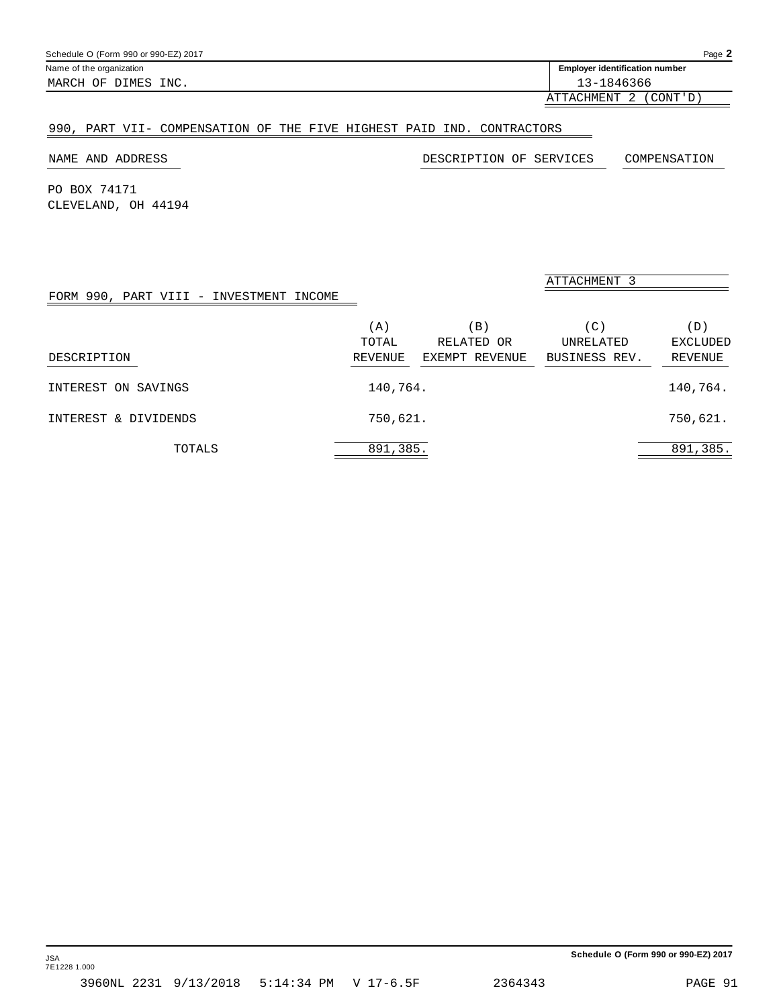| Schedule O (Form 990 or 990-EZ) 2017 | Page $\blacktriangle$                 |
|--------------------------------------|---------------------------------------|
| Name of the organization             | <b>Employer identification number</b> |
| MARCH OF DIMES INC.                  | 13-1846366                            |

ATTACHMENT 2 (CONT'D)

### 990, PART VII- COMPENSATION OF THE FIVE HIGHEST PAID IND. CONTRACTORS

NAME AND ADDRESS DESCRIPTION OF SERVICES COMPENSATION

PO BOX 74171 CLEVELAND, OH 44194

| FORM 990, PART VIII - INVESTMENT INCOME |              |                      | ATTACHMENT 3     |                        |
|-----------------------------------------|--------------|----------------------|------------------|------------------------|
|                                         | (A)<br>TOTAL | $\Box$<br>RELATED OR | (C)<br>UNRELATED | (D)<br><b>EXCLUDED</b> |
| DESCRIPTION                             | REVENUE      | EXEMPT REVENUE       | BUSINESS REV.    | <b>REVENUE</b>         |
| INTEREST ON SAVINGS                     | 140,764.     |                      |                  | 140,764.               |
| INTEREST & DIVIDENDS                    | 750,621.     |                      |                  | 750,621.               |
| TOTALS                                  | 891,385.     |                      |                  | 891,385.               |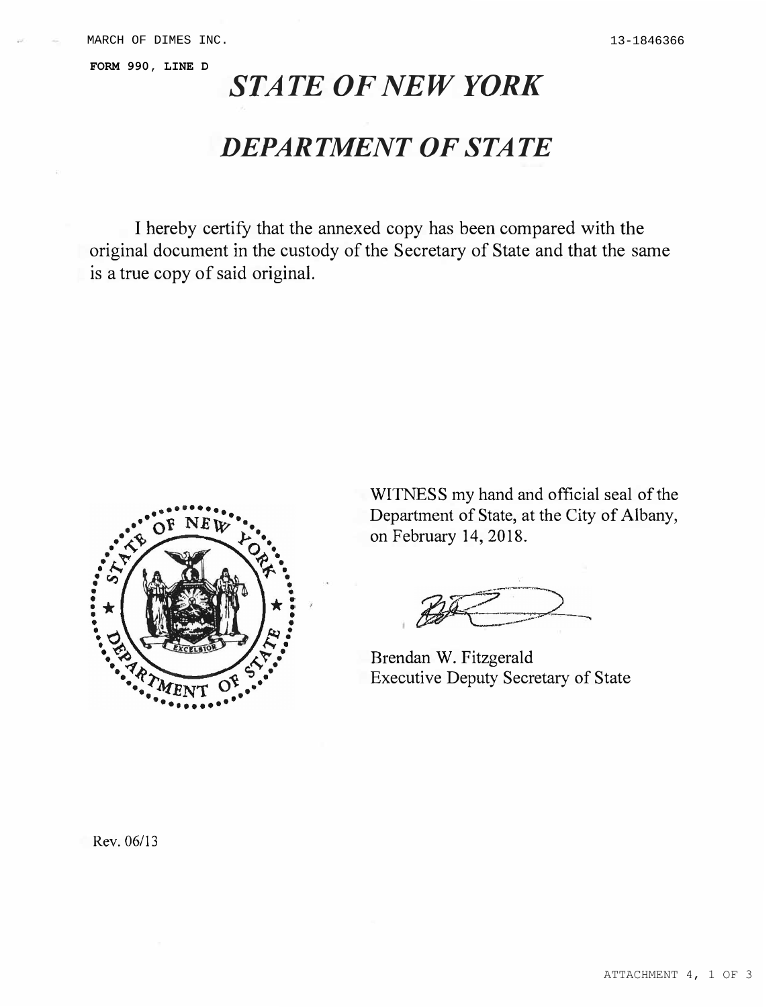**FORM 990, LINE D**

## *STATE OF NEW YORK*

### *DEPARTMENT OF STATE*

I hereby certify that the annexed copy has been compared with the original document in the custody of the Secretary of State and that the same is a true copy of said original.



WITNESS my hand and official seal of the Department of State, at the City of Albany, on February 14, 2018.

Brendan W. Fitzgerald Executive Deputy Secretary of State

Rev. 06/13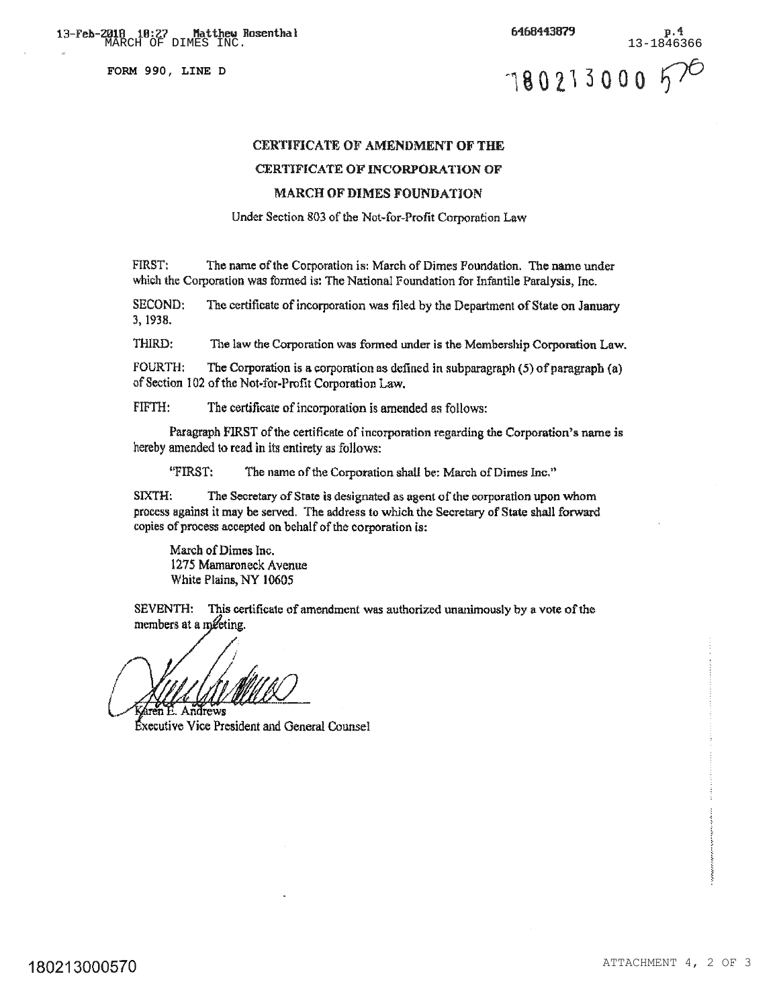**FORM 990, LINE D**

**13-Feb-2018 10:27 Matthew Rosenthal 19.28 (13-Feb-2018 10:27 Matthew Rosenthal 19.28 P.4 (13-1846366**<br>MARCH OF DIMES INC. (13-1846366 6468443879  $p.4$ 780213000 570

### **CERTIFICATE OF AMENDMENT OF THE**

### CERTIFICATE OF INCORPORATION OF

### **MARCH OF DIMES FOUNDATION**

Under Section 803 of the Not-for-Profit Corporation Law

FIRST: The name of the Corporation is: March of Dimes Foundation. The name under which the Corporation was formed is: The National Foundation for Infantile Paralysis, Inc.

SECOND: The certificate of incorporation was filed by the Department of State on January 3, 1938.

THIRD: The law the Corporation was formed under is the Membership Corporation Law.

**FOURTH:** The Corporation is a corporation as defined in subparagraph  $(5)$  of paragraph  $(a)$ of Section 102 of the Not-for-Profit Corporation Law.

FIFTH: The certificate of incorporation is amended as follows:

Paragraph FIRST of the certificate of incorporation regarding the Corporation's name is hereby amended to read in its entirety as follows:

"FIRST: The name of the Corporation shall be: March of Dimes Inc."

SIXTH: The Secretary of State is designated as agent of the corporation upon whom process against it may be served. The address to which the Secretary of State shall forward copies of process accepted on behalf of the corporation is:

March of Dimes Inc. 1275 Mamaroneck Avenue White Plains, NY 10605

SEVENTH: This certificate of amendment was authorized unanimously by a vote of the members at a meeting.

Andrews

Executive Vice President and General Counsel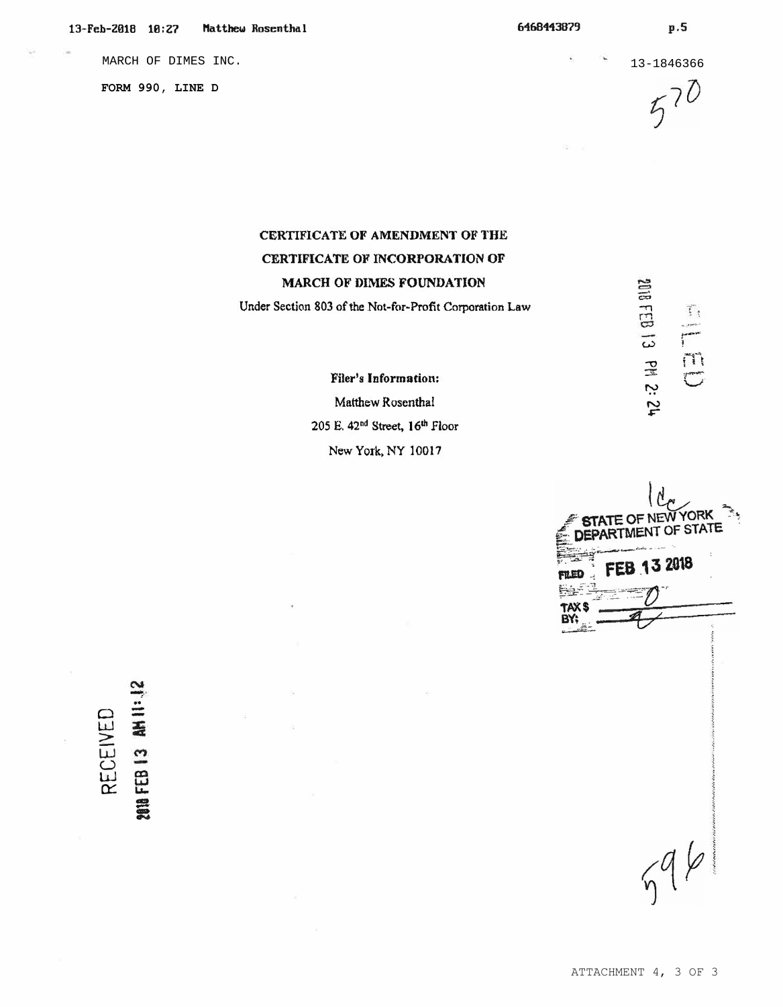**FORM 990, LINE D**

MARCH OF DIMES INC. 13-1846366  $570$ 

-c::o

 $\Xi$ 

N �

.. <!:...<sup>+</sup> · ,--�,

 $\mathcal{I}_1$ 

w <sup>l</sup> 3'. - *'>?* v *=-·�·"'""'*  -0 j I t

### **CERTIFICATE OF AMENDMENT OF THE CERTIFICATE OF INCORPORATION OF MARCH OF DIMES FOUNDATION**

**Under Section 803 of the Not-for-Profit Corporation Law** 

**Filer's Information:**  Matthew Rosenthal **205 E. 42nd Street, J 61h Floor New York. NY 10017** 

**YORK** TE OF  $NF$ ARTMENT OF STATE FEB 13 2018 **FILED**  $596$ 

# 0 w RECEIV  $11:12$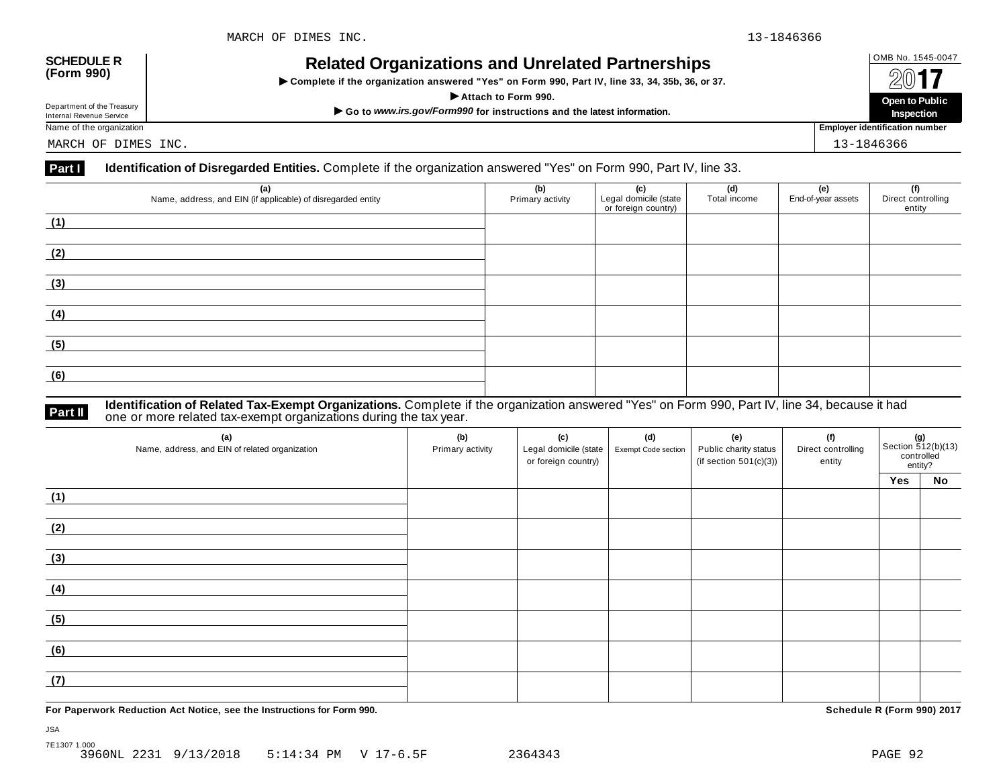### OMB No. 1545-0047 **SCHEDULE R (Form 990) Related Organizations and Unrelated Partnerships**

 $\triangleright$  Complete if the organization answered "Yes" on Form 990, Part IV, line 33, 34, 35b, 36, or 37.



Department of the Treasury

MARCH OF DIMES INC. 13-1846366

### **Part I Identification of Disregarded Entities.** Complete if the organization answered "Yes" on Form 990, Part IV, line 33.

| (a)<br>Name, address, and EIN (if applicable) of disregarded entity | (b)<br>Primary activity | (c)<br>Legal domicile (state<br>or foreign country) | (d)<br>Total income | (e)<br>End-of-year assets | (f)<br>Direct controlling<br>entity |
|---------------------------------------------------------------------|-------------------------|-----------------------------------------------------|---------------------|---------------------------|-------------------------------------|
| (1)                                                                 |                         |                                                     |                     |                           |                                     |
|                                                                     |                         |                                                     |                     |                           |                                     |
| (2)                                                                 |                         |                                                     |                     |                           |                                     |
|                                                                     |                         |                                                     |                     |                           |                                     |
| (3)                                                                 |                         |                                                     |                     |                           |                                     |
|                                                                     |                         |                                                     |                     |                           |                                     |
| (4)                                                                 |                         |                                                     |                     |                           |                                     |
|                                                                     |                         |                                                     |                     |                           |                                     |
| (5)                                                                 |                         |                                                     |                     |                           |                                     |
|                                                                     |                         |                                                     |                     |                           |                                     |
| (6)                                                                 |                         |                                                     |                     |                           |                                     |
|                                                                     |                         |                                                     |                     |                           |                                     |

### **Identification of Related Tax-Exempt Organizations.** Complete if the organization answered "Yes" on Form 990, Part IV, line 34, because it had **Part II** dentitivation of Neiated Tax-Exempt organizations during the tax year.

| (a)<br>Name, address, and EIN of related organization | (b)<br>Primary activity | (c)<br>Legal domicile (state  <br>or foreign country) | (d)<br><b>Exempt Code section</b> | (e)<br>Public charity status<br>(if section $501(c)(3)$ ) | (f)<br>Direct controlling<br>entity | <b>(g)</b><br>Section 512(b)(13)<br>controlled<br>entity? |    |
|-------------------------------------------------------|-------------------------|-------------------------------------------------------|-----------------------------------|-----------------------------------------------------------|-------------------------------------|-----------------------------------------------------------|----|
|                                                       |                         |                                                       |                                   |                                                           |                                     | Yes                                                       | No |
| (1)                                                   |                         |                                                       |                                   |                                                           |                                     |                                                           |    |
| (2)                                                   |                         |                                                       |                                   |                                                           |                                     |                                                           |    |
| (3)                                                   |                         |                                                       |                                   |                                                           |                                     |                                                           |    |
| (4)                                                   |                         |                                                       |                                   |                                                           |                                     |                                                           |    |
| (5)                                                   |                         |                                                       |                                   |                                                           |                                     |                                                           |    |
| (6)                                                   |                         |                                                       |                                   |                                                           |                                     |                                                           |    |
| (7)                                                   |                         |                                                       |                                   |                                                           |                                     |                                                           |    |

**For Paperwork Reduction Act Notice, see the Instructions for Form 990. Schedule R (Form 990) 2017**

JSA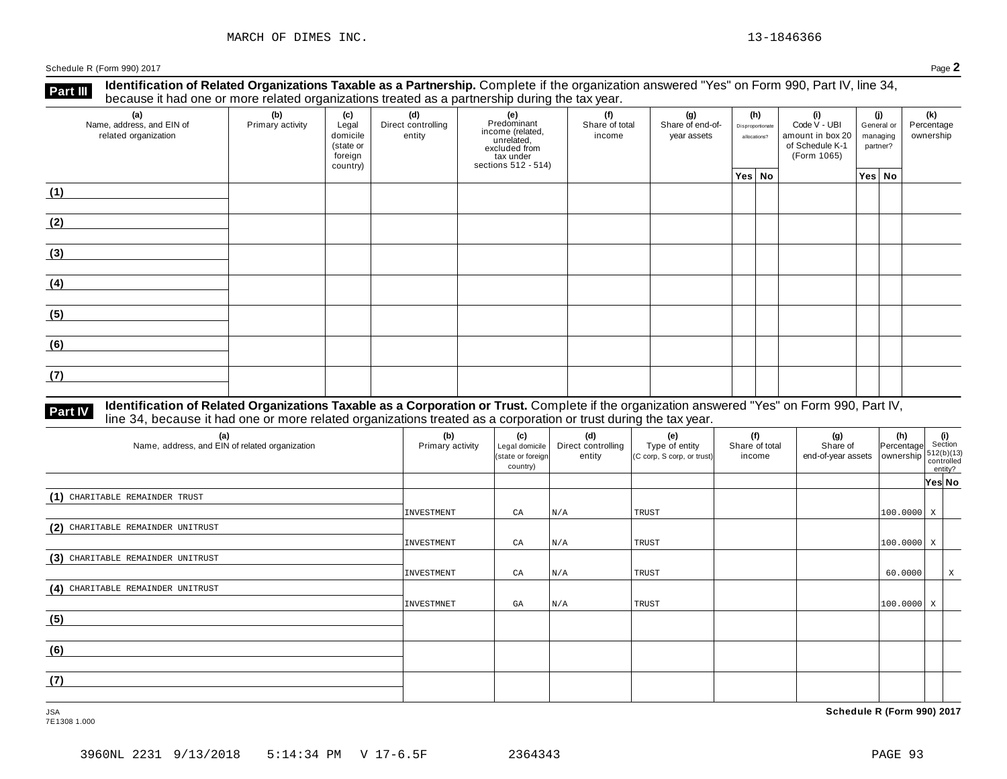**Identification of Related Organizations Taxable as a Partnership.** Complete if the organization answered "Yes" on Form 990, Part IV, line 34, **because it had one or more related organizations Taxable as a Partnership.** Complete if the organization of Related organizations treated as a partnership during the tax year.

| (a)<br>Name, address, and EIN of<br>related organization | (b)<br>Primary activity | (c)<br>Legal<br>domicile<br>(state or<br>foreign<br>country) | (d)<br>Direct controlling<br>entity | (e)<br>Predominant<br>Frecomman<br>income (related,<br>unrelated,<br>excluded from<br>sections 512 - 514) | (f)<br>Share of total<br>income | (g)<br>Share of end-of-<br>year assets | (h)<br>Disproportionate<br>allocations? | (i)<br>Code V - UBI<br>amount in box 20<br>of Schedule K-1<br>(Form 1065) | (j)<br>managing | General or<br>partner? | (k)<br>Percentage<br>ownership |
|----------------------------------------------------------|-------------------------|--------------------------------------------------------------|-------------------------------------|-----------------------------------------------------------------------------------------------------------|---------------------------------|----------------------------------------|-----------------------------------------|---------------------------------------------------------------------------|-----------------|------------------------|--------------------------------|
|                                                          |                         |                                                              |                                     |                                                                                                           |                                 |                                        | Yes No                                  |                                                                           | Yes No          |                        |                                |
| (1)                                                      |                         |                                                              |                                     |                                                                                                           |                                 |                                        |                                         |                                                                           |                 |                        |                                |
| (2)                                                      |                         |                                                              |                                     |                                                                                                           |                                 |                                        |                                         |                                                                           |                 |                        |                                |
| (3)                                                      |                         |                                                              |                                     |                                                                                                           |                                 |                                        |                                         |                                                                           |                 |                        |                                |
| (4)                                                      |                         |                                                              |                                     |                                                                                                           |                                 |                                        |                                         |                                                                           |                 |                        |                                |
| (5)                                                      |                         |                                                              |                                     |                                                                                                           |                                 |                                        |                                         |                                                                           |                 |                        |                                |
| (6)                                                      |                         |                                                              |                                     |                                                                                                           |                                 |                                        |                                         |                                                                           |                 |                        |                                |
| (7)                                                      |                         |                                                              |                                     |                                                                                                           |                                 |                                        |                                         |                                                                           |                 |                        |                                |

### **Part IV** Identification of Related Organizations Taxable as a Corporation or Trust. Complete if the organization answered "Yes" on Form 990, Part IV,<br>line 34, because it had one or more related organizations treated as a

| (a)<br>Name, address, and EIN of related organization | (b)<br>Primary activity | (c)<br>Legal domicile<br>(state or foreign<br>country) | (d)<br>Direct controlling<br>entity | (e)<br>Type of entity<br>(C corp, S corp, or trust) | (f)<br>Share of total<br>income | $\begin{array}{c c} \textbf{(g)} & \textbf{(h)} & \textbf{(i)} \\ \text{Share of} & \text{Percentage} & \text{Section} \\ \text{end-of-year assets} & \text{ownership} & \begin{array}{c} \textbf{(i)} \\ 512(\text{b})(13) \\ \text{countrolled} \end{array} \end{array}$ |                            |         | entity? |
|-------------------------------------------------------|-------------------------|--------------------------------------------------------|-------------------------------------|-----------------------------------------------------|---------------------------------|----------------------------------------------------------------------------------------------------------------------------------------------------------------------------------------------------------------------------------------------------------------------------|----------------------------|---------|---------|
|                                                       |                         |                                                        |                                     |                                                     |                                 |                                                                                                                                                                                                                                                                            |                            | Yes∣ No |         |
| (1) CHARITABLE REMAINDER TRUST                        |                         |                                                        |                                     |                                                     |                                 |                                                                                                                                                                                                                                                                            |                            |         |         |
|                                                       | INVESTMENT              | CA                                                     | N/A                                 | TRUST                                               |                                 |                                                                                                                                                                                                                                                                            | $100.0000$ X               |         |         |
| (2) CHARITABLE REMAINDER UNITRUST                     |                         |                                                        |                                     |                                                     |                                 |                                                                                                                                                                                                                                                                            |                            |         |         |
|                                                       | INVESTMENT              | CA                                                     | N/A                                 | TRUST                                               |                                 |                                                                                                                                                                                                                                                                            | $ 100.0000 $ X             |         |         |
| (3) CHARITABLE REMAINDER UNITRUST                     |                         |                                                        |                                     |                                                     |                                 |                                                                                                                                                                                                                                                                            |                            |         |         |
|                                                       | INVESTMENT              | CA                                                     | N/A                                 | TRUST                                               |                                 |                                                                                                                                                                                                                                                                            | 60.0000                    |         | X       |
| (4) CHARITABLE REMAINDER UNITRUST                     |                         |                                                        |                                     |                                                     |                                 |                                                                                                                                                                                                                                                                            |                            |         |         |
|                                                       | INVESTMNET              | GA                                                     | N/A                                 | TRUST                                               |                                 |                                                                                                                                                                                                                                                                            | $\vert$ 100.0000 $\vert$ X |         |         |
| (5)                                                   |                         |                                                        |                                     |                                                     |                                 |                                                                                                                                                                                                                                                                            |                            |         |         |
|                                                       |                         |                                                        |                                     |                                                     |                                 |                                                                                                                                                                                                                                                                            |                            |         |         |
| (6)                                                   |                         |                                                        |                                     |                                                     |                                 |                                                                                                                                                                                                                                                                            |                            |         |         |
|                                                       |                         |                                                        |                                     |                                                     |                                 |                                                                                                                                                                                                                                                                            |                            |         |         |
| (7)                                                   |                         |                                                        |                                     |                                                     |                                 |                                                                                                                                                                                                                                                                            |                            |         |         |
|                                                       |                         |                                                        |                                     |                                                     |                                 |                                                                                                                                                                                                                                                                            |                            |         |         |

7E1308 1.000

JSA **Schedule R (Form 990) 2017**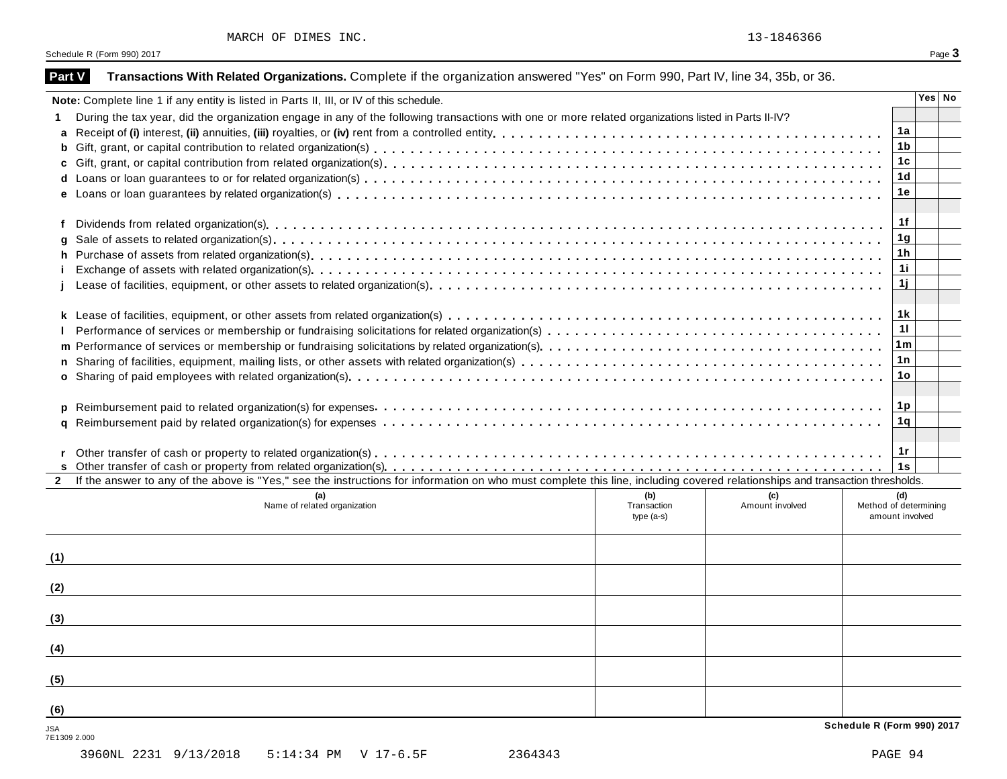| Part V              | Transactions With Related Organizations. Complete if the organization answered "Yes" on Form 990, Part IV, line 34, 35b, or 36.                                              |                                                 |        |  |  |  |  |  |  |
|---------------------|------------------------------------------------------------------------------------------------------------------------------------------------------------------------------|-------------------------------------------------|--------|--|--|--|--|--|--|
|                     | Note: Complete line 1 if any entity is listed in Parts II, III, or IV of this schedule.                                                                                      |                                                 | Yes No |  |  |  |  |  |  |
|                     | During the tax year, did the organization engage in any of the following transactions with one or more related organizations listed in Parts II-IV?                          | 1a                                              |        |  |  |  |  |  |  |
|                     |                                                                                                                                                                              |                                                 |        |  |  |  |  |  |  |
| b                   |                                                                                                                                                                              |                                                 |        |  |  |  |  |  |  |
|                     |                                                                                                                                                                              | 1 <sub>c</sub>                                  |        |  |  |  |  |  |  |
|                     |                                                                                                                                                                              | 1 <sub>d</sub>                                  |        |  |  |  |  |  |  |
|                     |                                                                                                                                                                              | 1e                                              |        |  |  |  |  |  |  |
| f                   |                                                                                                                                                                              | 1f                                              |        |  |  |  |  |  |  |
| g                   |                                                                                                                                                                              | 1 <sub>g</sub>                                  |        |  |  |  |  |  |  |
| h.                  |                                                                                                                                                                              | 1 <sub>h</sub>                                  |        |  |  |  |  |  |  |
|                     |                                                                                                                                                                              | 11                                              |        |  |  |  |  |  |  |
|                     |                                                                                                                                                                              | 1j                                              |        |  |  |  |  |  |  |
|                     |                                                                                                                                                                              | 1 k                                             |        |  |  |  |  |  |  |
|                     |                                                                                                                                                                              |                                                 |        |  |  |  |  |  |  |
|                     |                                                                                                                                                                              | 11                                              |        |  |  |  |  |  |  |
|                     |                                                                                                                                                                              | 1m                                              |        |  |  |  |  |  |  |
|                     |                                                                                                                                                                              | 1n                                              |        |  |  |  |  |  |  |
|                     |                                                                                                                                                                              | 1 <sub>o</sub>                                  |        |  |  |  |  |  |  |
|                     |                                                                                                                                                                              |                                                 |        |  |  |  |  |  |  |
| p                   |                                                                                                                                                                              | 1p<br>1 <sub>q</sub>                            |        |  |  |  |  |  |  |
|                     |                                                                                                                                                                              |                                                 |        |  |  |  |  |  |  |
|                     |                                                                                                                                                                              | 1r                                              |        |  |  |  |  |  |  |
|                     |                                                                                                                                                                              | 1s                                              |        |  |  |  |  |  |  |
|                     | If the answer to any of the above is "Yes," see the instructions for information on who must complete this line, including covered relationships and transaction thresholds. |                                                 |        |  |  |  |  |  |  |
|                     | (a)<br>(b)<br>(c)<br>Name of related organization<br>Transaction<br>Amount involved<br>$type(a-s)$                                                                           | (d)<br>Method of determining<br>amount involved |        |  |  |  |  |  |  |
| (1)                 |                                                                                                                                                                              |                                                 |        |  |  |  |  |  |  |
| (2)                 |                                                                                                                                                                              |                                                 |        |  |  |  |  |  |  |
| (3)                 |                                                                                                                                                                              |                                                 |        |  |  |  |  |  |  |
| (4)                 |                                                                                                                                                                              |                                                 |        |  |  |  |  |  |  |
| (5)                 |                                                                                                                                                                              |                                                 |        |  |  |  |  |  |  |
| (6)                 |                                                                                                                                                                              |                                                 |        |  |  |  |  |  |  |
| JSA<br>7E1309 2.000 |                                                                                                                                                                              | Schedule R (Form 990) 2017                      |        |  |  |  |  |  |  |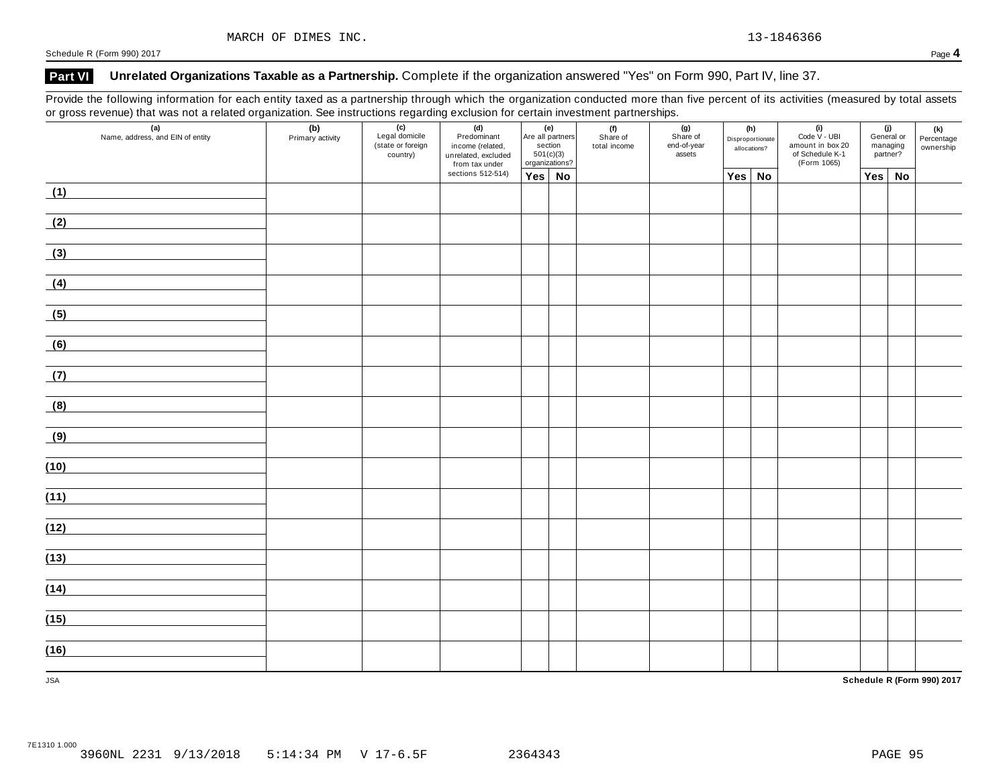### **Part VI Unrelated Organizations Taxable as a Partnership.** Complete if the organization answered "Yes" on Form 990, Part IV, line 37.

Provide the following information for each entity taxed as a partnership through which the organization conducted more than five percent of its activities (measured by total assets or gross revenue) that was not a related organization. See instructions regarding exclusion for certain investment partnerships.

| ັ<br>$\mathbf{z}$<br>(a)<br>Name, address, and EIN of entity | ັ<br>(b)<br>Primary activity | ັ<br>(c)<br>Legal domicile<br>(state or foreign<br>country) | ັ<br>(d)<br>Predominant<br>income (related,<br>unrelated, excluded<br>from tax under<br>sections 512-514) | (e)<br>Are all partners<br>section<br>501(c)(3)<br>organizations? |  | . .<br>(f)<br>Share of<br>total income | . .<br>(g)<br>Share of<br>end-of-year<br>assets | (h)<br>Disproportionate<br>allocations? | $(i)$<br>Code $\vee$ - UBI<br>amount in box 20<br>of Schedule K-1<br>(Form 1065) | (j)<br>General or<br>managing<br>partner? |    | (k)<br>Percentage<br>ownership |
|--------------------------------------------------------------|------------------------------|-------------------------------------------------------------|-----------------------------------------------------------------------------------------------------------|-------------------------------------------------------------------|--|----------------------------------------|-------------------------------------------------|-----------------------------------------|----------------------------------------------------------------------------------|-------------------------------------------|----|--------------------------------|
|                                                              |                              |                                                             |                                                                                                           | Yes No                                                            |  |                                        |                                                 | Yes No                                  |                                                                                  | Yes                                       | No |                                |
| (1)                                                          |                              |                                                             |                                                                                                           |                                                                   |  |                                        |                                                 |                                         |                                                                                  |                                           |    |                                |
| (2)                                                          |                              |                                                             |                                                                                                           |                                                                   |  |                                        |                                                 |                                         |                                                                                  |                                           |    |                                |
| (3)                                                          |                              |                                                             |                                                                                                           |                                                                   |  |                                        |                                                 |                                         |                                                                                  |                                           |    |                                |
| (4)                                                          |                              |                                                             |                                                                                                           |                                                                   |  |                                        |                                                 |                                         |                                                                                  |                                           |    |                                |
| (5)                                                          |                              |                                                             |                                                                                                           |                                                                   |  |                                        |                                                 |                                         |                                                                                  |                                           |    |                                |
| (6)                                                          |                              |                                                             |                                                                                                           |                                                                   |  |                                        |                                                 |                                         |                                                                                  |                                           |    |                                |
| (7)                                                          |                              |                                                             |                                                                                                           |                                                                   |  |                                        |                                                 |                                         |                                                                                  |                                           |    |                                |
| (8)                                                          |                              |                                                             |                                                                                                           |                                                                   |  |                                        |                                                 |                                         |                                                                                  |                                           |    |                                |
| (9)                                                          |                              |                                                             |                                                                                                           |                                                                   |  |                                        |                                                 |                                         |                                                                                  |                                           |    |                                |
| (10)                                                         |                              |                                                             |                                                                                                           |                                                                   |  |                                        |                                                 |                                         |                                                                                  |                                           |    |                                |
| (11)                                                         |                              |                                                             |                                                                                                           |                                                                   |  |                                        |                                                 |                                         |                                                                                  |                                           |    |                                |
| (12)                                                         |                              |                                                             |                                                                                                           |                                                                   |  |                                        |                                                 |                                         |                                                                                  |                                           |    |                                |
| (13)                                                         |                              |                                                             |                                                                                                           |                                                                   |  |                                        |                                                 |                                         |                                                                                  |                                           |    |                                |
| (14)                                                         |                              |                                                             |                                                                                                           |                                                                   |  |                                        |                                                 |                                         |                                                                                  |                                           |    |                                |
| (15)                                                         |                              |                                                             |                                                                                                           |                                                                   |  |                                        |                                                 |                                         |                                                                                  |                                           |    |                                |
| (16)                                                         |                              |                                                             |                                                                                                           |                                                                   |  |                                        |                                                 |                                         |                                                                                  |                                           |    |                                |
| <b>JSA</b>                                                   |                              |                                                             |                                                                                                           |                                                                   |  |                                        |                                                 |                                         |                                                                                  |                                           |    | Schedule R (Form 990) 2017     |